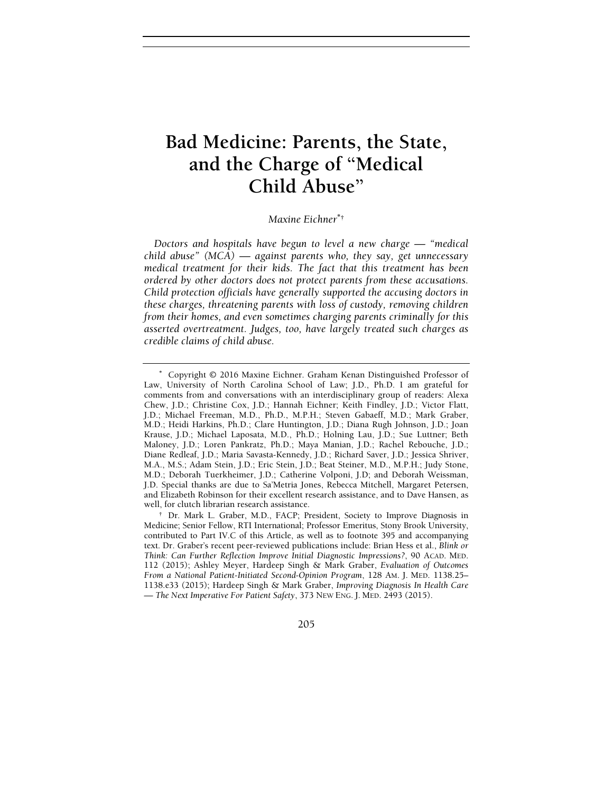# Bad Medicine: Parents, the State, and the Charge of "Medical Child Abuse"

#### Maxine Eichner<sup>∗</sup>†

Doctors and hospitals have begun to level a new charge — "medical child abuse"  $(MCA)$  — against parents who, they say, get unnecessary medical treatment for their kids. The fact that this treatment has been ordered by other doctors does not protect parents from these accusations. Child protection officials have generally supported the accusing doctors in these charges, threatening parents with loss of custody, removing children from their homes, and even sometimes charging parents criminally for this asserted overtreatment. Judges, too, have largely treated such charges as credible claims of child abuse.

205

<sup>∗</sup> Copyright © 2016 Maxine Eichner. Graham Kenan Distinguished Professor of Law, University of North Carolina School of Law; J.D., Ph.D. I am grateful for comments from and conversations with an interdisciplinary group of readers: Alexa Chew, J.D.; Christine Cox, J.D.; Hannah Eichner; Keith Findley, J.D.; Victor Flatt, J.D.; Michael Freeman, M.D., Ph.D., M.P.H.; Steven Gabaeff, M.D.; Mark Graber, M.D.; Heidi Harkins, Ph.D.; Clare Huntington, J.D.; Diana Rugh Johnson, J.D.; Joan Krause, J.D.; Michael Laposata, M.D., Ph.D.; Holning Lau, J.D.; Sue Luttner; Beth Maloney, J.D.; Loren Pankratz, Ph.D.; Maya Manian, J.D.; Rachel Rebouche, J.D.; Diane Redleaf, J.D.; Maria Savasta-Kennedy, J.D.; Richard Saver, J.D.; Jessica Shriver, M.A., M.S.; Adam Stein, J.D.; Eric Stein, J.D.; Beat Steiner, M.D., M.P.H.; Judy Stone, M.D.; Deborah Tuerkheimer, J.D.; Catherine Volponi, J.D; and Deborah Weissman, J.D. Special thanks are due to Sa'Metria Jones, Rebecca Mitchell, Margaret Petersen, and Elizabeth Robinson for their excellent research assistance, and to Dave Hansen, as well, for clutch librarian research assistance.

<sup>†</sup> Dr. Mark L. Graber, M.D., FACP; President, Society to Improve Diagnosis in Medicine; Senior Fellow, RTI International; Professor Emeritus, Stony Brook University, contributed to Part IV.C of this Article, as well as to footnote 395 and accompanying text. Dr. Graber's recent peer-reviewed publications include: Brian Hess et al., Blink or Think: Can Further Reflection Improve Initial Diagnostic Impressions?, 90 ACAD. MED. 112 (2015); Ashley Meyer, Hardeep Singh & Mark Graber, Evaluation of Outcomes From a National Patient-Initiated Second-Opinion Program, 128 AM. J. MED. 1138.25– 1138.e33 (2015); Hardeep Singh & Mark Graber, Improving Diagnosis In Health Care — The Next Imperative For Patient Safety, 373 NEW ENG. J. MED. 2493 (2015).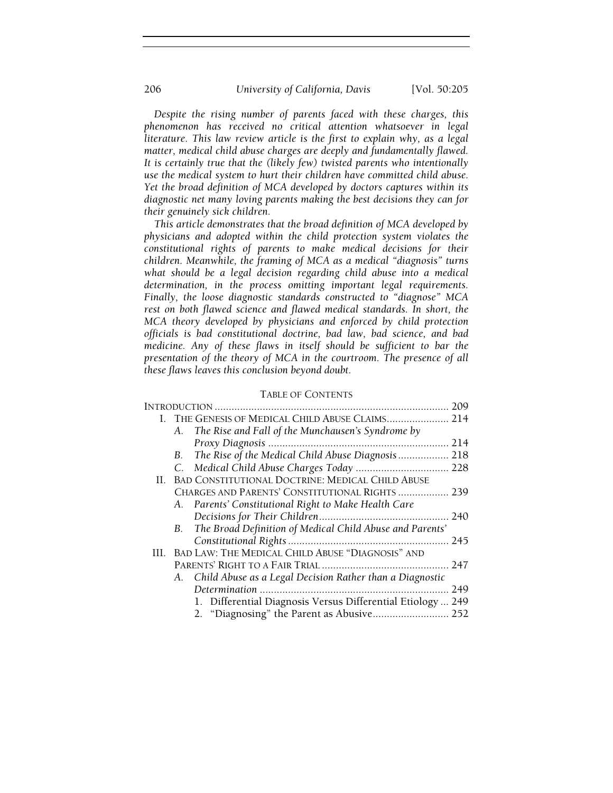Despite the rising number of parents faced with these charges, this phenomenon has received no critical attention whatsoever in legal literature. This law review article is the first to explain why, as a legal matter, medical child abuse charges are deeply and fundamentally flawed. It is certainly true that the (likely few) twisted parents who intentionally use the medical system to hurt their children have committed child abuse. Yet the broad definition of MCA developed by doctors captures within its diagnostic net many loving parents making the best decisions they can for their genuinely sick children.

This article demonstrates that the broad definition of MCA developed by physicians and adopted within the child protection system violates the constitutional rights of parents to make medical decisions for their children. Meanwhile, the framing of MCA as a medical "diagnosis" turns what should be a legal decision regarding child abuse into a medical determination, in the process omitting important legal requirements. Finally, the loose diagnostic standards constructed to "diagnose" MCA rest on both flawed science and flawed medical standards. In short, the MCA theory developed by physicians and enforced by child protection officials is bad constitutional doctrine, bad law, bad science, and bad medicine. Any of these flaws in itself should be sufficient to bar the presentation of the theory of MCA in the courtroom. The presence of all these flaws leaves this conclusion beyond doubt.

#### TABLE OF CONTENTS

|    |    | I. THE GENESIS OF MEDICAL CHILD ABUSE CLAIMS 214            |     |
|----|----|-------------------------------------------------------------|-----|
|    |    | A. The Rise and Fall of the Munchausen's Syndrome by        |     |
|    |    |                                                             |     |
|    | В. | The Rise of the Medical Child Abuse Diagnosis 218           |     |
|    |    |                                                             |     |
| H. |    | BAD CONSTITUTIONAL DOCTRINE: MEDICAL CHILD ABUSE            |     |
|    |    | CHARGES AND PARENTS' CONSTITUTIONAL RIGHTS  239             |     |
|    |    | A. Parents' Constitutional Right to Make Health Care        |     |
|    |    |                                                             | 240 |
|    | B. | The Broad Definition of Medical Child Abuse and Parents'    |     |
|    |    |                                                             |     |
|    |    | III. BAD LAW: THE MEDICAL CHILD ABUSE "DIAGNOSIS" AND       |     |
|    |    |                                                             |     |
|    |    | A. Child Abuse as a Legal Decision Rather than a Diagnostic |     |
|    |    |                                                             | 249 |
|    |    | 1. Differential Diagnosis Versus Differential Etiology  249 |     |
|    |    | 2. "Diagnosing" the Parent as Abusive 252                   |     |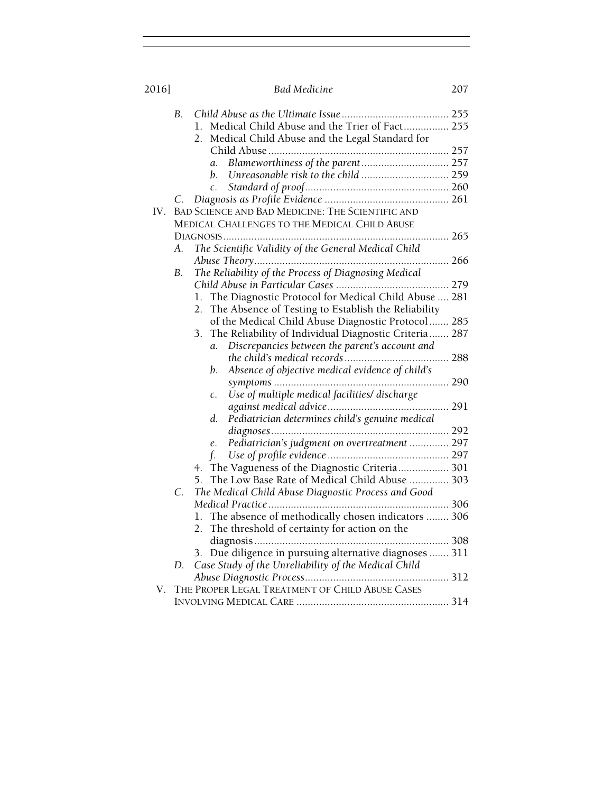| 2016] |    | <b>Bad Medicine</b>                                        | 207 |
|-------|----|------------------------------------------------------------|-----|
|       | В. |                                                            |     |
|       |    | Medical Child Abuse and the Trier of Fact 255<br>1.        |     |
|       |    | Medical Child Abuse and the Legal Standard for<br>2.       |     |
|       |    |                                                            |     |
|       |    | a.                                                         |     |
|       |    | $h_{\cdot}$                                                |     |
|       |    | $\mathcal{C}$ .                                            |     |
|       | C. |                                                            |     |
| IV.   |    | BAD SCIENCE AND BAD MEDICINE: THE SCIENTIFIC AND           |     |
|       |    | MEDICAL CHALLENGES TO THE MEDICAL CHILD ABUSE              |     |
|       |    |                                                            |     |
|       | А. | The Scientific Validity of the General Medical Child       |     |
|       |    | The Reliability of the Process of Diagnosing Medical       |     |
|       | В. |                                                            |     |
|       |    | The Diagnostic Protocol for Medical Child Abuse  281<br>1. |     |
|       |    | The Absence of Testing to Establish the Reliability<br>2.  |     |
|       |    | of the Medical Child Abuse Diagnostic Protocol 285         |     |
|       |    | 3. The Reliability of Individual Diagnostic Criteria 287   |     |
|       |    | Discrepancies between the parent's account and<br>a.       |     |
|       |    |                                                            |     |
|       |    | Absence of objective medical evidence of child's<br>b.     |     |
|       |    |                                                            |     |
|       |    | Use of multiple medical facilities/ discharge<br>c.        |     |
|       |    |                                                            |     |
|       |    | Pediatrician determines child's genuine medical<br>d.      |     |
|       |    |                                                            |     |
|       |    | Pediatrician's judgment on overtreatment  297<br>e.        |     |
|       |    | f.                                                         |     |
|       |    | 4. The Vagueness of the Diagnostic Criteria 301            |     |
|       |    | The Low Base Rate of Medical Child Abuse  303<br>5.        |     |
|       | C. | The Medical Child Abuse Diagnostic Process and Good        |     |
|       |    |                                                            |     |
|       |    | 1. The absence of methodically chosen indicators  306      |     |
|       |    | The threshold of certainty for action on the               |     |
|       |    |                                                            |     |
|       |    | Due diligence in pursuing alternative diagnoses  311<br>3. |     |
|       | D. | Case Study of the Unreliability of the Medical Child       |     |
|       |    |                                                            |     |
| V.    |    | THE PROPER LEGAL TREATMENT OF CHILD ABUSE CASES            |     |
|       |    |                                                            |     |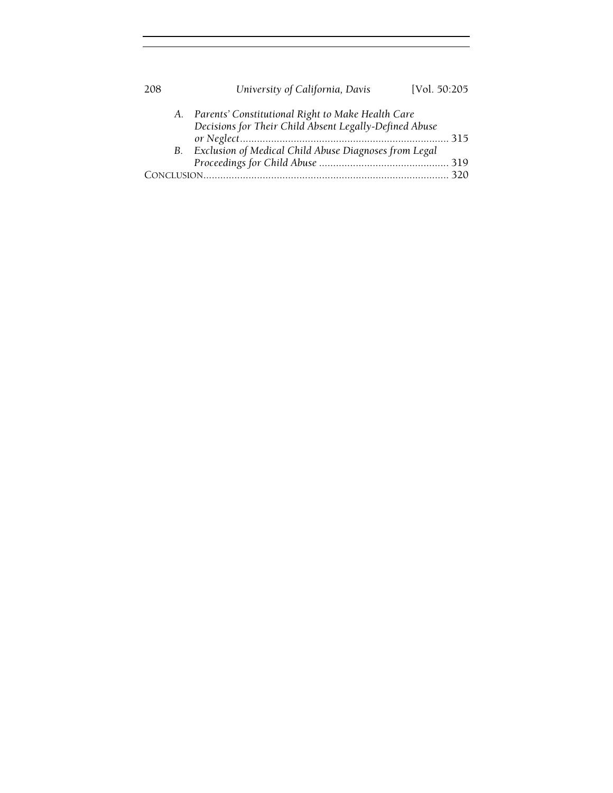| 208 |  | University of California, Davis                                                                                | [Vol. 50:205] |  |
|-----|--|----------------------------------------------------------------------------------------------------------------|---------------|--|
|     |  | A. Parents' Constitutional Right to Make Health Care<br>Decisions for Their Child Absent Legally-Defined Abuse |               |  |
|     |  |                                                                                                                |               |  |
|     |  | B. Exclusion of Medical Child Abuse Diagnoses from Legal                                                       |               |  |
|     |  |                                                                                                                |               |  |
| 320 |  |                                                                                                                |               |  |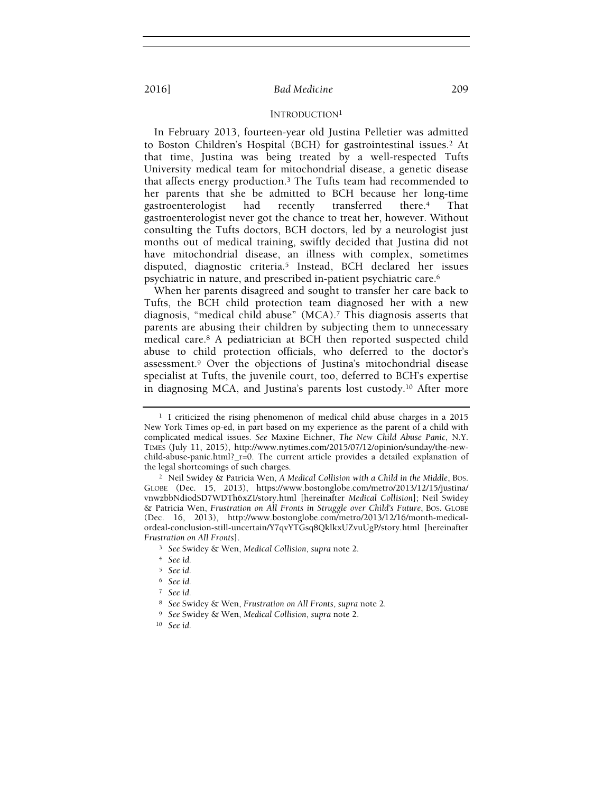#### INTRODUCTION<sup>1</sup>

In February 2013, fourteen-year old Justina Pelletier was admitted to Boston Children's Hospital (BCH) for gastrointestinal issues.2 At that time, Justina was being treated by a well-respected Tufts University medical team for mitochondrial disease, a genetic disease that affects energy production.3 The Tufts team had recommended to her parents that she be admitted to BCH because her long-time gastroenterologist had recently transferred there.4 That gastroenterologist never got the chance to treat her, however. Without consulting the Tufts doctors, BCH doctors, led by a neurologist just months out of medical training, swiftly decided that Justina did not have mitochondrial disease, an illness with complex, sometimes disputed, diagnostic criteria.5 Instead, BCH declared her issues psychiatric in nature, and prescribed in-patient psychiatric care.<sup>6</sup>

When her parents disagreed and sought to transfer her care back to Tufts, the BCH child protection team diagnosed her with a new diagnosis, "medical child abuse" (MCA).7 This diagnosis asserts that parents are abusing their children by subjecting them to unnecessary medical care.8 A pediatrician at BCH then reported suspected child abuse to child protection officials, who deferred to the doctor's assessment.9 Over the objections of Justina's mitochondrial disease specialist at Tufts, the juvenile court, too, deferred to BCH's expertise in diagnosing MCA, and Justina's parents lost custody.10 After more

<sup>&</sup>lt;sup>1</sup> I criticized the rising phenomenon of medical child abuse charges in a 2015 New York Times op-ed, in part based on my experience as the parent of a child with complicated medical issues. See Maxine Eichner, The New Child Abuse Panic, N.Y. TIMES (July 11, 2015), http://www.nytimes.com/2015/07/12/opinion/sunday/the-newchild-abuse-panic.html?\_r=0. The current article provides a detailed explanation of the legal shortcomings of such charges.

<sup>2</sup> Neil Swidey & Patricia Wen, A Medical Collision with a Child in the Middle, BOS. GLOBE (Dec. 15, 2013), https://www.bostonglobe.com/metro/2013/12/15/justina/ vnwzbbNdiodSD7WDTh6xZI/story.html [hereinafter Medical Collision]; Neil Swidey & Patricia Wen, Frustration on All Fronts in Struggle over Child's Future, BOS. GLOBE (Dec. 16, 2013), http://www.bostonglobe.com/metro/2013/12/16/month-medicalordeal-conclusion-still-uncertain/Y7qvYTGsq8QklkxUZvuUgP/story.html [hereinafter Frustration on All Fronts].

<sup>3</sup> See Swidey & Wen, Medical Collision, supra note 2.

<sup>4</sup> See id.

<sup>5</sup> See id.

<sup>6</sup> See id.

<sup>7</sup> See id.

<sup>8</sup> See Swidey & Wen, Frustration on All Fronts, supra note 2.

<sup>9</sup> See Swidey & Wen, Medical Collision, supra note 2.

<sup>10</sup> See id.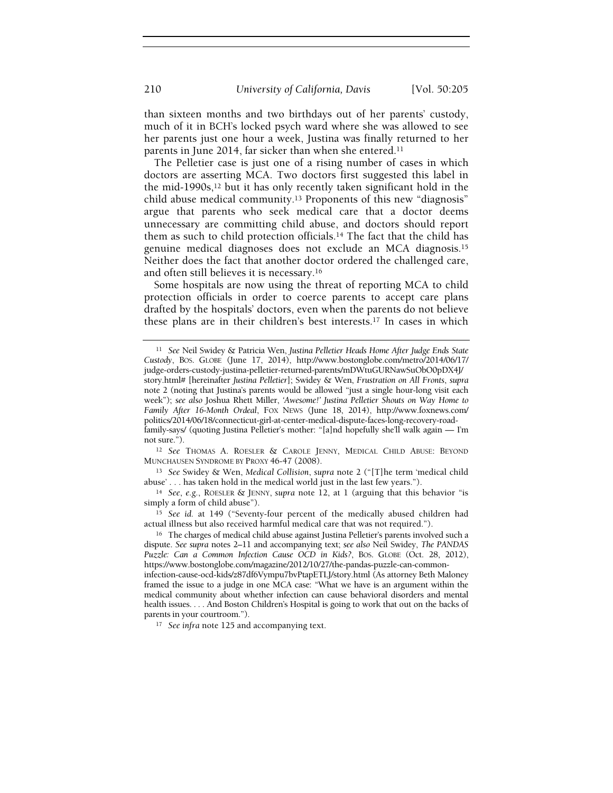than sixteen months and two birthdays out of her parents' custody, much of it in BCH's locked psych ward where she was allowed to see her parents just one hour a week, Justina was finally returned to her parents in June 2014, far sicker than when she entered.<sup>11</sup>

The Pelletier case is just one of a rising number of cases in which doctors are asserting MCA. Two doctors first suggested this label in the mid-1990s,<sup>12</sup> but it has only recently taken significant hold in the child abuse medical community.13 Proponents of this new "diagnosis" argue that parents who seek medical care that a doctor deems unnecessary are committing child abuse, and doctors should report them as such to child protection officials.14 The fact that the child has genuine medical diagnoses does not exclude an MCA diagnosis.<sup>15</sup> Neither does the fact that another doctor ordered the challenged care, and often still believes it is necessary.<sup>16</sup>

Some hospitals are now using the threat of reporting MCA to child protection officials in order to coerce parents to accept care plans drafted by the hospitals' doctors, even when the parents do not believe these plans are in their children's best interests.17 In cases in which

<sup>12</sup> See THOMAS A. ROESLER & CAROLE JENNY, MEDICAL CHILD ABUSE: BEYOND MUNCHAUSEN SYNDROME BY PROXY 46-47 (2008).

<sup>13</sup> See Swidey & Wen, Medical Collision, supra note 2 ("[T]he term 'medical child abuse' . . . has taken hold in the medical world just in the last few years.").

<sup>14</sup> See, e.g., ROESLER & JENNY, supra note 12, at 1 (arguing that this behavior "is simply a form of child abuse").

<sup>15</sup> See id. at 149 ("Seventy-four percent of the medically abused children had actual illness but also received harmful medical care that was not required.").

<sup>16</sup> The charges of medical child abuse against Justina Pelletier's parents involved such a dispute. See supra notes 2–11 and accompanying text; see also Neil Swidey, The PANDAS Puzzle: Can a Common Infection Cause OCD in Kids?, Bos. GLOBE (Oct. 28, 2012), https://www.bostonglobe.com/magazine/2012/10/27/the-pandas-puzzle-can-common-

infection-cause-ocd-kids/z87df6Vympu7bvPtapETLJ/story.html (As attorney Beth Maloney framed the issue to a judge in one MCA case: "What we have is an argument within the medical community about whether infection can cause behavioral disorders and mental health issues. . . . And Boston Children's Hospital is going to work that out on the backs of parents in your courtroom.").

<sup>17</sup> See infra note 125 and accompanying text.

<sup>&</sup>lt;sup>11</sup> See Neil Swidey & Patricia Wen, Justina Pelletier Heads Home After Judge Ends State Custody, BOS. GLOBE (June 17, 2014), http://www.bostonglobe.com/metro/2014/06/17/ judge-orders-custody-justina-pelletier-returned-parents/mDWtuGURNawSuObO0pDX4J/ story.html# [hereinafter Justina Pelletier]; Swidey & Wen, Frustration on All Fronts, supra note 2 (noting that Justina's parents would be allowed "just a single hour-long visit each week"); see also Joshua Rhett Miller, 'Awesome!' Justina Pelletier Shouts on Way Home to Family After 16-Month Ordeal, FOX NEWS (June 18, 2014), http://www.foxnews.com/ politics/2014/06/18/connecticut-girl-at-center-medical-dispute-faces-long-recovery-roadfamily-says/ (quoting Justina Pelletier's mother: "[a]nd hopefully she'll walk again — I'm not sure.").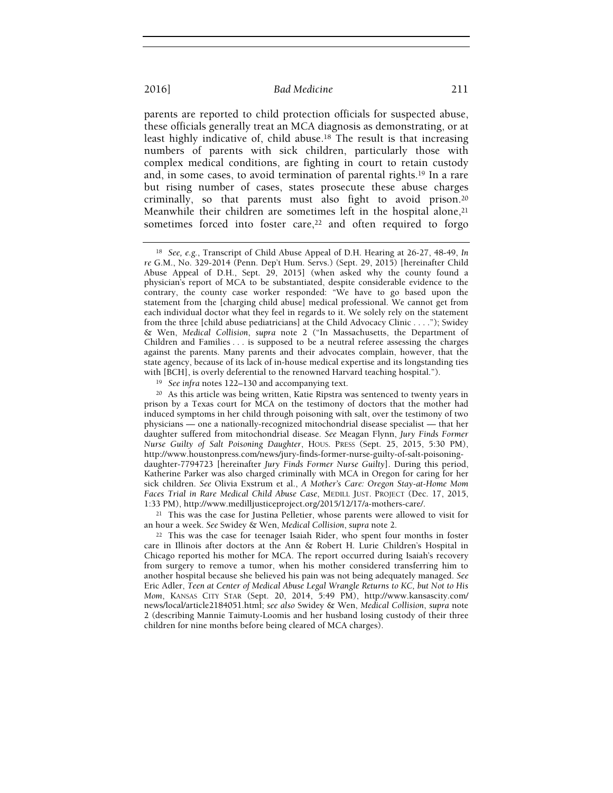parents are reported to child protection officials for suspected abuse, these officials generally treat an MCA diagnosis as demonstrating, or at least highly indicative of, child abuse.18 The result is that increasing numbers of parents with sick children, particularly those with complex medical conditions, are fighting in court to retain custody and, in some cases, to avoid termination of parental rights.19 In a rare but rising number of cases, states prosecute these abuse charges criminally, so that parents must also fight to avoid prison.<sup>20</sup> Meanwhile their children are sometimes left in the hospital alone,<sup>21</sup> sometimes forced into foster care,<sup>22</sup> and often required to forgo

<sup>19</sup> See infra notes 122–130 and accompanying text.

<sup>20</sup> As this article was being written, Katie Ripstra was sentenced to twenty years in prison by a Texas court for MCA on the testimony of doctors that the mother had induced symptoms in her child through poisoning with salt, over the testimony of two physicians — one a nationally-recognized mitochondrial disease specialist — that her daughter suffered from mitochondrial disease. See Meagan Flynn, Jury Finds Former Nurse Guilty of Salt Poisoning Daughter, HOUS. PRESS (Sept. 25, 2015, 5:30 PM), http://www.houstonpress.com/news/jury-finds-former-nurse-guilty-of-salt-poisoningdaughter-7794723 [hereinafter Jury Finds Former Nurse Guilty]. During this period, Katherine Parker was also charged criminally with MCA in Oregon for caring for her sick children. See Olivia Exstrum et al., A Mother's Care: Oregon Stay-at-Home Mom Faces Trial in Rare Medical Child Abuse Case, MEDILL JUST. PROJECT (Dec. 17, 2015, 1:33 PM), http://www.medilljusticeproject.org/2015/12/17/a-mothers-care/.

<sup>21</sup> This was the case for Justina Pelletier, whose parents were allowed to visit for an hour a week. See Swidey & Wen, Medical Collision, supra note 2.

<sup>22</sup> This was the case for teenager Isaiah Rider, who spent four months in foster care in Illinois after doctors at the Ann & Robert H. Lurie Children's Hospital in Chicago reported his mother for MCA. The report occurred during Isaiah's recovery from surgery to remove a tumor, when his mother considered transferring him to another hospital because she believed his pain was not being adequately managed. See Eric Adler, Teen at Center of Medical Abuse Legal Wrangle Returns to KC, but Not to His Mom, KANSAS CITY STAR (Sept. 20, 2014, 5:49 PM), http://www.kansascity.com/ news/local/article2184051.html; see also Swidey & Wen, Medical Collision, supra note 2 (describing Mannie Taimuty-Loomis and her husband losing custody of their three children for nine months before being cleared of MCA charges).

<sup>18</sup> See, e.g., Transcript of Child Abuse Appeal of D.H. Hearing at 26-27, 48-49, In re G.M., No. 329-2014 (Penn. Dep't Hum. Servs.) (Sept. 29, 2015) [hereinafter Child Abuse Appeal of D.H., Sept. 29, 2015] (when asked why the county found a physician's report of MCA to be substantiated, despite considerable evidence to the contrary, the county case worker responded: "We have to go based upon the statement from the [charging child abuse] medical professional. We cannot get from each individual doctor what they feel in regards to it. We solely rely on the statement from the three [child abuse pediatricians] at the Child Advocacy Clinic . . . ."); Swidey & Wen, Medical Collision, supra note 2 ("In Massachusetts, the Department of Children and Families . . . is supposed to be a neutral referee assessing the charges against the parents. Many parents and their advocates complain, however, that the state agency, because of its lack of in-house medical expertise and its longstanding ties with [BCH], is overly deferential to the renowned Harvard teaching hospital.").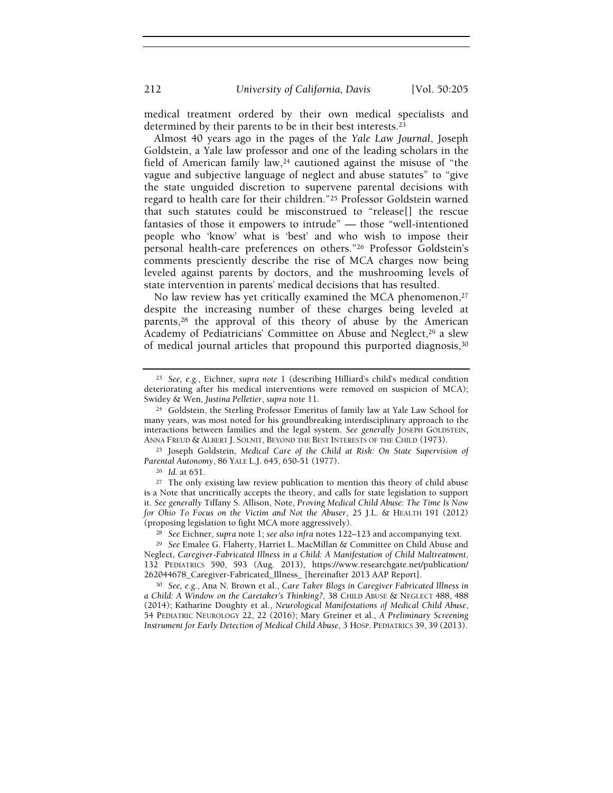medical treatment ordered by their own medical specialists and determined by their parents to be in their best interests.<sup>23</sup>

Almost 40 years ago in the pages of the Yale Law Journal, Joseph Goldstein, a Yale law professor and one of the leading scholars in the field of American family law,<sup>24</sup> cautioned against the misuse of "the vague and subjective language of neglect and abuse statutes" to "give the state unguided discretion to supervene parental decisions with regard to health care for their children."25 Professor Goldstein warned that such statutes could be misconstrued to "release[] the rescue fantasies of those it empowers to intrude" — those "well-intentioned people who 'know' what is 'best' and who wish to impose their personal health-care preferences on others."26 Professor Goldstein's comments presciently describe the rise of MCA charges now being leveled against parents by doctors, and the mushrooming levels of state intervention in parents' medical decisions that has resulted.

No law review has yet critically examined the MCA phenomenon,<sup>27</sup> despite the increasing number of these charges being leveled at parents,28 the approval of this theory of abuse by the American Academy of Pediatricians' Committee on Abuse and Neglect,<sup>29</sup> a slew of medical journal articles that propound this purported diagnosis,<sup>30</sup>

<sup>25</sup> Joseph Goldstein, Medical Care of the Child at Risk: On State Supervision of Parental Autonomy, 86 YALE L.J. 645, 650-51 (1977).

<sup>27</sup> The only existing law review publication to mention this theory of child abuse is a Note that uncritically accepts the theory, and calls for state legislation to support it. See generally Tiffany S. Allison, Note, Proving Medical Child Abuse: The Time Is Now for Ohio To Focus on the Victim and Not the Abuser, 25 J.L. & HEALTH 191 (2012) (proposing legislation to fight MCA more aggressively).

<sup>29</sup> See Emalee G. Flaherty, Harriet L. MacMillan & Committee on Child Abuse and Neglect, Caregiver-Fabricated Illness in a Child: A Manifestation of Child Maltreatment, 132 PEDIATRICS 590, 593 (Aug. 2013), https://www.researchgate.net/publication/ 262044678\_Caregiver-Fabricated\_Illness\_ [hereinafter 2013 AAP Report].

<sup>30</sup> See, e.g., Ana N. Brown et al., Care Taker Blogs in Caregiver Fabricated Illness in a Child: A Window on the Caretaker's Thinking?, 38 CHILD ABUSE & NEGLECT 488, 488 (2014); Katharine Doughty et al., Neurological Manifestations of Medical Child Abuse, 54 PEDIATRIC NEUROLOGY 22, 22 (2016); Mary Greiner et al., A Preliminary Screening Instrument for Early Detection of Medical Child Abuse, 3 HOSP. PEDIATRICS 39, 39 (2013).

<sup>23</sup> See, e.g., Eichner, supra note 1 (describing Hilliard's child's medical condition deteriorating after his medical interventions were removed on suspicion of MCA); Swidey & Wen, Justina Pelletier, supra note 11.

<sup>24</sup> Goldstein, the Sterling Professor Emeritus of family law at Yale Law School for many years, was most noted for his groundbreaking interdisciplinary approach to the interactions between families and the legal system. See generally JOSEPH GOLDSTEIN, ANNA FREUD & ALBERT J. SOLNIT, BEYOND THE BEST INTERESTS OF THE CHILD (1973).

<sup>26</sup> Id. at 651.

<sup>28</sup> See Eichner, supra note 1; see also infra notes 122–123 and accompanying text.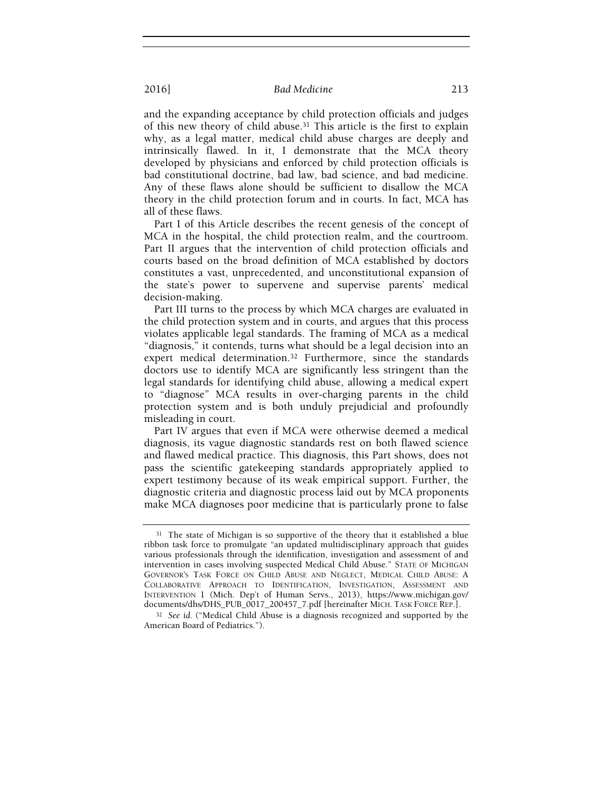and the expanding acceptance by child protection officials and judges of this new theory of child abuse.31 This article is the first to explain why, as a legal matter, medical child abuse charges are deeply and intrinsically flawed. In it, I demonstrate that the MCA theory developed by physicians and enforced by child protection officials is bad constitutional doctrine, bad law, bad science, and bad medicine. Any of these flaws alone should be sufficient to disallow the MCA theory in the child protection forum and in courts. In fact, MCA has all of these flaws.

Part I of this Article describes the recent genesis of the concept of MCA in the hospital, the child protection realm, and the courtroom. Part II argues that the intervention of child protection officials and courts based on the broad definition of MCA established by doctors constitutes a vast, unprecedented, and unconstitutional expansion of the state's power to supervene and supervise parents' medical decision-making.

Part III turns to the process by which MCA charges are evaluated in the child protection system and in courts, and argues that this process violates applicable legal standards. The framing of MCA as a medical "diagnosis," it contends, turns what should be a legal decision into an expert medical determination.32 Furthermore, since the standards doctors use to identify MCA are significantly less stringent than the legal standards for identifying child abuse, allowing a medical expert to "diagnose" MCA results in over-charging parents in the child protection system and is both unduly prejudicial and profoundly misleading in court.

Part IV argues that even if MCA were otherwise deemed a medical diagnosis, its vague diagnostic standards rest on both flawed science and flawed medical practice. This diagnosis, this Part shows, does not pass the scientific gatekeeping standards appropriately applied to expert testimony because of its weak empirical support. Further, the diagnostic criteria and diagnostic process laid out by MCA proponents make MCA diagnoses poor medicine that is particularly prone to false

<sup>&</sup>lt;sup>31</sup> The state of Michigan is so supportive of the theory that it established a blue ribbon task force to promulgate "an updated multidisciplinary approach that guides various professionals through the identification, investigation and assessment of and intervention in cases involving suspected Medical Child Abuse." STATE OF MICHIGAN GOVERNOR'S TASK FORCE ON CHILD ABUSE AND NEGLECT, MEDICAL CHILD ABUSE: A COLLABORATIVE APPROACH TO IDENTIFICATION, INVESTIGATION, ASSESSMENT AND INTERVENTION 1 (Mich. Dep't of Human Servs., 2013), https://www.michigan.gov/ documents/dhs/DHS\_PUB\_0017\_200457\_7.pdf [hereinafter MICH. TASK FORCE REP.].

<sup>&</sup>lt;sup>32</sup> See id. ("Medical Child Abuse is a diagnosis recognized and supported by the American Board of Pediatrics.").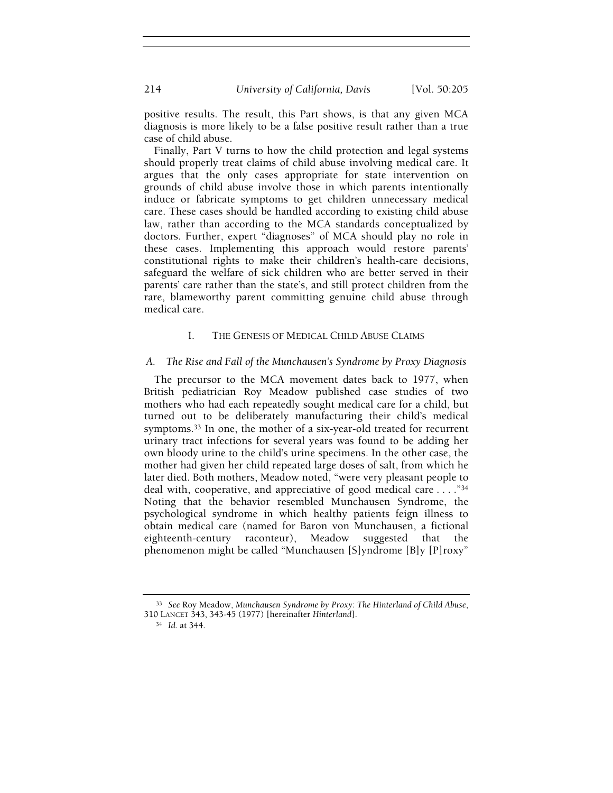positive results. The result, this Part shows, is that any given MCA diagnosis is more likely to be a false positive result rather than a true case of child abuse.

Finally, Part V turns to how the child protection and legal systems should properly treat claims of child abuse involving medical care. It argues that the only cases appropriate for state intervention on grounds of child abuse involve those in which parents intentionally induce or fabricate symptoms to get children unnecessary medical care. These cases should be handled according to existing child abuse law, rather than according to the MCA standards conceptualized by doctors. Further, expert "diagnoses" of MCA should play no role in these cases. Implementing this approach would restore parents' constitutional rights to make their children's health-care decisions, safeguard the welfare of sick children who are better served in their parents' care rather than the state's, and still protect children from the rare, blameworthy parent committing genuine child abuse through medical care.

# I. THE GENESIS OF MEDICAL CHILD ABUSE CLAIMS

#### A. The Rise and Fall of the Munchausen's Syndrome by Proxy Diagnosis

The precursor to the MCA movement dates back to 1977, when British pediatrician Roy Meadow published case studies of two mothers who had each repeatedly sought medical care for a child, but turned out to be deliberately manufacturing their child's medical symptoms.33 In one, the mother of a six-year-old treated for recurrent urinary tract infections for several years was found to be adding her own bloody urine to the child's urine specimens. In the other case, the mother had given her child repeated large doses of salt, from which he later died. Both mothers, Meadow noted, "were very pleasant people to deal with, cooperative, and appreciative of good medical care . . . ."<sup>34</sup> Noting that the behavior resembled Munchausen Syndrome, the psychological syndrome in which healthy patients feign illness to obtain medical care (named for Baron von Munchausen, a fictional eighteenth-century raconteur), Meadow suggested that the phenomenon might be called "Munchausen [S]yndrome [B]y [P]roxy"

<sup>&</sup>lt;sup>33</sup> See Roy Meadow, Munchausen Syndrome by Proxy: The Hinterland of Child Abuse, 310 LANCET 343, 343-45 (1977) [hereinafter Hinterland].

<sup>34</sup> Id. at 344.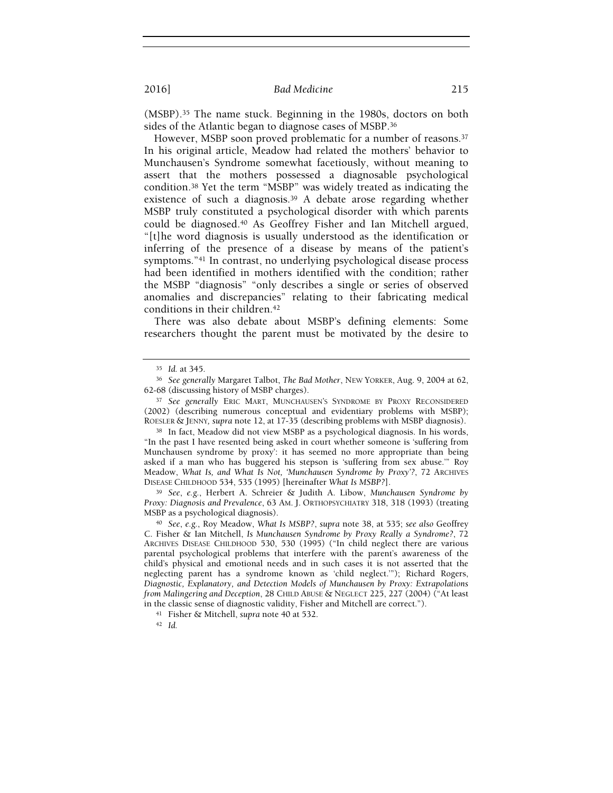(MSBP).35 The name stuck. Beginning in the 1980s, doctors on both sides of the Atlantic began to diagnose cases of MSBP.<sup>36</sup>

However, MSBP soon proved problematic for a number of reasons.<sup>37</sup> In his original article, Meadow had related the mothers' behavior to Munchausen's Syndrome somewhat facetiously, without meaning to assert that the mothers possessed a diagnosable psychological condition.38 Yet the term "MSBP" was widely treated as indicating the existence of such a diagnosis.39 A debate arose regarding whether MSBP truly constituted a psychological disorder with which parents could be diagnosed.40 As Geoffrey Fisher and Ian Mitchell argued, "[t]he word diagnosis is usually understood as the identification or inferring of the presence of a disease by means of the patient's symptoms."41 In contrast, no underlying psychological disease process had been identified in mothers identified with the condition; rather the MSBP "diagnosis" "only describes a single or series of observed anomalies and discrepancies" relating to their fabricating medical conditions in their children.<sup>42</sup>

There was also debate about MSBP's defining elements: Some researchers thought the parent must be motivated by the desire to

<sup>39</sup> See, e.g., Herbert A. Schreier & Judith A. Libow, Munchausen Syndrome by Proxy: Diagnosis and Prevalence, 63 AM. J. ORTHOPSYCHIATRY 318, 318 (1993) (treating MSBP as a psychological diagnosis).

<sup>35</sup> Id. at 345.

<sup>36</sup> See generally Margaret Talbot, The Bad Mother, NEW YORKER, Aug. 9, 2004 at 62, 62-68 (discussing history of MSBP charges).

<sup>&</sup>lt;sup>37</sup> See generally ERIC MART, MUNCHAUSEN'S SYNDROME BY PROXY RECONSIDERED (2002) (describing numerous conceptual and evidentiary problems with MSBP); ROESLER & JENNY, supra note 12, at 17-35 (describing problems with MSBP diagnosis).

<sup>38</sup> In fact, Meadow did not view MSBP as a psychological diagnosis. In his words, "In the past I have resented being asked in court whether someone is 'suffering from Munchausen syndrome by proxy': it has seemed no more appropriate than being asked if a man who has buggered his stepson is 'suffering from sex abuse.'" Roy Meadow, What Is, and What Is Not, 'Munchausen Syndrome by Proxy'?, 72 ARCHIVES DISEASE CHILDHOOD 534, 535 (1995) [hereinafter What Is MSBP?].

<sup>40</sup> See, e.g., Roy Meadow, What Is MSBP?, supra note 38, at 535; see also Geoffrey C. Fisher & Ian Mitchell, Is Munchausen Syndrome by Proxy Really a Syndrome?, 72 ARCHIVES DISEASE CHILDHOOD 530, 530 (1995) ("In child neglect there are various parental psychological problems that interfere with the parent's awareness of the child's physical and emotional needs and in such cases it is not asserted that the neglecting parent has a syndrome known as 'child neglect.'"); Richard Rogers, Diagnostic, Explanatory, and Detection Models of Munchausen by Proxy: Extrapolations from Malingering and Deception, 28 CHILD ABUSE & NEGLECT 225, 227 (2004) ("At least in the classic sense of diagnostic validity, Fisher and Mitchell are correct.").

<sup>41</sup> Fisher & Mitchell, supra note 40 at 532.

<sup>42</sup> Id.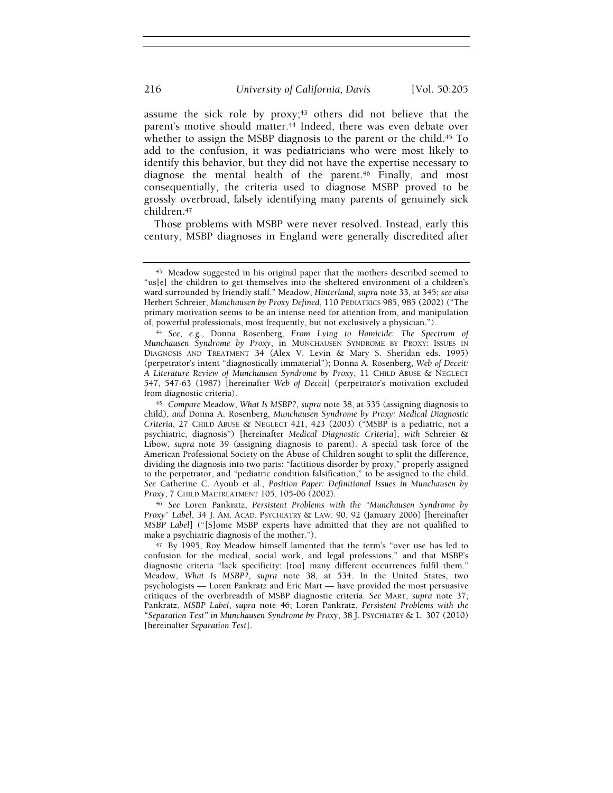assume the sick role by proxy;43 others did not believe that the parent's motive should matter.<sup>44</sup> Indeed, there was even debate over whether to assign the MSBP diagnosis to the parent or the child.<sup>45</sup> To add to the confusion, it was pediatricians who were most likely to identify this behavior, but they did not have the expertise necessary to diagnose the mental health of the parent.<sup>46</sup> Finally, and most consequentially, the criteria used to diagnose MSBP proved to be grossly overbroad, falsely identifying many parents of genuinely sick children.<sup>47</sup>

Those problems with MSBP were never resolved. Instead, early this century, MSBP diagnoses in England were generally discredited after

<sup>46</sup> See Loren Pankratz, Persistent Problems with the "Munchausen Syndrome by Proxy" Label, 34 J. AM. ACAD. PSYCHIATRY & LAW. 90, 92 (January 2006) [hereinafter MSBP Label] ("[S]ome MSBP experts have admitted that they are not qualified to make a psychiatric diagnosis of the mother.").

<sup>43</sup> Meadow suggested in his original paper that the mothers described seemed to "us[e] the children to get themselves into the sheltered environment of a children's ward surrounded by friendly staff." Meadow, Hinterland, supra note 33, at 345; see also Herbert Schreier, Munchausen by Proxy Defined, 110 PEDIATRICS 985, 985 (2002) ("The primary motivation seems to be an intense need for attention from, and manipulation of, powerful professionals, most frequently, but not exclusively a physician.").

<sup>44</sup> See, e.g., Donna Rosenberg, From Lying to Homicide: The Spectrum of Munchausen Syndrome by Proxy, in MUNCHAUSEN SYNDROME BY PROXY: ISSUES IN DIAGNOSIS AND TREATMENT 34 (Alex V. Levin & Mary S. Sheridan eds. 1995) (perpetrator's intent "diagnostically immaterial"); Donna A. Rosenberg, Web of Deceit: A Literature Review of Munchausen Syndrome by Proxy, 11 CHILD ABUSE & NEGLECT 547, 547-63 (1987) [hereinafter Web of Deceit] (perpetrator's motivation excluded from diagnostic criteria).

<sup>45</sup> Compare Meadow, What Is MSBP?, supra note 38, at 535 (assigning diagnosis to child), and Donna A. Rosenberg, Munchausen Syndrome by Proxy: Medical Diagnostic Criteria, 27 CHILD ABUSE & NEGLECT 421, 423 (2003) ("MSBP is a pediatric, not a psychiatric, diagnosis") [hereinafter Medical Diagnostic Criteria], with Schreier & Libow, supra note 39 (assigning diagnosis to parent). A special task force of the American Professional Society on the Abuse of Children sought to split the difference, dividing the diagnosis into two parts: "factitious disorder by proxy," properly assigned to the perpetrator, and "pediatric condition falsification," to be assigned to the child. See Catherine C. Ayoub et al., Position Paper: Definitional Issues in Munchausen by Proxy, 7 CHILD MALTREATMENT 105, 105-06 (2002).

<sup>47</sup> By 1995, Roy Meadow himself lamented that the term's "over use has led to confusion for the medical, social work, and legal professions," and that MSBP's diagnostic criteria "lack specificity: [too] many different occurrences fulfil them." Meadow, What Is MSBP?, supra note 38, at 534. In the United States, two psychologists — Loren Pankratz and Eric Mart — have provided the most persuasive critiques of the overbreadth of MSBP diagnostic criteria. See MART, supra note 37; Pankratz, MSBP Label, supra note 46; Loren Pankratz, Persistent Problems with the "Separation Test" in Munchausen Syndrome by Proxy, 38 J. PSYCHIATRY & L. 307 (2010) [hereinafter Separation Test].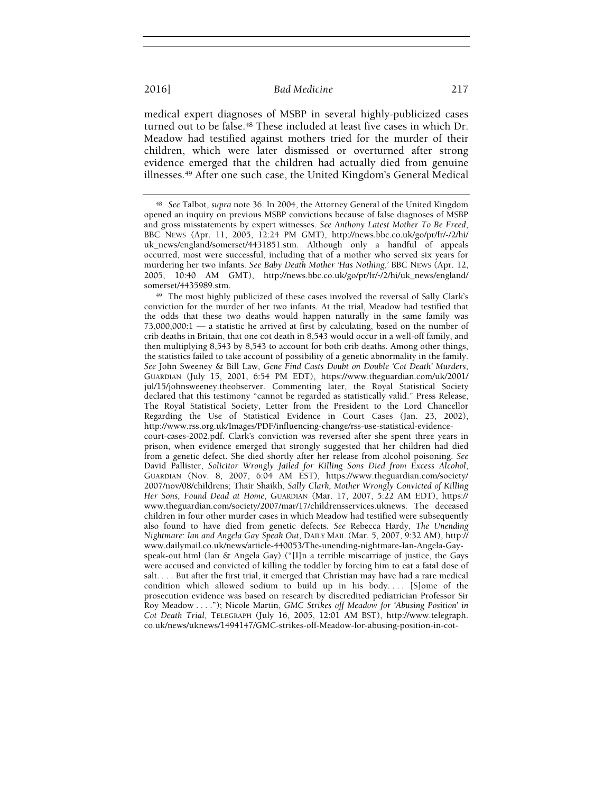medical expert diagnoses of MSBP in several highly-publicized cases turned out to be false.<sup>48</sup> These included at least five cases in which Dr. Meadow had testified against mothers tried for the murder of their children, which were later dismissed or overturned after strong evidence emerged that the children had actually died from genuine illnesses.49 After one such case, the United Kingdom's General Medical

<sup>49</sup> The most highly publicized of these cases involved the reversal of Sally Clark's conviction for the murder of her two infants. At the trial, Meadow had testified that the odds that these two deaths would happen naturally in the same family was 73,000,000:1 — a statistic he arrived at first by calculating, based on the number of crib deaths in Britain, that one cot death in 8,543 would occur in a well-off family, and then multiplying 8,543 by 8,543 to account for both crib deaths. Among other things, the statistics failed to take account of possibility of a genetic abnormality in the family. See John Sweeney & Bill Law, Gene Find Casts Doubt on Double 'Cot Death' Murders, GUARDIAN (July 15, 2001, 6:54 PM EDT), https://www.theguardian.com/uk/2001/ jul/15/johnsweeney.theobserver. Commenting later, the Royal Statistical Society declared that this testimony "cannot be regarded as statistically valid." Press Release, The Royal Statistical Society, Letter from the President to the Lord Chancellor Regarding the Use of Statistical Evidence in Court Cases (Jan. 23, 2002), http://www.rss.org.uk/Images/PDF/influencing-change/rss-use-statistical-evidencecourt-cases-2002.pdf. Clark's conviction was reversed after she spent three years in prison, when evidence emerged that strongly suggested that her children had died from a genetic defect. She died shortly after her release from alcohol poisoning. See David Pallister, Solicitor Wrongly Jailed for Killing Sons Died from Excess Alcohol, GUARDIAN (Nov. 8, 2007, 6:04 AM EST), https://www.theguardian.com/society/ 2007/nov/08/childrens; Thair Shaikh, Sally Clark, Mother Wrongly Convicted of Killing Her Sons, Found Dead at Home, GUARDIAN (Mar. 17, 2007, 5:22 AM EDT), https:// www.theguardian.com/society/2007/mar/17/childrensservices.uknews. The deceased children in four other murder cases in which Meadow had testified were subsequently also found to have died from genetic defects. See Rebecca Hardy, The Unending Nightmare: Ian and Angela Gay Speak Out, DAILY MAIL (Mar. 5, 2007, 9:32 AM), http:// www.dailymail.co.uk/news/article-440053/The-unending-nightmare-Ian-Angela-Gayspeak-out.html (Ian & Angela Gay) ("[I]n a terrible miscarriage of justice, the Gays were accused and convicted of killing the toddler by forcing him to eat a fatal dose of salt. . . . But after the first trial, it emerged that Christian may have had a rare medical condition which allowed sodium to build up in his body.... [S]ome of the prosecution evidence was based on research by discredited pediatrician Professor Sir Roy Meadow . . . ."); Nicole Martin, GMC Strikes off Meadow for 'Abusing Position' in Cot Death Trial, TELEGRAPH (July 16, 2005, 12:01 AM BST), http://www.telegraph.

co.uk/news/uknews/1494147/GMC-strikes-off-Meadow-for-abusing-position-in-cot-

<sup>48</sup> See Talbot, supra note 36. In 2004, the Attorney General of the United Kingdom opened an inquiry on previous MSBP convictions because of false diagnoses of MSBP and gross misstatements by expert witnesses. See Anthony Latest Mother To Be Freed, BBC NEWS (Apr. 11, 2005, 12:24 PM GMT), http://news.bbc.co.uk/go/pr/fr/-/2/hi/ uk\_news/england/somerset/4431851.stm. Although only a handful of appeals occurred, most were successful, including that of a mother who served six years for murdering her two infants. See Baby Death Mother 'Has Nothing,' BBC NEWS (Apr. 12, uk\_news/england/somerset/4431851.stm. Although only a handful of appeals<br>occurred, most were successful, including that of a mother who served six years for<br>murdering her two infants. See Baby Death Mother 'Has Nothing,' B somerset/4435989.stm.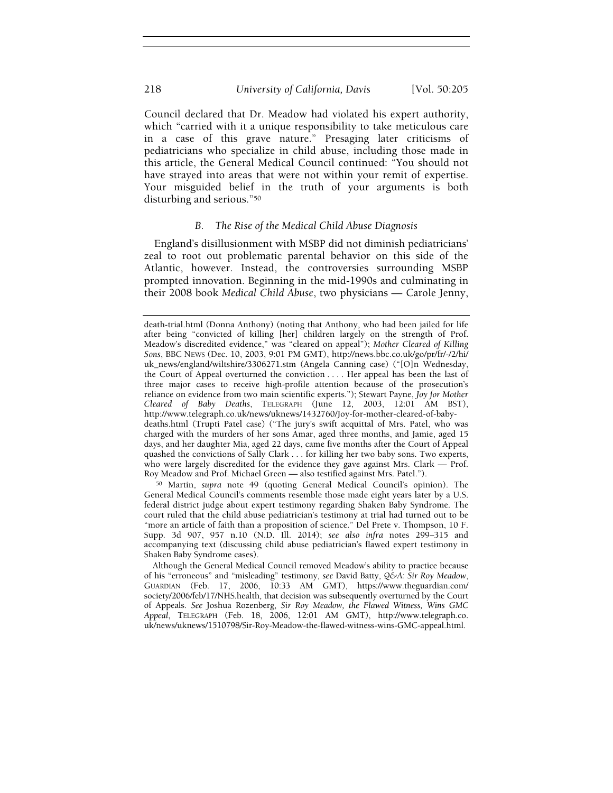Council declared that Dr. Meadow had violated his expert authority, which "carried with it a unique responsibility to take meticulous care in a case of this grave nature." Presaging later criticisms of pediatricians who specialize in child abuse, including those made in this article, the General Medical Council continued: "You should not have strayed into areas that were not within your remit of expertise. Your misguided belief in the truth of your arguments is both disturbing and serious."<sup>50</sup>

# B. The Rise of the Medical Child Abuse Diagnosis

England's disillusionment with MSBP did not diminish pediatricians' zeal to root out problematic parental behavior on this side of the Atlantic, however. Instead, the controversies surrounding MSBP prompted innovation. Beginning in the mid-1990s and culminating in their 2008 book Medical Child Abuse, two physicians — Carole Jenny,

<sup>50</sup> Martin, supra note 49 (quoting General Medical Council's opinion). The General Medical Council's comments resemble those made eight years later by a U.S. federal district judge about expert testimony regarding Shaken Baby Syndrome. The court ruled that the child abuse pediatrician's testimony at trial had turned out to be "more an article of faith than a proposition of science." Del Prete v. Thompson, 10 F. Supp. 3d 907, 957 n.10 (N.D. Ill. 2014); see also infra notes 299–315 and accompanying text (discussing child abuse pediatrician's flawed expert testimony in Shaken Baby Syndrome cases).

Although the General Medical Council removed Meadow's ability to practice because of his "erroneous" and "misleading" testimony, see David Batty, Q&A: Sir Roy Meadow, GUARDIAN (Feb. 17, 2006, 10:33 AM GMT), https://www.theguardian.com/ society/2006/feb/17/NHS.health, that decision was subsequently overturned by the Court of Appeals. See Joshua Rozenberg, Sir Roy Meadow, the Flawed Witness, Wins GMC Appeal, TELEGRAPH (Feb. 18, 2006, 12:01 AM GMT), http://www.telegraph.co. uk/news/uknews/1510798/Sir-Roy-Meadow-the-flawed-witness-wins-GMC-appeal.html.

death-trial.html (Donna Anthony) (noting that Anthony, who had been jailed for life after being "convicted of killing [her] children largely on the strength of Prof. Meadow's discredited evidence," was "cleared on appeal"); Mother Cleared of Killing Sons, BBC NEWS (Dec. 10, 2003, 9:01 PM GMT), http://news.bbc.co.uk/go/pr/fr/-/2/hi/ uk\_news/england/wiltshire/3306271.stm (Angela Canning case) ("[O]n Wednesday, the Court of Appeal overturned the conviction . . . . Her appeal has been the last of three major cases to receive high-profile attention because of the prosecution's reliance on evidence from two main scientific experts."); Stewart Payne, Joy for Mother Cleared of Baby Deaths, TELEGRAPH (June 12, 2003, 12:01 AM BST), http://www.telegraph.co.uk/news/uknews/1432760/Joy-for-mother-cleared-of-babydeaths.html (Trupti Patel case) ("The jury's swift acquittal of Mrs. Patel, who was charged with the murders of her sons Amar, aged three months, and Jamie, aged 15 days, and her daughter Mia, aged 22 days, came five months after the Court of Appeal quashed the convictions of Sally Clark . . . for killing her two baby sons. Two experts, who were largely discredited for the evidence they gave against Mrs. Clark — Prof. Roy Meadow and Prof. Michael Green — also testified against Mrs. Patel.").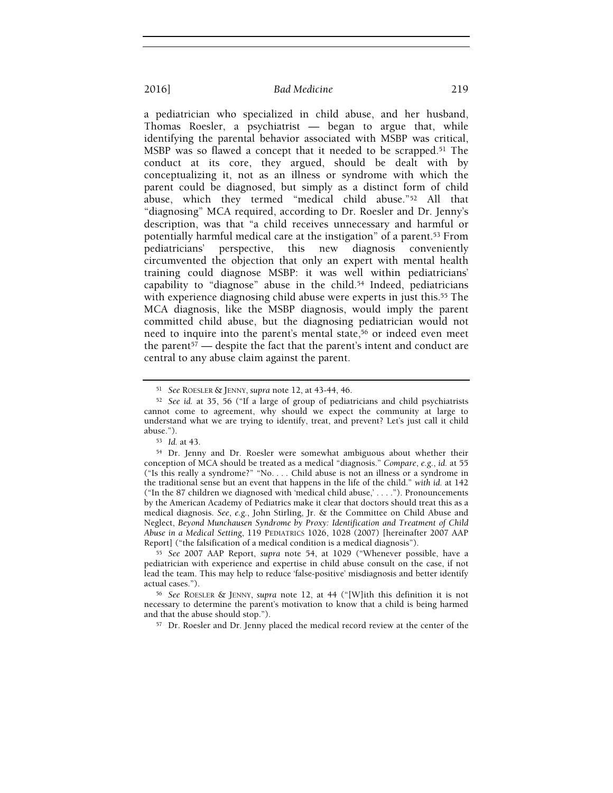a pediatrician who specialized in child abuse, and her husband, Thomas Roesler, a psychiatrist — began to argue that, while identifying the parental behavior associated with MSBP was critical, MSBP was so flawed a concept that it needed to be scrapped.<sup>51</sup> The conduct at its core, they argued, should be dealt with by conceptualizing it, not as an illness or syndrome with which the parent could be diagnosed, but simply as a distinct form of child abuse, which they termed "medical child abuse."52 All that "diagnosing" MCA required, according to Dr. Roesler and Dr. Jenny's description, was that "a child receives unnecessary and harmful or potentially harmful medical care at the instigation" of a parent.53 From pediatricians' perspective, this new diagnosis conveniently circumvented the objection that only an expert with mental health training could diagnose MSBP: it was well within pediatricians' capability to "diagnose" abuse in the child.<sup>54</sup> Indeed, pediatricians with experience diagnosing child abuse were experts in just this.<sup>55</sup> The MCA diagnosis, like the MSBP diagnosis, would imply the parent committed child abuse, but the diagnosing pediatrician would not need to inquire into the parent's mental state,<sup>56</sup> or indeed even meet the parent<sup>57</sup> — despite the fact that the parent's intent and conduct are central to any abuse claim against the parent.

57 Dr. Roesler and Dr. Jenny placed the medical record review at the center of the

<sup>51</sup> See ROESLER & JENNY, supra note 12, at 43-44, 46.

<sup>52</sup> See id. at 35, 56 ("If a large of group of pediatricians and child psychiatrists cannot come to agreement, why should we expect the community at large to understand what we are trying to identify, treat, and prevent? Let's just call it child abuse.").

<sup>53</sup> Id. at 43.

<sup>54</sup> Dr. Jenny and Dr. Roesler were somewhat ambiguous about whether their conception of MCA should be treated as a medical "diagnosis." Compare, e.g., id. at 55 ("Is this really a syndrome?" "No. . . . Child abuse is not an illness or a syndrome in the traditional sense but an event that happens in the life of the child." with id. at 142 ("In the 87 children we diagnosed with 'medical child abuse,' . . . ."). Pronouncements by the American Academy of Pediatrics make it clear that doctors should treat this as a medical diagnosis. See, e.g., John Stirling, Jr. & the Committee on Child Abuse and Neglect, Beyond Munchausen Syndrome by Proxy: Identification and Treatment of Child Abuse in a Medical Setting, 119 PEDIATRICS 1026, 1028 (2007) [hereinafter 2007 AAP Report] ("the falsification of a medical condition is a medical diagnosis").

<sup>55</sup> See 2007 AAP Report, supra note 54, at 1029 ("Whenever possible, have a pediatrician with experience and expertise in child abuse consult on the case, if not lead the team. This may help to reduce 'false-positive' misdiagnosis and better identify actual cases.").

<sup>56</sup> See ROESLER & JENNY, supra note 12, at 44 ("[W]ith this definition it is not necessary to determine the parent's motivation to know that a child is being harmed and that the abuse should stop.").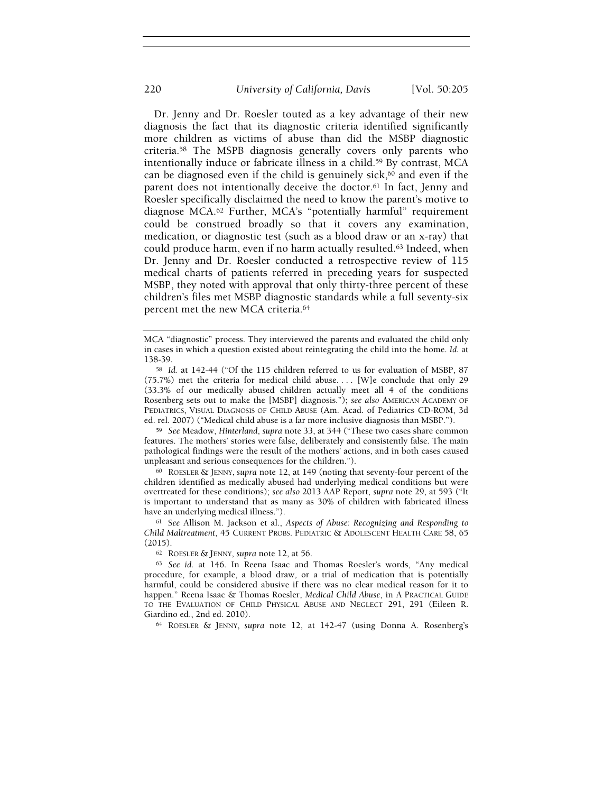Dr. Jenny and Dr. Roesler touted as a key advantage of their new diagnosis the fact that its diagnostic criteria identified significantly more children as victims of abuse than did the MSBP diagnostic criteria.58 The MSPB diagnosis generally covers only parents who intentionally induce or fabricate illness in a child.59 By contrast, MCA can be diagnosed even if the child is genuinely sick, $60$  and even if the parent does not intentionally deceive the doctor.61 In fact, Jenny and Roesler specifically disclaimed the need to know the parent's motive to diagnose MCA.62 Further, MCA's "potentially harmful" requirement could be construed broadly so that it covers any examination, medication, or diagnostic test (such as a blood draw or an x-ray) that could produce harm, even if no harm actually resulted.63 Indeed, when Dr. Jenny and Dr. Roesler conducted a retrospective review of 115 medical charts of patients referred in preceding years for suspected MSBP, they noted with approval that only thirty-three percent of these children's files met MSBP diagnostic standards while a full seventy-six percent met the new MCA criteria.<sup>64</sup>

<sup>59</sup> See Meadow, Hinterland, supra note 33, at 344 ("These two cases share common features. The mothers' stories were false, deliberately and consistently false. The main pathological findings were the result of the mothers' actions, and in both cases caused unpleasant and serious consequences for the children.").

<sup>60</sup> ROESLER & JENNY, supra note 12, at 149 (noting that seventy-four percent of the children identified as medically abused had underlying medical conditions but were overtreated for these conditions); see also 2013 AAP Report, supra note 29, at 593 ("It is important to understand that as many as 30% of children with fabricated illness have an underlying medical illness.").

<sup>61</sup> See Allison M. Jackson et al., Aspects of Abuse: Recognizing and Responding to Child Maltreatment, 45 CURRENT PROBS. PEDIATRIC & ADOLESCENT HEALTH CARE 58, 65 (2015).

<sup>62</sup> ROESLER & JENNY, supra note 12, at 56.

<sup>64</sup> ROESLER & JENNY, supra note 12, at 142-47 (using Donna A. Rosenberg's

MCA "diagnostic" process. They interviewed the parents and evaluated the child only in cases in which a question existed about reintegrating the child into the home. Id. at 138-39.

<sup>58</sup> Id. at 142-44 ("Of the 115 children referred to us for evaluation of MSBP, 87 (75.7%) met the criteria for medical child abuse. . . . [W]e conclude that only 29 (33.3% of our medically abused children actually meet all 4 of the conditions Rosenberg sets out to make the [MSBP] diagnosis."); see also AMERICAN ACADEMY OF PEDIATRICS, VISUAL DIAGNOSIS OF CHILD ABUSE (Am. Acad. of Pediatrics CD-ROM, 3d ed. rel. 2007) ("Medical child abuse is a far more inclusive diagnosis than MSBP.").

<sup>63</sup> See id. at 146. In Reena Isaac and Thomas Roesler's words, "Any medical procedure, for example, a blood draw, or a trial of medication that is potentially harmful, could be considered abusive if there was no clear medical reason for it to happen." Reena Isaac & Thomas Roesler, Medical Child Abuse, in A PRACTICAL GUIDE TO THE EVALUATION OF CHILD PHYSICAL ABUSE AND NEGLECT 291, 291 (Eileen R. Giardino ed., 2nd ed. 2010).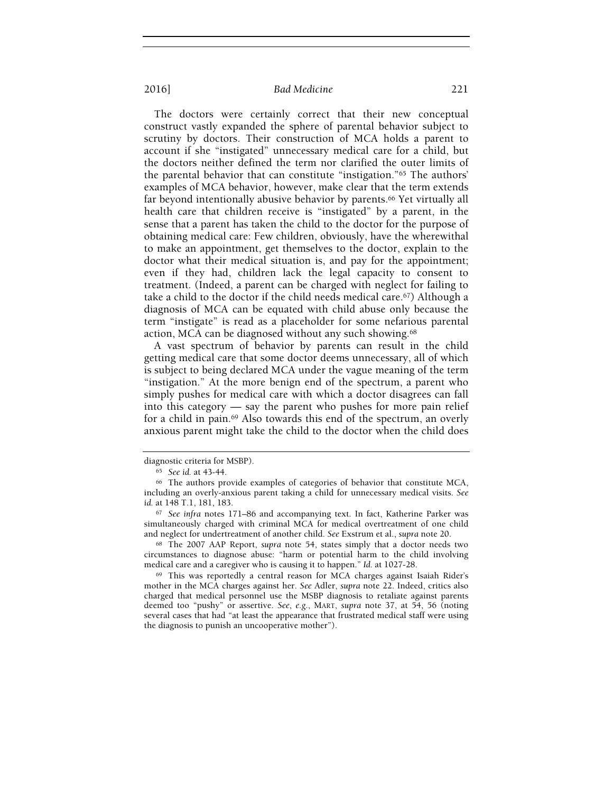The doctors were certainly correct that their new conceptual construct vastly expanded the sphere of parental behavior subject to scrutiny by doctors. Their construction of MCA holds a parent to account if she "instigated" unnecessary medical care for a child, but the doctors neither defined the term nor clarified the outer limits of the parental behavior that can constitute "instigation."65 The authors' examples of MCA behavior, however, make clear that the term extends far beyond intentionally abusive behavior by parents.66 Yet virtually all health care that children receive is "instigated" by a parent, in the sense that a parent has taken the child to the doctor for the purpose of obtaining medical care: Few children, obviously, have the wherewithal to make an appointment, get themselves to the doctor, explain to the doctor what their medical situation is, and pay for the appointment; even if they had, children lack the legal capacity to consent to treatment. (Indeed, a parent can be charged with neglect for failing to take a child to the doctor if the child needs medical care.67) Although a diagnosis of MCA can be equated with child abuse only because the term "instigate" is read as a placeholder for some nefarious parental action, MCA can be diagnosed without any such showing.<sup>68</sup>

A vast spectrum of behavior by parents can result in the child getting medical care that some doctor deems unnecessary, all of which is subject to being declared MCA under the vague meaning of the term "instigation." At the more benign end of the spectrum, a parent who simply pushes for medical care with which a doctor disagrees can fall into this category — say the parent who pushes for more pain relief for a child in pain.69 Also towards this end of the spectrum, an overly anxious parent might take the child to the doctor when the child does

<sup>68</sup> The 2007 AAP Report, supra note 54, states simply that a doctor needs two circumstances to diagnose abuse: "harm or potential harm to the child involving medical care and a caregiver who is causing it to happen." Id. at 1027-28.

<sup>69</sup> This was reportedly a central reason for MCA charges against Isaiah Rider's mother in the MCA charges against her. See Adler, supra note 22. Indeed, critics also charged that medical personnel use the MSBP diagnosis to retaliate against parents deemed too "pushy" or assertive. See, e.g., MART, supra note 37, at 54, 56 (noting several cases that had "at least the appearance that frustrated medical staff were using the diagnosis to punish an uncooperative mother").

diagnostic criteria for MSBP).

<sup>65</sup> See id. at 43-44.

<sup>66</sup> The authors provide examples of categories of behavior that constitute MCA, including an overly-anxious parent taking a child for unnecessary medical visits. See id. at 148 T.1, 181, 183.

<sup>67</sup> See infra notes 171–86 and accompanying text. In fact, Katherine Parker was simultaneously charged with criminal MCA for medical overtreatment of one child and neglect for undertreatment of another child. See Exstrum et al., supra note 20.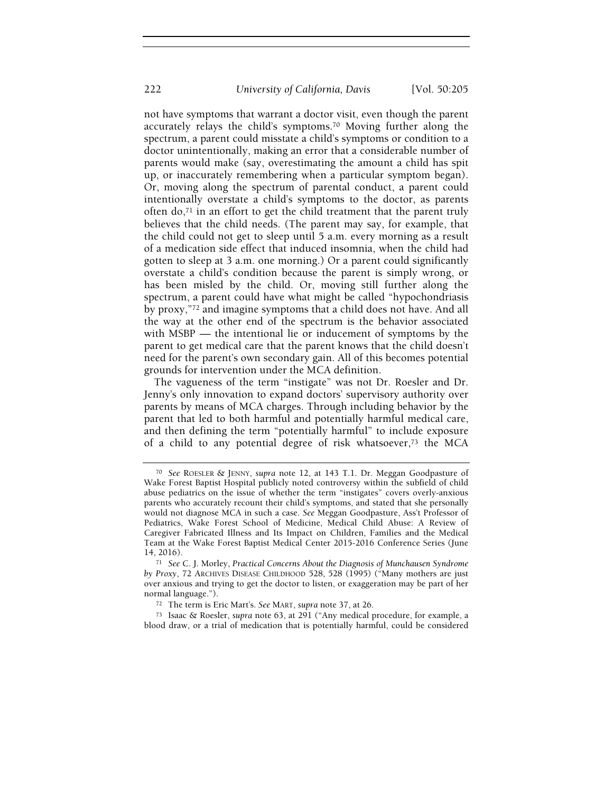not have symptoms that warrant a doctor visit, even though the parent accurately relays the child's symptoms.70 Moving further along the spectrum, a parent could misstate a child's symptoms or condition to a doctor unintentionally, making an error that a considerable number of parents would make (say, overestimating the amount a child has spit up, or inaccurately remembering when a particular symptom began). Or, moving along the spectrum of parental conduct, a parent could intentionally overstate a child's symptoms to the doctor, as parents often do,71 in an effort to get the child treatment that the parent truly believes that the child needs. (The parent may say, for example, that the child could not get to sleep until 5 a.m. every morning as a result of a medication side effect that induced insomnia, when the child had gotten to sleep at 3 a.m. one morning.) Or a parent could significantly overstate a child's condition because the parent is simply wrong, or has been misled by the child. Or, moving still further along the spectrum, a parent could have what might be called "hypochondriasis by proxy,"72 and imagine symptoms that a child does not have. And all the way at the other end of the spectrum is the behavior associated with MSBP — the intentional lie or inducement of symptoms by the parent to get medical care that the parent knows that the child doesn't need for the parent's own secondary gain. All of this becomes potential grounds for intervention under the MCA definition.

The vagueness of the term "instigate" was not Dr. Roesler and Dr. Jenny's only innovation to expand doctors' supervisory authority over parents by means of MCA charges. Through including behavior by the parent that led to both harmful and potentially harmful medical care, and then defining the term "potentially harmful" to include exposure of a child to any potential degree of risk whatsoever,73 the MCA

<sup>70</sup> See ROESLER & JENNY, supra note 12, at 143 T.1. Dr. Meggan Goodpasture of Wake Forest Baptist Hospital publicly noted controversy within the subfield of child abuse pediatrics on the issue of whether the term "instigates" covers overly-anxious parents who accurately recount their child's symptoms, and stated that she personally would not diagnose MCA in such a case. See Meggan Goodpasture, Ass't Professor of Pediatrics, Wake Forest School of Medicine, Medical Child Abuse: A Review of Caregiver Fabricated Illness and Its Impact on Children, Families and the Medical Team at the Wake Forest Baptist Medical Center 2015-2016 Conference Series (June 14, 2016).

<sup>71</sup> See C. J. Morley, Practical Concerns About the Diagnosis of Munchausen Syndrome by Proxy, 72 ARCHIVES DISEASE CHILDHOOD 528, 528 (1995) ("Many mothers are just over anxious and trying to get the doctor to listen, or exaggeration may be part of her normal language.").

<sup>72</sup> The term is Eric Mart's. See MART, supra note 37, at 26.

<sup>73</sup> Isaac & Roesler, supra note 63, at 291 ("Any medical procedure, for example, a blood draw, or a trial of medication that is potentially harmful, could be considered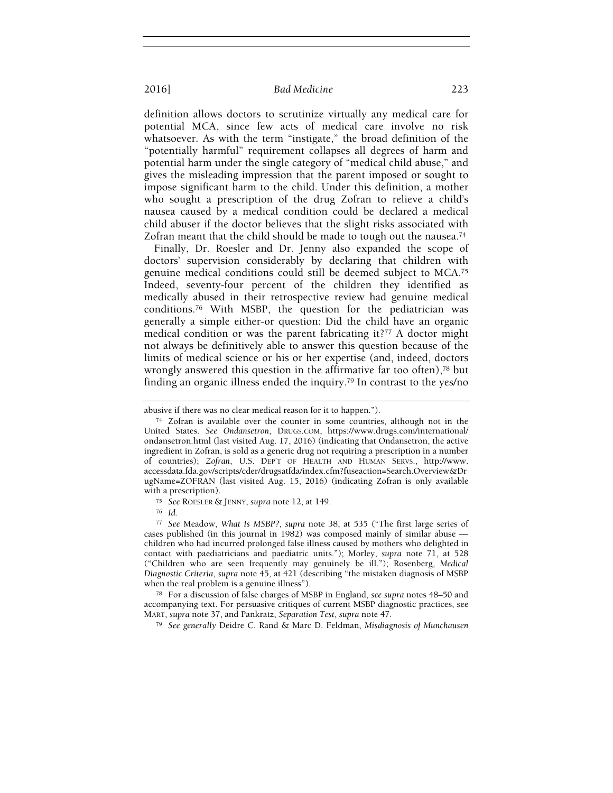definition allows doctors to scrutinize virtually any medical care for potential MCA, since few acts of medical care involve no risk whatsoever. As with the term "instigate," the broad definition of the "potentially harmful" requirement collapses all degrees of harm and potential harm under the single category of "medical child abuse," and gives the misleading impression that the parent imposed or sought to impose significant harm to the child. Under this definition, a mother who sought a prescription of the drug Zofran to relieve a child's nausea caused by a medical condition could be declared a medical child abuser if the doctor believes that the slight risks associated with Zofran meant that the child should be made to tough out the nausea.<sup>74</sup>

Finally, Dr. Roesler and Dr. Jenny also expanded the scope of doctors' supervision considerably by declaring that children with genuine medical conditions could still be deemed subject to MCA.<sup>75</sup> Indeed, seventy-four percent of the children they identified as medically abused in their retrospective review had genuine medical conditions.76 With MSBP, the question for the pediatrician was generally a simple either-or question: Did the child have an organic medical condition or was the parent fabricating it?<sup>77</sup> A doctor might not always be definitively able to answer this question because of the limits of medical science or his or her expertise (and, indeed, doctors wrongly answered this question in the affirmative far too often),<sup>78</sup> but finding an organic illness ended the inquiry.79 In contrast to the yes/no

<sup>77</sup> See Meadow, What Is MSBP?, supra note 38, at 535 ("The first large series of cases published (in this journal in 1982) was composed mainly of similar abuse children who had incurred prolonged false illness caused by mothers who delighted in contact with paediatricians and paediatric units."); Morley, supra note 71, at 528 ("Children who are seen frequently may genuinely be ill."); Rosenberg, Medical Diagnostic Criteria, supra note 45, at 421 (describing "the mistaken diagnosis of MSBP when the real problem is a genuine illness").

<sup>78</sup> For a discussion of false charges of MSBP in England, see supra notes 48–50 and accompanying text. For persuasive critiques of current MSBP diagnostic practices, see MART, supra note 37, and Pankratz, Separation Test, supra note 47.

<sup>79</sup> See generally Deidre C. Rand & Marc D. Feldman, Misdiagnosis of Munchausen

abusive if there was no clear medical reason for it to happen.").

<sup>74</sup> Zofran is available over the counter in some countries, although not in the United States. See Ondansetron, DRUGS.COM, https://www.drugs.com/international/ ondansetron.html (last visited Aug. 17, 2016) (indicating that Ondansetron, the active ingredient in Zofran, is sold as a generic drug not requiring a prescription in a number of countries); Zofran, U.S. DEP'T OF HEALTH AND HUMAN SERVS., http://www. accessdata.fda.gov/scripts/cder/drugsatfda/index.cfm?fuseaction=Search.Overview&Dr ugName=ZOFRAN (last visited Aug. 15, 2016) (indicating Zofran is only available with a prescription).

<sup>75</sup> See ROESLER & JENNY, supra note 12, at 149.

<sup>76</sup> Id.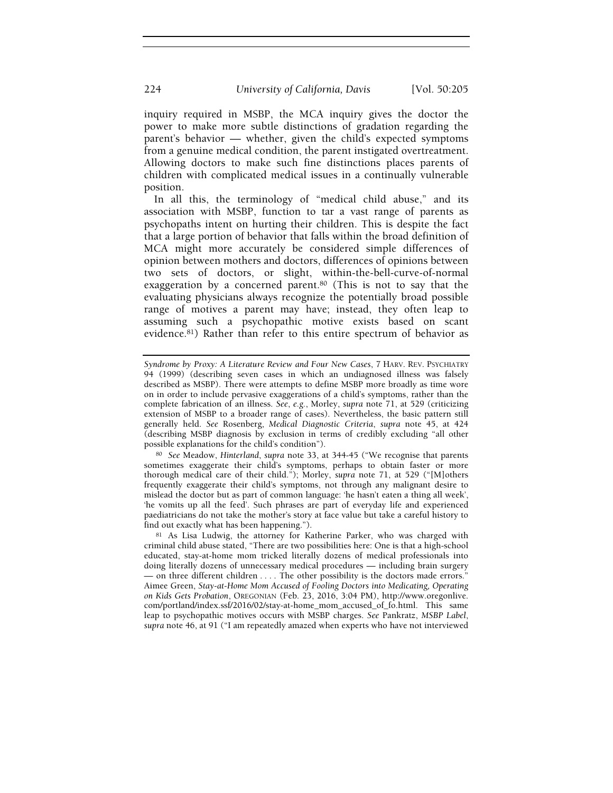inquiry required in MSBP, the MCA inquiry gives the doctor the power to make more subtle distinctions of gradation regarding the parent's behavior — whether, given the child's expected symptoms from a genuine medical condition, the parent instigated overtreatment. Allowing doctors to make such fine distinctions places parents of children with complicated medical issues in a continually vulnerable position.

In all this, the terminology of "medical child abuse," and its association with MSBP, function to tar a vast range of parents as psychopaths intent on hurting their children. This is despite the fact that a large portion of behavior that falls within the broad definition of MCA might more accurately be considered simple differences of opinion between mothers and doctors, differences of opinions between two sets of doctors, or slight, within-the-bell-curve-of-normal exaggeration by a concerned parent.80 (This is not to say that the evaluating physicians always recognize the potentially broad possible range of motives a parent may have; instead, they often leap to assuming such a psychopathic motive exists based on scant evidence.81) Rather than refer to this entire spectrum of behavior as

<sup>80</sup> See Meadow, Hinterland, supra note 33, at 344-45 ("We recognise that parents sometimes exaggerate their child's symptoms, perhaps to obtain faster or more thorough medical care of their child."); Morley, supra note 71, at 529 ("[M]others frequently exaggerate their child's symptoms, not through any malignant desire to mislead the doctor but as part of common language: 'he hasn't eaten a thing all week', 'he vomits up all the feed'. Such phrases are part of everyday life and experienced paediatricians do not take the mother's story at face value but take a careful history to find out exactly what has been happening.").

<sup>81</sup> As Lisa Ludwig, the attorney for Katherine Parker, who was charged with criminal child abuse stated, "There are two possibilities here: One is that a high-school educated, stay-at-home mom tricked literally dozens of medical professionals into doing literally dozens of unnecessary medical procedures — including brain surgery — on three different children . . . . The other possibility is the doctors made errors." Aimee Green, Stay-at-Home Mom Accused of Fooling Doctors into Medicating, Operating on Kids Gets Probation, OREGONIAN (Feb. 23, 2016, 3:04 PM), http://www.oregonlive. com/portland/index.ssf/2016/02/stay-at-home\_mom\_accused\_of\_fo.html. This same leap to psychopathic motives occurs with MSBP charges. See Pankratz, MSBP Label, supra note 46, at 91 ("I am repeatedly amazed when experts who have not interviewed

Syndrome by Proxy: A Literature Review and Four New Cases, 7 HARV. REV. PSYCHIATRY 94 (1999) (describing seven cases in which an undiagnosed illness was falsely described as MSBP). There were attempts to define MSBP more broadly as time wore on in order to include pervasive exaggerations of a child's symptoms, rather than the complete fabrication of an illness. See, e.g., Morley, supra note 71, at 529 (criticizing extension of MSBP to a broader range of cases). Nevertheless, the basic pattern still generally held. See Rosenberg, Medical Diagnostic Criteria, supra note 45, at 424 (describing MSBP diagnosis by exclusion in terms of credibly excluding "all other possible explanations for the child's condition").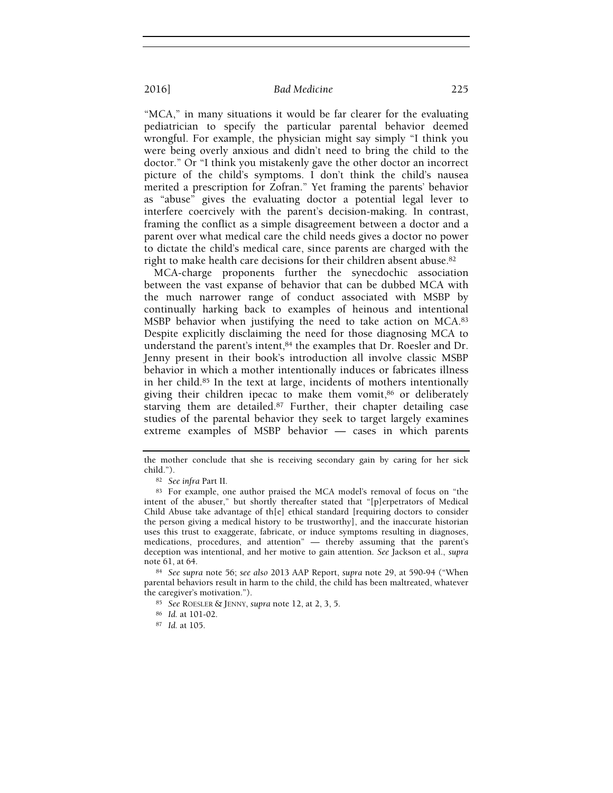"MCA," in many situations it would be far clearer for the evaluating pediatrician to specify the particular parental behavior deemed wrongful. For example, the physician might say simply "I think you were being overly anxious and didn't need to bring the child to the doctor." Or "I think you mistakenly gave the other doctor an incorrect picture of the child's symptoms. I don't think the child's nausea merited a prescription for Zofran." Yet framing the parents' behavior as "abuse" gives the evaluating doctor a potential legal lever to interfere coercively with the parent's decision-making. In contrast, framing the conflict as a simple disagreement between a doctor and a parent over what medical care the child needs gives a doctor no power to dictate the child's medical care, since parents are charged with the right to make health care decisions for their children absent abuse.<sup>82</sup>

MCA-charge proponents further the synecdochic association between the vast expanse of behavior that can be dubbed MCA with the much narrower range of conduct associated with MSBP by continually harking back to examples of heinous and intentional MSBP behavior when justifying the need to take action on MCA.<sup>83</sup> Despite explicitly disclaiming the need for those diagnosing MCA to understand the parent's intent,<sup>84</sup> the examples that Dr. Roesler and Dr. Jenny present in their book's introduction all involve classic MSBP behavior in which a mother intentionally induces or fabricates illness in her child.85 In the text at large, incidents of mothers intentionally giving their children ipecac to make them vomit, $86$  or deliberately starving them are detailed.87 Further, their chapter detailing case studies of the parental behavior they seek to target largely examines extreme examples of MSBP behavior — cases in which parents

<sup>84</sup> See supra note 56; see also 2013 AAP Report, supra note 29, at 590-94 ("When parental behaviors result in harm to the child, the child has been maltreated, whatever the caregiver's motivation.").

<sup>87</sup> Id. at 105.

the mother conclude that she is receiving secondary gain by caring for her sick child.").

<sup>82</sup> See infra Part II.

<sup>83</sup> For example, one author praised the MCA model's removal of focus on "the intent of the abuser," but shortly thereafter stated that "[p]erpetrators of Medical Child Abuse take advantage of th[e] ethical standard [requiring doctors to consider the person giving a medical history to be trustworthy], and the inaccurate historian uses this trust to exaggerate, fabricate, or induce symptoms resulting in diagnoses, medications, procedures, and attention" — thereby assuming that the parent's deception was intentional, and her motive to gain attention. See Jackson et al., supra note 61, at 64.

<sup>85</sup> See ROESLER & JENNY, supra note 12, at 2, 3, 5.

<sup>86</sup> Id. at 101-02.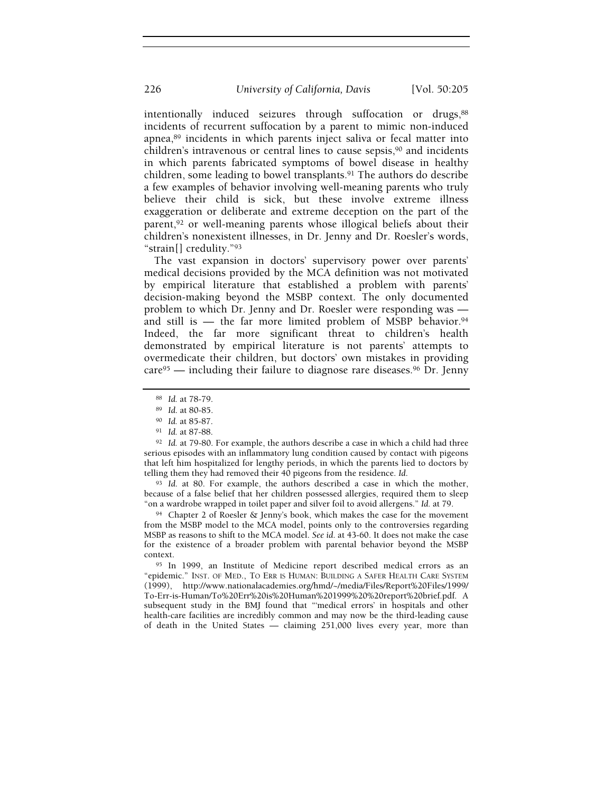intentionally induced seizures through suffocation or drugs, 88 incidents of recurrent suffocation by a parent to mimic non-induced apnea,89 incidents in which parents inject saliva or fecal matter into children's intravenous or central lines to cause sepsis,90 and incidents in which parents fabricated symptoms of bowel disease in healthy children, some leading to bowel transplants.<sup>91</sup> The authors do describe a few examples of behavior involving well-meaning parents who truly believe their child is sick, but these involve extreme illness exaggeration or deliberate and extreme deception on the part of the parent,92 or well-meaning parents whose illogical beliefs about their children's nonexistent illnesses, in Dr. Jenny and Dr. Roesler's words, "strain[] credulity."<sup>93</sup>

The vast expansion in doctors' supervisory power over parents' medical decisions provided by the MCA definition was not motivated by empirical literature that established a problem with parents' decision-making beyond the MSBP context. The only documented problem to which Dr. Jenny and Dr. Roesler were responding was and still is — the far more limited problem of MSBP behavior.<sup>94</sup> Indeed, the far more significant threat to children's health demonstrated by empirical literature is not parents' attempts to overmedicate their children, but doctors' own mistakes in providing care<sup>95</sup> — including their failure to diagnose rare diseases.<sup>96</sup> Dr. Jenny

93 Id. at 80. For example, the authors described a case in which the mother, because of a false belief that her children possessed allergies, required them to sleep "on a wardrobe wrapped in toilet paper and silver foil to avoid allergens." Id. at 79.

<sup>94</sup> Chapter 2 of Roesler & Jenny's book, which makes the case for the movement from the MSBP model to the MCA model, points only to the controversies regarding MSBP as reasons to shift to the MCA model. See id. at 43-60. It does not make the case for the existence of a broader problem with parental behavior beyond the MSBP context.

<sup>95</sup> In 1999, an Institute of Medicine report described medical errors as an "epidemic." INST. OF MED., TO ERR IS HUMAN: BUILDING A SAFER HEALTH CARE SYSTEM (1999), http://www.nationalacademies.org/hmd/~/media/Files/Report%20Files/1999/ To-Err-is-Human/To%20Err%20is%20Human%201999%20%20report%20brief.pdf. A subsequent study in the BMJ found that "'medical errors' in hospitals and other health-care facilities are incredibly common and may now be the third-leading cause of death in the United States — claiming 251,000 lives every year, more than

<sup>88</sup> Id. at 78-79.

<sup>89</sup> Id. at 80-85.

<sup>90</sup> Id. at 85-87.

<sup>91</sup> Id. at 87-88.

<sup>&</sup>lt;sup>92</sup> Id. at 79-80. For example, the authors describe a case in which a child had three serious episodes with an inflammatory lung condition caused by contact with pigeons that left him hospitalized for lengthy periods, in which the parents lied to doctors by telling them they had removed their 40 pigeons from the residence. Id.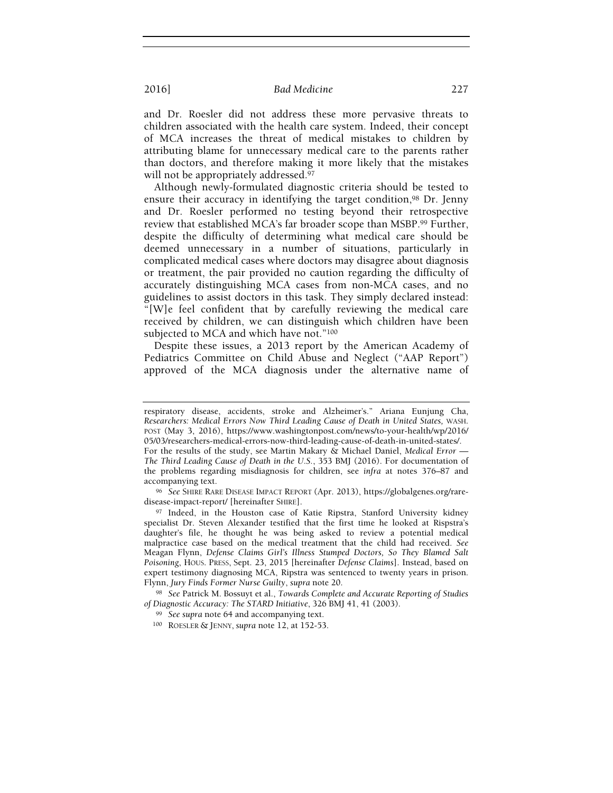and Dr. Roesler did not address these more pervasive threats to children associated with the health care system. Indeed, their concept of MCA increases the threat of medical mistakes to children by attributing blame for unnecessary medical care to the parents rather than doctors, and therefore making it more likely that the mistakes will not be appropriately addressed.<sup>97</sup>

Although newly-formulated diagnostic criteria should be tested to ensure their accuracy in identifying the target condition,<sup>98</sup> Dr. Jenny and Dr. Roesler performed no testing beyond their retrospective review that established MCA's far broader scope than MSBP.99 Further, despite the difficulty of determining what medical care should be deemed unnecessary in a number of situations, particularly in complicated medical cases where doctors may disagree about diagnosis or treatment, the pair provided no caution regarding the difficulty of accurately distinguishing MCA cases from non-MCA cases, and no guidelines to assist doctors in this task. They simply declared instead: "[W]e feel confident that by carefully reviewing the medical care received by children, we can distinguish which children have been subjected to MCA and which have not."100

Despite these issues, a 2013 report by the American Academy of Pediatrics Committee on Child Abuse and Neglect ("AAP Report") approved of the MCA diagnosis under the alternative name of

respiratory disease, accidents, stroke and Alzheimer's." Ariana Eunjung Cha, Researchers: Medical Errors Now Third Leading Cause of Death in United States, WASH. POST (May 3, 2016), https://www.washingtonpost.com/news/to-your-health/wp/2016/ 05/03/researchers-medical-errors-now-third-leading-cause-of-death-in-united-states/. For the results of the study, see Martin Makary & Michael Daniel, Medical Error — The Third Leading Cause of Death in the U.S., 353 BMJ (2016). For documentation of the problems regarding misdiagnosis for children, see infra at notes 376–87 and accompanying text.

<sup>96</sup> See SHIRE RARE DISEASE IMPACT REPORT (Apr. 2013), https://globalgenes.org/raredisease-impact-report/ [hereinafter SHIRE].

<sup>97</sup> Indeed, in the Houston case of Katie Ripstra, Stanford University kidney specialist Dr. Steven Alexander testified that the first time he looked at Rispstra's daughter's file, he thought he was being asked to review a potential medical malpractice case based on the medical treatment that the child had received. See Meagan Flynn, Defense Claims Girl's Illness Stumped Doctors, So They Blamed Salt Poisoning, HOUS. PRESS, Sept. 23, 2015 [hereinafter Defense Claims]. Instead, based on expert testimony diagnosing MCA, Ripstra was sentenced to twenty years in prison. Flynn, Jury Finds Former Nurse Guilty, supra note 20.

<sup>98</sup> See Patrick M. Bossuyt et al., Towards Complete and Accurate Reporting of Studies of Diagnostic Accuracy: The STARD Initiative, 326 BMJ 41, 41 (2003).

<sup>99</sup> See supra note 64 and accompanying text.

<sup>100</sup> ROESLER & JENNY, supra note 12, at 152-53.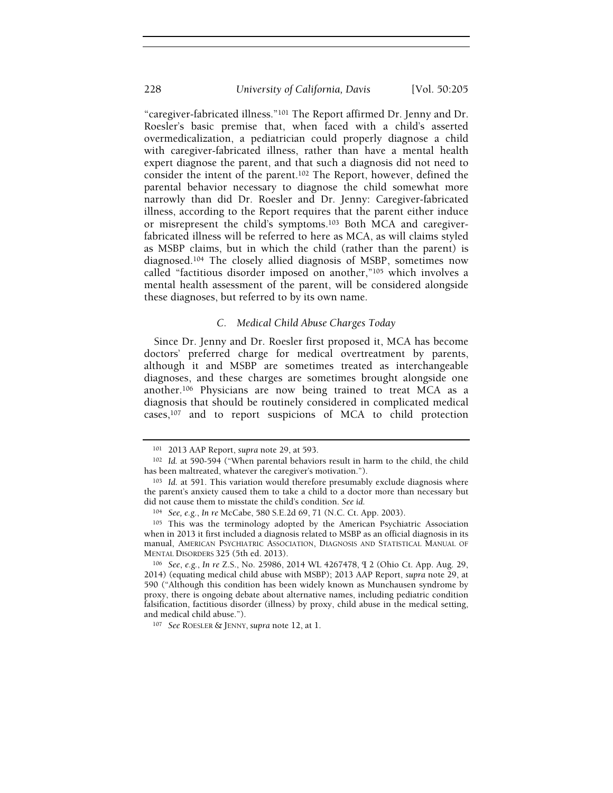"caregiver-fabricated illness."101 The Report affirmed Dr. Jenny and Dr. Roesler's basic premise that, when faced with a child's asserted overmedicalization, a pediatrician could properly diagnose a child with caregiver-fabricated illness, rather than have a mental health expert diagnose the parent, and that such a diagnosis did not need to consider the intent of the parent.102 The Report, however, defined the parental behavior necessary to diagnose the child somewhat more narrowly than did Dr. Roesler and Dr. Jenny: Caregiver-fabricated illness, according to the Report requires that the parent either induce or misrepresent the child's symptoms.103 Both MCA and caregiverfabricated illness will be referred to here as MCA, as will claims styled as MSBP claims, but in which the child (rather than the parent) is diagnosed.104 The closely allied diagnosis of MSBP, sometimes now called "factitious disorder imposed on another,"105 which involves a mental health assessment of the parent, will be considered alongside these diagnoses, but referred to by its own name.

#### C. Medical Child Abuse Charges Today

Since Dr. Jenny and Dr. Roesler first proposed it, MCA has become doctors' preferred charge for medical overtreatment by parents, although it and MSBP are sometimes treated as interchangeable diagnoses, and these charges are sometimes brought alongside one another.106 Physicians are now being trained to treat MCA as a diagnosis that should be routinely considered in complicated medical cases,107 and to report suspicions of MCA to child protection

<sup>101</sup> 2013 AAP Report, supra note 29, at 593.

<sup>102</sup> Id. at 590-594 ("When parental behaviors result in harm to the child, the child has been maltreated, whatever the caregiver's motivation.").

<sup>103</sup> Id. at 591. This variation would therefore presumably exclude diagnosis where the parent's anxiety caused them to take a child to a doctor more than necessary but did not cause them to misstate the child's condition. See id.

<sup>104</sup> See, e.g., In re McCabe, 580 S.E.2d 69, 71 (N.C. Ct. App. 2003).

<sup>105</sup> This was the terminology adopted by the American Psychiatric Association when in 2013 it first included a diagnosis related to MSBP as an official diagnosis in its manual, AMERICAN PSYCHIATRIC ASSOCIATION, DIAGNOSIS AND STATISTICAL MANUAL OF MENTAL DISORDERS 325 (5th ed. 2013).

<sup>106</sup> See, e.g., In re Z.S., No. 25986, 2014 WL 4267478, ¶ 2 (Ohio Ct. App. Aug. 29, 2014) (equating medical child abuse with MSBP); 2013 AAP Report, supra note 29, at 590 ("Although this condition has been widely known as Munchausen syndrome by proxy, there is ongoing debate about alternative names, including pediatric condition falsification, factitious disorder (illness) by proxy, child abuse in the medical setting, and medical child abuse.").

<sup>107</sup> See ROESLER & JENNY, supra note 12, at 1.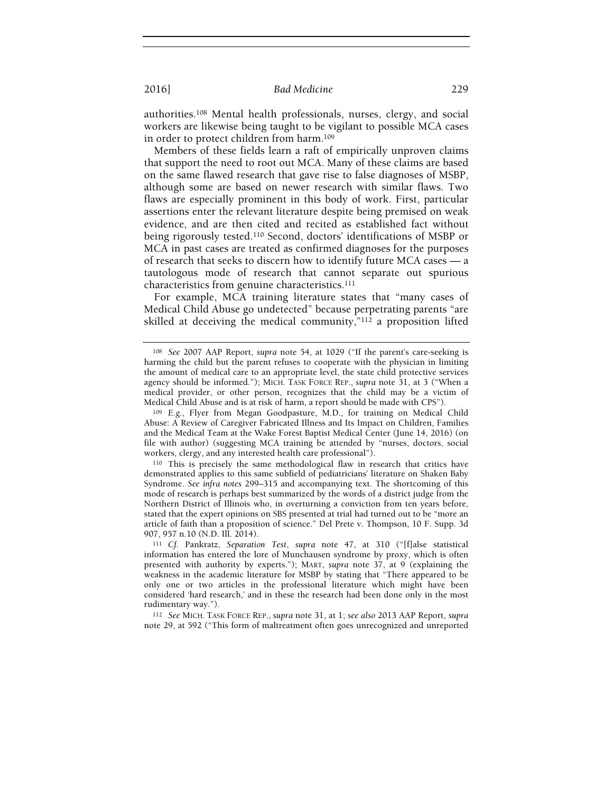authorities.108 Mental health professionals, nurses, clergy, and social workers are likewise being taught to be vigilant to possible MCA cases in order to protect children from harm.<sup>109</sup>

Members of these fields learn a raft of empirically unproven claims that support the need to root out MCA. Many of these claims are based on the same flawed research that gave rise to false diagnoses of MSBP, although some are based on newer research with similar flaws. Two flaws are especially prominent in this body of work. First, particular assertions enter the relevant literature despite being premised on weak evidence, and are then cited and recited as established fact without being rigorously tested.110 Second, doctors' identifications of MSBP or MCA in past cases are treated as confirmed diagnoses for the purposes of research that seeks to discern how to identify future MCA cases — a tautologous mode of research that cannot separate out spurious characteristics from genuine characteristics.<sup>111</sup>

For example, MCA training literature states that "many cases of Medical Child Abuse go undetected" because perpetrating parents "are skilled at deceiving the medical community,"112 a proposition lifted

<sup>108</sup> See 2007 AAP Report, supra note 54, at 1029 ("If the parent's care-seeking is harming the child but the parent refuses to cooperate with the physician in limiting the amount of medical care to an appropriate level, the state child protective services agency should be informed."); MICH. TASK FORCE REP., supra note 31, at 3 ("When a medical provider, or other person, recognizes that the child may be a victim of Medical Child Abuse and is at risk of harm, a report should be made with CPS").

<sup>109</sup> E.g., Flyer from Megan Goodpasture, M.D., for training on Medical Child Abuse: A Review of Caregiver Fabricated Illness and Its Impact on Children, Families and the Medical Team at the Wake Forest Baptist Medical Center (June 14, 2016) (on file with author) (suggesting MCA training be attended by "nurses, doctors, social workers, clergy, and any interested health care professional").

<sup>110</sup> This is precisely the same methodological flaw in research that critics have demonstrated applies to this same subfield of pediatricians' literature on Shaken Baby Syndrome. See infra notes 299–315 and accompanying text. The shortcoming of this mode of research is perhaps best summarized by the words of a district judge from the Northern District of Illinois who, in overturning a conviction from ten years before, stated that the expert opinions on SBS presented at trial had turned out to be "more an article of faith than a proposition of science." Del Prete v. Thompson, 10 F. Supp. 3d 907, 957 n.10 (N.D. Ill. 2014).

<sup>111</sup> Cf. Pankratz, Separation Test, supra note 47, at 310 ("[f]alse statistical information has entered the lore of Munchausen syndrome by proxy, which is often presented with authority by experts."); MART, supra note 37, at 9 (explaining the weakness in the academic literature for MSBP by stating that "There appeared to be only one or two articles in the professional literature which might have been considered 'hard research,' and in these the research had been done only in the most rudimentary way.").

<sup>112</sup> See MICH. TASK FORCE REP., supra note 31, at 1; see also 2013 AAP Report, supra note 29, at 592 ("This form of maltreatment often goes unrecognized and unreported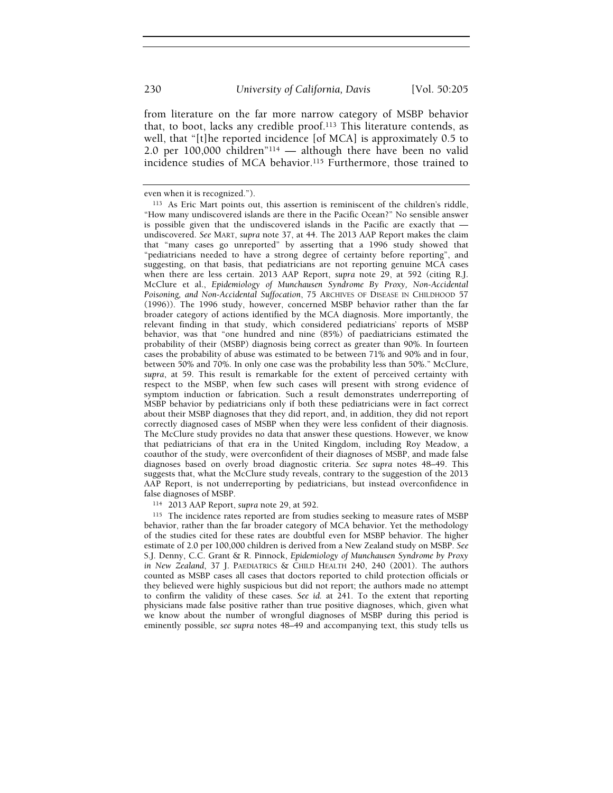from literature on the far more narrow category of MSBP behavior that, to boot, lacks any credible proof.113 This literature contends, as well, that "[t]he reported incidence [of MCA] is approximately 0.5 to 2.0 per 100,000 children"114 — although there have been no valid incidence studies of MCA behavior.115 Furthermore, those trained to

<sup>114</sup> 2013 AAP Report, supra note 29, at 592.

115 The incidence rates reported are from studies seeking to measure rates of MSBP behavior, rather than the far broader category of MCA behavior. Yet the methodology of the studies cited for these rates are doubtful even for MSBP behavior. The higher estimate of 2.0 per 100,000 children is derived from a New Zealand study on MSBP. See S.J. Denny, C.C. Grant & R. Pinnock, Epidemiology of Munchausen Syndrome by Proxy in New Zealand, 37 J. PAEDIATRICS & CHILD HEALTH 240, 240 (2001). The authors counted as MSBP cases all cases that doctors reported to child protection officials or they believed were highly suspicious but did not report; the authors made no attempt to confirm the validity of these cases. See id. at 241. To the extent that reporting physicians made false positive rather than true positive diagnoses, which, given what we know about the number of wrongful diagnoses of MSBP during this period is eminently possible, see supra notes 48–49 and accompanying text, this study tells us

even when it is recognized.").

<sup>113</sup> As Eric Mart points out, this assertion is reminiscent of the children's riddle, "How many undiscovered islands are there in the Pacific Ocean?" No sensible answer is possible given that the undiscovered islands in the Pacific are exactly that undiscovered. See MART, supra note 37, at 44. The 2013 AAP Report makes the claim that "many cases go unreported" by asserting that a 1996 study showed that "pediatricians needed to have a strong degree of certainty before reporting", and suggesting, on that basis, that pediatricians are not reporting genuine MCA cases when there are less certain. 2013 AAP Report, supra note 29, at 592 (citing R.J. McClure et al., Epidemiology of Munchausen Syndrome By Proxy, Non-Accidental Poisoning, and Non-Accidental Suffocation, 75 ARCHIVES OF DISEASE IN CHILDHOOD 57 (1996)). The 1996 study, however, concerned MSBP behavior rather than the far broader category of actions identified by the MCA diagnosis. More importantly, the relevant finding in that study, which considered pediatricians' reports of MSBP behavior, was that "one hundred and nine (85%) of paediatricians estimated the probability of their (MSBP) diagnosis being correct as greater than 90%. In fourteen cases the probability of abuse was estimated to be between 71% and 90% and in four, between 50% and 70%. In only one case was the probability less than 50%." McClure, supra, at 59. This result is remarkable for the extent of perceived certainty with respect to the MSBP, when few such cases will present with strong evidence of symptom induction or fabrication. Such a result demonstrates underreporting of MSBP behavior by pediatricians only if both these pediatricians were in fact correct about their MSBP diagnoses that they did report, and, in addition, they did not report correctly diagnosed cases of MSBP when they were less confident of their diagnosis. The McClure study provides no data that answer these questions. However, we know that pediatricians of that era in the United Kingdom, including Roy Meadow, a coauthor of the study, were overconfident of their diagnoses of MSBP, and made false diagnoses based on overly broad diagnostic criteria. See supra notes 48–49. This suggests that, what the McClure study reveals, contrary to the suggestion of the 2013 AAP Report, is not underreporting by pediatricians, but instead overconfidence in false diagnoses of MSBP.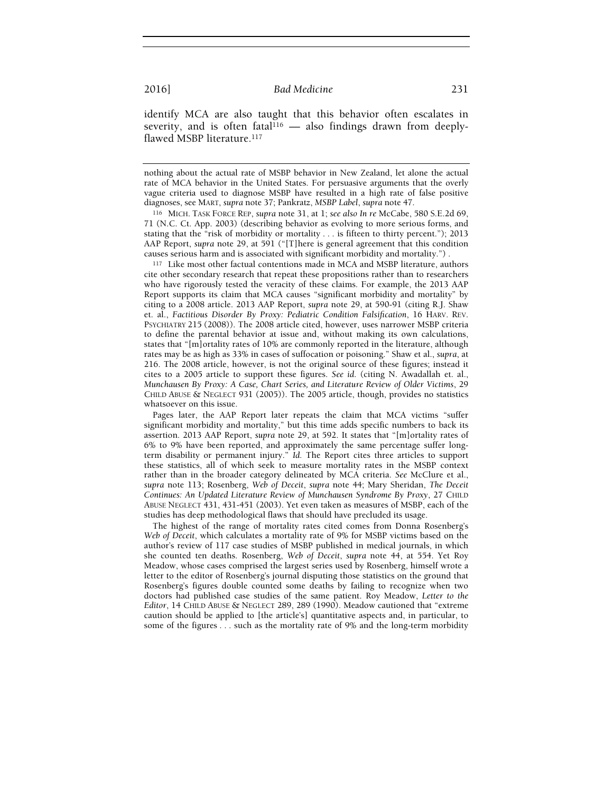identify MCA are also taught that this behavior often escalates in severity, and is often fatal<sup>116</sup> — also findings drawn from deeplyflawed MSBP literature.<sup>117</sup>

<sup>116</sup> MICH. TASK FORCE REP, supra note 31, at 1; see also In re McCabe, 580 S.E.2d 69, 71 (N.C. Ct. App. 2003) (describing behavior as evolving to more serious forms, and stating that the "risk of morbidity or mortality . . . is fifteen to thirty percent."); 2013 AAP Report, supra note 29, at 591 ("[T]here is general agreement that this condition causes serious harm and is associated with significant morbidity and mortality.").

<sup>117</sup> Like most other factual contentions made in MCA and MSBP literature, authors cite other secondary research that repeat these propositions rather than to researchers who have rigorously tested the veracity of these claims. For example, the 2013 AAP Report supports its claim that MCA causes "significant morbidity and mortality" by citing to a 2008 article. 2013 AAP Report, supra note 29, at 590-91 (citing R.J. Shaw et. al., Factitious Disorder By Proxy: Pediatric Condition Falsification, 16 HARV. REV. PSYCHIATRY 215 (2008)). The 2008 article cited, however, uses narrower MSBP criteria to define the parental behavior at issue and, without making its own calculations, states that "[m]ortality rates of 10% are commonly reported in the literature, although rates may be as high as 33% in cases of suffocation or poisoning." Shaw et al., supra, at 216. The 2008 article, however, is not the original source of these figures; instead it cites to a 2005 article to support these figures. See id. (citing N. Awadallah et. al., Munchausen By Proxy: A Case, Chart Series, and Literature Review of Older Victims, 29 CHILD ABUSE & NEGLECT 931 (2005)). The 2005 article, though, provides no statistics whatsoever on this issue.

Pages later, the AAP Report later repeats the claim that MCA victims "suffer significant morbidity and mortality," but this time adds specific numbers to back its assertion. 2013 AAP Report, supra note 29, at 592. It states that "[m]ortality rates of 6% to 9% have been reported, and approximately the same percentage suffer longterm disability or permanent injury." Id. The Report cites three articles to support these statistics, all of which seek to measure mortality rates in the MSBP context rather than in the broader category delineated by MCA criteria. See McClure et al., supra note 113; Rosenberg, Web of Deceit, supra note 44; Mary Sheridan, The Deceit Continues: An Updated Literature Review of Munchausen Syndrome By Proxy, 27 CHILD ABUSE NEGLECT 431, 431-451 (2003). Yet even taken as measures of MSBP, each of the studies has deep methodological flaws that should have precluded its usage.

The highest of the range of mortality rates cited comes from Donna Rosenberg's Web of Deceit, which calculates a mortality rate of 9% for MSBP victims based on the author's review of 117 case studies of MSBP published in medical journals, in which she counted ten deaths. Rosenberg, Web of Deceit, supra note 44, at 554. Yet Roy Meadow, whose cases comprised the largest series used by Rosenberg, himself wrote a letter to the editor of Rosenberg's journal disputing those statistics on the ground that Rosenberg's figures double counted some deaths by failing to recognize when two doctors had published case studies of the same patient. Roy Meadow, Letter to the Editor, 14 CHILD ABUSE & NEGLECT 289, 289 (1990). Meadow cautioned that "extreme caution should be applied to [the article's] quantitative aspects and, in particular, to some of the figures . . . such as the mortality rate of 9% and the long-term morbidity

nothing about the actual rate of MSBP behavior in New Zealand, let alone the actual rate of MCA behavior in the United States. For persuasive arguments that the overly vague criteria used to diagnose MSBP have resulted in a high rate of false positive diagnoses, see MART, supra note 37; Pankratz, MSBP Label, supra note 47.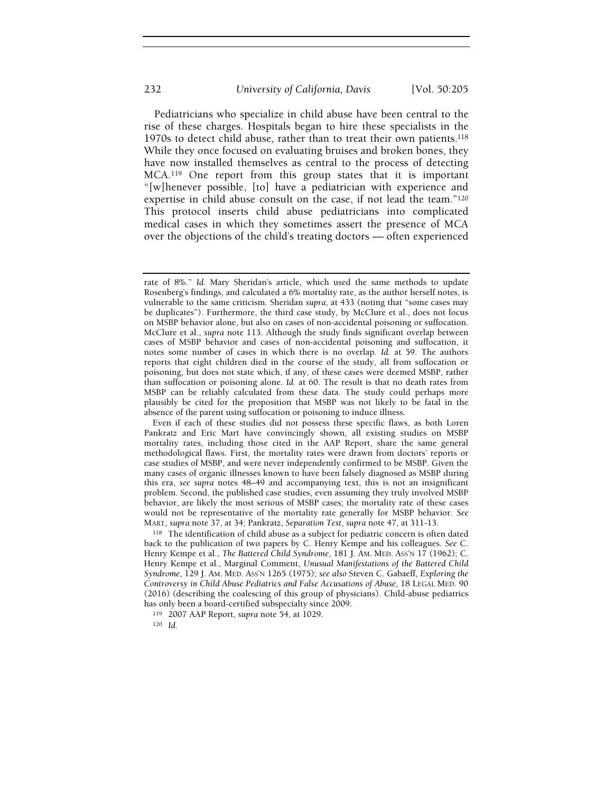Pediatricians who specialize in child abuse have been central to the rise of these charges. Hospitals began to hire these specialists in the 1970s to detect child abuse, rather than to treat their own patients.<sup>118</sup> While they once focused on evaluating bruises and broken bones, they have now installed themselves as central to the process of detecting MCA.119 One report from this group states that it is important "[w]henever possible, [to] have a pediatrician with experience and expertise in child abuse consult on the case, if not lead the team."<sup>120</sup> This protocol inserts child abuse pediatricians into complicated medical cases in which they sometimes assert the presence of MCA over the objections of the child's treating doctors — often experienced

Even if each of these studies did not possess these specific flaws, as both Loren Pankratz and Eric Mart have convincingly shown, all existing studies on MSBP mortality rates, including those cited in the AAP Report, share the same general methodological flaws. First, the mortality rates were drawn from doctors' reports or case studies of MSBP, and were never independently confirmed to be MSBP. Given the many cases of organic illnesses known to have been falsely diagnosed as MSBP during this era, see supra notes 48–49 and accompanying text, this is not an insignificant problem. Second, the published case studies, even assuming they truly involved MSBP behavior, are likely the most serious of MSBP cases; the mortality rate of these cases would not be representative of the mortality rate generally for MSBP behavior. See MART, supra note 37, at 34; Pankratz, Separation Test, supra note 47, at 311-13.

<sup>118</sup> The identification of child abuse as a subject for pediatric concern is often dated back to the publication of two papers by C. Henry Kempe and his colleagues. See C. Henry Kempe et al., The Battered Child Syndrome, 181 J. AM. MED. ASS'N 17 (1962); C. Henry Kempe et al., Marginal Comment, Unusual Manifestations of the Battered Child Syndrome, 129 J. AM. MED. ASS'N 1265 (1975); see also Steven C. Gabaeff, Exploring the Controversy in Child Abuse Pediatrics and False Accusations of Abuse, 18 LEGAL MED. 90 (2016) (describing the coalescing of this group of physicians). Child-abuse pediatrics has only been a board-certified subspecialty since 2009.

<sup>119</sup> 2007 AAP Report, supra note 54, at 1029.

<sup>120</sup> Id.

rate of 8%." Id. Mary Sheridan's article, which used the same methods to update Rosenberg's findings, and calculated a 6% mortality rate, as the author herself notes, is vulnerable to the same criticism. Sheridan supra, at 433 (noting that "some cases may be duplicates"). Furthermore, the third case study, by McClure et al., does not focus on MSBP behavior alone, but also on cases of non-accidental poisoning or suffocation. McClure et al., supra note 113. Although the study finds significant overlap between cases of MSBP behavior and cases of non-accidental poisoning and suffocation, it notes some number of cases in which there is no overlap. Id. at 59. The authors reports that eight children died in the course of the study, all from suffocation or poisoning, but does not state which, if any, of these cases were deemed MSBP, rather than suffocation or poisoning alone. Id. at 60. The result is that no death rates from MSBP can be reliably calculated from these data. The study could perhaps more plausibly be cited for the proposition that MSBP was not likely to be fatal in the absence of the parent using suffocation or poisoning to induce illness.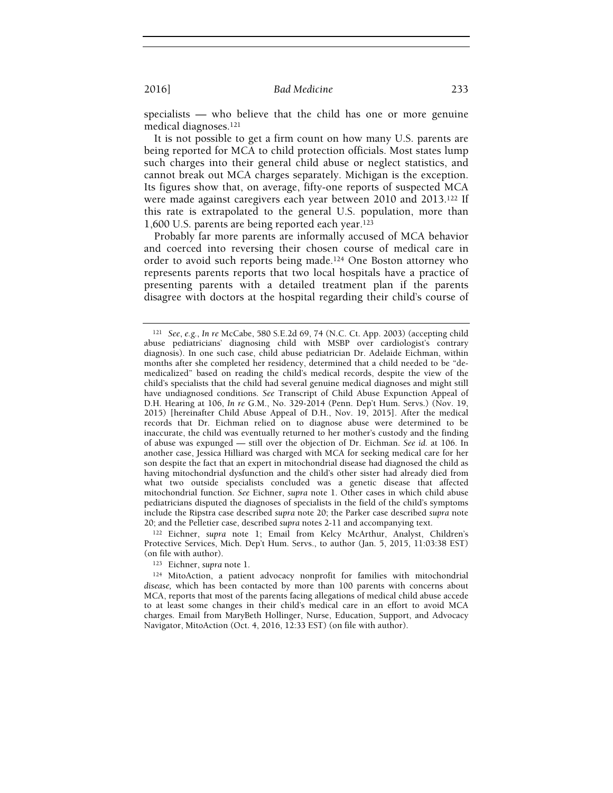specialists — who believe that the child has one or more genuine medical diagnoses.<sup>121</sup>

It is not possible to get a firm count on how many U.S. parents are being reported for MCA to child protection officials. Most states lump such charges into their general child abuse or neglect statistics, and cannot break out MCA charges separately. Michigan is the exception. Its figures show that, on average, fifty-one reports of suspected MCA were made against caregivers each year between 2010 and 2013.122 If this rate is extrapolated to the general U.S. population, more than 1,600 U.S. parents are being reported each year.<sup>123</sup>

Probably far more parents are informally accused of MCA behavior and coerced into reversing their chosen course of medical care in order to avoid such reports being made.124 One Boston attorney who represents parents reports that two local hospitals have a practice of presenting parents with a detailed treatment plan if the parents disagree with doctors at the hospital regarding their child's course of

122 Eichner, supra note 1; Email from Kelcy McArthur, Analyst, Children's Protective Services, Mich. Dep't Hum. Servs., to author (Jan. 5, 2015, 11:03:38 EST) (on file with author).

<sup>123</sup> Eichner, supra note 1.

<sup>121</sup> See, e.g., In re McCabe, 580 S.E.2d 69, 74 (N.C. Ct. App. 2003) (accepting child abuse pediatricians' diagnosing child with MSBP over cardiologist's contrary diagnosis). In one such case, child abuse pediatrician Dr. Adelaide Eichman, within months after she completed her residency, determined that a child needed to be "demedicalized" based on reading the child's medical records, despite the view of the child's specialists that the child had several genuine medical diagnoses and might still have undiagnosed conditions. See Transcript of Child Abuse Expunction Appeal of D.H. Hearing at 106, In re G.M., No. 329-2014 (Penn. Dep't Hum. Servs.) (Nov. 19, 2015) [hereinafter Child Abuse Appeal of D.H., Nov. 19, 2015]. After the medical records that Dr. Eichman relied on to diagnose abuse were determined to be inaccurate, the child was eventually returned to her mother's custody and the finding of abuse was expunged — still over the objection of Dr. Eichman. See id. at 106. In another case, Jessica Hilliard was charged with MCA for seeking medical care for her son despite the fact that an expert in mitochondrial disease had diagnosed the child as having mitochondrial dysfunction and the child's other sister had already died from what two outside specialists concluded was a genetic disease that affected mitochondrial function. See Eichner, supra note 1. Other cases in which child abuse pediatricians disputed the diagnoses of specialists in the field of the child's symptoms include the Ripstra case described supra note 20; the Parker case described supra note 20; and the Pelletier case, described supra notes 2-11 and accompanying text.

<sup>124</sup> MitoAction, a patient advocacy nonprofit for families with mitochondrial disease, which has been contacted by more than 100 parents with concerns about MCA, reports that most of the parents facing allegations of medical child abuse accede to at least some changes in their child's medical care in an effort to avoid MCA charges. Email from MaryBeth Hollinger, Nurse, Education, Support, and Advocacy Navigator, MitoAction (Oct. 4, 2016, 12:33 EST) (on file with author).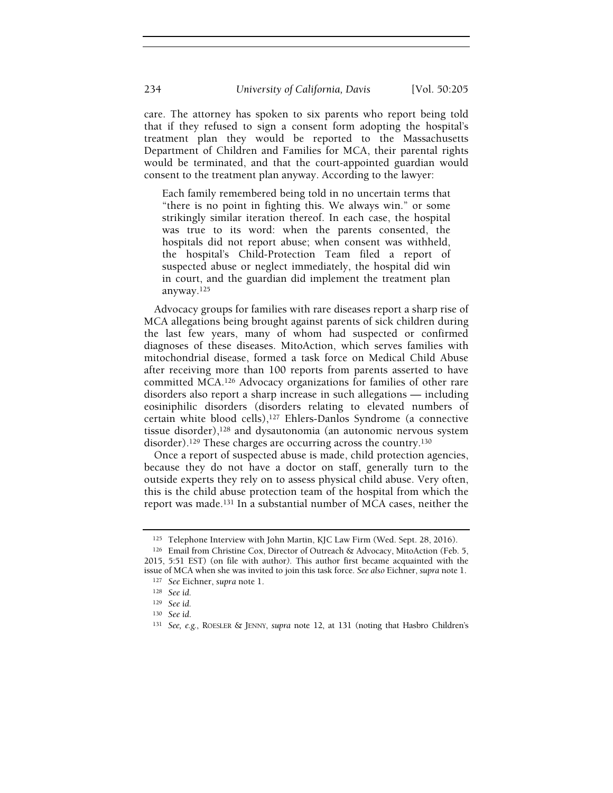care. The attorney has spoken to six parents who report being told that if they refused to sign a consent form adopting the hospital's treatment plan they would be reported to the Massachusetts Department of Children and Families for MCA, their parental rights would be terminated, and that the court-appointed guardian would consent to the treatment plan anyway. According to the lawyer:

Each family remembered being told in no uncertain terms that "there is no point in fighting this. We always win." or some strikingly similar iteration thereof. In each case, the hospital was true to its word: when the parents consented, the hospitals did not report abuse; when consent was withheld, the hospital's Child-Protection Team filed a report of suspected abuse or neglect immediately, the hospital did win in court, and the guardian did implement the treatment plan anyway.<sup>125</sup>

Advocacy groups for families with rare diseases report a sharp rise of MCA allegations being brought against parents of sick children during the last few years, many of whom had suspected or confirmed diagnoses of these diseases. MitoAction, which serves families with mitochondrial disease, formed a task force on Medical Child Abuse after receiving more than 100 reports from parents asserted to have committed MCA.126 Advocacy organizations for families of other rare disorders also report a sharp increase in such allegations — including eosiniphilic disorders (disorders relating to elevated numbers of certain white blood cells),<sup>127</sup> Ehlers-Danlos Syndrome (a connective tissue disorder),128 and dysautonomia (an autonomic nervous system disorder).<sup>129</sup> These charges are occurring across the country.<sup>130</sup>

Once a report of suspected abuse is made, child protection agencies, because they do not have a doctor on staff, generally turn to the outside experts they rely on to assess physical child abuse. Very often, this is the child abuse protection team of the hospital from which the report was made.131 In a substantial number of MCA cases, neither the

<sup>125</sup> Telephone Interview with John Martin, KJC Law Firm (Wed. Sept. 28, 2016).

<sup>126</sup> Email from Christine Cox, Director of Outreach & Advocacy, MitoAction (Feb. 5, 2015, 5:51 EST) (on file with author). This author first became acquainted with the issue of MCA when she was invited to join this task force. See also Eichner, supra note 1.

<sup>127</sup> See Eichner, supra note 1.

<sup>128</sup> See id.

<sup>129</sup> See id.

<sup>130</sup> See id.

<sup>131</sup> See, e.g., ROESLER & JENNY, supra note 12, at 131 (noting that Hasbro Children's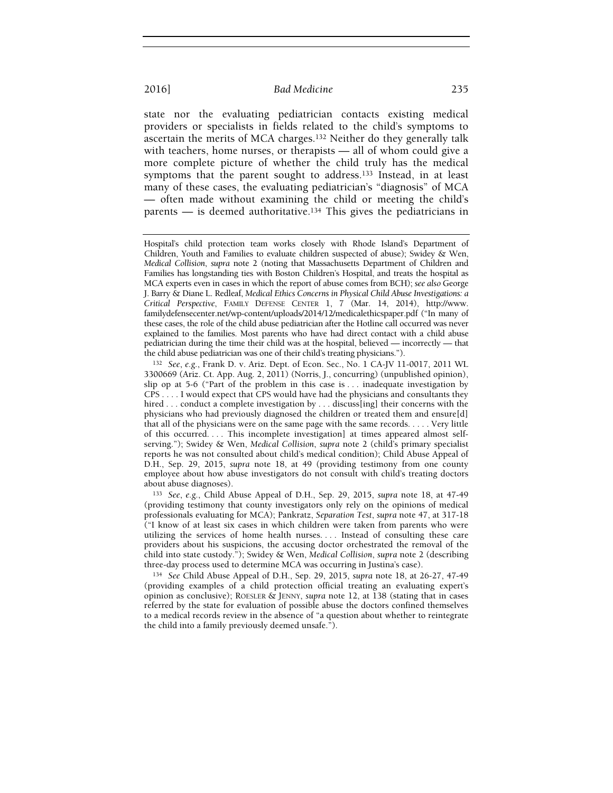state nor the evaluating pediatrician contacts existing medical providers or specialists in fields related to the child's symptoms to ascertain the merits of MCA charges.132 Neither do they generally talk with teachers, home nurses, or therapists — all of whom could give a more complete picture of whether the child truly has the medical symptoms that the parent sought to address.<sup>133</sup> Instead, in at least many of these cases, the evaluating pediatrician's "diagnosis" of MCA — often made without examining the child or meeting the child's parents — is deemed authoritative.<sup>134</sup> This gives the pediatricians in

<sup>132</sup> See, e.g., Frank D. v. Ariz. Dept. of Econ. Sec., No. 1 CA-JV 11-0017, 2011 WL 3300669 (Ariz. Ct. App. Aug. 2, 2011) (Norris, J., concurring) (unpublished opinion), slip op at 5-6 ("Part of the problem in this case is . . . inadequate investigation by CPS . . . . I would expect that CPS would have had the physicians and consultants they hired  $\ldots$  conduct a complete investigation by  $\ldots$  discuss [ing] their concerns with the physicians who had previously diagnosed the children or treated them and ensure[d] that all of the physicians were on the same page with the same records. . . . . Very little of this occurred. . . . This incomplete investigation] at times appeared almost selfserving."); Swidey & Wen, Medical Collision, supra note 2 (child's primary specialist reports he was not consulted about child's medical condition); Child Abuse Appeal of D.H., Sep. 29, 2015, supra note 18, at 49 (providing testimony from one county employee about how abuse investigators do not consult with child's treating doctors about abuse diagnoses).

<sup>133</sup> See, e.g., Child Abuse Appeal of D.H., Sep. 29, 2015, supra note 18, at 47-49 (providing testimony that county investigators only rely on the opinions of medical professionals evaluating for MCA); Pankratz, Separation Test, supra note 47, at 317-18 ("I know of at least six cases in which children were taken from parents who were utilizing the services of home health nurses. . . . Instead of consulting these care providers about his suspicions, the accusing doctor orchestrated the removal of the child into state custody."); Swidey & Wen, Medical Collision, supra note 2 (describing three-day process used to determine MCA was occurring in Justina's case).

<sup>134</sup> See Child Abuse Appeal of D.H., Sep. 29, 2015, supra note 18, at 26-27, 47-49 (providing examples of a child protection official treating an evaluating expert's opinion as conclusive); ROESLER & JENNY, supra note 12, at 138 (stating that in cases referred by the state for evaluation of possible abuse the doctors confined themselves to a medical records review in the absence of "a question about whether to reintegrate the child into a family previously deemed unsafe.").

Hospital's child protection team works closely with Rhode Island's Department of Children, Youth and Families to evaluate children suspected of abuse); Swidey & Wen, Medical Collision, supra note 2 (noting that Massachusetts Department of Children and Families has longstanding ties with Boston Children's Hospital, and treats the hospital as MCA experts even in cases in which the report of abuse comes from BCH); see also George J. Barry & Diane L. Redleaf, Medical Ethics Concerns in Physical Child Abuse Investigations: a Critical Perspective, FAMILY DEFENSE CENTER 1, 7 (Mar. 14, 2014), http://www. familydefensecenter.net/wp-content/uploads/2014/12/medicalethicspaper.pdf ("In many of these cases, the role of the child abuse pediatrician after the Hotline call occurred was never explained to the families. Most parents who have had direct contact with a child abuse pediatrician during the time their child was at the hospital, believed — incorrectly — that the child abuse pediatrician was one of their child's treating physicians.").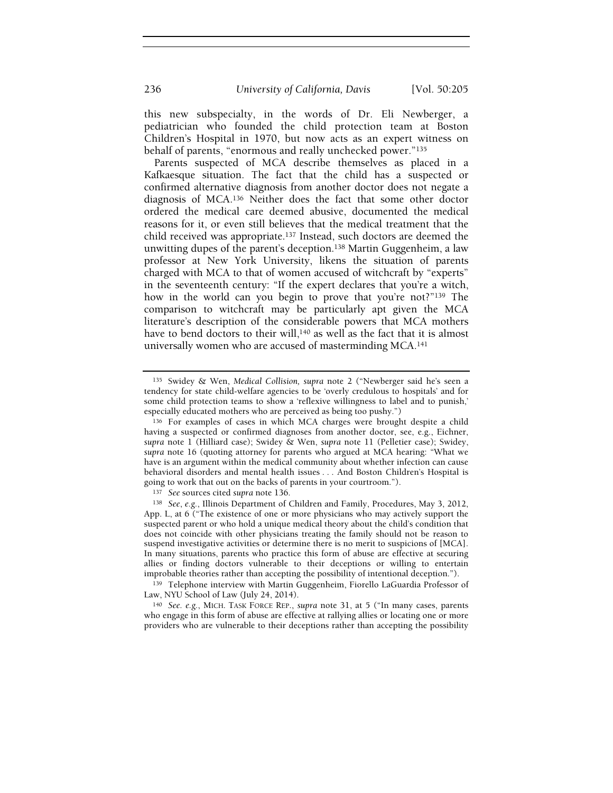236 *University of California, Davis* [Vol. 50:205

this new subspecialty, in the words of Dr. Eli Newberger, a pediatrician who founded the child protection team at Boston Children's Hospital in 1970, but now acts as an expert witness on behalf of parents, "enormous and really unchecked power."<sup>135</sup>

Parents suspected of MCA describe themselves as placed in a Kafkaesque situation. The fact that the child has a suspected or confirmed alternative diagnosis from another doctor does not negate a diagnosis of MCA.136 Neither does the fact that some other doctor ordered the medical care deemed abusive, documented the medical reasons for it, or even still believes that the medical treatment that the child received was appropriate.137 Instead, such doctors are deemed the unwitting dupes of the parent's deception.138 Martin Guggenheim, a law professor at New York University, likens the situation of parents charged with MCA to that of women accused of witchcraft by "experts" in the seventeenth century: "If the expert declares that you're a witch, how in the world can you begin to prove that you're not?"<sup>139</sup> The comparison to witchcraft may be particularly apt given the MCA literature's description of the considerable powers that MCA mothers have to bend doctors to their will, $140$  as well as the fact that it is almost universally women who are accused of masterminding MCA.<sup>141</sup>

<sup>135</sup> Swidey & Wen, Medical Collision, supra note 2 ("Newberger said he's seen a tendency for state child-welfare agencies to be 'overly credulous to hospitals' and for some child protection teams to show a 'reflexive willingness to label and to punish,' especially educated mothers who are perceived as being too pushy.")

<sup>136</sup> For examples of cases in which MCA charges were brought despite a child having a suspected or confirmed diagnoses from another doctor, see, e.g., Eichner, supra note 1 (Hilliard case); Swidey & Wen, supra note 11 (Pelletier case); Swidey, supra note 16 (quoting attorney for parents who argued at MCA hearing: "What we have is an argument within the medical community about whether infection can cause behavioral disorders and mental health issues . . . And Boston Children's Hospital is going to work that out on the backs of parents in your courtroom.").

<sup>137</sup> See sources cited supra note 136.

<sup>138</sup> See, e.g., Illinois Department of Children and Family, Procedures, May 3, 2012, App. L, at 6 ("The existence of one or more physicians who may actively support the suspected parent or who hold a unique medical theory about the child's condition that does not coincide with other physicians treating the family should not be reason to suspend investigative activities or determine there is no merit to suspicions of [MCA]. In many situations, parents who practice this form of abuse are effective at securing allies or finding doctors vulnerable to their deceptions or willing to entertain improbable theories rather than accepting the possibility of intentional deception.").

<sup>139</sup> Telephone interview with Martin Guggenheim, Fiorello LaGuardia Professor of Law, NYU School of Law (July 24, 2014).

<sup>140</sup> See. e.g., MICH. TASK FORCE REP., supra note 31, at 5 ("In many cases, parents who engage in this form of abuse are effective at rallying allies or locating one or more providers who are vulnerable to their deceptions rather than accepting the possibility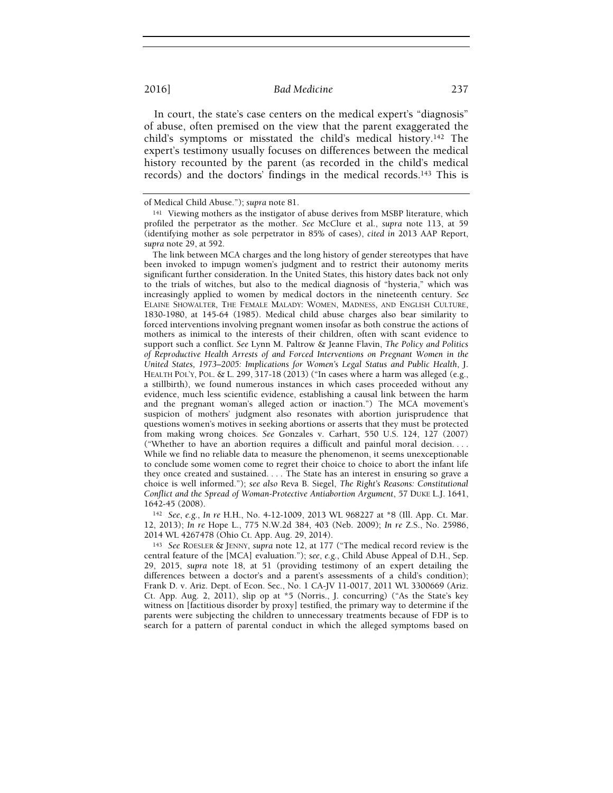In court, the state's case centers on the medical expert's "diagnosis" of abuse, often premised on the view that the parent exaggerated the child's symptoms or misstated the child's medical history.142 The expert's testimony usually focuses on differences between the medical history recounted by the parent (as recorded in the child's medical records) and the doctors' findings in the medical records.143 This is

The link between MCA charges and the long history of gender stereotypes that have been invoked to impugn women's judgment and to restrict their autonomy merits significant further consideration. In the United States, this history dates back not only to the trials of witches, but also to the medical diagnosis of "hysteria," which was increasingly applied to women by medical doctors in the nineteenth century. See ELAINE SHOWALTER, THE FEMALE MALADY: WOMEN, MADNESS, AND ENGLISH CULTURE, 1830-1980, at 145-64 (1985). Medical child abuse charges also bear similarity to forced interventions involving pregnant women insofar as both construe the actions of mothers as inimical to the interests of their children, often with scant evidence to support such a conflict. See Lynn M. Paltrow & Jeanne Flavin, The Policy and Politics of Reproductive Health Arrests of and Forced Interventions on Pregnant Women in the United States, 1973–2005: Implications for Women's Legal Status and Public Health, J. HEALTH POL'Y, POL. & L. 299, 317-18 (2013) ("In cases where a harm was alleged (e.g., a stillbirth), we found numerous instances in which cases proceeded without any evidence, much less scientific evidence, establishing a causal link between the harm and the pregnant woman's alleged action or inaction.") The MCA movement's suspicion of mothers' judgment also resonates with abortion jurisprudence that questions women's motives in seeking abortions or asserts that they must be protected from making wrong choices. See Gonzales v. Carhart, 550 U.S. 124, 127 (2007) ("Whether to have an abortion requires a difficult and painful moral decision. . . . While we find no reliable data to measure the phenomenon, it seems unexceptionable to conclude some women come to regret their choice to choice to abort the infant life they once created and sustained. . . . The State has an interest in ensuring so grave a choice is well informed."); see also Reva B. Siegel, The Right's Reasons: Constitutional Conflict and the Spread of Woman-Protective Antiabortion Argument, 57 DUKE L.J. 1641, 1642-45 (2008).

<sup>142</sup> See, e.g., In re H.H., No. 4-12-1009, 2013 WL 968227 at \*8 (Ill. App. Ct. Mar. 12, 2013); In re Hope L., 775 N.W.2d 384, 403 (Neb. 2009); In re Z.S., No. 25986, 2014 WL 4267478 (Ohio Ct. App. Aug. 29, 2014).

<sup>143</sup> See ROESLER & JENNY, supra note 12, at 177 ("The medical record review is the central feature of the [MCA] evaluation."); see, e.g., Child Abuse Appeal of D.H., Sep. 29, 2015, supra note 18, at 51 (providing testimony of an expert detailing the differences between a doctor's and a parent's assessments of a child's condition); Frank D. v. Ariz. Dept. of Econ. Sec., No. 1 CA-JV 11-0017, 2011 WL 3300669 (Ariz. Ct. App. Aug. 2, 2011), slip op at \*5 (Norris., J. concurring) ("As the State's key witness on [factitious disorder by proxy] testified, the primary way to determine if the parents were subjecting the children to unnecessary treatments because of FDP is to search for a pattern of parental conduct in which the alleged symptoms based on

of Medical Child Abuse."); supra note 81.

<sup>141</sup> Viewing mothers as the instigator of abuse derives from MSBP literature, which profiled the perpetrator as the mother. See McClure et al., supra note 113, at 59 (identifying mother as sole perpetrator in 85% of cases), cited in 2013 AAP Report, supra note 29, at 592.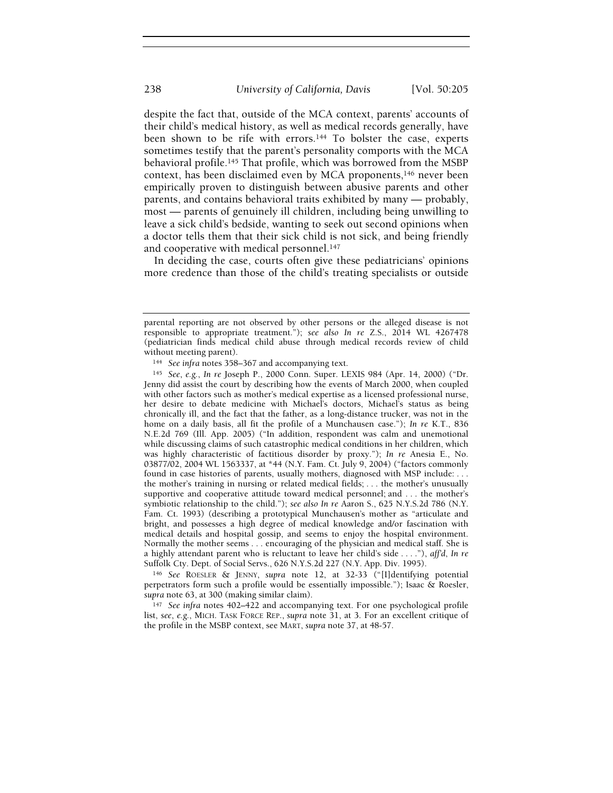despite the fact that, outside of the MCA context, parents' accounts of their child's medical history, as well as medical records generally, have been shown to be rife with errors.<sup>144</sup> To bolster the case, experts sometimes testify that the parent's personality comports with the MCA behavioral profile.145 That profile, which was borrowed from the MSBP context, has been disclaimed even by MCA proponents,146 never been empirically proven to distinguish between abusive parents and other parents, and contains behavioral traits exhibited by many — probably, most — parents of genuinely ill children, including being unwilling to leave a sick child's bedside, wanting to seek out second opinions when a doctor tells them that their sick child is not sick, and being friendly and cooperative with medical personnel.<sup>147</sup>

In deciding the case, courts often give these pediatricians' opinions more credence than those of the child's treating specialists or outside

<sup>146</sup> See ROESLER & JENNY, supra note 12, at 32-33 ("[I]dentifying potential perpetrators form such a profile would be essentially impossible."); Isaac & Roesler, supra note 63, at 300 (making similar claim).

<sup>147</sup> See infra notes 402–422 and accompanying text. For one psychological profile list, see, e.g., MICH. TASK FORCE REP., supra note 31, at 3. For an excellent critique of the profile in the MSBP context, see MART, supra note 37, at 48-57.

parental reporting are not observed by other persons or the alleged disease is not responsible to appropriate treatment."); see also In re Z.S., 2014 WL 4267478 (pediatrician finds medical child abuse through medical records review of child without meeting parent).

<sup>144</sup> See infra notes 358–367 and accompanying text.

<sup>145</sup> See, e.g., In re Joseph P., 2000 Conn. Super. LEXIS 984 (Apr. 14, 2000) ("Dr. Jenny did assist the court by describing how the events of March 2000, when coupled with other factors such as mother's medical expertise as a licensed professional nurse, her desire to debate medicine with Michael's doctors, Michael's status as being chronically ill, and the fact that the father, as a long-distance trucker, was not in the home on a daily basis, all fit the profile of a Munchausen case."); In re K.T., 836 N.E.2d 769 (Ill. App. 2005) ("In addition, respondent was calm and unemotional while discussing claims of such catastrophic medical conditions in her children, which was highly characteristic of factitious disorder by proxy."); In re Anesia E., No. 03877/02, 2004 WL 1563337, at \*44 (N.Y. Fam. Ct. July 9, 2004) ("factors commonly found in case histories of parents, usually mothers, diagnosed with MSP include: . . . the mother's training in nursing or related medical fields; . . . the mother's unusually supportive and cooperative attitude toward medical personnel; and . . . the mother's symbiotic relationship to the child."); see also In re Aaron S., 625 N.Y.S.2d 786 (N.Y. Fam. Ct. 1993) (describing a prototypical Munchausen's mother as "articulate and bright, and possesses a high degree of medical knowledge and/or fascination with medical details and hospital gossip, and seems to enjoy the hospital environment. Normally the mother seems . . . encouraging of the physician and medical staff. She is a highly attendant parent who is reluctant to leave her child's side  $\dots$ "), affd, In re Suffolk Cty. Dept. of Social Servs., 626 N.Y.S.2d 227 (N.Y. App. Div. 1995).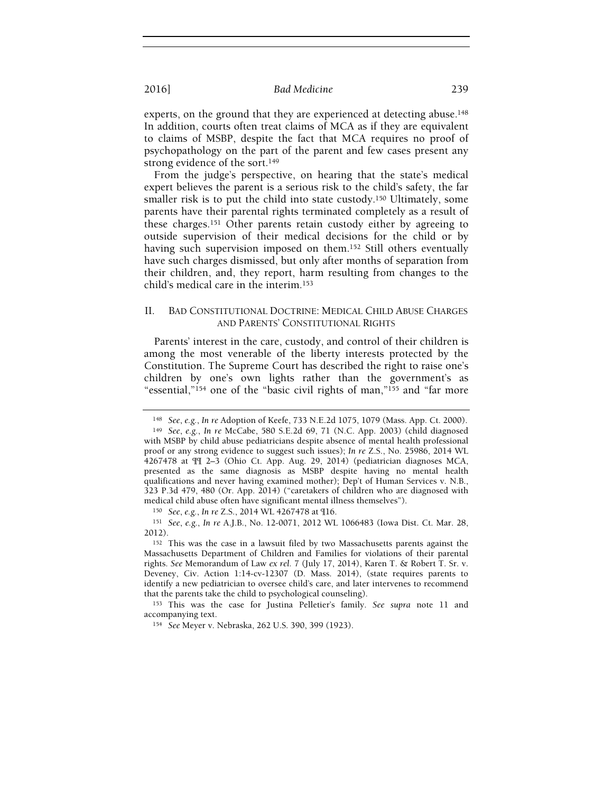experts, on the ground that they are experienced at detecting abuse.<sup>148</sup> In addition, courts often treat claims of MCA as if they are equivalent to claims of MSBP, despite the fact that MCA requires no proof of psychopathology on the part of the parent and few cases present any strong evidence of the sort.<sup>149</sup>

From the judge's perspective, on hearing that the state's medical expert believes the parent is a serious risk to the child's safety, the far smaller risk is to put the child into state custody.150 Ultimately, some parents have their parental rights terminated completely as a result of these charges.151 Other parents retain custody either by agreeing to outside supervision of their medical decisions for the child or by having such supervision imposed on them.<sup>152</sup> Still others eventually have such charges dismissed, but only after months of separation from their children, and, they report, harm resulting from changes to the child's medical care in the interim.<sup>153</sup>

### II. BAD CONSTITUTIONAL DOCTRINE: MEDICAL CHILD ABUSE CHARGES AND PARENTS' CONSTITUTIONAL RIGHTS

Parents' interest in the care, custody, and control of their children is among the most venerable of the liberty interests protected by the Constitution. The Supreme Court has described the right to raise one's children by one's own lights rather than the government's as "essential,"154 one of the "basic civil rights of man,"155 and "far more

<sup>148</sup> See, e.g., In re Adoption of Keefe, 733 N.E.2d 1075, 1079 (Mass. App. Ct. 2000).

<sup>149</sup> See, e.g., In re McCabe, 580 S.E.2d 69, 71 (N.C. App. 2003) (child diagnosed with MSBP by child abuse pediatricians despite absence of mental health professional proof or any strong evidence to suggest such issues); In re Z.S., No. 25986, 2014 WL 4267478 at ¶¶ 2–3 (Ohio Ct. App. Aug. 29, 2014) (pediatrician diagnoses MCA, presented as the same diagnosis as MSBP despite having no mental health qualifications and never having examined mother); Dep't of Human Services v. N.B., 323 P.3d 479, 480 (Or. App. 2014) ("caretakers of children who are diagnosed with medical child abuse often have significant mental illness themselves").

<sup>150</sup> See, e.g., In re Z.S., 2014 WL 4267478 at ¶16.

<sup>151</sup> See, e.g., In re A.J.B., No. 12-0071, 2012 WL 1066483 (Iowa Dist. Ct. Mar. 28, 2012).

<sup>152</sup> This was the case in a lawsuit filed by two Massachusetts parents against the Massachusetts Department of Children and Families for violations of their parental rights. See Memorandum of Law ex rel. 7 (July 17, 2014), Karen T. & Robert T. Sr. v. Deveney, Civ. Action 1:14-cv-12307 (D. Mass. 2014), (state requires parents to identify a new pediatrician to oversee child's care, and later intervenes to recommend that the parents take the child to psychological counseling).

<sup>153</sup> This was the case for Justina Pelletier's family. See supra note 11 and accompanying text.

<sup>154</sup> See Meyer v. Nebraska, 262 U.S. 390, 399 (1923).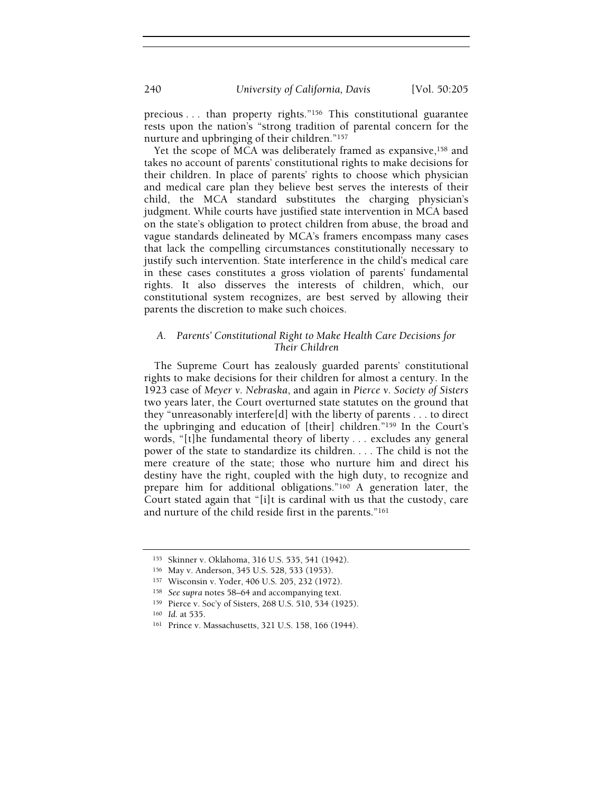precious . . . than property rights."156 This constitutional guarantee rests upon the nation's "strong tradition of parental concern for the nurture and upbringing of their children."<sup>157</sup>

Yet the scope of MCA was deliberately framed as expansive,<sup>158</sup> and takes no account of parents' constitutional rights to make decisions for their children. In place of parents' rights to choose which physician and medical care plan they believe best serves the interests of their child, the MCA standard substitutes the charging physician's judgment. While courts have justified state intervention in MCA based on the state's obligation to protect children from abuse, the broad and vague standards delineated by MCA's framers encompass many cases that lack the compelling circumstances constitutionally necessary to justify such intervention. State interference in the child's medical care in these cases constitutes a gross violation of parents' fundamental rights. It also disserves the interests of children, which, our constitutional system recognizes, are best served by allowing their parents the discretion to make such choices.

## A. Parents' Constitutional Right to Make Health Care Decisions for Their Children

The Supreme Court has zealously guarded parents' constitutional rights to make decisions for their children for almost a century. In the 1923 case of Meyer v. Nebraska, and again in Pierce v. Society of Sisters two years later, the Court overturned state statutes on the ground that they "unreasonably interfere[d] with the liberty of parents . . . to direct the upbringing and education of [their] children."159 In the Court's words, "[t]he fundamental theory of liberty . . . excludes any general power of the state to standardize its children. . . . The child is not the mere creature of the state; those who nurture him and direct his destiny have the right, coupled with the high duty, to recognize and prepare him for additional obligations."160 A generation later, the Court stated again that "[i]t is cardinal with us that the custody, care and nurture of the child reside first in the parents."<sup>161</sup>

<sup>155</sup> Skinner v. Oklahoma, 316 U.S. 535, 541 (1942).

<sup>156</sup> May v. Anderson, 345 U.S. 528, 533 (1953).

<sup>157</sup> Wisconsin v. Yoder, 406 U.S. 205, 232 (1972).

<sup>158</sup> See supra notes 58–64 and accompanying text.

<sup>159</sup> Pierce v. Soc'y of Sisters, 268 U.S. 510, 534 (1925).

<sup>160</sup> Id. at 535.

<sup>161</sup> Prince v. Massachusetts, 321 U.S. 158, 166 (1944).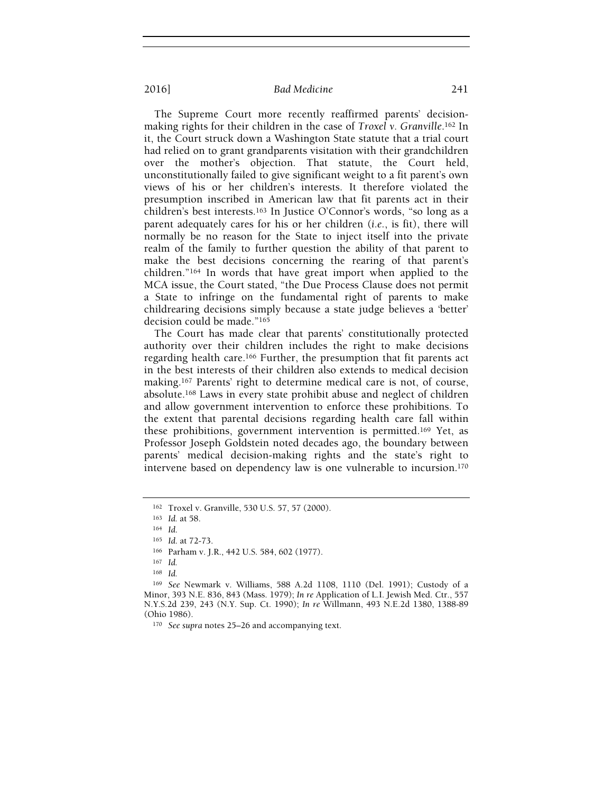The Supreme Court more recently reaffirmed parents' decisionmaking rights for their children in the case of *Troxel v. Granville*.<sup>162</sup> In it, the Court struck down a Washington State statute that a trial court had relied on to grant grandparents visitation with their grandchildren over the mother's objection. That statute, the Court held, unconstitutionally failed to give significant weight to a fit parent's own views of his or her children's interests. It therefore violated the presumption inscribed in American law that fit parents act in their children's best interests.163 In Justice O'Connor's words, "so long as a parent adequately cares for his or her children (i.e., is fit), there will normally be no reason for the State to inject itself into the private realm of the family to further question the ability of that parent to make the best decisions concerning the rearing of that parent's children."164 In words that have great import when applied to the MCA issue, the Court stated, "the Due Process Clause does not permit a State to infringe on the fundamental right of parents to make childrearing decisions simply because a state judge believes a 'better' decision could be made."<sup>165</sup>

The Court has made clear that parents' constitutionally protected authority over their children includes the right to make decisions regarding health care.166 Further, the presumption that fit parents act in the best interests of their children also extends to medical decision making.167 Parents' right to determine medical care is not, of course, absolute.168 Laws in every state prohibit abuse and neglect of children and allow government intervention to enforce these prohibitions. To the extent that parental decisions regarding health care fall within these prohibitions, government intervention is permitted.169 Yet, as Professor Joseph Goldstein noted decades ago, the boundary between parents' medical decision-making rights and the state's right to intervene based on dependency law is one vulnerable to incursion.<sup>170</sup>

<sup>162</sup> Troxel v. Granville, 530 U.S. 57, 57 (2000).

<sup>163</sup> Id. at 58.

 $164$  Id.

<sup>165</sup> Id. at 72-73.

<sup>166</sup> Parham v. J.R., 442 U.S. 584, 602 (1977).

<sup>167</sup> Id.

<sup>168</sup> Id.

<sup>169</sup> See Newmark v. Williams, 588 A.2d 1108, 1110 (Del. 1991); Custody of a Minor, 393 N.E. 836, 843 (Mass. 1979); In re Application of L.I. Jewish Med. Ctr., 557 N.Y.S.2d 239, 243 (N.Y. Sup. Ct. 1990); In re Willmann, 493 N.E.2d 1380, 1388-89 (Ohio 1986).

<sup>170</sup> See supra notes 25–26 and accompanying text.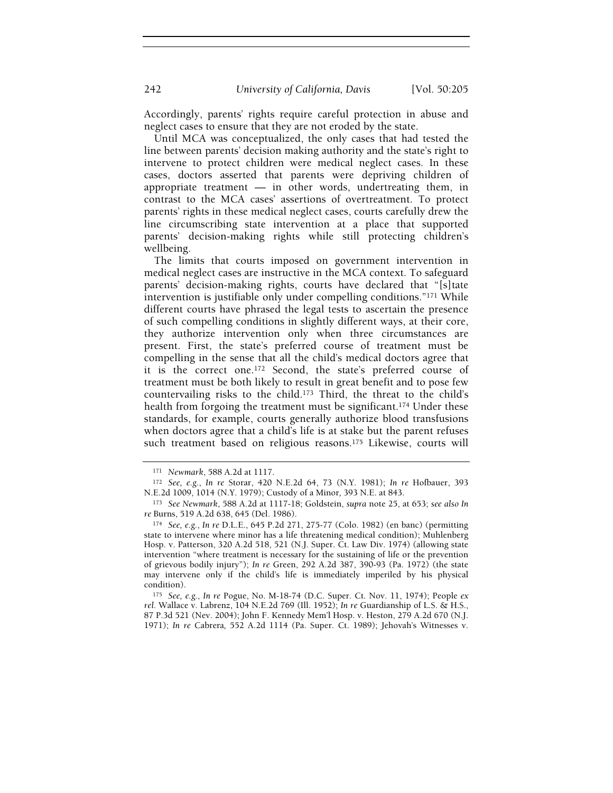Accordingly, parents' rights require careful protection in abuse and neglect cases to ensure that they are not eroded by the state.

Until MCA was conceptualized, the only cases that had tested the line between parents' decision making authority and the state's right to intervene to protect children were medical neglect cases. In these cases, doctors asserted that parents were depriving children of appropriate treatment — in other words, undertreating them, in contrast to the MCA cases' assertions of overtreatment. To protect parents' rights in these medical neglect cases, courts carefully drew the line circumscribing state intervention at a place that supported parents' decision-making rights while still protecting children's wellbeing.

The limits that courts imposed on government intervention in medical neglect cases are instructive in the MCA context. To safeguard parents' decision-making rights, courts have declared that "[s]tate intervention is justifiable only under compelling conditions."171 While different courts have phrased the legal tests to ascertain the presence of such compelling conditions in slightly different ways, at their core, they authorize intervention only when three circumstances are present. First, the state's preferred course of treatment must be compelling in the sense that all the child's medical doctors agree that it is the correct one.172 Second, the state's preferred course of treatment must be both likely to result in great benefit and to pose few countervailing risks to the child.173 Third, the threat to the child's health from forgoing the treatment must be significant.<sup>174</sup> Under these standards, for example, courts generally authorize blood transfusions when doctors agree that a child's life is at stake but the parent refuses such treatment based on religious reasons.175 Likewise, courts will

<sup>175</sup> See, e.g., In re Pogue, No. M-18-74 (D.C. Super. Ct. Nov. 11, 1974); People ex rel. Wallace v. Labrenz, 104 N.E.2d 769 (Ill. 1952); In re Guardianship of L.S. & H.S., 87 P.3d 521 (Nev. 2004); John F. Kennedy Mem'l Hosp. v. Heston, 279 A.2d 670 (N.J. 1971); In re Cabrera, 552 A.2d 1114 (Pa. Super. Ct. 1989); Jehovah's Witnesses v.

<sup>171</sup> Newmark, 588 A.2d at 1117.

<sup>172</sup> See, e.g., In re Storar, 420 N.E.2d 64, 73 (N.Y. 1981); In re Hofbauer, 393 N.E.2d 1009, 1014 (N.Y. 1979); Custody of a Minor, 393 N.E. at 843.

<sup>173</sup> See Newmark, 588 A.2d at 1117-18; Goldstein, supra note 25, at 653; see also In re Burns, 519 A.2d 638, 645 (Del. 1986).

<sup>174</sup> See, e.g., In re D.L.E., 645 P.2d 271, 275-77 (Colo. 1982) (en banc) (permitting state to intervene where minor has a life threatening medical condition); Muhlenberg Hosp. v. Patterson, 320 A.2d 518, 521 (N.J. Super. Ct. Law Div. 1974) (allowing state intervention "where treatment is necessary for the sustaining of life or the prevention of grievous bodily injury"); In re Green, 292 A.2d 387, 390-93 (Pa. 1972) (the state may intervene only if the child's life is immediately imperiled by his physical condition).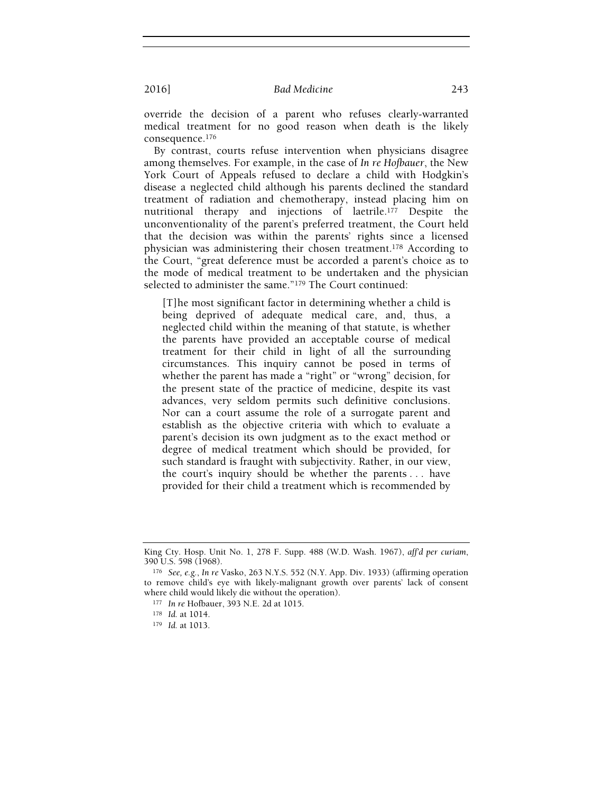override the decision of a parent who refuses clearly-warranted medical treatment for no good reason when death is the likely consequence.<sup>176</sup>

By contrast, courts refuse intervention when physicians disagree among themselves. For example, in the case of In re Hofbauer, the New York Court of Appeals refused to declare a child with Hodgkin's disease a neglected child although his parents declined the standard treatment of radiation and chemotherapy, instead placing him on nutritional therapy and injections of laetrile.177 Despite the unconventionality of the parent's preferred treatment, the Court held that the decision was within the parents' rights since a licensed physician was administering their chosen treatment.178 According to the Court, "great deference must be accorded a parent's choice as to the mode of medical treatment to be undertaken and the physician selected to administer the same."179 The Court continued:

[T]he most significant factor in determining whether a child is being deprived of adequate medical care, and, thus, a neglected child within the meaning of that statute, is whether the parents have provided an acceptable course of medical treatment for their child in light of all the surrounding circumstances. This inquiry cannot be posed in terms of whether the parent has made a "right" or "wrong" decision, for the present state of the practice of medicine, despite its vast advances, very seldom permits such definitive conclusions. Nor can a court assume the role of a surrogate parent and establish as the objective criteria with which to evaluate a parent's decision its own judgment as to the exact method or degree of medical treatment which should be provided, for such standard is fraught with subjectivity. Rather, in our view, the court's inquiry should be whether the parents . . . have provided for their child a treatment which is recommended by

King Cty. Hosp. Unit No. 1, 278 F. Supp. 488 (W.D. Wash. 1967), affd per curiam, 390 U.S. 598 (1968).

<sup>176</sup> See, e.g., In re Vasko, 263 N.Y.S. 552 (N.Y. App. Div. 1933) (affirming operation to remove child's eye with likely-malignant growth over parents' lack of consent where child would likely die without the operation).

<sup>177</sup> In re Hofbauer, 393 N.E. 2d at 1015.

<sup>178</sup> Id. at 1014.

<sup>179</sup> Id. at 1013.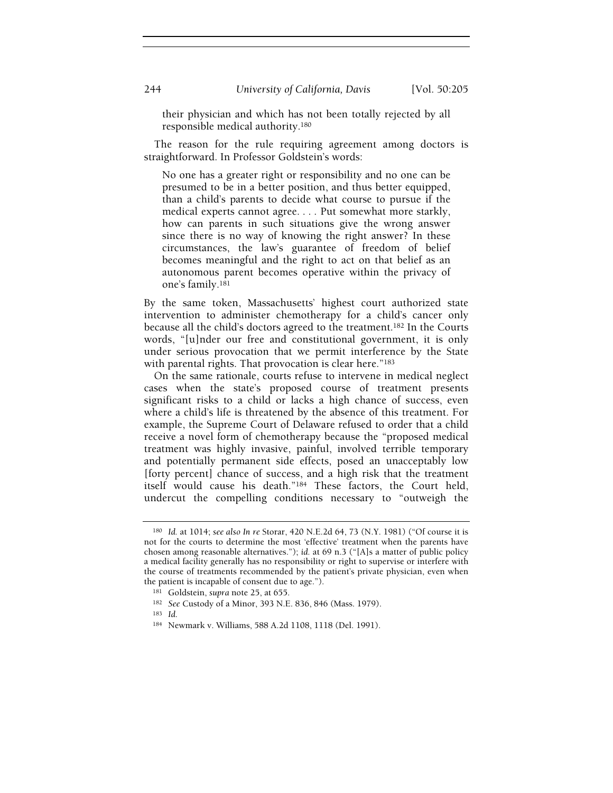their physician and which has not been totally rejected by all responsible medical authority.<sup>180</sup>

The reason for the rule requiring agreement among doctors is straightforward. In Professor Goldstein's words:

No one has a greater right or responsibility and no one can be presumed to be in a better position, and thus better equipped, than a child's parents to decide what course to pursue if the medical experts cannot agree. . . . Put somewhat more starkly, how can parents in such situations give the wrong answer since there is no way of knowing the right answer? In these circumstances, the law's guarantee of freedom of belief becomes meaningful and the right to act on that belief as an autonomous parent becomes operative within the privacy of one's family.<sup>181</sup>

By the same token, Massachusetts' highest court authorized state intervention to administer chemotherapy for a child's cancer only because all the child's doctors agreed to the treatment.182 In the Courts words, "[u]nder our free and constitutional government, it is only under serious provocation that we permit interference by the State with parental rights. That provocation is clear here."<sup>183</sup>

On the same rationale, courts refuse to intervene in medical neglect cases when the state's proposed course of treatment presents significant risks to a child or lacks a high chance of success, even where a child's life is threatened by the absence of this treatment. For example, the Supreme Court of Delaware refused to order that a child receive a novel form of chemotherapy because the "proposed medical treatment was highly invasive, painful, involved terrible temporary and potentially permanent side effects, posed an unacceptably low [forty percent] chance of success, and a high risk that the treatment itself would cause his death."184 These factors, the Court held, undercut the compelling conditions necessary to "outweigh the

<sup>180</sup> Id. at 1014; see also In re Storar, 420 N.E.2d 64, 73 (N.Y. 1981) ("Of course it is not for the courts to determine the most 'effective' treatment when the parents have chosen among reasonable alternatives."); id. at 69 n.3 ("[A]s a matter of public policy a medical facility generally has no responsibility or right to supervise or interfere with the course of treatments recommended by the patient's private physician, even when the patient is incapable of consent due to age.").

<sup>181</sup> Goldstein, supra note 25, at 655.

<sup>182</sup> See Custody of a Minor, 393 N.E. 836, 846 (Mass. 1979).

<sup>183</sup> Id.

<sup>184</sup> Newmark v. Williams, 588 A.2d 1108, 1118 (Del. 1991).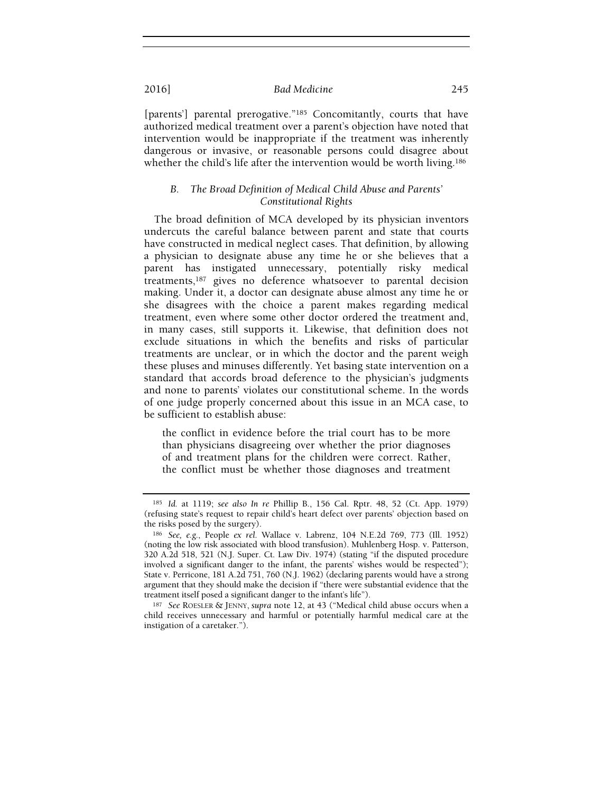[parents'] parental prerogative."<sup>185</sup> Concomitantly, courts that have authorized medical treatment over a parent's objection have noted that intervention would be inappropriate if the treatment was inherently dangerous or invasive, or reasonable persons could disagree about whether the child's life after the intervention would be worth living.<sup>186</sup>

# B. The Broad Definition of Medical Child Abuse and Parents' Constitutional Rights

The broad definition of MCA developed by its physician inventors undercuts the careful balance between parent and state that courts have constructed in medical neglect cases. That definition, by allowing a physician to designate abuse any time he or she believes that a parent has instigated unnecessary, potentially risky medical treatments,187 gives no deference whatsoever to parental decision making. Under it, a doctor can designate abuse almost any time he or she disagrees with the choice a parent makes regarding medical treatment, even where some other doctor ordered the treatment and, in many cases, still supports it. Likewise, that definition does not exclude situations in which the benefits and risks of particular treatments are unclear, or in which the doctor and the parent weigh these pluses and minuses differently. Yet basing state intervention on a standard that accords broad deference to the physician's judgments and none to parents' violates our constitutional scheme. In the words of one judge properly concerned about this issue in an MCA case, to be sufficient to establish abuse:

the conflict in evidence before the trial court has to be more than physicians disagreeing over whether the prior diagnoses of and treatment plans for the children were correct. Rather, the conflict must be whether those diagnoses and treatment

<sup>185</sup> Id. at 1119; see also In re Phillip B., 156 Cal. Rptr. 48, 52 (Ct. App. 1979) (refusing state's request to repair child's heart defect over parents' objection based on the risks posed by the surgery).

<sup>186</sup> See, e.g., People ex rel. Wallace v. Labrenz, 104 N.E.2d 769, 773 (Ill. 1952) (noting the low risk associated with blood transfusion). Muhlenberg Hosp. v. Patterson, 320 A.2d 518, 521 (N.J. Super. Ct. Law Div. 1974) (stating "if the disputed procedure involved a significant danger to the infant, the parents' wishes would be respected"); State v. Perricone, 181 A.2d 751, 760 (N.J. 1962) (declaring parents would have a strong argument that they should make the decision if "there were substantial evidence that the treatment itself posed a significant danger to the infant's life").

<sup>187</sup> See ROESLER & JENNY, supra note 12, at 43 ("Medical child abuse occurs when a child receives unnecessary and harmful or potentially harmful medical care at the instigation of a caretaker.").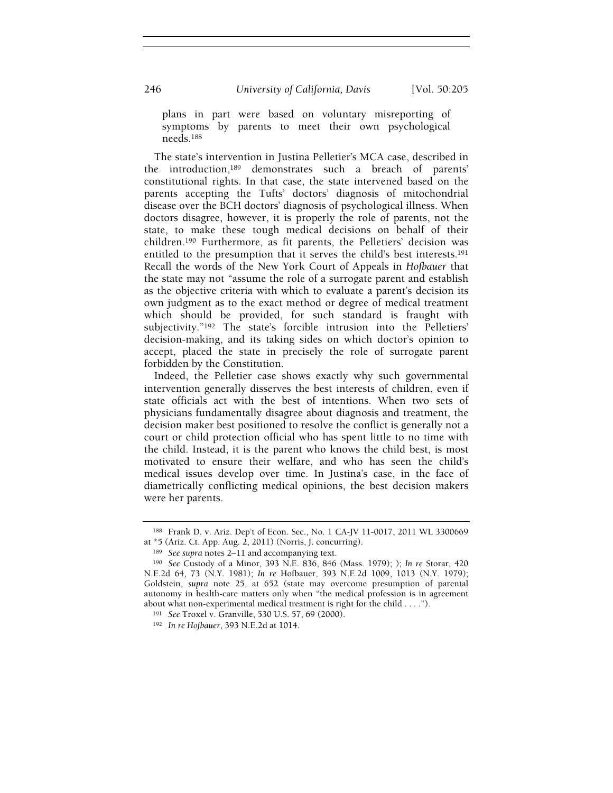plans in part were based on voluntary misreporting of symptoms by parents to meet their own psychological needs.<sup>188</sup>

The state's intervention in Justina Pelletier's MCA case, described in the introduction,189 demonstrates such a breach of parents' constitutional rights. In that case, the state intervened based on the parents accepting the Tufts' doctors' diagnosis of mitochondrial disease over the BCH doctors' diagnosis of psychological illness. When doctors disagree, however, it is properly the role of parents, not the state, to make these tough medical decisions on behalf of their children.190 Furthermore, as fit parents, the Pelletiers' decision was entitled to the presumption that it serves the child's best interests.<sup>191</sup> Recall the words of the New York Court of Appeals in Hofbauer that the state may not "assume the role of a surrogate parent and establish as the objective criteria with which to evaluate a parent's decision its own judgment as to the exact method or degree of medical treatment which should be provided, for such standard is fraught with subjectivity."192 The state's forcible intrusion into the Pelletiers' decision-making, and its taking sides on which doctor's opinion to accept, placed the state in precisely the role of surrogate parent forbidden by the Constitution.

Indeed, the Pelletier case shows exactly why such governmental intervention generally disserves the best interests of children, even if state officials act with the best of intentions. When two sets of physicians fundamentally disagree about diagnosis and treatment, the decision maker best positioned to resolve the conflict is generally not a court or child protection official who has spent little to no time with the child. Instead, it is the parent who knows the child best, is most motivated to ensure their welfare, and who has seen the child's medical issues develop over time. In Justina's case, in the face of diametrically conflicting medical opinions, the best decision makers were her parents.

<sup>188</sup> Frank D. v. Ariz. Dep't of Econ. Sec., No. 1 CA-JV 11-0017, 2011 WL 3300669

at \*5 (Ariz. Ct. App. Aug. 2, 2011) (Norris, J. concurring).

<sup>189</sup> See supra notes 2–11 and accompanying text.

<sup>190</sup> See Custody of a Minor, 393 N.E. 836, 846 (Mass. 1979); ); In re Storar, 420 N.E.2d 64, 73 (N.Y. 1981); In re Hofbauer, 393 N.E.2d 1009, 1013 (N.Y. 1979); Goldstein, supra note 25, at 652 (state may overcome presumption of parental autonomy in health-care matters only when "the medical profession is in agreement about what non-experimental medical treatment is right for the child . . . .").

<sup>191</sup> See Troxel v. Granville, 530 U.S. 57, 69 (2000).

<sup>192</sup> In re Hofbauer, 393 N.E.2d at 1014.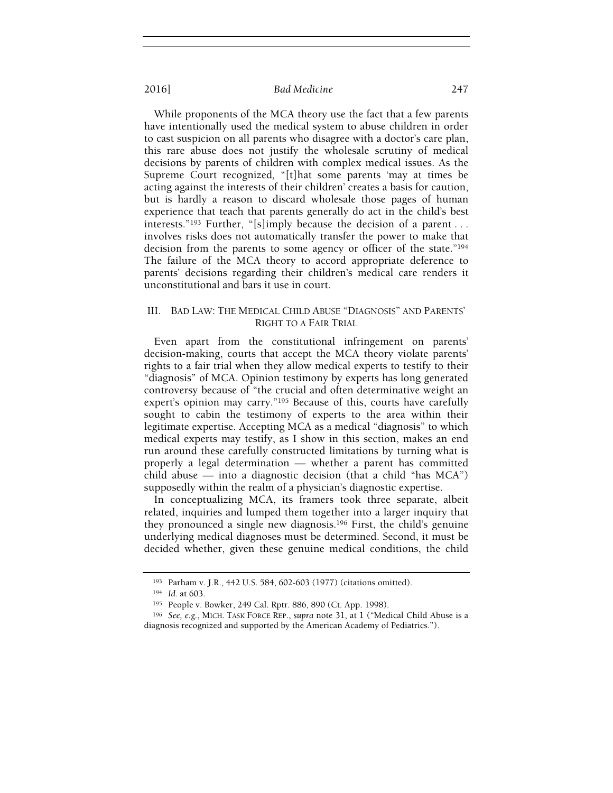While proponents of the MCA theory use the fact that a few parents have intentionally used the medical system to abuse children in order to cast suspicion on all parents who disagree with a doctor's care plan, this rare abuse does not justify the wholesale scrutiny of medical decisions by parents of children with complex medical issues. As the Supreme Court recognized, "[t]hat some parents 'may at times be acting against the interests of their children' creates a basis for caution, but is hardly a reason to discard wholesale those pages of human experience that teach that parents generally do act in the child's best interests."193 Further, "[s]imply because the decision of a parent . . . involves risks does not automatically transfer the power to make that decision from the parents to some agency or officer of the state."<sup>194</sup> The failure of the MCA theory to accord appropriate deference to parents' decisions regarding their children's medical care renders it unconstitutional and bars it use in court.

# III. BAD LAW: THE MEDICAL CHILD ABUSE "DIAGNOSIS" AND PARENTS' RIGHT TO A FAIR TRIAL

Even apart from the constitutional infringement on parents' decision-making, courts that accept the MCA theory violate parents' rights to a fair trial when they allow medical experts to testify to their "diagnosis" of MCA. Opinion testimony by experts has long generated controversy because of "the crucial and often determinative weight an expert's opinion may carry."195 Because of this, courts have carefully sought to cabin the testimony of experts to the area within their legitimate expertise. Accepting MCA as a medical "diagnosis" to which medical experts may testify, as I show in this section, makes an end run around these carefully constructed limitations by turning what is properly a legal determination — whether a parent has committed child abuse — into a diagnostic decision (that a child "has MCA") supposedly within the realm of a physician's diagnostic expertise.

In conceptualizing MCA, its framers took three separate, albeit related, inquiries and lumped them together into a larger inquiry that they pronounced a single new diagnosis.196 First, the child's genuine underlying medical diagnoses must be determined. Second, it must be decided whether, given these genuine medical conditions, the child

<sup>193</sup> Parham v. J.R., 442 U.S. 584, 602-603 (1977) (citations omitted).

<sup>194</sup> Id. at 603.

<sup>195</sup> People v. Bowker, 249 Cal. Rptr. 886, 890 (Ct. App. 1998).

<sup>196</sup> See, e.g., MICH. TASK FORCE REP., supra note 31, at 1 ("Medical Child Abuse is a diagnosis recognized and supported by the American Academy of Pediatrics.").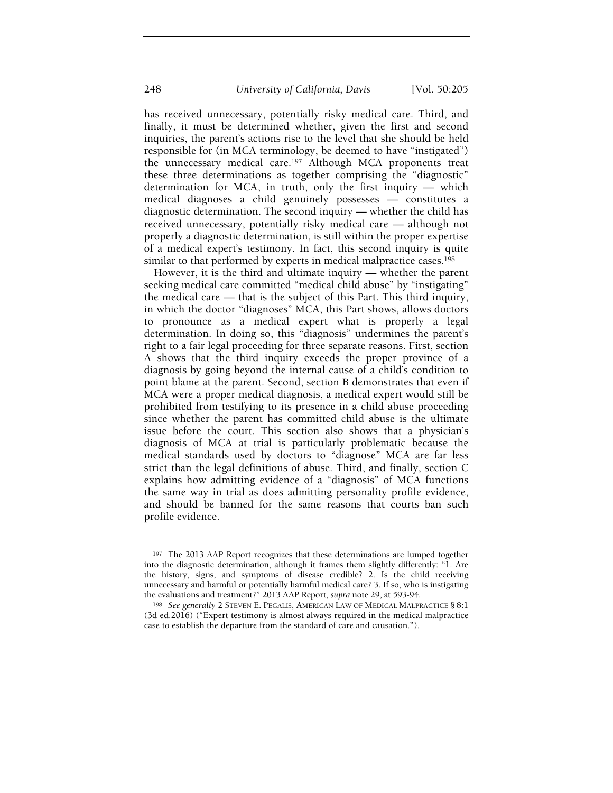has received unnecessary, potentially risky medical care. Third, and finally, it must be determined whether, given the first and second inquiries, the parent's actions rise to the level that she should be held responsible for (in MCA terminology, be deemed to have "instigated") the unnecessary medical care.197 Although MCA proponents treat these three determinations as together comprising the "diagnostic" determination for MCA, in truth, only the first inquiry — which medical diagnoses a child genuinely possesses — constitutes a diagnostic determination. The second inquiry — whether the child has received unnecessary, potentially risky medical care — although not properly a diagnostic determination, is still within the proper expertise of a medical expert's testimony. In fact, this second inquiry is quite similar to that performed by experts in medical malpractice cases.<sup>198</sup>

However, it is the third and ultimate inquiry — whether the parent seeking medical care committed "medical child abuse" by "instigating" the medical care — that is the subject of this Part. This third inquiry, in which the doctor "diagnoses" MCA, this Part shows, allows doctors to pronounce as a medical expert what is properly a legal determination. In doing so, this "diagnosis" undermines the parent's right to a fair legal proceeding for three separate reasons. First, section A shows that the third inquiry exceeds the proper province of a diagnosis by going beyond the internal cause of a child's condition to point blame at the parent. Second, section B demonstrates that even if MCA were a proper medical diagnosis, a medical expert would still be prohibited from testifying to its presence in a child abuse proceeding since whether the parent has committed child abuse is the ultimate issue before the court. This section also shows that a physician's diagnosis of MCA at trial is particularly problematic because the medical standards used by doctors to "diagnose" MCA are far less strict than the legal definitions of abuse. Third, and finally, section C explains how admitting evidence of a "diagnosis" of MCA functions the same way in trial as does admitting personality profile evidence, and should be banned for the same reasons that courts ban such profile evidence.

<sup>&</sup>lt;sup>197</sup> The 2013 AAP Report recognizes that these determinations are lumped together into the diagnostic determination, although it frames them slightly differently: "1. Are the history, signs, and symptoms of disease credible? 2. Is the child receiving unnecessary and harmful or potentially harmful medical care? 3. If so, who is instigating the evaluations and treatment?" 2013 AAP Report, supra note 29, at 593-94.

<sup>198</sup> See generally 2 STEVEN E. PEGALIS, AMERICAN LAW OF MEDICAL MALPRACTICE § 8:1 (3d ed.2016) ("Expert testimony is almost always required in the medical malpractice case to establish the departure from the standard of care and causation.").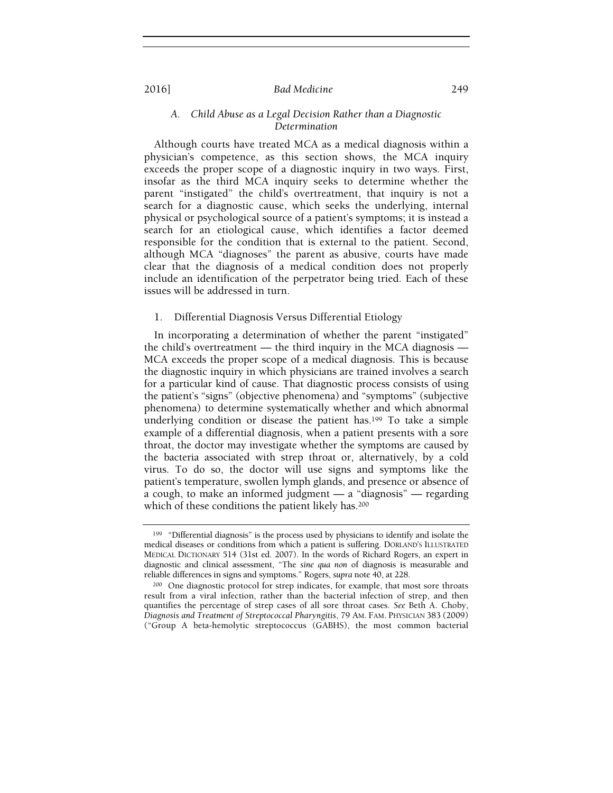# A. Child Abuse as a Legal Decision Rather than a Diagnostic Determination

Although courts have treated MCA as a medical diagnosis within a physician's competence, as this section shows, the MCA inquiry exceeds the proper scope of a diagnostic inquiry in two ways. First, insofar as the third MCA inquiry seeks to determine whether the parent "instigated" the child's overtreatment, that inquiry is not a search for a diagnostic cause, which seeks the underlying, internal physical or psychological source of a patient's symptoms; it is instead a search for an etiological cause, which identifies a factor deemed responsible for the condition that is external to the patient. Second, although MCA "diagnoses" the parent as abusive, courts have made clear that the diagnosis of a medical condition does not properly include an identification of the perpetrator being tried. Each of these issues will be addressed in turn.

### 1. Differential Diagnosis Versus Differential Etiology

In incorporating a determination of whether the parent "instigated" the child's overtreatment — the third inquiry in the MCA diagnosis — MCA exceeds the proper scope of a medical diagnosis. This is because the diagnostic inquiry in which physicians are trained involves a search for a particular kind of cause. That diagnostic process consists of using the patient's "signs" (objective phenomena) and "symptoms" (subjective phenomena) to determine systematically whether and which abnormal underlying condition or disease the patient has.199 To take a simple example of a differential diagnosis, when a patient presents with a sore throat, the doctor may investigate whether the symptoms are caused by the bacteria associated with strep throat or, alternatively, by a cold virus. To do so, the doctor will use signs and symptoms like the patient's temperature, swollen lymph glands, and presence or absence of a cough, to make an informed judgment — a "diagnosis" — regarding which of these conditions the patient likely has.<sup>200</sup>

<sup>199</sup> "Differential diagnosis" is the process used by physicians to identify and isolate the medical diseases or conditions from which a patient is suffering. DORLAND'S ILLUSTRATED MEDICAL DICTIONARY 514 (31st ed. 2007). In the words of Richard Rogers, an expert in diagnostic and clinical assessment, "The sine qua non of diagnosis is measurable and reliable differences in signs and symptoms." Rogers, supra note 40, at 228.

<sup>200</sup> One diagnostic protocol for strep indicates, for example, that most sore throats result from a viral infection, rather than the bacterial infection of strep, and then quantifies the percentage of strep cases of all sore throat cases. See Beth A. Choby, Diagnosis and Treatment of Streptococcal Pharyngitis, 79 AM. FAM. PHYSICIAN 383 (2009) ("Group A beta-hemolytic streptococcus (GABHS), the most common bacterial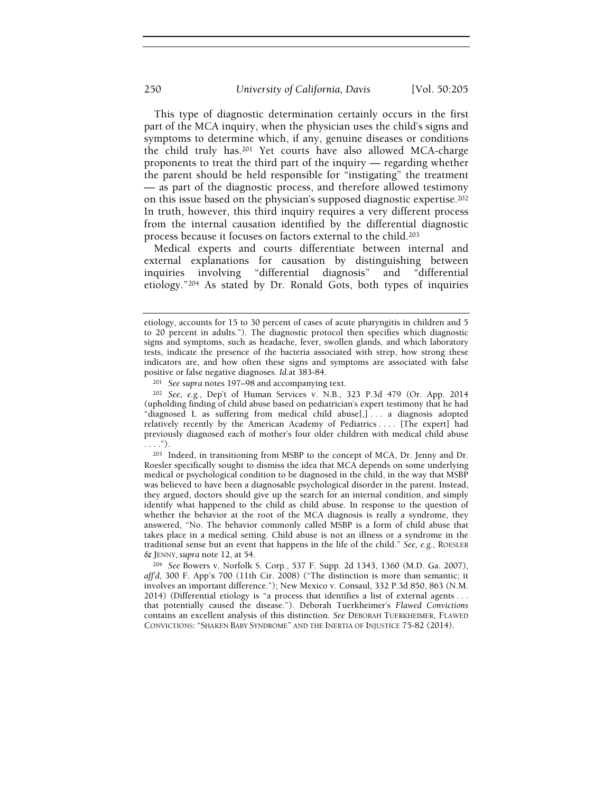This type of diagnostic determination certainly occurs in the first part of the MCA inquiry, when the physician uses the child's signs and symptoms to determine which, if any, genuine diseases or conditions the child truly has.201 Yet courts have also allowed MCA-charge proponents to treat the third part of the inquiry — regarding whether the parent should be held responsible for "instigating" the treatment — as part of the diagnostic process, and therefore allowed testimony on this issue based on the physician's supposed diagnostic expertise.<sup>202</sup> In truth, however, this third inquiry requires a very different process from the internal causation identified by the differential diagnostic process because it focuses on factors external to the child.<sup>203</sup>

Medical experts and courts differentiate between internal and external explanations for causation by distinguishing between inquiries involving "differential diagnosis" and "differential etiology."204 As stated by Dr. Ronald Gots, both types of inquiries

<sup>203</sup> Indeed, in transitioning from MSBP to the concept of MCA, Dr. Jenny and Dr. Roesler specifically sought to dismiss the idea that MCA depends on some underlying medical or psychological condition to be diagnosed in the child, in the way that MSBP was believed to have been a diagnosable psychological disorder in the parent. Instead, they argued, doctors should give up the search for an internal condition, and simply identify what happened to the child as child abuse. In response to the question of whether the behavior at the root of the MCA diagnosis is really a syndrome, they answered, "No. The behavior commonly called MSBP is a form of child abuse that takes place in a medical setting. Child abuse is not an illness or a syndrome in the traditional sense but an event that happens in the life of the child." See, e.g., ROESLER & JENNY, supra note 12, at 54.

<sup>204</sup> See Bowers v. Norfolk S. Corp., 537 F. Supp. 2d 1343, 1360 (M.D. Ga. 2007), affd, 300 F. App'x 700 (11th Cir. 2008) ("The distinction is more than semantic; it involves an important difference."); New Mexico v. Consaul, 332 P.3d 850, 863 (N.M. 2014) (Differential etiology is "a process that identifies a list of external agents . . . that potentially caused the disease."). Deborah Tuerkheimer's Flawed Convictions contains an excellent analysis of this distinction. See DEBORAH TUERKHEIMER, FLAWED CONVICTIONS: "SHAKEN BABY SYNDROME" AND THE INERTIA OF INJUSTICE 75-82 (2014).

etiology, accounts for 15 to 30 percent of cases of acute pharyngitis in children and 5 to 20 percent in adults."). The diagnostic protocol then specifies which diagnostic signs and symptoms, such as headache, fever, swollen glands, and which laboratory tests, indicate the presence of the bacteria associated with strep, how strong these indicators are, and how often these signs and symptoms are associated with false positive or false negative diagnoses. Id.at 383-84.

<sup>201</sup> See supra notes 197–98 and accompanying text.

<sup>202</sup> See, e.g., Dep't of Human Services v. N.B., 323 P.3d 479 (Or. App. 2014 (upholding finding of child abuse based on pediatrician's expert testimony that he had "diagnosed L as suffering from medical child abuse[,] . . . a diagnosis adopted relatively recently by the American Academy of Pediatrics . . . . [The expert] had previously diagnosed each of mother's four older children with medical child abuse . . . .").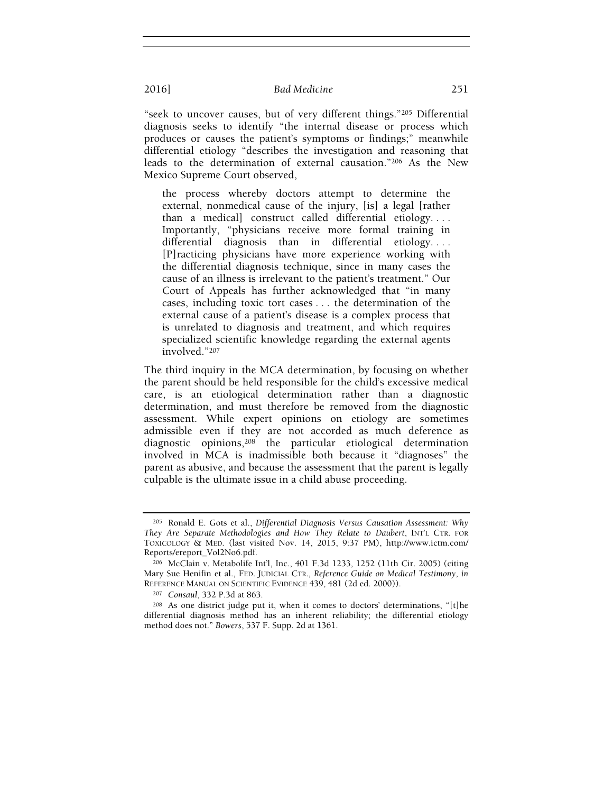"seek to uncover causes, but of very different things."205 Differential diagnosis seeks to identify "the internal disease or process which produces or causes the patient's symptoms or findings;" meanwhile differential etiology "describes the investigation and reasoning that leads to the determination of external causation."206 As the New Mexico Supreme Court observed,

the process whereby doctors attempt to determine the external, nonmedical cause of the injury, [is] a legal [rather than a medical] construct called differential etiology. . . . Importantly, "physicians receive more formal training in differential diagnosis than in differential etiology.... [P]racticing physicians have more experience working with the differential diagnosis technique, since in many cases the cause of an illness is irrelevant to the patient's treatment." Our Court of Appeals has further acknowledged that "in many cases, including toxic tort cases . . . the determination of the external cause of a patient's disease is a complex process that is unrelated to diagnosis and treatment, and which requires specialized scientific knowledge regarding the external agents involved."<sup>207</sup>

The third inquiry in the MCA determination, by focusing on whether the parent should be held responsible for the child's excessive medical care, is an etiological determination rather than a diagnostic determination, and must therefore be removed from the diagnostic assessment. While expert opinions on etiology are sometimes admissible even if they are not accorded as much deference as diagnostic opinions,208 the particular etiological determination involved in MCA is inadmissible both because it "diagnoses" the parent as abusive, and because the assessment that the parent is legally culpable is the ultimate issue in a child abuse proceeding.

<sup>205</sup> Ronald E. Gots et al., Differential Diagnosis Versus Causation Assessment: Why They Are Separate Methodologies and How They Relate to Daubert, INT'L CTR. FOR TOXICOLOGY & MED. (last visited Nov. 14, 2015, 9:37 PM), http://www.ictm.com/ Reports/ereport\_Vol2No6.pdf.

<sup>206</sup> McClain v. Metabolife Int'l, Inc., 401 F.3d 1233, 1252 (11th Cir. 2005) (citing Mary Sue Henifin et al., FED. JUDICIAL CTR., Reference Guide on Medical Testimony, in REFERENCE MANUAL ON SCIENTIFIC EVIDENCE 439, 481 (2d ed. 2000)).

<sup>207</sup> Consaul, 332 P.3d at 863.

<sup>208</sup> As one district judge put it, when it comes to doctors' determinations, "[t]he differential diagnosis method has an inherent reliability; the differential etiology method does not." Bowers, 537 F. Supp. 2d at 1361.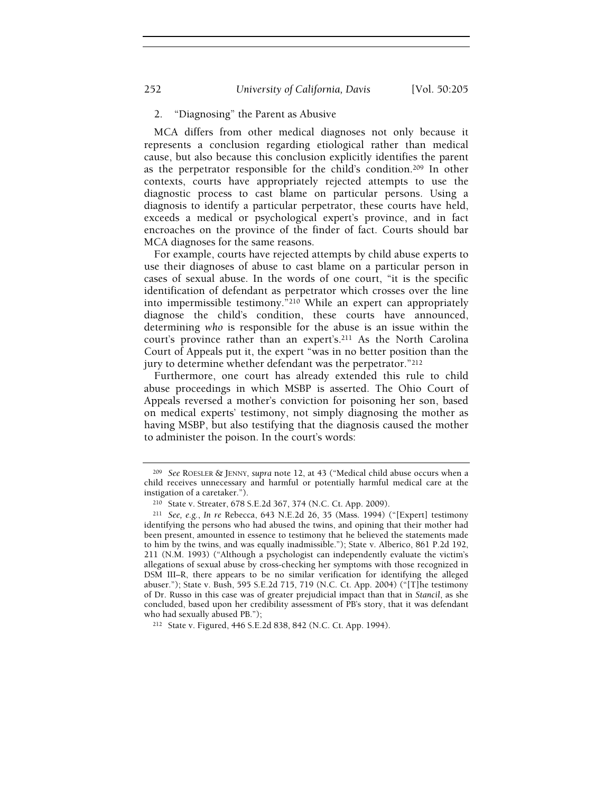2. "Diagnosing" the Parent as Abusive

MCA differs from other medical diagnoses not only because it represents a conclusion regarding etiological rather than medical cause, but also because this conclusion explicitly identifies the parent as the perpetrator responsible for the child's condition.209 In other contexts, courts have appropriately rejected attempts to use the diagnostic process to cast blame on particular persons. Using a diagnosis to identify a particular perpetrator, these courts have held, exceeds a medical or psychological expert's province, and in fact encroaches on the province of the finder of fact. Courts should bar MCA diagnoses for the same reasons.

For example, courts have rejected attempts by child abuse experts to use their diagnoses of abuse to cast blame on a particular person in cases of sexual abuse. In the words of one court, "it is the specific identification of defendant as perpetrator which crosses over the line into impermissible testimony."210 While an expert can appropriately diagnose the child's condition, these courts have announced, determining who is responsible for the abuse is an issue within the court's province rather than an expert's.211 As the North Carolina Court of Appeals put it, the expert "was in no better position than the jury to determine whether defendant was the perpetrator."<sup>212</sup>

Furthermore, one court has already extended this rule to child abuse proceedings in which MSBP is asserted. The Ohio Court of Appeals reversed a mother's conviction for poisoning her son, based on medical experts' testimony, not simply diagnosing the mother as having MSBP, but also testifying that the diagnosis caused the mother to administer the poison. In the court's words:

<sup>209</sup> See ROESLER & JENNY, supra note 12, at 43 ("Medical child abuse occurs when a child receives unnecessary and harmful or potentially harmful medical care at the instigation of a caretaker.").

<sup>210</sup> State v. Streater, 678 S.E.2d 367, 374 (N.C. Ct. App. 2009).

<sup>211</sup> See, e.g., In re Rebecca, 643 N.E.2d 26, 35 (Mass. 1994) ("[Expert] testimony identifying the persons who had abused the twins, and opining that their mother had been present, amounted in essence to testimony that he believed the statements made to him by the twins, and was equally inadmissible."); State v. Alberico, 861 P.2d 192, 211 (N.M. 1993) ("Although a psychologist can independently evaluate the victim's allegations of sexual abuse by cross-checking her symptoms with those recognized in DSM III–R, there appears to be no similar verification for identifying the alleged abuser."); State v. Bush, 595 S.E.2d 715, 719 (N.C. Ct. App. 2004) ("[T]he testimony of Dr. Russo in this case was of greater prejudicial impact than that in Stancil, as she concluded, based upon her credibility assessment of PB's story, that it was defendant who had sexually abused PB.");

<sup>212</sup> State v. Figured, 446 S.E.2d 838, 842 (N.C. Ct. App. 1994).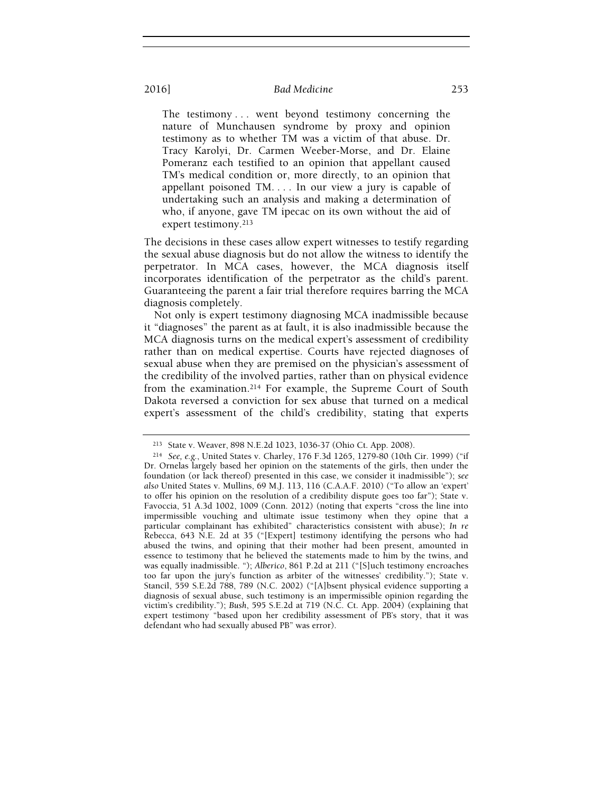The testimony . . . went beyond testimony concerning the nature of Munchausen syndrome by proxy and opinion testimony as to whether TM was a victim of that abuse. Dr. Tracy Karolyi, Dr. Carmen Weeber-Morse, and Dr. Elaine Pomeranz each testified to an opinion that appellant caused TM's medical condition or, more directly, to an opinion that appellant poisoned TM. . . . In our view a jury is capable of undertaking such an analysis and making a determination of who, if anyone, gave TM ipecac on its own without the aid of expert testimony.<sup>213</sup>

The decisions in these cases allow expert witnesses to testify regarding the sexual abuse diagnosis but do not allow the witness to identify the perpetrator. In MCA cases, however, the MCA diagnosis itself incorporates identification of the perpetrator as the child's parent. Guaranteeing the parent a fair trial therefore requires barring the MCA diagnosis completely.

Not only is expert testimony diagnosing MCA inadmissible because it "diagnoses" the parent as at fault, it is also inadmissible because the MCA diagnosis turns on the medical expert's assessment of credibility rather than on medical expertise. Courts have rejected diagnoses of sexual abuse when they are premised on the physician's assessment of the credibility of the involved parties, rather than on physical evidence from the examination.214 For example, the Supreme Court of South Dakota reversed a conviction for sex abuse that turned on a medical expert's assessment of the child's credibility, stating that experts

<sup>213</sup> State v. Weaver, 898 N.E.2d 1023, 1036-37 (Ohio Ct. App. 2008).

<sup>214</sup> See, e.g., United States v. Charley, 176 F.3d 1265, 1279-80 (10th Cir. 1999) ("if Dr. Ornelas largely based her opinion on the statements of the girls, then under the foundation (or lack thereof) presented in this case, we consider it inadmissible"); see also United States v. Mullins, 69 M.J. 113, 116 (C.A.A.F. 2010) ("To allow an 'expert' to offer his opinion on the resolution of a credibility dispute goes too far"); State v. Favoccia, 51 A.3d 1002, 1009 (Conn. 2012) (noting that experts "cross the line into impermissible vouching and ultimate issue testimony when they opine that a particular complainant has exhibited" characteristics consistent with abuse); In re Rebecca, 643 N.E. 2d at 35 ("[Expert] testimony identifying the persons who had abused the twins, and opining that their mother had been present, amounted in essence to testimony that he believed the statements made to him by the twins, and was equally inadmissible. "); Alberico, 861 P.2d at 211 ("[S]uch testimony encroaches too far upon the jury's function as arbiter of the witnesses' credibility."); State v. Stancil, 559 S.E.2d 788, 789 (N.C. 2002) ("[A]bsent physical evidence supporting a diagnosis of sexual abuse, such testimony is an impermissible opinion regarding the victim's credibility."); Bush, 595 S.E.2d at 719 (N.C. Ct. App. 2004) (explaining that expert testimony "based upon her credibility assessment of PB's story, that it was defendant who had sexually abused PB" was error).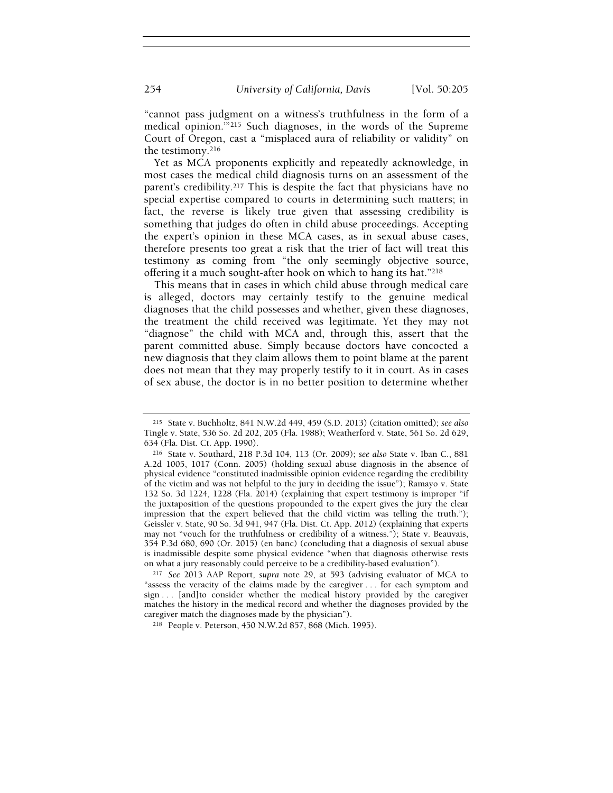"cannot pass judgment on a witness's truthfulness in the form of a medical opinion.'"215 Such diagnoses, in the words of the Supreme Court of Oregon, cast a "misplaced aura of reliability or validity" on the testimony.<sup>216</sup>

Yet as MCA proponents explicitly and repeatedly acknowledge, in most cases the medical child diagnosis turns on an assessment of the parent's credibility.217 This is despite the fact that physicians have no special expertise compared to courts in determining such matters; in fact, the reverse is likely true given that assessing credibility is something that judges do often in child abuse proceedings. Accepting the expert's opinion in these MCA cases, as in sexual abuse cases, therefore presents too great a risk that the trier of fact will treat this testimony as coming from "the only seemingly objective source, offering it a much sought-after hook on which to hang its hat."<sup>218</sup>

This means that in cases in which child abuse through medical care is alleged, doctors may certainly testify to the genuine medical diagnoses that the child possesses and whether, given these diagnoses, the treatment the child received was legitimate. Yet they may not "diagnose" the child with MCA and, through this, assert that the parent committed abuse. Simply because doctors have concocted a new diagnosis that they claim allows them to point blame at the parent does not mean that they may properly testify to it in court. As in cases of sex abuse, the doctor is in no better position to determine whether

<sup>215</sup> State v. Buchholtz, 841 N.W.2d 449, 459 (S.D. 2013) (citation omitted); see also Tingle v. State, 536 So. 2d 202, 205 (Fla. 1988); Weatherford v. State, 561 So. 2d 629, 634 (Fla. Dist. Ct. App. 1990).

<sup>216</sup> State v. Southard, 218 P.3d 104, 113 (Or. 2009); see also State v. Iban C., 881 A.2d 1005, 1017 (Conn. 2005) (holding sexual abuse diagnosis in the absence of physical evidence "constituted inadmissible opinion evidence regarding the credibility of the victim and was not helpful to the jury in deciding the issue"); Ramayo v. State 132 So. 3d 1224, 1228 (Fla. 2014) (explaining that expert testimony is improper "if the juxtaposition of the questions propounded to the expert gives the jury the clear impression that the expert believed that the child victim was telling the truth."); Geissler v. State, 90 So. 3d 941, 947 (Fla. Dist. Ct. App. 2012) (explaining that experts may not "vouch for the truthfulness or credibility of a witness."); State v. Beauvais, 354 P.3d 680, 690 (Or. 2015) (en banc) (concluding that a diagnosis of sexual abuse is inadmissible despite some physical evidence "when that diagnosis otherwise rests on what a jury reasonably could perceive to be a credibility-based evaluation").

<sup>217</sup> See 2013 AAP Report, supra note 29, at 593 (advising evaluator of MCA to "assess the veracity of the claims made by the caregiver . . . for each symptom and sign . . . [and]to consider whether the medical history provided by the caregiver matches the history in the medical record and whether the diagnoses provided by the caregiver match the diagnoses made by the physician").

<sup>218</sup> People v. Peterson, 450 N.W.2d 857, 868 (Mich. 1995).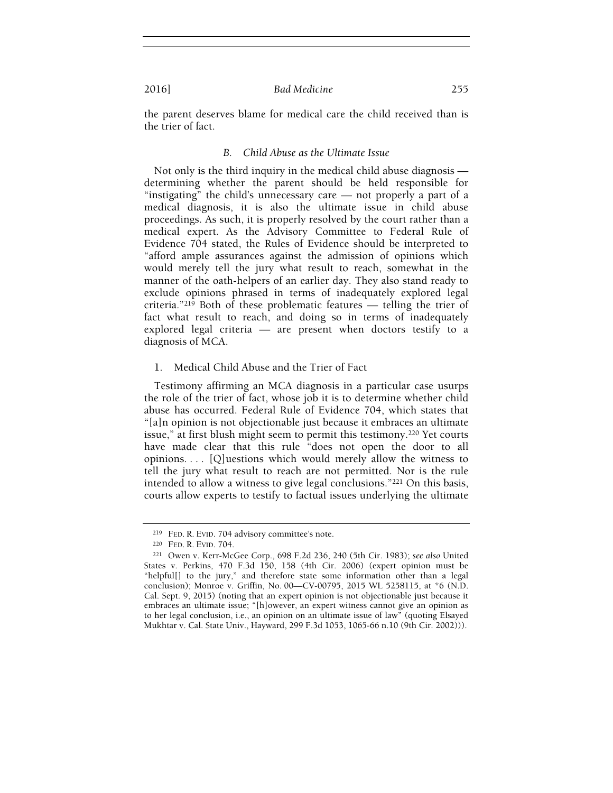the parent deserves blame for medical care the child received than is the trier of fact.

#### B. Child Abuse as the Ultimate Issue

Not only is the third inquiry in the medical child abuse diagnosis determining whether the parent should be held responsible for "instigating" the child's unnecessary care — not properly a part of a medical diagnosis, it is also the ultimate issue in child abuse proceedings. As such, it is properly resolved by the court rather than a medical expert. As the Advisory Committee to Federal Rule of Evidence 704 stated, the Rules of Evidence should be interpreted to "afford ample assurances against the admission of opinions which would merely tell the jury what result to reach, somewhat in the manner of the oath-helpers of an earlier day. They also stand ready to exclude opinions phrased in terms of inadequately explored legal criteria."219 Both of these problematic features — telling the trier of fact what result to reach, and doing so in terms of inadequately explored legal criteria — are present when doctors testify to a diagnosis of MCA.

## 1. Medical Child Abuse and the Trier of Fact

Testimony affirming an MCA diagnosis in a particular case usurps the role of the trier of fact, whose job it is to determine whether child abuse has occurred. Federal Rule of Evidence 704, which states that "[a]n opinion is not objectionable just because it embraces an ultimate issue," at first blush might seem to permit this testimony.220 Yet courts have made clear that this rule "does not open the door to all opinions. . . . [Q]uestions which would merely allow the witness to tell the jury what result to reach are not permitted. Nor is the rule intended to allow a witness to give legal conclusions."221 On this basis, courts allow experts to testify to factual issues underlying the ultimate

<sup>219</sup> FED. R. EVID. 704 advisory committee's note.

<sup>220</sup> FED. R. EVID. 704.

<sup>221</sup> Owen v. Kerr-McGee Corp., 698 F.2d 236, 240 (5th Cir. 1983); see also United States v. Perkins, 470 F.3d 150, 158 (4th Cir. 2006) (expert opinion must be "helpful[] to the jury," and therefore state some information other than a legal conclusion); Monroe v. Griffin, No. 00—CV-00795, 2015 WL 5258115, at \*6 (N.D. Cal. Sept. 9, 2015) (noting that an expert opinion is not objectionable just because it embraces an ultimate issue; "[h]owever, an expert witness cannot give an opinion as to her legal conclusion, i.e., an opinion on an ultimate issue of law" (quoting Elsayed Mukhtar v. Cal. State Univ., Hayward, 299 F.3d 1053, 1065-66 n.10 (9th Cir. 2002))).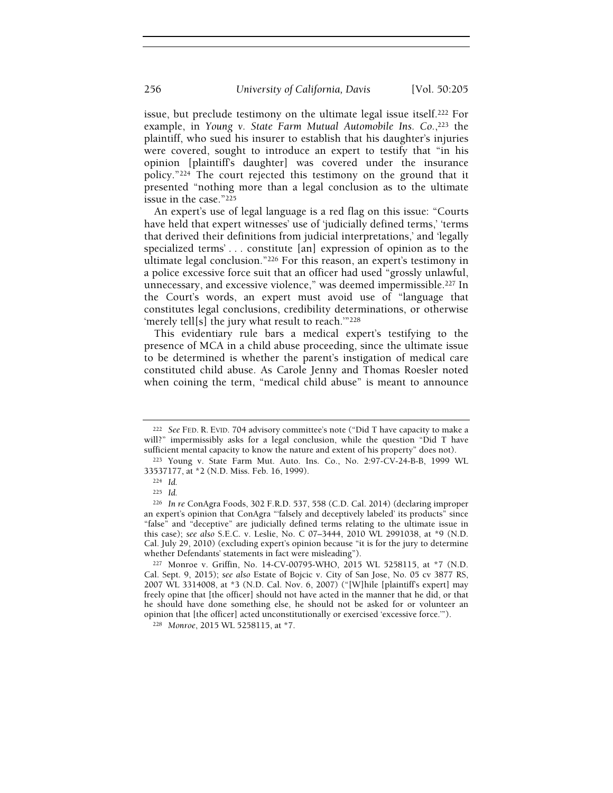issue, but preclude testimony on the ultimate legal issue itself.222 For example, in Young v. State Farm Mutual Automobile Ins.  $Co.223$  the plaintiff, who sued his insurer to establish that his daughter's injuries were covered, sought to introduce an expert to testify that "in his opinion [plaintiff's daughter] was covered under the insurance policy."<sup>224</sup> The court rejected this testimony on the ground that it presented "nothing more than a legal conclusion as to the ultimate issue in the case."<sup>225</sup>

An expert's use of legal language is a red flag on this issue: "Courts have held that expert witnesses' use of 'judicially defined terms,' 'terms that derived their definitions from judicial interpretations,' and 'legally specialized terms' . . . constitute [an] expression of opinion as to the ultimate legal conclusion."226 For this reason, an expert's testimony in a police excessive force suit that an officer had used "grossly unlawful, unnecessary, and excessive violence," was deemed impermissible.227 In the Court's words, an expert must avoid use of "language that constitutes legal conclusions, credibility determinations, or otherwise 'merely tell[s] the jury what result to reach.'"<sup>228</sup>

This evidentiary rule bars a medical expert's testifying to the presence of MCA in a child abuse proceeding, since the ultimate issue to be determined is whether the parent's instigation of medical care constituted child abuse. As Carole Jenny and Thomas Roesler noted when coining the term, "medical child abuse" is meant to announce

<sup>222</sup> See FED. R. EVID. 704 advisory committee's note ("Did T have capacity to make a will?" impermissibly asks for a legal conclusion, while the question "Did T have sufficient mental capacity to know the nature and extent of his property" does not).

<sup>223</sup> Young v. State Farm Mut. Auto. Ins. Co., No. 2:97-CV-24-B-B, 1999 WL 33537177, at \*2 (N.D. Miss. Feb. 16, 1999).

<sup>224</sup> Id.

<sup>225</sup> Id.

<sup>226</sup> In re ConAgra Foods, 302 F.R.D. 537, 558 (C.D. Cal. 2014) (declaring improper an expert's opinion that ConAgra "'falsely and deceptively labeled' its products" since "false" and "deceptive" are judicially defined terms relating to the ultimate issue in this case); see also S.E.C. v. Leslie, No. C 07–3444, 2010 WL 2991038, at \*9 (N.D. Cal. July 29, 2010) (excluding expert's opinion because "it is for the jury to determine whether Defendants' statements in fact were misleading").

<sup>227</sup> Monroe v. Griffin, No. 14-CV-00795-WHO, 2015 WL 5258115, at \*7 (N.D. Cal. Sept. 9, 2015); see also Estate of Bojcic v. City of San Jose, No. 05 cv 3877 RS, 2007 WL 3314008, at \*3 (N.D. Cal. Nov. 6, 2007) ("[W]hile [plaintiff's expert] may freely opine that [the officer] should not have acted in the manner that he did, or that he should have done something else, he should not be asked for or volunteer an opinion that [the officer] acted unconstitutionally or exercised 'excessive force.'").

<sup>228</sup> Monroe, 2015 WL 5258115, at \*7.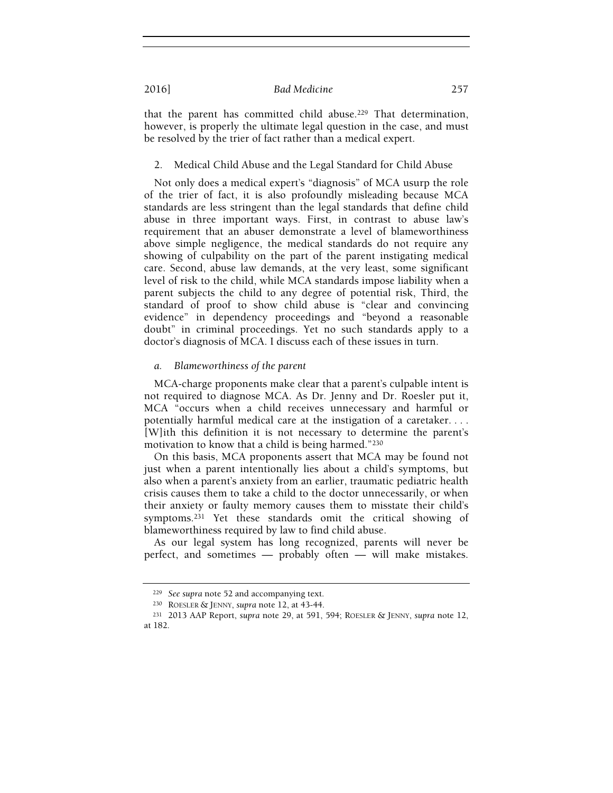that the parent has committed child abuse.229 That determination, however, is properly the ultimate legal question in the case, and must be resolved by the trier of fact rather than a medical expert.

## 2. Medical Child Abuse and the Legal Standard for Child Abuse

Not only does a medical expert's "diagnosis" of MCA usurp the role of the trier of fact, it is also profoundly misleading because MCA standards are less stringent than the legal standards that define child abuse in three important ways. First, in contrast to abuse law's requirement that an abuser demonstrate a level of blameworthiness above simple negligence, the medical standards do not require any showing of culpability on the part of the parent instigating medical care. Second, abuse law demands, at the very least, some significant level of risk to the child, while MCA standards impose liability when a parent subjects the child to any degree of potential risk, Third, the standard of proof to show child abuse is "clear and convincing evidence" in dependency proceedings and "beyond a reasonable doubt" in criminal proceedings. Yet no such standards apply to a doctor's diagnosis of MCA. I discuss each of these issues in turn.

## a. Blameworthiness of the parent

MCA-charge proponents make clear that a parent's culpable intent is not required to diagnose MCA. As Dr. Jenny and Dr. Roesler put it, MCA "occurs when a child receives unnecessary and harmful or potentially harmful medical care at the instigation of a caretaker. . . . [W]ith this definition it is not necessary to determine the parent's motivation to know that a child is being harmed."<sup>230</sup>

On this basis, MCA proponents assert that MCA may be found not just when a parent intentionally lies about a child's symptoms, but also when a parent's anxiety from an earlier, traumatic pediatric health crisis causes them to take a child to the doctor unnecessarily, or when their anxiety or faulty memory causes them to misstate their child's symptoms.231 Yet these standards omit the critical showing of blameworthiness required by law to find child abuse.

As our legal system has long recognized, parents will never be perfect, and sometimes — probably often — will make mistakes.

<sup>229</sup> See supra note 52 and accompanying text.

<sup>230</sup> ROESLER & JENNY, supra note 12, at 43-44.

<sup>231</sup> 2013 AAP Report, supra note 29, at 591, 594; ROESLER & JENNY, supra note 12, at 182.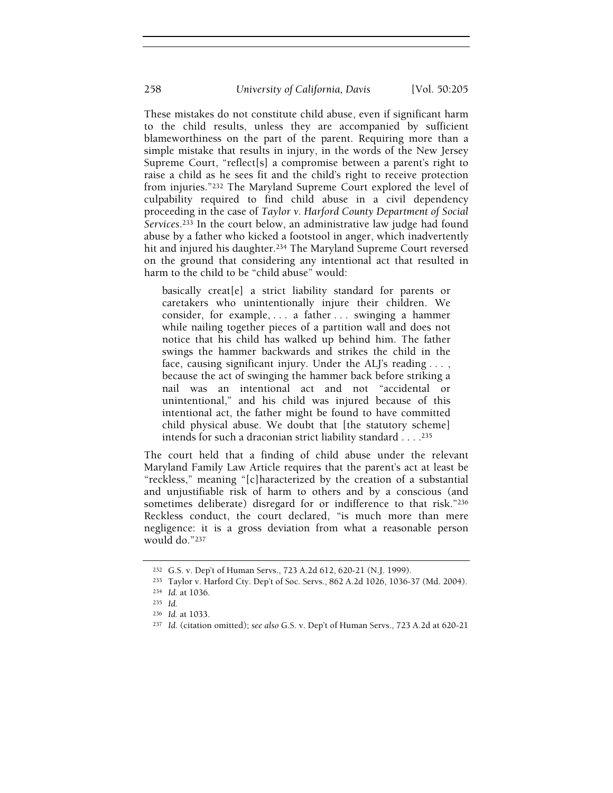These mistakes do not constitute child abuse, even if significant harm to the child results, unless they are accompanied by sufficient blameworthiness on the part of the parent. Requiring more than a simple mistake that results in injury, in the words of the New Jersey Supreme Court, "reflect[s] a compromise between a parent's right to raise a child as he sees fit and the child's right to receive protection from injuries."232 The Maryland Supreme Court explored the level of culpability required to find child abuse in a civil dependency proceeding in the case of Taylor v. Harford County Department of Social Services.233 In the court below, an administrative law judge had found abuse by a father who kicked a footstool in anger, which inadvertently hit and injured his daughter.<sup>234</sup> The Maryland Supreme Court reversed on the ground that considering any intentional act that resulted in harm to the child to be "child abuse" would:

basically creat[e] a strict liability standard for parents or caretakers who unintentionally injure their children. We consider, for example, . . . a father . . . swinging a hammer while nailing together pieces of a partition wall and does not notice that his child has walked up behind him. The father swings the hammer backwards and strikes the child in the face, causing significant injury. Under the ALJ's reading . . . , because the act of swinging the hammer back before striking a nail was an intentional act and not "accidental or unintentional," and his child was injured because of this intentional act, the father might be found to have committed child physical abuse. We doubt that [the statutory scheme] intends for such a draconian strict liability standard . . . .<sup>235</sup>

The court held that a finding of child abuse under the relevant Maryland Family Law Article requires that the parent's act at least be "reckless," meaning "[c]haracterized by the creation of a substantial and unjustifiable risk of harm to others and by a conscious (and sometimes deliberate) disregard for or indifference to that risk."<sup>236</sup> Reckless conduct, the court declared, "is much more than mere negligence: it is a gross deviation from what a reasonable person would do."<sup>237</sup>

<sup>232</sup> G.S. v. Dep't of Human Servs., 723 A.2d 612, 620-21 (N.J. 1999).

<sup>233</sup> Taylor v. Harford Cty. Dep't of Soc. Servs., 862 A.2d 1026, 1036-37 (Md. 2004).

<sup>234</sup> Id. at 1036.

<sup>235</sup> Id.

<sup>236</sup> Id. at 1033.

<sup>237</sup> Id. (citation omitted); see also G.S. v. Dep't of Human Servs., 723 A.2d at 620-21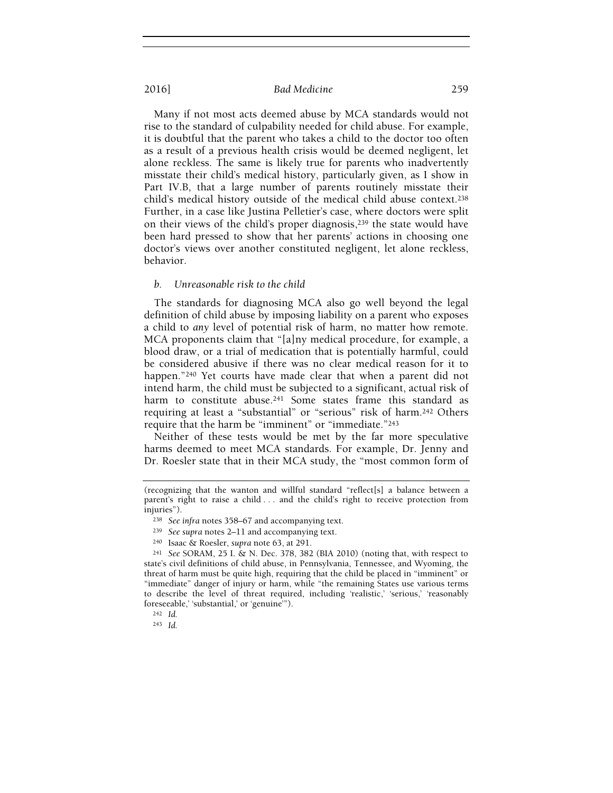Many if not most acts deemed abuse by MCA standards would not rise to the standard of culpability needed for child abuse. For example, it is doubtful that the parent who takes a child to the doctor too often as a result of a previous health crisis would be deemed negligent, let alone reckless. The same is likely true for parents who inadvertently misstate their child's medical history, particularly given, as I show in Part IV.B, that a large number of parents routinely misstate their child's medical history outside of the medical child abuse context.<sup>238</sup> Further, in a case like Justina Pelletier's case, where doctors were split on their views of the child's proper diagnosis,239 the state would have been hard pressed to show that her parents' actions in choosing one doctor's views over another constituted negligent, let alone reckless, behavior.

#### b. Unreasonable risk to the child

The standards for diagnosing MCA also go well beyond the legal definition of child abuse by imposing liability on a parent who exposes a child to any level of potential risk of harm, no matter how remote. MCA proponents claim that "[a]ny medical procedure, for example, a blood draw, or a trial of medication that is potentially harmful, could be considered abusive if there was no clear medical reason for it to happen."<sup>240</sup> Yet courts have made clear that when a parent did not intend harm, the child must be subjected to a significant, actual risk of harm to constitute abuse.<sup>241</sup> Some states frame this standard as requiring at least a "substantial" or "serious" risk of harm.242 Others require that the harm be "imminent" or "immediate."<sup>243</sup>

Neither of these tests would be met by the far more speculative harms deemed to meet MCA standards. For example, Dr. Jenny and Dr. Roesler state that in their MCA study, the "most common form of

<sup>243</sup> Id.

<sup>(</sup>recognizing that the wanton and willful standard "reflect[s] a balance between a parent's right to raise a child . . . and the child's right to receive protection from injuries").

<sup>238</sup> See infra notes 358–67 and accompanying text.

<sup>239</sup> See supra notes 2–11 and accompanying text.

<sup>240</sup> Isaac & Roesler, supra note 63, at 291.

<sup>241</sup> See SORAM, 25 I. & N. Dec. 378, 382 (BIA 2010) (noting that, with respect to state's civil definitions of child abuse, in Pennsylvania, Tennessee, and Wyoming, the threat of harm must be quite high, requiring that the child be placed in "imminent" or "immediate" danger of injury or harm, while "the remaining States use various terms to describe the level of threat required, including 'realistic,' 'serious,' 'reasonably foreseeable,' 'substantial,' or 'genuine'").

<sup>242</sup> Id.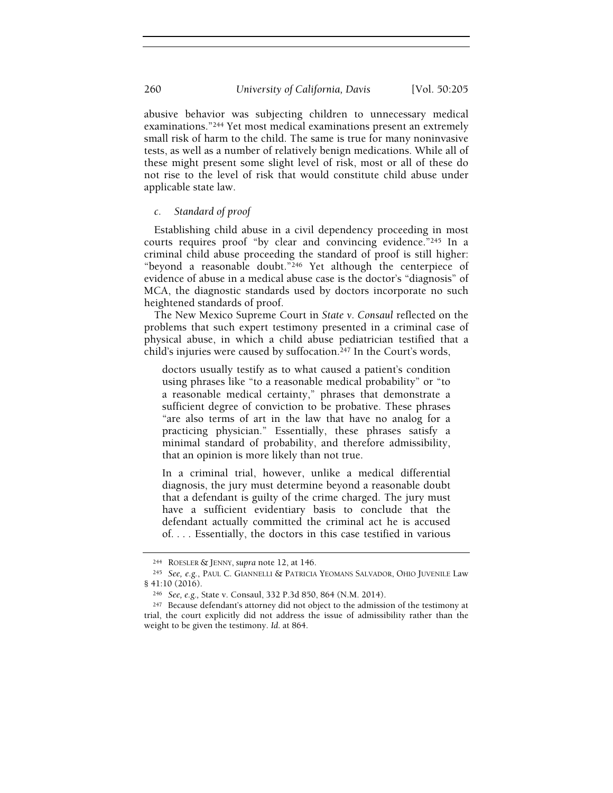abusive behavior was subjecting children to unnecessary medical examinations."244 Yet most medical examinations present an extremely small risk of harm to the child. The same is true for many noninvasive tests, as well as a number of relatively benign medications. While all of these might present some slight level of risk, most or all of these do not rise to the level of risk that would constitute child abuse under applicable state law.

### c. Standard of proof

Establishing child abuse in a civil dependency proceeding in most courts requires proof "by clear and convincing evidence."245 In a criminal child abuse proceeding the standard of proof is still higher: "beyond a reasonable doubt."246 Yet although the centerpiece of evidence of abuse in a medical abuse case is the doctor's "diagnosis" of MCA, the diagnostic standards used by doctors incorporate no such heightened standards of proof.

The New Mexico Supreme Court in State v. Consaul reflected on the problems that such expert testimony presented in a criminal case of physical abuse, in which a child abuse pediatrician testified that a child's injuries were caused by suffocation.247 In the Court's words,

doctors usually testify as to what caused a patient's condition using phrases like "to a reasonable medical probability" or "to a reasonable medical certainty," phrases that demonstrate a sufficient degree of conviction to be probative. These phrases "are also terms of art in the law that have no analog for a practicing physician." Essentially, these phrases satisfy a minimal standard of probability, and therefore admissibility, that an opinion is more likely than not true.

In a criminal trial, however, unlike a medical differential diagnosis, the jury must determine beyond a reasonable doubt that a defendant is guilty of the crime charged. The jury must have a sufficient evidentiary basis to conclude that the defendant actually committed the criminal act he is accused of. . . . Essentially, the doctors in this case testified in various

<sup>244</sup> ROESLER & JENNY, supra note 12, at 146.

<sup>245</sup> See, e.g., PAUL C. GIANNELLI & PATRICIA YEOMANS SALVADOR, OHIO JUVENILE Law § 41:10 (2016).

<sup>246</sup> See, e.g., State v. Consaul, 332 P.3d 850, 864 (N.M. 2014).

<sup>247</sup> Because defendant's attorney did not object to the admission of the testimony at trial, the court explicitly did not address the issue of admissibility rather than the weight to be given the testimony. Id. at 864.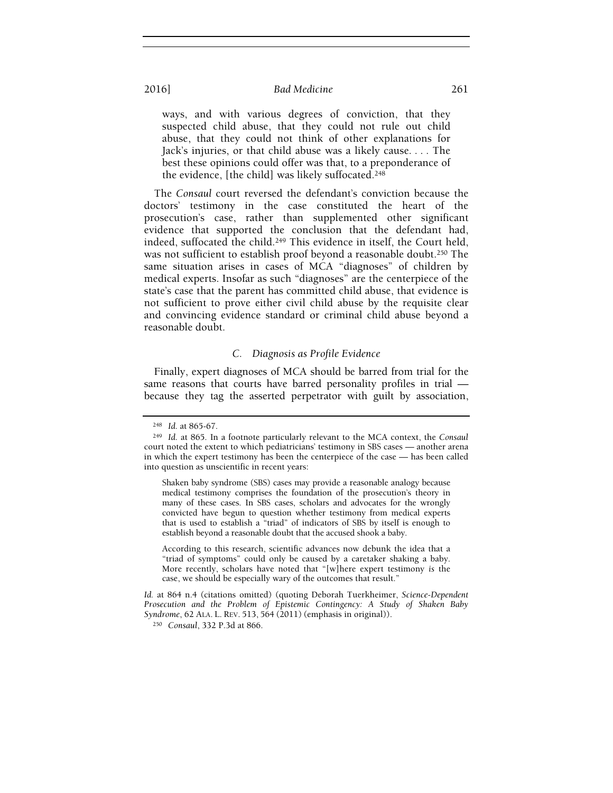ways, and with various degrees of conviction, that they suspected child abuse, that they could not rule out child abuse, that they could not think of other explanations for Jack's injuries, or that child abuse was a likely cause. . . . The best these opinions could offer was that, to a preponderance of the evidence, [the child] was likely suffocated.<sup>248</sup>

The Consaul court reversed the defendant's conviction because the doctors' testimony in the case constituted the heart of the prosecution's case, rather than supplemented other significant evidence that supported the conclusion that the defendant had, indeed, suffocated the child.249 This evidence in itself, the Court held, was not sufficient to establish proof beyond a reasonable doubt.<sup>250</sup> The same situation arises in cases of MCA "diagnoses" of children by medical experts. Insofar as such "diagnoses" are the centerpiece of the state's case that the parent has committed child abuse, that evidence is not sufficient to prove either civil child abuse by the requisite clear and convincing evidence standard or criminal child abuse beyond a reasonable doubt.

### C. Diagnosis as Profile Evidence

Finally, expert diagnoses of MCA should be barred from trial for the same reasons that courts have barred personality profiles in trial because they tag the asserted perpetrator with guilt by association,

Shaken baby syndrome (SBS) cases may provide a reasonable analogy because medical testimony comprises the foundation of the prosecution's theory in many of these cases. In SBS cases, scholars and advocates for the wrongly convicted have begun to question whether testimony from medical experts that is used to establish a "triad" of indicators of SBS by itself is enough to establish beyond a reasonable doubt that the accused shook a baby.

According to this research, scientific advances now debunk the idea that a "triad of symptoms" could only be caused by a caretaker shaking a baby. More recently, scholars have noted that "[w]here expert testimony is the case, we should be especially wary of the outcomes that result."

Id. at 864 n.4 (citations omitted) (quoting Deborah Tuerkheimer, Science-Dependent Prosecution and the Problem of Epistemic Contingency: A Study of Shaken Baby Syndrome, 62 ALA. L. REV. 513, 564 (2011) (emphasis in original)).

<sup>248</sup> Id. at 865-67.

<sup>249</sup> Id. at 865. In a footnote particularly relevant to the MCA context, the Consaul court noted the extent to which pediatricians' testimony in SBS cases — another arena in which the expert testimony has been the centerpiece of the case — has been called into question as unscientific in recent years:

<sup>250</sup> Consaul, 332 P.3d at 866.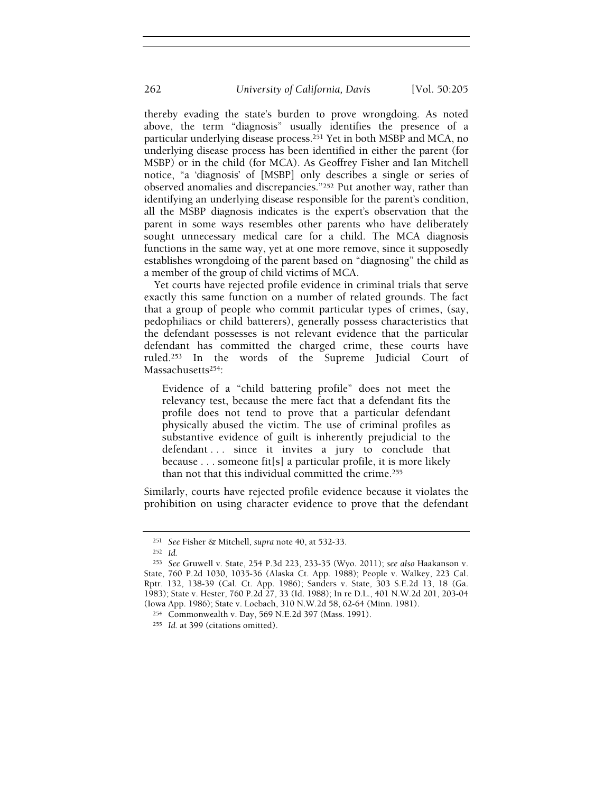thereby evading the state's burden to prove wrongdoing. As noted above, the term "diagnosis" usually identifies the presence of a particular underlying disease process.251 Yet in both MSBP and MCA, no underlying disease process has been identified in either the parent (for MSBP) or in the child (for MCA). As Geoffrey Fisher and Ian Mitchell notice, "a 'diagnosis' of [MSBP] only describes a single or series of observed anomalies and discrepancies."252 Put another way, rather than identifying an underlying disease responsible for the parent's condition, all the MSBP diagnosis indicates is the expert's observation that the parent in some ways resembles other parents who have deliberately sought unnecessary medical care for a child. The MCA diagnosis functions in the same way, yet at one more remove, since it supposedly establishes wrongdoing of the parent based on "diagnosing" the child as a member of the group of child victims of MCA.

Yet courts have rejected profile evidence in criminal trials that serve exactly this same function on a number of related grounds. The fact that a group of people who commit particular types of crimes, (say, pedophiliacs or child batterers), generally possess characteristics that the defendant possesses is not relevant evidence that the particular defendant has committed the charged crime, these courts have ruled.253 In the words of the Supreme Judicial Court of Massachusetts<sup>254</sup>:

Evidence of a "child battering profile" does not meet the relevancy test, because the mere fact that a defendant fits the profile does not tend to prove that a particular defendant physically abused the victim. The use of criminal profiles as substantive evidence of guilt is inherently prejudicial to the defendant . . . since it invites a jury to conclude that because . . . someone fit[s] a particular profile, it is more likely than not that this individual committed the crime.<sup>255</sup>

Similarly, courts have rejected profile evidence because it violates the prohibition on using character evidence to prove that the defendant

<sup>251</sup> See Fisher & Mitchell, supra note 40, at 532-33.

<sup>252</sup> Id.

<sup>253</sup> See Gruwell v. State, 254 P.3d 223, 233-35 (Wyo. 2011); see also Haakanson v. State, 760 P.2d 1030, 1035-36 (Alaska Ct. App. 1988); People v. Walkey, 223 Cal. Rptr. 132, 138-39 (Cal. Ct. App. 1986); Sanders v. State, 303 S.E.2d 13, 18 (Ga. 1983); State v. Hester, 760 P.2d 27, 33 (Id. 1988); In re D.L., 401 N.W.2d 201, 203-04 (Iowa App. 1986); State v. Loebach, 310 N.W.2d 58, 62-64 (Minn. 1981).

<sup>254</sup> Commonwealth v. Day, 569 N.E.2d 397 (Mass. 1991).

<sup>255</sup> Id. at 399 (citations omitted).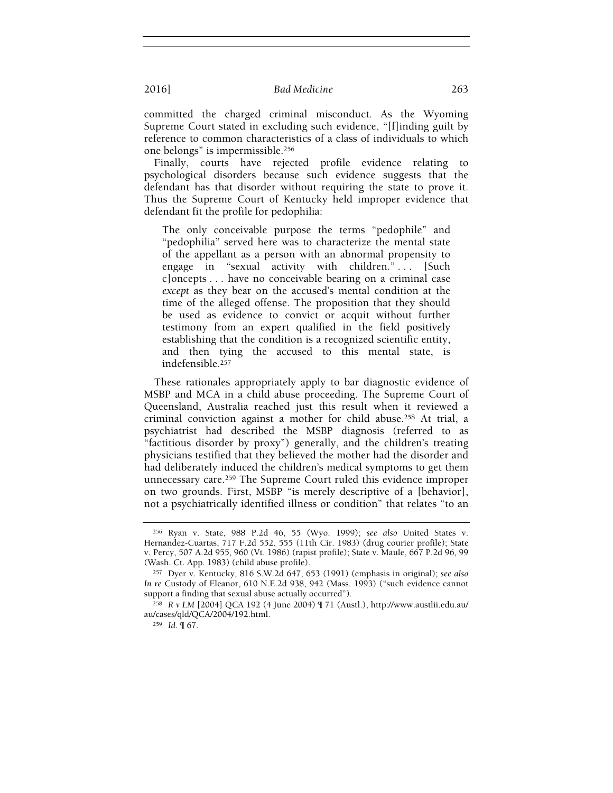committed the charged criminal misconduct. As the Wyoming Supreme Court stated in excluding such evidence, "[f]inding guilt by reference to common characteristics of a class of individuals to which one belongs" is impermissible.<sup>256</sup>

Finally, courts have rejected profile evidence relating to psychological disorders because such evidence suggests that the defendant has that disorder without requiring the state to prove it. Thus the Supreme Court of Kentucky held improper evidence that defendant fit the profile for pedophilia:

The only conceivable purpose the terms "pedophile" and "pedophilia" served here was to characterize the mental state of the appellant as a person with an abnormal propensity to engage in "sexual activity with children." . . . [Such c]oncepts . . . have no conceivable bearing on a criminal case except as they bear on the accused's mental condition at the time of the alleged offense. The proposition that they should be used as evidence to convict or acquit without further testimony from an expert qualified in the field positively establishing that the condition is a recognized scientific entity, and then tying the accused to this mental state, is indefensible.<sup>257</sup>

These rationales appropriately apply to bar diagnostic evidence of MSBP and MCA in a child abuse proceeding. The Supreme Court of Queensland, Australia reached just this result when it reviewed a criminal conviction against a mother for child abuse.258 At trial, a psychiatrist had described the MSBP diagnosis (referred to as "factitious disorder by proxy") generally, and the children's treating physicians testified that they believed the mother had the disorder and had deliberately induced the children's medical symptoms to get them unnecessary care.259 The Supreme Court ruled this evidence improper on two grounds. First, MSBP "is merely descriptive of a [behavior], not a psychiatrically identified illness or condition" that relates "to an

<sup>256</sup> Ryan v. State, 988 P.2d 46, 55 (Wyo. 1999); see also United States v. Hernandez-Cuartas, 717 F.2d 552, 555 (11th Cir. 1983) (drug courier profile); State v. Percy, 507 A.2d 955, 960 (Vt. 1986) (rapist profile); State v. Maule, 667 P.2d 96, 99 (Wash. Ct. App. 1983) (child abuse profile).

<sup>257</sup> Dyer v. Kentucky, 816 S.W.2d 647, 653 (1991) (emphasis in original); see also In re Custody of Eleanor, 610 N.E.2d 938, 942 (Mass. 1993) ("such evidence cannot support a finding that sexual abuse actually occurred").

<sup>258</sup> R v LM [2004] QCA 192 (4 June 2004) ¶ 71 (Austl.), http://www.austlii.edu.au/ au/cases/qld/QCA/2004/192.html.

<sup>259</sup> Id. ¶ 67.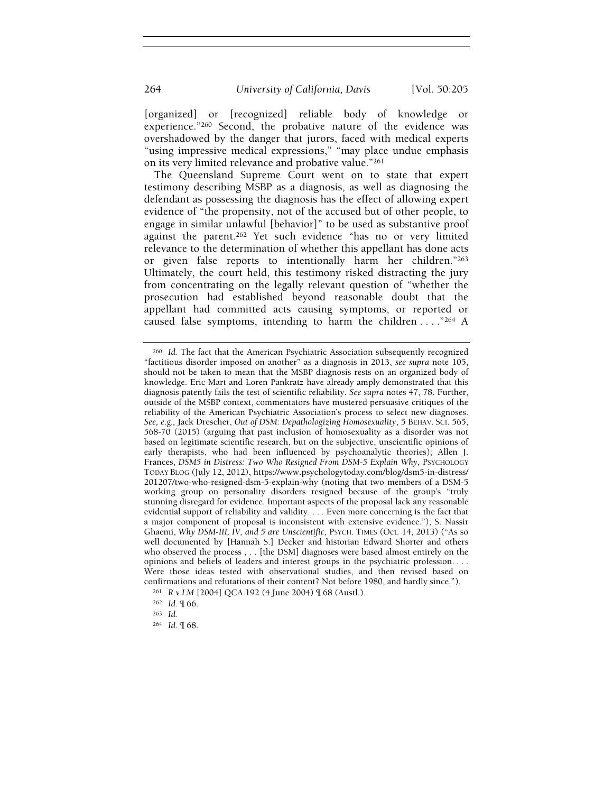[organized] or [recognized] reliable body of knowledge or experience."260 Second, the probative nature of the evidence was overshadowed by the danger that jurors, faced with medical experts "using impressive medical expressions," "may place undue emphasis on its very limited relevance and probative value."<sup>261</sup>

The Queensland Supreme Court went on to state that expert testimony describing MSBP as a diagnosis, as well as diagnosing the defendant as possessing the diagnosis has the effect of allowing expert evidence of "the propensity, not of the accused but of other people, to engage in similar unlawful [behavior]" to be used as substantive proof against the parent.262 Yet such evidence "has no or very limited relevance to the determination of whether this appellant has done acts or given false reports to intentionally harm her children."<sup>263</sup> Ultimately, the court held, this testimony risked distracting the jury from concentrating on the legally relevant question of "whether the prosecution had established beyond reasonable doubt that the appellant had committed acts causing symptoms, or reported or caused false symptoms, intending to harm the children . . . ."264 A

<sup>260</sup> Id. The fact that the American Psychiatric Association subsequently recognized "factitious disorder imposed on another" as a diagnosis in 2013, see supra note 105, should not be taken to mean that the MSBP diagnosis rests on an organized body of knowledge. Eric Mart and Loren Pankratz have already amply demonstrated that this diagnosis patently fails the test of scientific reliability. See supra notes 47, 78. Further, outside of the MSBP context, commentators have mustered persuasive critiques of the reliability of the American Psychiatric Association's process to select new diagnoses. See, e.g., Jack Drescher, Out of DSM: Depathologizing Homosexuality, 5 BEHAV. SCI. 565, 568-70 (2015) (arguing that past inclusion of homosexuality as a disorder was not based on legitimate scientific research, but on the subjective, unscientific opinions of early therapists, who had been influenced by psychoanalytic theories); Allen J. Frances, DSM5 in Distress: Two Who Resigned From DSM-5 Explain Why, PSYCHOLOGY TODAY BLOG (July 12, 2012), https://www.psychologytoday.com/blog/dsm5-in-distress/ 201207/two-who-resigned-dsm-5-explain-why (noting that two members of a DSM-5 working group on personality disorders resigned because of the group's "truly stunning disregard for evidence. Important aspects of the proposal lack any reasonable evidential support of reliability and validity. . . . Even more concerning is the fact that a major component of proposal is inconsistent with extensive evidence."); S. Nassir Ghaemi, Why DSM-III, IV, and 5 are Unscientific, PSYCH. TIMES (Oct. 14, 2013) ("As so well documented by [Hannah S.] Decker and historian Edward Shorter and others who observed the process , . . [the DSM] diagnoses were based almost entirely on the opinions and beliefs of leaders and interest groups in the psychiatric profession. . . . Were those ideas tested with observational studies, and then revised based on confirmations and refutations of their content? Not before 1980, and hardly since.").

<sup>261</sup> R v LM [2004] QCA 192 (4 June 2004) ¶ 68 (Austl.).

<sup>262</sup> Id. ¶ 66.

<sup>263</sup> Id.

<sup>264</sup> Id. ¶ 68.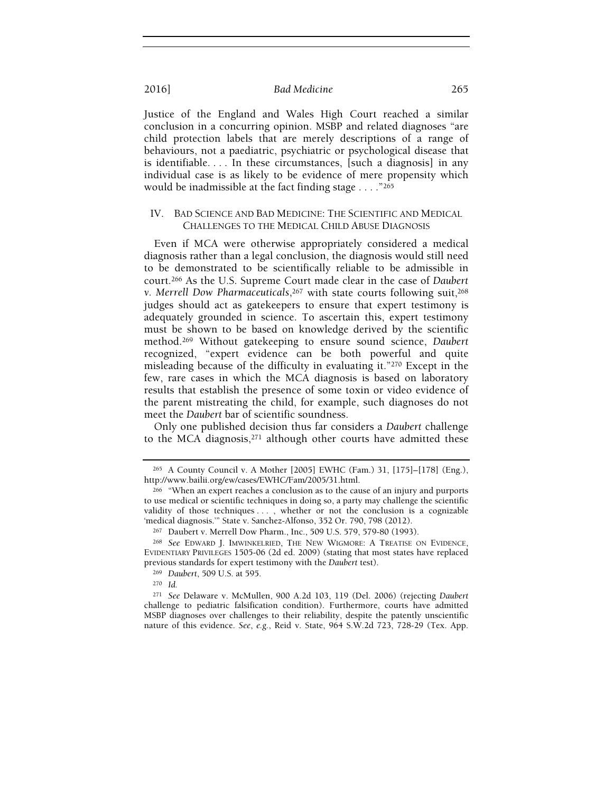Justice of the England and Wales High Court reached a similar conclusion in a concurring opinion. MSBP and related diagnoses "are child protection labels that are merely descriptions of a range of behaviours, not a paediatric, psychiatric or psychological disease that is identifiable. . . . In these circumstances, [such a diagnosis] in any individual case is as likely to be evidence of mere propensity which would be inadmissible at the fact finding stage . . . ."<sup>265</sup>

## IV. BAD SCIENCE AND BAD MEDICINE: THE SCIENTIFIC AND MEDICAL CHALLENGES TO THE MEDICAL CHILD ABUSE DIAGNOSIS

Even if MCA were otherwise appropriately considered a medical diagnosis rather than a legal conclusion, the diagnosis would still need to be demonstrated to be scientifically reliable to be admissible in court.266 As the U.S. Supreme Court made clear in the case of Daubert v. Merrell Dow Pharmaceuticals,<sup>267</sup> with state courts following suit,<sup>268</sup> judges should act as gatekeepers to ensure that expert testimony is adequately grounded in science. To ascertain this, expert testimony must be shown to be based on knowledge derived by the scientific method.269 Without gatekeeping to ensure sound science, Daubert recognized, "expert evidence can be both powerful and quite misleading because of the difficulty in evaluating it."270 Except in the few, rare cases in which the MCA diagnosis is based on laboratory results that establish the presence of some toxin or video evidence of the parent mistreating the child, for example, such diagnoses do not meet the Daubert bar of scientific soundness.

Only one published decision thus far considers a Daubert challenge to the MCA diagnosis,<sup>271</sup> although other courts have admitted these

<sup>270</sup> Id.

<sup>271</sup> See Delaware v. McMullen, 900 A.2d 103, 119 (Del. 2006) (rejecting Daubert challenge to pediatric falsification condition). Furthermore, courts have admitted MSBP diagnoses over challenges to their reliability, despite the patently unscientific nature of this evidence. See, e.g., Reid v. State, 964 S.W.2d 723, 728-29 (Tex. App.

<sup>265</sup> A County Council v. A Mother [2005] EWHC (Fam.) 31, [175]–[178] (Eng.), http://www.bailii.org/ew/cases/EWHC/Fam/2005/31.html.

<sup>266</sup> "When an expert reaches a conclusion as to the cause of an injury and purports to use medical or scientific techniques in doing so, a party may challenge the scientific validity of those techniques . . . , whether or not the conclusion is a cognizable 'medical diagnosis.'" State v. Sanchez-Alfonso, 352 Or. 790, 798 (2012).

<sup>267</sup> Daubert v. Merrell Dow Pharm., Inc., 509 U.S. 579, 579-80 (1993).

<sup>268</sup> See EDWARD J. IMWINKELRIED, THE NEW WIGMORE: A TREATISE ON EVIDENCE, EVIDENTIARY PRIVILEGES 1505-06 (2d ed. 2009) (stating that most states have replaced previous standards for expert testimony with the Daubert test).

<sup>269</sup> Daubert, 509 U.S. at 595.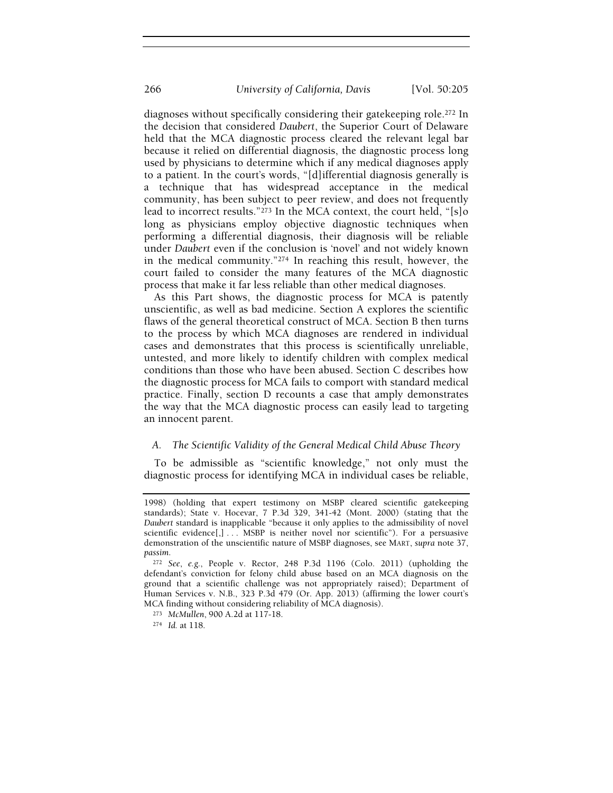diagnoses without specifically considering their gatekeeping role.272 In the decision that considered Daubert, the Superior Court of Delaware held that the MCA diagnostic process cleared the relevant legal bar because it relied on differential diagnosis, the diagnostic process long used by physicians to determine which if any medical diagnoses apply to a patient. In the court's words, "[d]ifferential diagnosis generally is a technique that has widespread acceptance in the medical community, has been subject to peer review, and does not frequently lead to incorrect results."273 In the MCA context, the court held, "[s]o long as physicians employ objective diagnostic techniques when performing a differential diagnosis, their diagnosis will be reliable under Daubert even if the conclusion is 'novel' and not widely known in the medical community."274 In reaching this result, however, the court failed to consider the many features of the MCA diagnostic process that make it far less reliable than other medical diagnoses.

As this Part shows, the diagnostic process for MCA is patently unscientific, as well as bad medicine. Section A explores the scientific flaws of the general theoretical construct of MCA. Section B then turns to the process by which MCA diagnoses are rendered in individual cases and demonstrates that this process is scientifically unreliable, untested, and more likely to identify children with complex medical conditions than those who have been abused. Section C describes how the diagnostic process for MCA fails to comport with standard medical practice. Finally, section D recounts a case that amply demonstrates the way that the MCA diagnostic process can easily lead to targeting an innocent parent.

## A. The Scientific Validity of the General Medical Child Abuse Theory

To be admissible as "scientific knowledge," not only must the diagnostic process for identifying MCA in individual cases be reliable,

<sup>274</sup> Id. at 118.

<sup>1998) (</sup>holding that expert testimony on MSBP cleared scientific gatekeeping standards); State v. Hocevar, 7 P.3d 329, 341-42 (Mont. 2000) (stating that the Daubert standard is inapplicable "because it only applies to the admissibility of novel scientific evidence $[$ , $]$ ... MSBP is neither novel nor scientific"). For a persuasive demonstration of the unscientific nature of MSBP diagnoses, see MART, supra note 37, passim.

<sup>272</sup> See, e.g., People v. Rector, 248 P.3d 1196 (Colo. 2011) (upholding the defendant's conviction for felony child abuse based on an MCA diagnosis on the ground that a scientific challenge was not appropriately raised); Department of Human Services v. N.B., 323 P.3d 479 (Or. App. 2013) (affirming the lower court's MCA finding without considering reliability of MCA diagnosis).

<sup>273</sup> McMullen, 900 A.2d at 117-18.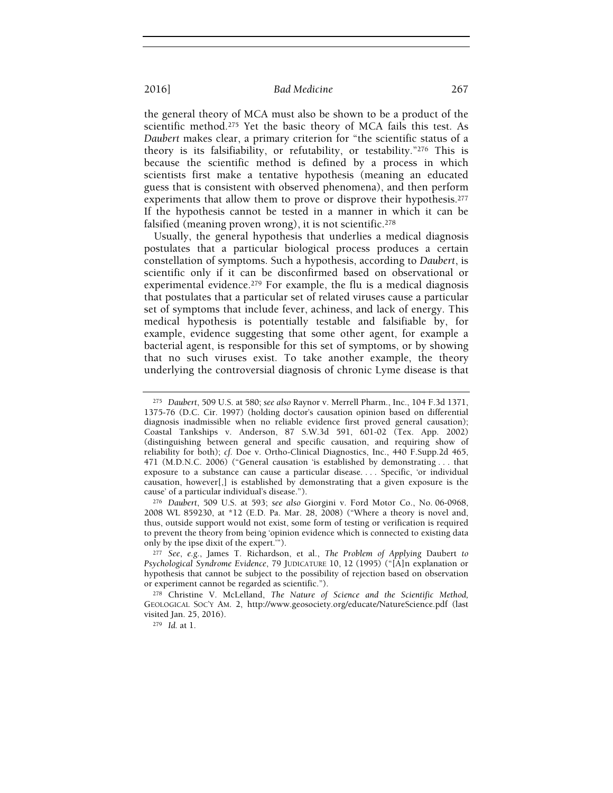the general theory of MCA must also be shown to be a product of the scientific method.275 Yet the basic theory of MCA fails this test. As Daubert makes clear, a primary criterion for "the scientific status of a theory is its falsifiability, or refutability, or testability."276 This is because the scientific method is defined by a process in which scientists first make a tentative hypothesis (meaning an educated guess that is consistent with observed phenomena), and then perform experiments that allow them to prove or disprove their hypothesis.<sup>277</sup> If the hypothesis cannot be tested in a manner in which it can be falsified (meaning proven wrong), it is not scientific.<sup>278</sup>

Usually, the general hypothesis that underlies a medical diagnosis postulates that a particular biological process produces a certain constellation of symptoms. Such a hypothesis, according to Daubert, is scientific only if it can be disconfirmed based on observational or experimental evidence.<sup>279</sup> For example, the flu is a medical diagnosis that postulates that a particular set of related viruses cause a particular set of symptoms that include fever, achiness, and lack of energy. This medical hypothesis is potentially testable and falsifiable by, for example, evidence suggesting that some other agent, for example a bacterial agent, is responsible for this set of symptoms, or by showing that no such viruses exist. To take another example, the theory underlying the controversial diagnosis of chronic Lyme disease is that

<sup>276</sup> Daubert, 509 U.S. at 593; see also Giorgini v. Ford Motor Co., No. 06-0968, 2008 WL 859230, at \*12 (E.D. Pa. Mar. 28, 2008) ("Where a theory is novel and, thus, outside support would not exist, some form of testing or verification is required to prevent the theory from being 'opinion evidence which is connected to existing data only by the ipse dixit of the expert.'").

<sup>277</sup> See, e.g., James T. Richardson, et al., The Problem of Applying Daubert to Psychological Syndrome Evidence, 79 JUDICATURE 10, 12 (1995) ("[A]n explanation or hypothesis that cannot be subject to the possibility of rejection based on observation or experiment cannot be regarded as scientific.").

<sup>278</sup> Christine V. McLelland, The Nature of Science and the Scientific Method, GEOLOGICAL SOC'Y AM. 2, http://www.geosociety.org/educate/NatureScience.pdf (last visited Jan. 25, 2016).

<sup>279</sup> Id. at 1.

<sup>275</sup> Daubert, 509 U.S. at 580; see also Raynor v. Merrell Pharm., Inc., 104 F.3d 1371, 1375-76 (D.C. Cir. 1997) (holding doctor's causation opinion based on differential diagnosis inadmissible when no reliable evidence first proved general causation); Coastal Tankships v. Anderson, 87 S.W.3d 591, 601-02 (Tex. App. 2002) (distinguishing between general and specific causation, and requiring show of reliability for both); cf. Doe v. Ortho-Clinical Diagnostics, Inc., 440 F.Supp.2d 465, 471 (M.D.N.C. 2006) ("General causation 'is established by demonstrating . . . that exposure to a substance can cause a particular disease. . . . Specific, 'or individual causation, however[,] is established by demonstrating that a given exposure is the cause' of a particular individual's disease.").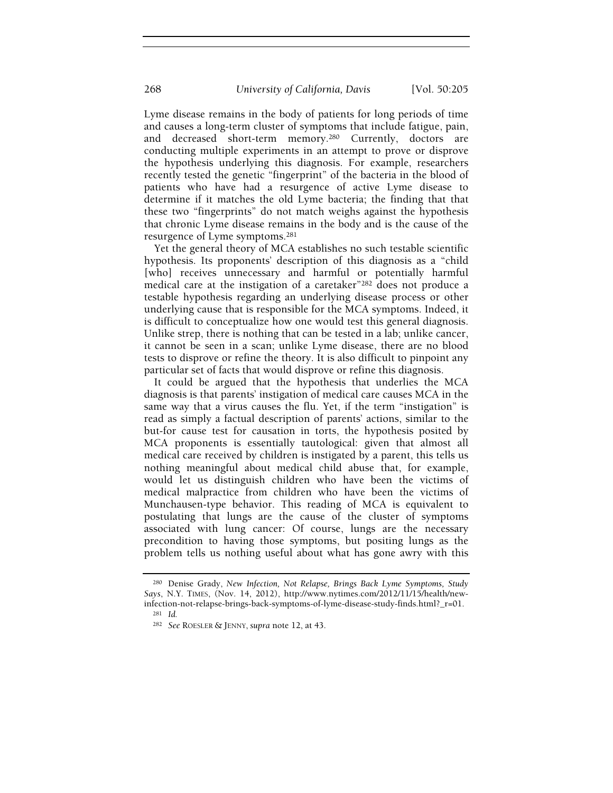Lyme disease remains in the body of patients for long periods of time and causes a long-term cluster of symptoms that include fatigue, pain, and decreased short-term memory.280 Currently, doctors are conducting multiple experiments in an attempt to prove or disprove the hypothesis underlying this diagnosis. For example, researchers recently tested the genetic "fingerprint" of the bacteria in the blood of patients who have had a resurgence of active Lyme disease to determine if it matches the old Lyme bacteria; the finding that that these two "fingerprints" do not match weighs against the hypothesis that chronic Lyme disease remains in the body and is the cause of the resurgence of Lyme symptoms.<sup>281</sup>

Yet the general theory of MCA establishes no such testable scientific hypothesis. Its proponents' description of this diagnosis as a "child [who] receives unnecessary and harmful or potentially harmful medical care at the instigation of a caretaker"282 does not produce a testable hypothesis regarding an underlying disease process or other underlying cause that is responsible for the MCA symptoms. Indeed, it is difficult to conceptualize how one would test this general diagnosis. Unlike strep, there is nothing that can be tested in a lab; unlike cancer, it cannot be seen in a scan; unlike Lyme disease, there are no blood tests to disprove or refine the theory. It is also difficult to pinpoint any particular set of facts that would disprove or refine this diagnosis.

It could be argued that the hypothesis that underlies the MCA diagnosis is that parents' instigation of medical care causes MCA in the same way that a virus causes the flu. Yet, if the term "instigation" is read as simply a factual description of parents' actions, similar to the but-for cause test for causation in torts, the hypothesis posited by MCA proponents is essentially tautological: given that almost all medical care received by children is instigated by a parent, this tells us nothing meaningful about medical child abuse that, for example, would let us distinguish children who have been the victims of medical malpractice from children who have been the victims of Munchausen-type behavior. This reading of MCA is equivalent to postulating that lungs are the cause of the cluster of symptoms associated with lung cancer: Of course, lungs are the necessary precondition to having those symptoms, but positing lungs as the problem tells us nothing useful about what has gone awry with this

<sup>280</sup> Denise Grady, New Infection, Not Relapse, Brings Back Lyme Symptoms, Study Says, N.Y. TIMES, (Nov. 14, 2012), http://www.nytimes.com/2012/11/15/health/newinfection-not-relapse-brings-back-symptoms-of-lyme-disease-study-finds.html?\_r=01. <sup>281</sup> Id.

<sup>282</sup> See ROESLER & JENNY, supra note 12, at 43.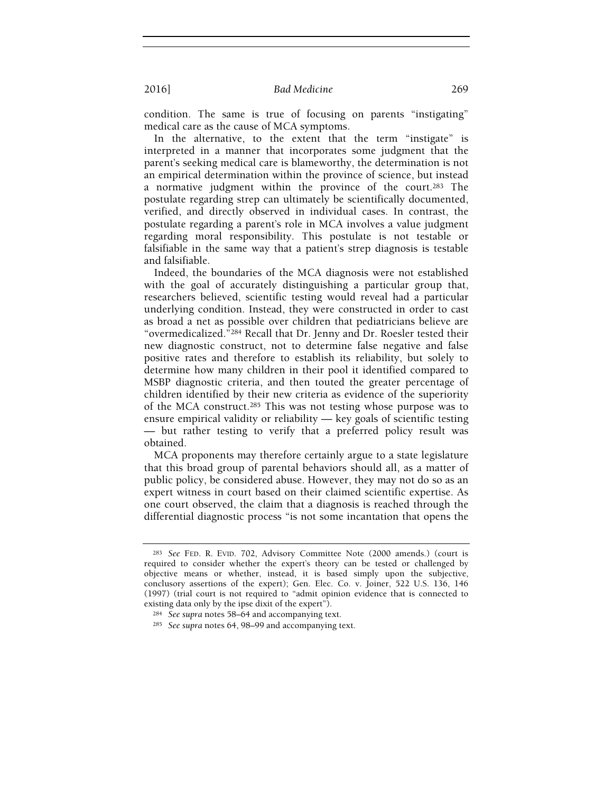condition. The same is true of focusing on parents "instigating" medical care as the cause of MCA symptoms.

In the alternative, to the extent that the term "instigate" is interpreted in a manner that incorporates some judgment that the parent's seeking medical care is blameworthy, the determination is not an empirical determination within the province of science, but instead a normative judgment within the province of the court.283 The postulate regarding strep can ultimately be scientifically documented, verified, and directly observed in individual cases. In contrast, the postulate regarding a parent's role in MCA involves a value judgment regarding moral responsibility. This postulate is not testable or falsifiable in the same way that a patient's strep diagnosis is testable and falsifiable.

Indeed, the boundaries of the MCA diagnosis were not established with the goal of accurately distinguishing a particular group that, researchers believed, scientific testing would reveal had a particular underlying condition. Instead, they were constructed in order to cast as broad a net as possible over children that pediatricians believe are "overmedicalized."284 Recall that Dr. Jenny and Dr. Roesler tested their new diagnostic construct, not to determine false negative and false positive rates and therefore to establish its reliability, but solely to determine how many children in their pool it identified compared to MSBP diagnostic criteria, and then touted the greater percentage of children identified by their new criteria as evidence of the superiority of the MCA construct.285 This was not testing whose purpose was to ensure empirical validity or reliability — key goals of scientific testing — but rather testing to verify that a preferred policy result was obtained.

MCA proponents may therefore certainly argue to a state legislature that this broad group of parental behaviors should all, as a matter of public policy, be considered abuse. However, they may not do so as an expert witness in court based on their claimed scientific expertise. As one court observed, the claim that a diagnosis is reached through the differential diagnostic process "is not some incantation that opens the

<sup>283</sup> See FED. R. EVID. 702, Advisory Committee Note (2000 amends.) (court is required to consider whether the expert's theory can be tested or challenged by objective means or whether, instead, it is based simply upon the subjective, conclusory assertions of the expert); Gen. Elec. Co. v. Joiner, 522 U.S. 136, 146 (1997) (trial court is not required to "admit opinion evidence that is connected to existing data only by the ipse dixit of the expert").

<sup>284</sup> See supra notes 58–64 and accompanying text.

<sup>285</sup> See supra notes 64, 98–99 and accompanying text.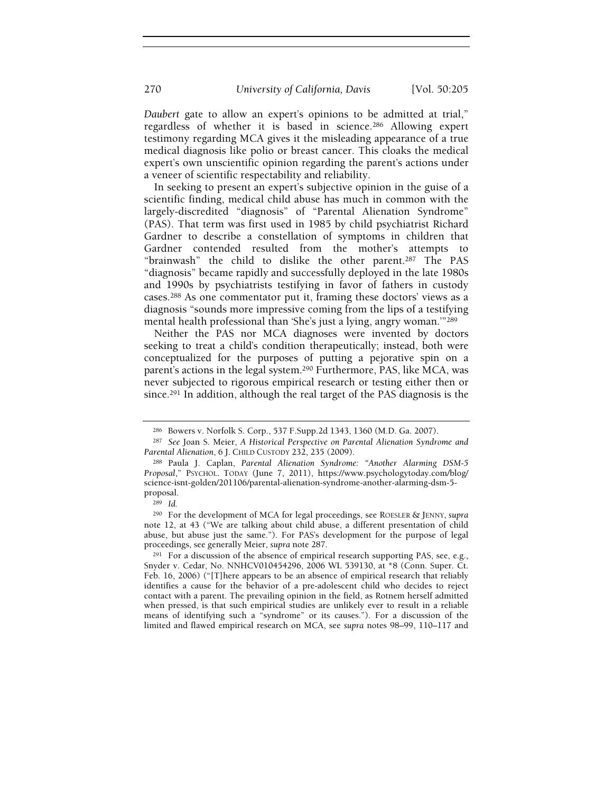Daubert gate to allow an expert's opinions to be admitted at trial," regardless of whether it is based in science.286 Allowing expert testimony regarding MCA gives it the misleading appearance of a true medical diagnosis like polio or breast cancer. This cloaks the medical expert's own unscientific opinion regarding the parent's actions under a veneer of scientific respectability and reliability.

In seeking to present an expert's subjective opinion in the guise of a scientific finding, medical child abuse has much in common with the largely-discredited "diagnosis" of "Parental Alienation Syndrome" (PAS). That term was first used in 1985 by child psychiatrist Richard Gardner to describe a constellation of symptoms in children that Gardner contended resulted from the mother's attempts to "brainwash" the child to dislike the other parent.<sup>287</sup> The PAS "diagnosis" became rapidly and successfully deployed in the late 1980s and 1990s by psychiatrists testifying in favor of fathers in custody cases.288 As one commentator put it, framing these doctors' views as a diagnosis "sounds more impressive coming from the lips of a testifying mental health professional than 'She's just a lying, angry woman.'"<sup>289</sup>

Neither the PAS nor MCA diagnoses were invented by doctors seeking to treat a child's condition therapeutically; instead, both were conceptualized for the purposes of putting a pejorative spin on a parent's actions in the legal system.290 Furthermore, PAS, like MCA, was never subjected to rigorous empirical research or testing either then or since.291 In addition, although the real target of the PAS diagnosis is the

<sup>286</sup> Bowers v. Norfolk S. Corp., 537 F.Supp.2d 1343, 1360 (M.D. Ga. 2007).

<sup>287</sup> See Joan S. Meier, A Historical Perspective on Parental Alienation Syndrome and Parental Alienation, 6 J. CHILD CUSTODY 232, 235 (2009).

<sup>288</sup> Paula J. Caplan, Parental Alienation Syndrome: "Another Alarming DSM-5 Proposal," PSYCHOL. TODAY (June 7, 2011), https://www.psychologytoday.com/blog/ science-isnt-golden/201106/parental-alienation-syndrome-another-alarming-dsm-5 proposal.

<sup>289</sup> Id.

<sup>&</sup>lt;sup>290</sup> For the development of MCA for legal proceedings, see ROESLER & JENNY, supra note 12, at 43 ("We are talking about child abuse, a different presentation of child abuse, but abuse just the same."). For PAS's development for the purpose of legal proceedings, see generally Meier, supra note 287.

<sup>291</sup> For a discussion of the absence of empirical research supporting PAS, see, e.g., Snyder v. Cedar, No. NNHCV010454296, 2006 WL 539130, at \*8 (Conn. Super. Ct. Feb. 16, 2006) ("[T]here appears to be an absence of empirical research that reliably identifies a cause for the behavior of a pre-adolescent child who decides to reject contact with a parent. The prevailing opinion in the field, as Rotnem herself admitted when pressed, is that such empirical studies are unlikely ever to result in a reliable means of identifying such a "syndrome" or its causes."). For a discussion of the limited and flawed empirical research on MCA, see supra notes 98–99, 110–117 and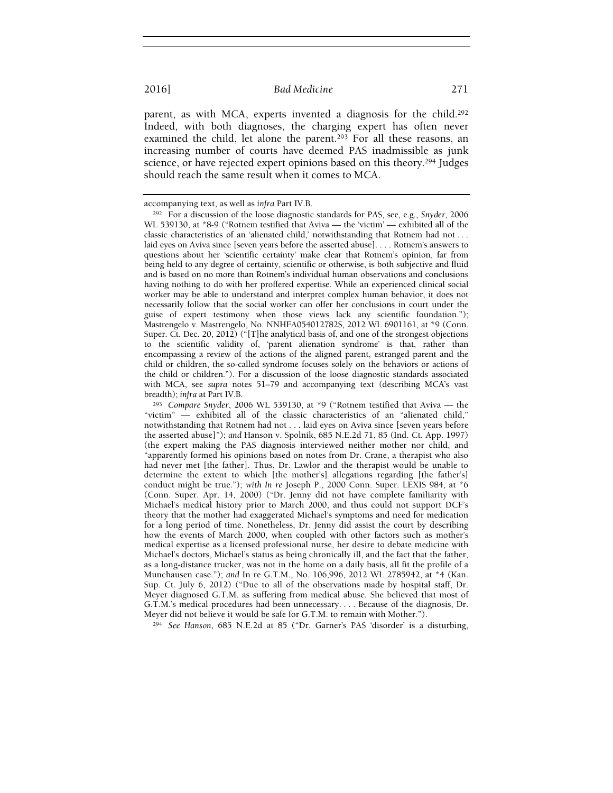parent, as with MCA, experts invented a diagnosis for the child.<sup>292</sup> Indeed, with both diagnoses, the charging expert has often never examined the child, let alone the parent.<sup>293</sup> For all these reasons, an increasing number of courts have deemed PAS inadmissible as junk science, or have rejected expert opinions based on this theory.294 Judges should reach the same result when it comes to MCA.

<sup>293</sup> Compare Snyder, 2006 WL 539130, at  $*9$  ("Rotnem testified that Aviva — the "victim" — exhibited all of the classic characteristics of an "alienated child," notwithstanding that Rotnem had not . . . laid eyes on Aviva since [seven years before the asserted abuse]"); and Hanson v. Spolnik, 685 N.E.2d 71, 85 (Ind. Ct. App. 1997) (the expert making the PAS diagnosis interviewed neither mother nor child, and "apparently formed his opinions based on notes from Dr. Crane, a therapist who also had never met [the father]. Thus, Dr. Lawlor and the therapist would be unable to determine the extent to which [the mother's] allegations regarding [the father's] conduct might be true."); with In re Joseph P., 2000 Conn. Super. LEXIS 984, at \*6 (Conn. Super. Apr. 14, 2000) ("Dr. Jenny did not have complete familiarity with Michael's medical history prior to March 2000, and thus could not support DCF's theory that the mother had exaggerated Michael's symptoms and need for medication for a long period of time. Nonetheless, Dr. Jenny did assist the court by describing how the events of March 2000, when coupled with other factors such as mother's medical expertise as a licensed professional nurse, her desire to debate medicine with Michael's doctors, Michael's status as being chronically ill, and the fact that the father, as a long-distance trucker, was not in the home on a daily basis, all fit the profile of a Munchausen case."); and In re G.T.M., No. 106,996, 2012 WL 2785942, at \*4 (Kan. Sup. Ct. July 6, 2012) ("Due to all of the observations made by hospital staff, Dr. Meyer diagnosed G.T.M. as suffering from medical abuse. She believed that most of G.T.M.'s medical procedures had been unnecessary. . . . Because of the diagnosis, Dr. Meyer did not believe it would be safe for G.T.M. to remain with Mother.").

<sup>294</sup> See Hanson, 685 N.E.2d at 85 ("Dr. Garner's PAS 'disorder' is a disturbing,

accompanying text, as well as infra Part IV.B.

<sup>292</sup> For a discussion of the loose diagnostic standards for PAS, see, e.g., Snyder, 2006 WL 539130, at \*8-9 ("Rotnem testified that Aviva — the 'victim' — exhibited all of the classic characteristics of an 'alienated child,' notwithstanding that Rotnem had not . . . laid eyes on Aviva since [seven years before the asserted abuse]. . . . Rotnem's answers to questions about her 'scientific certainty' make clear that Rotnem's opinion, far from being held to any degree of certainty, scientific or otherwise, is both subjective and fluid and is based on no more than Rotnem's individual human observations and conclusions having nothing to do with her proffered expertise. While an experienced clinical social worker may be able to understand and interpret complex human behavior, it does not necessarily follow that the social worker can offer her conclusions in court under the guise of expert testimony when those views lack any scientific foundation."); Mastrengelo v. Mastrengelo, No. NNHFA054012782S, 2012 WL 6901161, at \*9 (Conn. Super. Ct. Dec. 20, 2012) ("[T]he analytical basis of, and one of the strongest objections to the scientific validity of, 'parent alienation syndrome' is that, rather than encompassing a review of the actions of the aligned parent, estranged parent and the child or children, the so-called syndrome focuses solely on the behaviors or actions of the child or children."). For a discussion of the loose diagnostic standards associated with MCA, see supra notes 51–79 and accompanying text (describing MCA's vast breadth); infra at Part IV.B.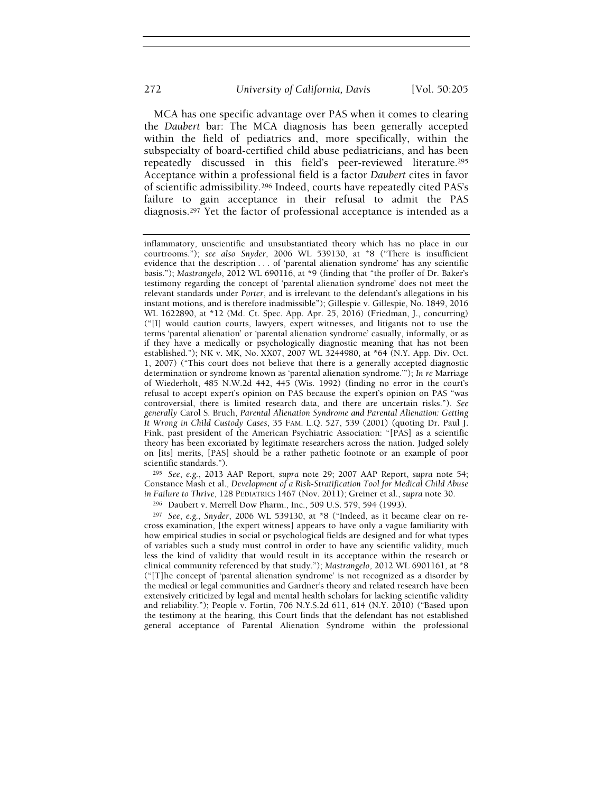MCA has one specific advantage over PAS when it comes to clearing the Daubert bar: The MCA diagnosis has been generally accepted within the field of pediatrics and, more specifically, within the subspecialty of board-certified child abuse pediatricians, and has been repeatedly discussed in this field's peer-reviewed literature.<sup>295</sup> Acceptance within a professional field is a factor Daubert cites in favor of scientific admissibility.296 Indeed, courts have repeatedly cited PAS's failure to gain acceptance in their refusal to admit the PAS diagnosis.297 Yet the factor of professional acceptance is intended as a

<sup>295</sup> See, e.g., 2013 AAP Report, supra note 29; 2007 AAP Report, supra note 54; Constance Mash et al., Development of a Risk-Stratification Tool for Medical Child Abuse in Failure to Thrive, 128 PEDIATRICS 1467 (Nov. 2011); Greiner et al., supra note 30.

<sup>296</sup> Daubert v. Merrell Dow Pharm., Inc., 509 U.S. 579, 594 (1993).

<sup>297</sup> See, e.g., Snyder, 2006 WL 539130, at \*8 ("Indeed, as it became clear on recross examination, [the expert witness] appears to have only a vague familiarity with how empirical studies in social or psychological fields are designed and for what types of variables such a study must control in order to have any scientific validity, much less the kind of validity that would result in its acceptance within the research or clinical community referenced by that study."); Mastrangelo, 2012 WL 6901161, at \*8 ("[T]he concept of 'parental alienation syndrome' is not recognized as a disorder by the medical or legal communities and Gardner's theory and related research have been extensively criticized by legal and mental health scholars for lacking scientific validity and reliability."); People v. Fortin, 706 N.Y.S.2d 611, 614 (N.Y. 2010) ("Based upon the testimony at the hearing, this Court finds that the defendant has not established general acceptance of Parental Alienation Syndrome within the professional

inflammatory, unscientific and unsubstantiated theory which has no place in our courtrooms."); see also Snyder, 2006 WL 539130, at \*8 ("There is insufficient evidence that the description . . . of 'parental alienation syndrome' has any scientific basis."); Mastrangelo, 2012 WL 690116, at \*9 (finding that "the proffer of Dr. Baker's testimony regarding the concept of 'parental alienation syndrome' does not meet the relevant standards under Porter, and is irrelevant to the defendant's allegations in his instant motions, and is therefore inadmissible"); Gillespie v. Gillespie, No. 1849, 2016 WL 1622890, at \*12 (Md. Ct. Spec. App. Apr. 25, 2016) (Friedman, J., concurring) ("[I] would caution courts, lawyers, expert witnesses, and litigants not to use the terms 'parental alienation' or 'parental alienation syndrome' casually, informally, or as if they have a medically or psychologically diagnostic meaning that has not been established."); NK v. MK, No. XX07, 2007 WL 3244980, at \*64 (N.Y. App. Div. Oct. 1, 2007) ("This court does not believe that there is a generally accepted diagnostic determination or syndrome known as 'parental alienation syndrome.'"); In re Marriage of Wiederholt, 485 N.W.2d 442, 445 (Wis. 1992) (finding no error in the court's refusal to accept expert's opinion on PAS because the expert's opinion on PAS "was controversial, there is limited research data, and there are uncertain risks."). See generally Carol S. Bruch, Parental Alienation Syndrome and Parental Alienation: Getting It Wrong in Child Custody Cases, 35 FAM. L.Q. 527, 539 (2001) (quoting Dr. Paul J. Fink, past president of the American Psychiatric Association: "[PAS] as a scientific theory has been excoriated by legitimate researchers across the nation. Judged solely on [its] merits, [PAS] should be a rather pathetic footnote or an example of poor scientific standards.").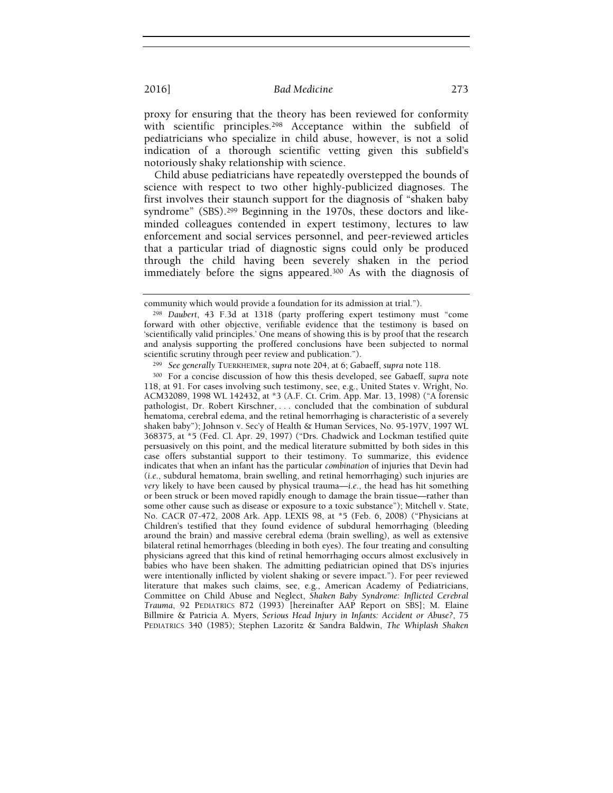proxy for ensuring that the theory has been reviewed for conformity with scientific principles.<sup>298</sup> Acceptance within the subfield of pediatricians who specialize in child abuse, however, is not a solid indication of a thorough scientific vetting given this subfield's notoriously shaky relationship with science.

Child abuse pediatricians have repeatedly overstepped the bounds of science with respect to two other highly-publicized diagnoses. The first involves their staunch support for the diagnosis of "shaken baby syndrome" (SBS).299 Beginning in the 1970s, these doctors and likeminded colleagues contended in expert testimony, lectures to law enforcement and social services personnel, and peer-reviewed articles that a particular triad of diagnostic signs could only be produced through the child having been severely shaken in the period immediately before the signs appeared.300 As with the diagnosis of

community which would provide a foundation for its admission at trial.").

<sup>298</sup> Daubert, 43 F.3d at 1318 (party proffering expert testimony must "come forward with other objective, verifiable evidence that the testimony is based on 'scientifically valid principles.' One means of showing this is by proof that the research and analysis supporting the proffered conclusions have been subjected to normal scientific scrutiny through peer review and publication.").

<sup>&</sup>lt;sup>299</sup> See generally TUERKHEIMER, supra note 204, at 6; Gabaeff, supra note 118.

<sup>300</sup> For a concise discussion of how this thesis developed, see Gabaeff, supra note 118, at 91. For cases involving such testimony, see, e.g., United States v. Wright, No. ACM32089, 1998 WL 142432, at \*3 (A.F. Ct. Crim. App. Mar. 13, 1998) ("A forensic pathologist, Dr. Robert Kirschner, . . . concluded that the combination of subdural hematoma, cerebral edema, and the retinal hemorrhaging is characteristic of a severely shaken baby"); Johnson v. Sec'y of Health & Human Services, No. 95-197V, 1997 WL 368375, at \*5 (Fed. Cl. Apr. 29, 1997) ("Drs. Chadwick and Lockman testified quite persuasively on this point, and the medical literature submitted by both sides in this case offers substantial support to their testimony. To summarize, this evidence indicates that when an infant has the particular combination of injuries that Devin had (i.e., subdural hematoma, brain swelling, and retinal hemorrhaging) such injuries are very likely to have been caused by physical trauma—i.e., the head has hit something or been struck or been moved rapidly enough to damage the brain tissue—rather than some other cause such as disease or exposure to a toxic substance"); Mitchell v. State, No. CACR 07-472, 2008 Ark. App. LEXIS 98, at \*5 (Feb. 6, 2008) ("Physicians at Children's testified that they found evidence of subdural hemorrhaging (bleeding around the brain) and massive cerebral edema (brain swelling), as well as extensive bilateral retinal hemorrhages (bleeding in both eyes). The four treating and consulting physicians agreed that this kind of retinal hemorrhaging occurs almost exclusively in babies who have been shaken. The admitting pediatrician opined that DS's injuries were intentionally inflicted by violent shaking or severe impact."). For peer reviewed literature that makes such claims, see, e.g., American Academy of Pediatricians, Committee on Child Abuse and Neglect, Shaken Baby Syndrome: Inflicted Cerebral Trauma, 92 PEDIATRICS 872 (1993) [hereinafter AAP Report on SBS]; M. Elaine Billmire & Patricia A. Myers, Serious Head Injury in Infants: Accident or Abuse?, 75 PEDIATRICS 340 (1985); Stephen Lazoritz & Sandra Baldwin, The Whiplash Shaken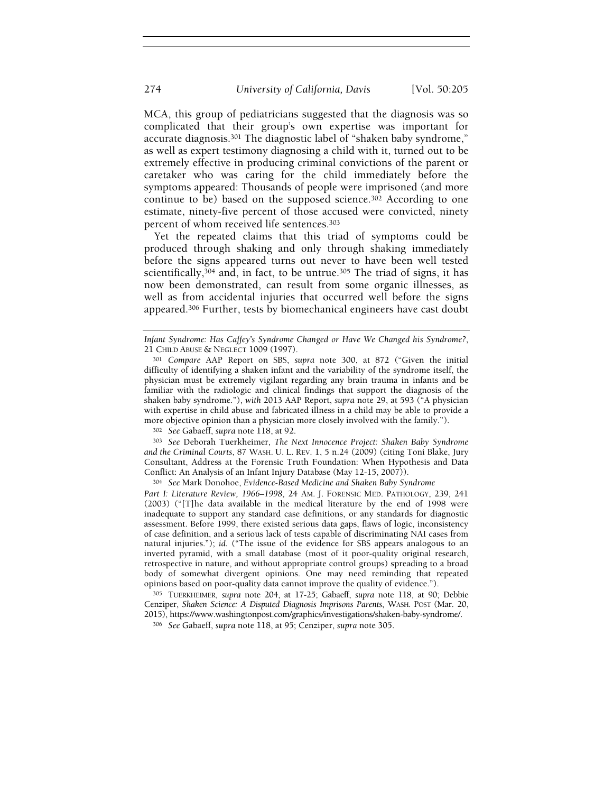MCA, this group of pediatricians suggested that the diagnosis was so complicated that their group's own expertise was important for accurate diagnosis.301 The diagnostic label of "shaken baby syndrome," as well as expert testimony diagnosing a child with it, turned out to be extremely effective in producing criminal convictions of the parent or caretaker who was caring for the child immediately before the symptoms appeared: Thousands of people were imprisoned (and more continue to be) based on the supposed science.302 According to one estimate, ninety-five percent of those accused were convicted, ninety percent of whom received life sentences.<sup>303</sup>

Yet the repeated claims that this triad of symptoms could be produced through shaking and only through shaking immediately before the signs appeared turns out never to have been well tested scientifically,  $304$  and, in fact, to be untrue.  $305$  The triad of signs, it has now been demonstrated, can result from some organic illnesses, as well as from accidental injuries that occurred well before the signs appeared.306 Further, tests by biomechanical engineers have cast doubt

<sup>302</sup> See Gabaeff, supra note 118, at 92.

<sup>303</sup> See Deborah Tuerkheimer, The Next Innocence Project: Shaken Baby Syndrome and the Criminal Courts, 87 WASH. U. L. REV. 1, 5 n.24 (2009) (citing Toni Blake, Jury Consultant, Address at the Forensic Truth Foundation: When Hypothesis and Data Conflict: An Analysis of an Infant Injury Database (May 12-15, 2007)).

<sup>304</sup> See Mark Donohoe, Evidence-Based Medicine and Shaken Baby Syndrome

Part I: Literature Review, 1966-1998, 24 AM. J. FORENSIC MED. PATHOLOGY, 239, 241 (2003) ("[T]he data available in the medical literature by the end of 1998 were inadequate to support any standard case definitions, or any standards for diagnostic assessment. Before 1999, there existed serious data gaps, flaws of logic, inconsistency of case definition, and a serious lack of tests capable of discriminating NAI cases from natural injuries."); id. ("The issue of the evidence for SBS appears analogous to an inverted pyramid, with a small database (most of it poor-quality original research, retrospective in nature, and without appropriate control groups) spreading to a broad body of somewhat divergent opinions. One may need reminding that repeated opinions based on poor-quality data cannot improve the quality of evidence.").

<sup>305</sup> TUERKHEIMER, supra note 204, at 17-25; Gabaeff, supra note 118, at 90; Debbie Cenziper, Shaken Science: A Disputed Diagnosis Imprisons Parents, WASH. POST (Mar. 20, 2015), https://www.washingtonpost.com/graphics/investigations/shaken-baby-syndrome/.

<sup>306</sup> See Gabaeff, supra note 118, at 95; Cenziper, supra note 305.

Infant Syndrome: Has Caffey's Syndrome Changed or Have We Changed his Syndrome?, 21 CHILD ABUSE & NEGLECT 1009 (1997).

<sup>301</sup> Compare AAP Report on SBS, supra note 300, at 872 ("Given the initial difficulty of identifying a shaken infant and the variability of the syndrome itself, the physician must be extremely vigilant regarding any brain trauma in infants and be familiar with the radiologic and clinical findings that support the diagnosis of the shaken baby syndrome."), with 2013 AAP Report, supra note 29, at 593 ("A physician with expertise in child abuse and fabricated illness in a child may be able to provide a more objective opinion than a physician more closely involved with the family.").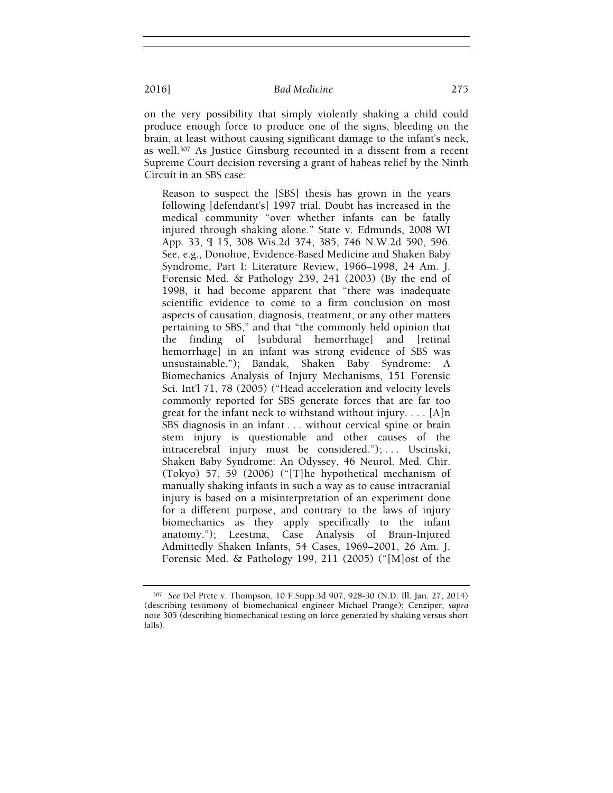on the very possibility that simply violently shaking a child could produce enough force to produce one of the signs, bleeding on the brain, at least without causing significant damage to the infant's neck, as well.307 As Justice Ginsburg recounted in a dissent from a recent Supreme Court decision reversing a grant of habeas relief by the Ninth Circuit in an SBS case:

Reason to suspect the [SBS] thesis has grown in the years following [defendant's] 1997 trial. Doubt has increased in the medical community "over whether infants can be fatally injured through shaking alone." State v. Edmunds, 2008 WI App. 33, ¶ 15, 308 Wis.2d 374, 385, 746 N.W.2d 590, 596. See, e.g., Donohoe, Evidence-Based Medicine and Shaken Baby Syndrome, Part I: Literature Review, 1966–1998, 24 Am. J. Forensic Med. & Pathology 239, 241 (2003) (By the end of 1998, it had become apparent that "there was inadequate scientific evidence to come to a firm conclusion on most aspects of causation, diagnosis, treatment, or any other matters pertaining to SBS," and that "the commonly held opinion that the finding of [subdural hemorrhage] and [retinal hemorrhage] in an infant was strong evidence of SBS was unsustainable."); Bandak, Shaken Baby Syndrome: A Biomechanics Analysis of Injury Mechanisms, 151 Forensic Sci. Int'l 71, 78 (2005) ("Head acceleration and velocity levels commonly reported for SBS generate forces that are far too great for the infant neck to withstand without injury. . . . [A]n SBS diagnosis in an infant . . . without cervical spine or brain stem injury is questionable and other causes of the intracerebral injury must be considered."); ... Uscinski, Shaken Baby Syndrome: An Odyssey, 46 Neurol. Med. Chir. (Tokyo) 57, 59 (2006) ("[T]he hypothetical mechanism of manually shaking infants in such a way as to cause intracranial injury is based on a misinterpretation of an experiment done for a different purpose, and contrary to the laws of injury biomechanics as they apply specifically to the infant anatomy."); Leestma, Case Analysis of Brain-Injured Admittedly Shaken Infants, 54 Cases, 1969–2001, 26 Am. J. Forensic Med. & Pathology 199, 211 (2005) ("[M]ost of the

<sup>307</sup> See Del Prete v. Thompson, 10 F.Supp.3d 907, 928-30 (N.D. Ill. Jan. 27, 2014) (describing testimony of biomechanical engineer Michael Prange); Cenziper, supra note 305 (describing biomechanical testing on force generated by shaking versus short falls).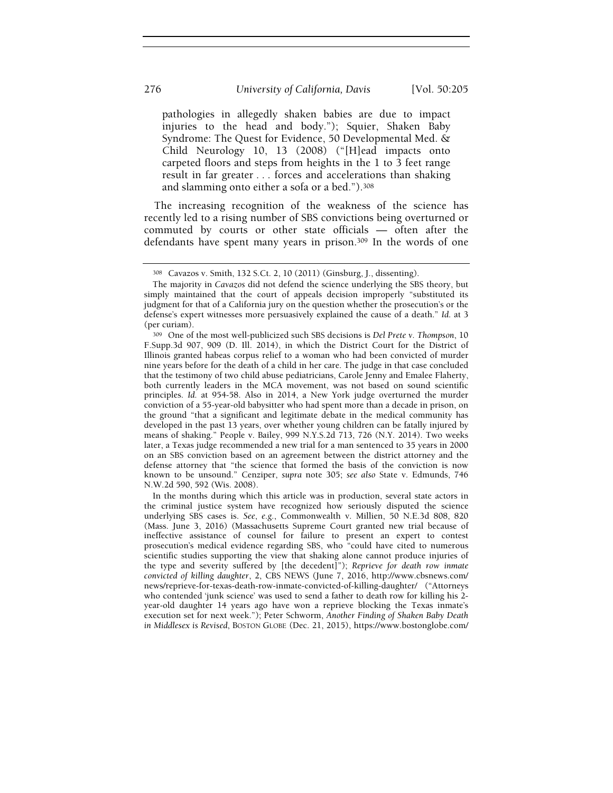pathologies in allegedly shaken babies are due to impact injuries to the head and body."); Squier, Shaken Baby Syndrome: The Quest for Evidence, 50 Developmental Med. & Child Neurology 10, 13 (2008) ("[H]ead impacts onto carpeted floors and steps from heights in the 1 to 3 feet range result in far greater . . . forces and accelerations than shaking and slamming onto either a sofa or a bed.").<sup>308</sup>

The increasing recognition of the weakness of the science has recently led to a rising number of SBS convictions being overturned or commuted by courts or other state officials — often after the defendants have spent many years in prison.309 In the words of one

<sup>308</sup> Cavazos v. Smith, 132 S.Ct. 2, 10 (2011) (Ginsburg, J., dissenting).

The majority in Cavazos did not defend the science underlying the SBS theory, but simply maintained that the court of appeals decision improperly "substituted its judgment for that of a California jury on the question whether the prosecution's or the defense's expert witnesses more persuasively explained the cause of a death." Id. at 3 (per curiam).

<sup>309</sup> One of the most well-publicized such SBS decisions is Del Prete v. Thompson, 10 F.Supp.3d 907, 909 (D. Ill. 2014), in which the District Court for the District of Illinois granted habeas corpus relief to a woman who had been convicted of murder nine years before for the death of a child in her care. The judge in that case concluded that the testimony of two child abuse pediatricians, Carole Jenny and Emalee Flaherty, both currently leaders in the MCA movement, was not based on sound scientific principles. Id. at 954-58. Also in 2014, a New York judge overturned the murder conviction of a 55-year-old babysitter who had spent more than a decade in prison, on the ground "that a significant and legitimate debate in the medical community has developed in the past 13 years, over whether young children can be fatally injured by means of shaking." People v. Bailey, 999 N.Y.S.2d 713, 726 (N.Y. 2014). Two weeks later, a Texas judge recommended a new trial for a man sentenced to 35 years in 2000 on an SBS conviction based on an agreement between the district attorney and the defense attorney that "the science that formed the basis of the conviction is now known to be unsound." Cenziper, supra note 305; see also State v. Edmunds, 746 N.W.2d 590, 592 (Wis. 2008).

In the months during which this article was in production, several state actors in the criminal justice system have recognized how seriously disputed the science underlying SBS cases is. See, e.g., Commonwealth v. Millien, 50 N.E.3d 808, 820 (Mass. June 3, 2016) (Massachusetts Supreme Court granted new trial because of ineffective assistance of counsel for failure to present an expert to contest prosecution's medical evidence regarding SBS, who "could have cited to numerous scientific studies supporting the view that shaking alone cannot produce injuries of the type and severity suffered by [the decedent]"); Reprieve for death row inmate convicted of killing daughter, 2, CBS NEWS (June 7, 2016, http://www.cbsnews.com/ news/reprieve-for-texas-death-row-inmate-convicted-of-killing-daughter/ ("Attorneys who contended 'junk science' was used to send a father to death row for killing his 2 year-old daughter 14 years ago have won a reprieve blocking the Texas inmate's execution set for next week."); Peter Schworm, Another Finding of Shaken Baby Death in Middlesex is Revised, BOSTON GLOBE (Dec. 21, 2015), https://www.bostonglobe.com/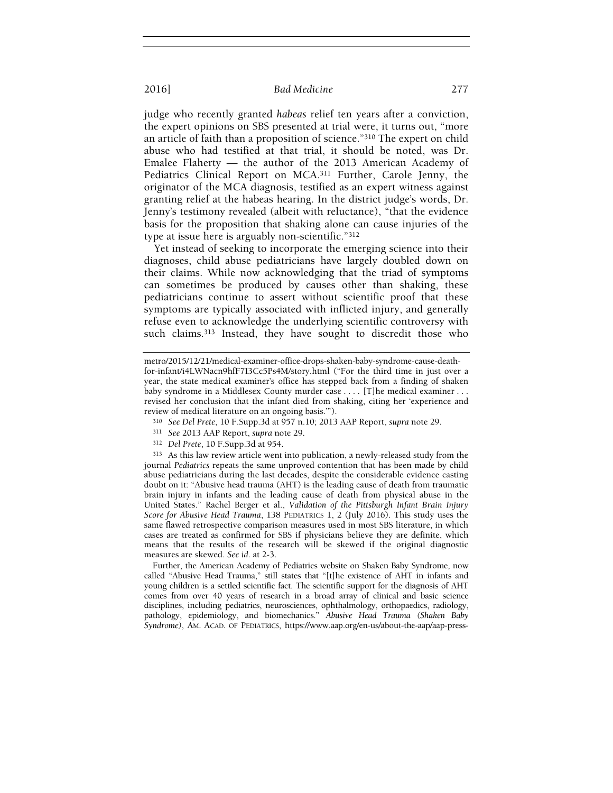judge who recently granted habeas relief ten years after a conviction, the expert opinions on SBS presented at trial were, it turns out, "more an article of faith than a proposition of science."310 The expert on child abuse who had testified at that trial, it should be noted, was Dr. Emalee Flaherty — the author of the 2013 American Academy of Pediatrics Clinical Report on MCA.311 Further, Carole Jenny, the originator of the MCA diagnosis, testified as an expert witness against granting relief at the habeas hearing. In the district judge's words, Dr. Jenny's testimony revealed (albeit with reluctance), "that the evidence basis for the proposition that shaking alone can cause injuries of the type at issue here is arguably non-scientific."<sup>312</sup>

Yet instead of seeking to incorporate the emerging science into their diagnoses, child abuse pediatricians have largely doubled down on their claims. While now acknowledging that the triad of symptoms can sometimes be produced by causes other than shaking, these pediatricians continue to assert without scientific proof that these symptoms are typically associated with inflicted injury, and generally refuse even to acknowledge the underlying scientific controversy with such claims.313 Instead, they have sought to discredit those who

- <sup>310</sup> See Del Prete, 10 F.Supp.3d at 957 n.10; 2013 AAP Report, supra note 29.
- <sup>311</sup> See 2013 AAP Report, supra note 29.
- <sup>312</sup> Del Prete, 10 F.Supp.3d at 954.

<sup>313</sup> As this law review article went into publication, a newly-released study from the journal Pediatrics repeats the same unproved contention that has been made by child abuse pediatricians during the last decades, despite the considerable evidence casting doubt on it: "Abusive head trauma (AHT) is the leading cause of death from traumatic brain injury in infants and the leading cause of death from physical abuse in the United States." Rachel Berger et al., Validation of the Pittsburgh Infant Brain Injury Score for Abusive Head Trauma, 138 PEDIATRICS 1, 2 (July 2016). This study uses the same flawed retrospective comparison measures used in most SBS literature, in which cases are treated as confirmed for SBS if physicians believe they are definite, which means that the results of the research will be skewed if the original diagnostic measures are skewed. See id. at 2-3.

Further, the American Academy of Pediatrics website on Shaken Baby Syndrome, now called "Abusive Head Trauma," still states that "[t]he existence of AHT in infants and young children is a settled scientific fact. The scientific support for the diagnosis of AHT comes from over 40 years of research in a broad array of clinical and basic science disciplines, including pediatrics, neurosciences, ophthalmology, orthopaedics, radiology, pathology, epidemiology, and biomechanics." Abusive Head Trauma (Shaken Baby Syndrome), AM. ACAD. OF PEDIATRICS, https://www.aap.org/en-us/about-the-aap/aap-press-

metro/2015/12/21/medical-examiner-office-drops-shaken-baby-syndrome-cause-deathfor-infant/i4LWNacn9hfF7I3Cc5Ps4M/story.html ("For the third time in just over a year, the state medical examiner's office has stepped back from a finding of shaken baby syndrome in a Middlesex County murder case . . . . [T]he medical examiner . . . revised her conclusion that the infant died from shaking, citing her 'experience and review of medical literature on an ongoing basis.'").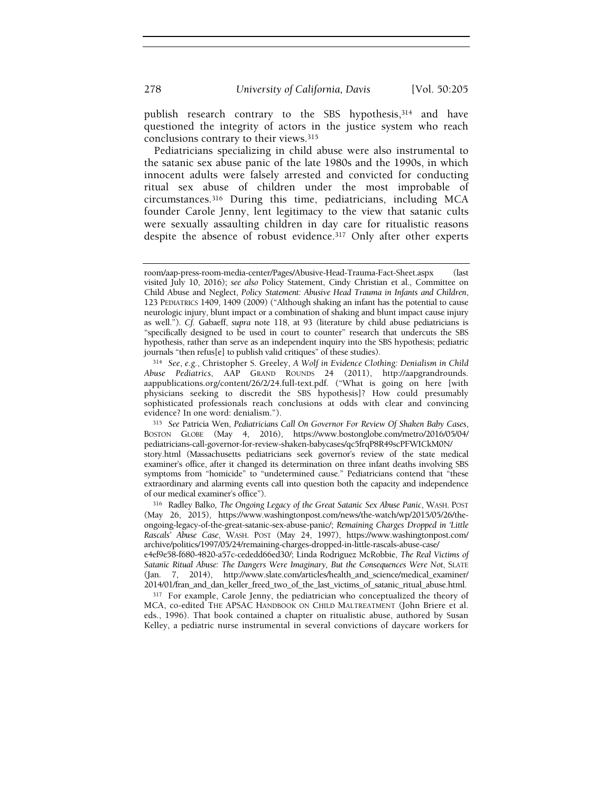publish research contrary to the SBS hypothesis,<sup>314</sup> and have questioned the integrity of actors in the justice system who reach conclusions contrary to their views.<sup>315</sup>

Pediatricians specializing in child abuse were also instrumental to the satanic sex abuse panic of the late 1980s and the 1990s, in which innocent adults were falsely arrested and convicted for conducting ritual sex abuse of children under the most improbable of circumstances.316 During this time, pediatricians, including MCA founder Carole Jenny, lent legitimacy to the view that satanic cults were sexually assaulting children in day care for ritualistic reasons despite the absence of robust evidence.<sup>317</sup> Only after other experts

<sup>314</sup> See, e.g., Christopher S. Greeley, A Wolf in Evidence Clothing: Denialism in Child Abuse Pediatrics, AAP GRAND ROUNDS 24 (2011), http://aapgrandrounds. aappublications.org/content/26/2/24.full-text.pdf. ("What is going on here [with physicians seeking to discredit the SBS hypothesis]? How could presumably sophisticated professionals reach conclusions at odds with clear and convincing evidence? In one word: denialism.").

<sup>315</sup> See Patricia Wen, Pediatricians Call On Governor For Review Of Shaken Baby Cases, BOSTON GLOBE (May 4, 2016), https://www.bostonglobe.com/metro/2016/05/04/ pediatricians-call-governor-for-review-shaken-babycases/qc5frqP8R49scPFWICkM0N/

story.html (Massachusetts pediatricians seek governor's review of the state medical examiner's office, after it changed its determination on three infant deaths involving SBS symptoms from "homicide" to "undetermined cause." Pediatricians contend that "these extraordinary and alarming events call into question both the capacity and independence of our medical examiner's office").

<sup>316</sup> Radley Balko, The Ongoing Legacy of the Great Satanic Sex Abuse Panic, WASH. POST (May 26, 2015), https://www.washingtonpost.com/news/the-watch/wp/2015/05/26/theongoing-legacy-of-the-great-satanic-sex-abuse-panic/; Remaining Charges Dropped in 'Little Rascals' Abuse Case, WASH. POST (May 24, 1997), https://www.washingtonpost.com/ archive/politics/1997/05/24/remaining-charges-dropped-in-little-rascals-abuse-case/

e4ef9e58-f680-4820-a57c-cededd66ed30/; Linda Rodriguez McRobbie, The Real Victims of Satanic Ritual Abuse: The Dangers Were Imaginary, But the Consequences Were Not, SLATE (Jan. 7, 2014), http://www.slate.com/articles/health\_and\_science/medical\_examiner/ 2014/01/fran\_and\_dan\_keller\_freed\_two\_of\_the\_last\_victims\_of\_satanic\_ritual\_abuse.html.

<sup>317</sup> For example, Carole Jenny, the pediatrician who conceptualized the theory of MCA, co-edited THE APSAC HANDBOOK ON CHILD MALTREATMENT (John Briere et al. eds., 1996). That book contained a chapter on ritualistic abuse, authored by Susan Kelley, a pediatric nurse instrumental in several convictions of daycare workers for

room/aap-press-room-media-center/Pages/Abusive-Head-Trauma-Fact-Sheet.aspx (last visited July 10, 2016); see also Policy Statement, Cindy Christian et al., Committee on Child Abuse and Neglect, Policy Statement: Abusive Head Trauma in Infants and Children, 123 PEDIATRICS 1409, 1409 (2009) ("Although shaking an infant has the potential to cause neurologic injury, blunt impact or a combination of shaking and blunt impact cause injury as well."). Cf. Gabaeff, supra note 118, at 93 (literature by child abuse pediatricians is "specifically designed to be used in court to counter" research that undercuts the SBS hypothesis, rather than serve as an independent inquiry into the SBS hypothesis; pediatric journals "then refus[e] to publish valid critiques" of these studies).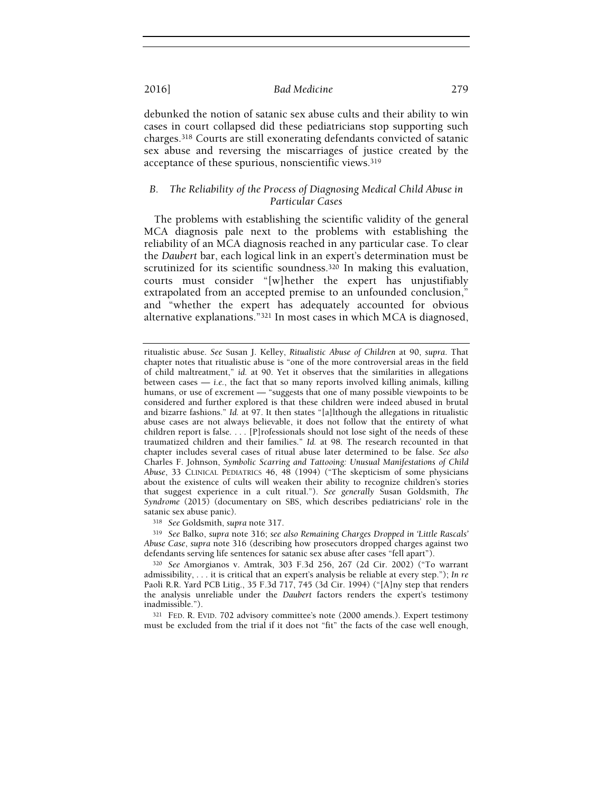debunked the notion of satanic sex abuse cults and their ability to win cases in court collapsed did these pediatricians stop supporting such charges.318 Courts are still exonerating defendants convicted of satanic sex abuse and reversing the miscarriages of justice created by the acceptance of these spurious, nonscientific views.<sup>319</sup>

# B. The Reliability of the Process of Diagnosing Medical Child Abuse in Particular Cases

The problems with establishing the scientific validity of the general MCA diagnosis pale next to the problems with establishing the reliability of an MCA diagnosis reached in any particular case. To clear the Daubert bar, each logical link in an expert's determination must be scrutinized for its scientific soundness.<sup>320</sup> In making this evaluation, courts must consider "[w]hether the expert has unjustifiably extrapolated from an accepted premise to an unfounded conclusion," and "whether the expert has adequately accounted for obvious alternative explanations."321 In most cases in which MCA is diagnosed,

<sup>318</sup> See Goldsmith, supra note 317.

<sup>319</sup> See Balko, supra note 316; see also Remaining Charges Dropped in 'Little Rascals' Abuse Case, supra note 316 (describing how prosecutors dropped charges against two defendants serving life sentences for satanic sex abuse after cases "fell apart").

<sup>320</sup> See Amorgianos v. Amtrak, 303 F.3d 256, 267 (2d Cir. 2002) ("To warrant admissibility,  $\dots$  it is critical that an expert's analysis be reliable at every step."); In re Paoli R.R. Yard PCB Litig., 35 F.3d 717, 745 (3d Cir. 1994) ("[A]ny step that renders the analysis unreliable under the Daubert factors renders the expert's testimony inadmissible.").

<sup>321</sup> FED. R. EVID. 702 advisory committee's note (2000 amends.). Expert testimony must be excluded from the trial if it does not "fit" the facts of the case well enough,

ritualistic abuse. See Susan J. Kelley, Ritualistic Abuse of Children at 90, supra. That chapter notes that ritualistic abuse is "one of the more controversial areas in the field of child maltreatment," id. at 90. Yet it observes that the similarities in allegations between cases — i.e., the fact that so many reports involved killing animals, killing humans, or use of excrement — "suggests that one of many possible viewpoints to be considered and further explored is that these children were indeed abused in brutal and bizarre fashions." Id. at 97. It then states "[a]lthough the allegations in ritualistic abuse cases are not always believable, it does not follow that the entirety of what children report is false. . . . [P]rofessionals should not lose sight of the needs of these traumatized children and their families." Id. at 98. The research recounted in that chapter includes several cases of ritual abuse later determined to be false. See also Charles F. Johnson, Symbolic Scarring and Tattooing: Unusual Manifestations of Child Abuse, 33 CLINICAL PEDIATRICS 46, 48 (1994) ("The skepticism of some physicians about the existence of cults will weaken their ability to recognize children's stories that suggest experience in a cult ritual."). See generally Susan Goldsmith, The Syndrome (2015) (documentary on SBS, which describes pediatricians' role in the satanic sex abuse panic).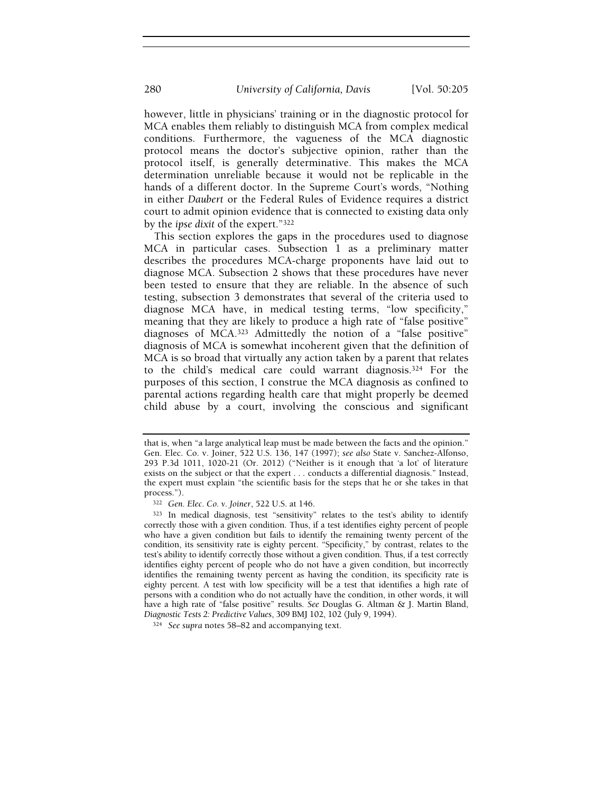however, little in physicians' training or in the diagnostic protocol for MCA enables them reliably to distinguish MCA from complex medical conditions. Furthermore, the vagueness of the MCA diagnostic protocol means the doctor's subjective opinion, rather than the protocol itself, is generally determinative. This makes the MCA determination unreliable because it would not be replicable in the hands of a different doctor. In the Supreme Court's words, "Nothing in either Daubert or the Federal Rules of Evidence requires a district court to admit opinion evidence that is connected to existing data only by the ipse dixit of the expert."<sup>322</sup>

This section explores the gaps in the procedures used to diagnose MCA in particular cases. Subsection 1 as a preliminary matter describes the procedures MCA-charge proponents have laid out to diagnose MCA. Subsection 2 shows that these procedures have never been tested to ensure that they are reliable. In the absence of such testing, subsection 3 demonstrates that several of the criteria used to diagnose MCA have, in medical testing terms, "low specificity," meaning that they are likely to produce a high rate of "false positive" diagnoses of MCA.323 Admittedly the notion of a "false positive" diagnosis of MCA is somewhat incoherent given that the definition of MCA is so broad that virtually any action taken by a parent that relates to the child's medical care could warrant diagnosis.324 For the purposes of this section, I construe the MCA diagnosis as confined to parental actions regarding health care that might properly be deemed child abuse by a court, involving the conscious and significant

that is, when "a large analytical leap must be made between the facts and the opinion." Gen. Elec. Co. v. Joiner, 522 U.S. 136, 147 (1997); see also State v. Sanchez-Alfonso, 293 P.3d 1011, 1020-21 (Or. 2012) ("Neither is it enough that 'a lot' of literature exists on the subject or that the expert . . . conducts a differential diagnosis." Instead, the expert must explain "the scientific basis for the steps that he or she takes in that process.").

<sup>322</sup> Gen. Elec. Co. v. Joiner, 522 U.S. at 146.

<sup>323</sup> In medical diagnosis, test "sensitivity" relates to the test's ability to identify correctly those with a given condition. Thus, if a test identifies eighty percent of people who have a given condition but fails to identify the remaining twenty percent of the condition, its sensitivity rate is eighty percent. "Specificity," by contrast, relates to the test's ability to identify correctly those without a given condition. Thus, if a test correctly identifies eighty percent of people who do not have a given condition, but incorrectly identifies the remaining twenty percent as having the condition, its specificity rate is eighty percent. A test with low specificity will be a test that identifies a high rate of persons with a condition who do not actually have the condition, in other words, it will have a high rate of "false positive" results. See Douglas G. Altman & J. Martin Bland, Diagnostic Tests 2: Predictive Values, 309 BMJ 102, 102 (July 9, 1994).

<sup>324</sup> See supra notes 58–82 and accompanying text.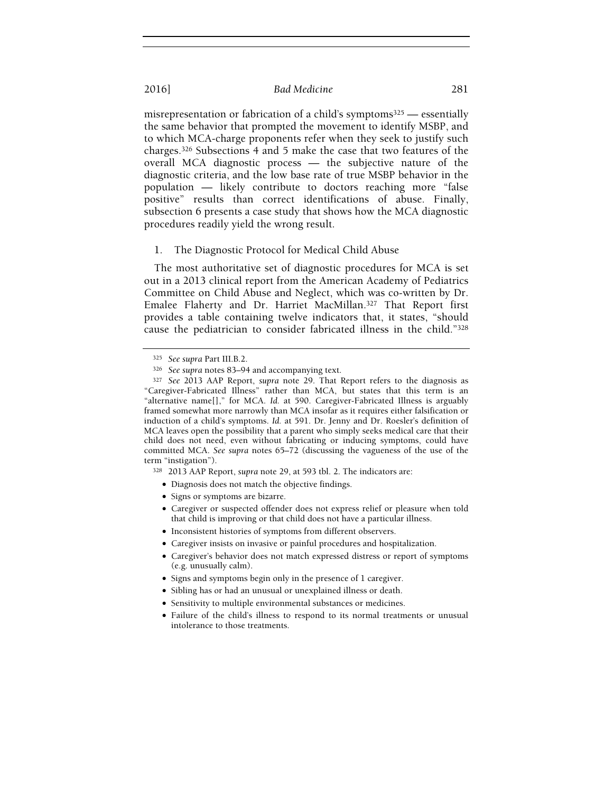misrepresentation or fabrication of a child's symptoms $325$  — essentially the same behavior that prompted the movement to identify MSBP, and to which MCA-charge proponents refer when they seek to justify such charges.326 Subsections 4 and 5 make the case that two features of the overall MCA diagnostic process — the subjective nature of the diagnostic criteria, and the low base rate of true MSBP behavior in the population — likely contribute to doctors reaching more "false positive" results than correct identifications of abuse. Finally, subsection 6 presents a case study that shows how the MCA diagnostic procedures readily yield the wrong result.

### 1. The Diagnostic Protocol for Medical Child Abuse

The most authoritative set of diagnostic procedures for MCA is set out in a 2013 clinical report from the American Academy of Pediatrics Committee on Child Abuse and Neglect, which was co-written by Dr. Emalee Flaherty and Dr. Harriet MacMillan.327 That Report first provides a table containing twelve indicators that, it states, "should cause the pediatrician to consider fabricated illness in the child."<sup>328</sup>

- <sup>328</sup> 2013 AAP Report, supra note 29, at 593 tbl. 2. The indicators are:
	- Diagnosis does not match the objective findings.
	- Signs or symptoms are bizarre.
	- Caregiver or suspected offender does not express relief or pleasure when told that child is improving or that child does not have a particular illness.
	- Inconsistent histories of symptoms from different observers.
	- Caregiver insists on invasive or painful procedures and hospitalization.
	- Caregiver's behavior does not match expressed distress or report of symptoms (e.g. unusually calm).
	- Signs and symptoms begin only in the presence of 1 caregiver.
	- Sibling has or had an unusual or unexplained illness or death.
	- Sensitivity to multiple environmental substances or medicines.
	- Failure of the child's illness to respond to its normal treatments or unusual intolerance to those treatments.

<sup>325</sup> See supra Part III.B.2.

<sup>326</sup> See supra notes 83–94 and accompanying text.

<sup>327</sup> See 2013 AAP Report, supra note 29. That Report refers to the diagnosis as "Caregiver-Fabricated Illness" rather than MCA, but states that this term is an "alternative name[]," for MCA. Id. at 590. Caregiver-Fabricated Illness is arguably framed somewhat more narrowly than MCA insofar as it requires either falsification or induction of a child's symptoms. Id. at 591. Dr. Jenny and Dr. Roesler's definition of MCA leaves open the possibility that a parent who simply seeks medical care that their child does not need, even without fabricating or inducing symptoms, could have committed MCA. See supra notes 65–72 (discussing the vagueness of the use of the term "instigation").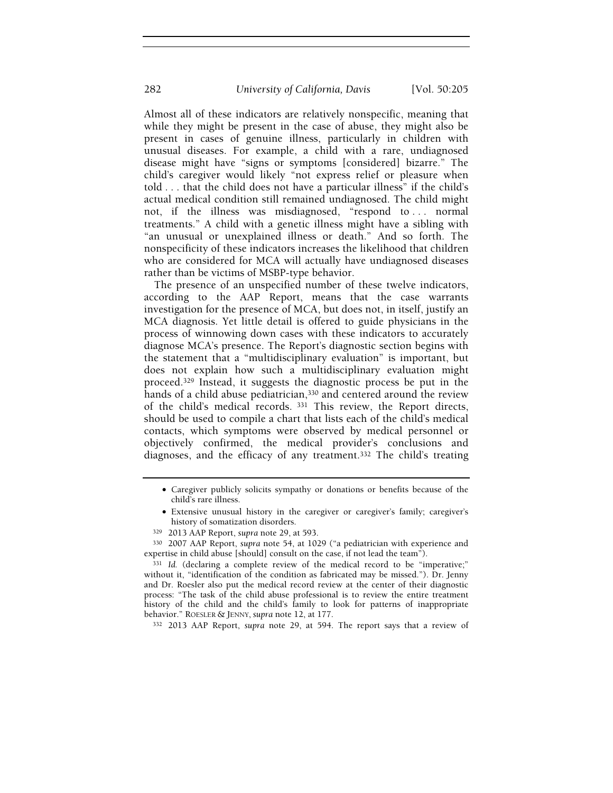Almost all of these indicators are relatively nonspecific, meaning that while they might be present in the case of abuse, they might also be present in cases of genuine illness, particularly in children with unusual diseases. For example, a child with a rare, undiagnosed disease might have "signs or symptoms [considered] bizarre." The child's caregiver would likely "not express relief or pleasure when told . . . that the child does not have a particular illness" if the child's actual medical condition still remained undiagnosed. The child might not, if the illness was misdiagnosed, "respond to . . . normal treatments." A child with a genetic illness might have a sibling with "an unusual or unexplained illness or death." And so forth. The nonspecificity of these indicators increases the likelihood that children who are considered for MCA will actually have undiagnosed diseases rather than be victims of MSBP-type behavior.

The presence of an unspecified number of these twelve indicators, according to the AAP Report, means that the case warrants investigation for the presence of MCA, but does not, in itself, justify an MCA diagnosis. Yet little detail is offered to guide physicians in the process of winnowing down cases with these indicators to accurately diagnose MCA's presence. The Report's diagnostic section begins with the statement that a "multidisciplinary evaluation" is important, but does not explain how such a multidisciplinary evaluation might proceed.329 Instead, it suggests the diagnostic process be put in the hands of a child abuse pediatrician,<sup>330</sup> and centered around the review of the child's medical records. <sup>331</sup> This review, the Report directs, should be used to compile a chart that lists each of the child's medical contacts, which symptoms were observed by medical personnel or objectively confirmed, the medical provider's conclusions and diagnoses, and the efficacy of any treatment.332 The child's treating

- Caregiver publicly solicits sympathy or donations or benefits because of the child's rare illness.
- Extensive unusual history in the caregiver or caregiver's family; caregiver's history of somatization disorders.
- <sup>329</sup> 2013 AAP Report, supra note 29, at 593.

<sup>330</sup> 2007 AAP Report, supra note 54, at 1029 ("a pediatrician with experience and expertise in child abuse [should] consult on the case, if not lead the team").

<sup>331</sup> Id. (declaring a complete review of the medical record to be "imperative;" without it, "identification of the condition as fabricated may be missed."). Dr. Jenny and Dr. Roesler also put the medical record review at the center of their diagnostic process: "The task of the child abuse professional is to review the entire treatment history of the child and the child's family to look for patterns of inappropriate behavior." ROESLER & JENNY, supra note 12, at 177.

<sup>332</sup> 2013 AAP Report, supra note 29, at 594. The report says that a review of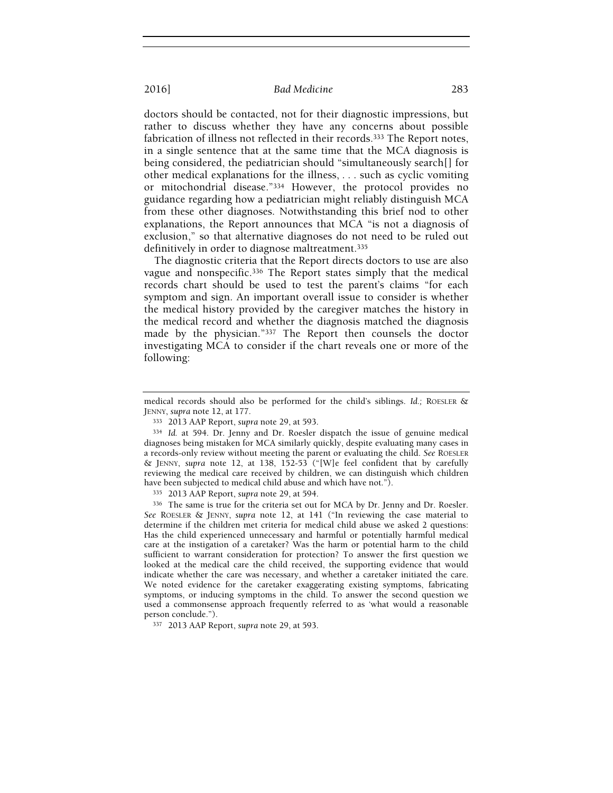doctors should be contacted, not for their diagnostic impressions, but rather to discuss whether they have any concerns about possible fabrication of illness not reflected in their records.<sup>333</sup> The Report notes, in a single sentence that at the same time that the MCA diagnosis is being considered, the pediatrician should "simultaneously search[] for other medical explanations for the illness, . . . such as cyclic vomiting or mitochondrial disease."334 However, the protocol provides no guidance regarding how a pediatrician might reliably distinguish MCA from these other diagnoses. Notwithstanding this brief nod to other explanations, the Report announces that MCA "is not a diagnosis of exclusion," so that alternative diagnoses do not need to be ruled out definitively in order to diagnose maltreatment.<sup>335</sup>

The diagnostic criteria that the Report directs doctors to use are also vague and nonspecific.336 The Report states simply that the medical records chart should be used to test the parent's claims "for each symptom and sign. An important overall issue to consider is whether the medical history provided by the caregiver matches the history in the medical record and whether the diagnosis matched the diagnosis made by the physician."337 The Report then counsels the doctor investigating MCA to consider if the chart reveals one or more of the following:

<sup>333</sup> 2013 AAP Report, supra note 29, at 593.

<sup>335</sup> 2013 AAP Report, supra note 29, at 594.

<sup>336</sup> The same is true for the criteria set out for MCA by Dr. Jenny and Dr. Roesler. See ROESLER & JENNY, supra note 12, at 141 ("In reviewing the case material to determine if the children met criteria for medical child abuse we asked 2 questions: Has the child experienced unnecessary and harmful or potentially harmful medical care at the instigation of a caretaker? Was the harm or potential harm to the child sufficient to warrant consideration for protection? To answer the first question we looked at the medical care the child received, the supporting evidence that would indicate whether the care was necessary, and whether a caretaker initiated the care. We noted evidence for the caretaker exaggerating existing symptoms, fabricating symptoms, or inducing symptoms in the child. To answer the second question we used a commonsense approach frequently referred to as 'what would a reasonable person conclude.").

<sup>337</sup> 2013 AAP Report, supra note 29, at 593.

medical records should also be performed for the child's siblings. Id.; ROESLER & JENNY, supra note 12, at 177.

<sup>334</sup> Id. at 594. Dr. Jenny and Dr. Roesler dispatch the issue of genuine medical diagnoses being mistaken for MCA similarly quickly, despite evaluating many cases in a records-only review without meeting the parent or evaluating the child. See ROESLER  $&$  JENNY, supra note 12, at 138, 152-53 ("[W]e feel confident that by carefully reviewing the medical care received by children, we can distinguish which children have been subjected to medical child abuse and which have not.").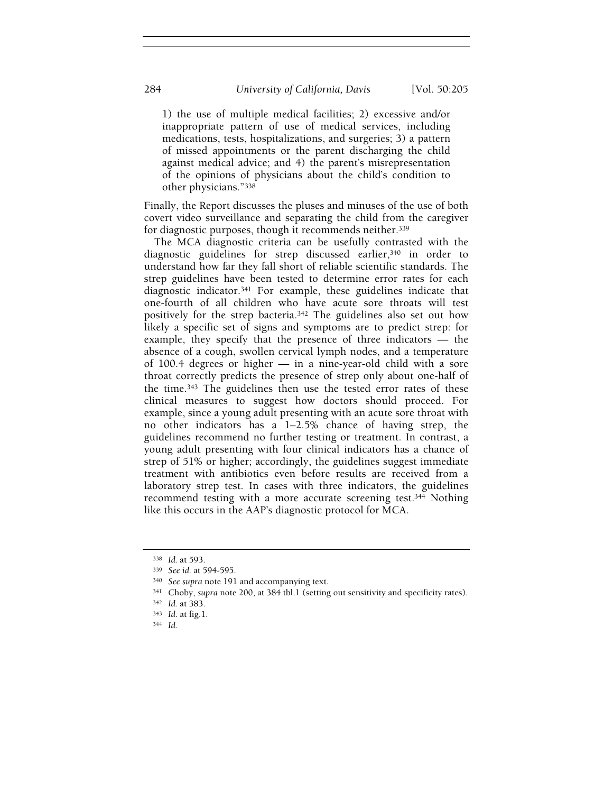1) the use of multiple medical facilities; 2) excessive and/or inappropriate pattern of use of medical services, including medications, tests, hospitalizations, and surgeries; 3) a pattern of missed appointments or the parent discharging the child against medical advice; and 4) the parent's misrepresentation of the opinions of physicians about the child's condition to other physicians."<sup>338</sup>

Finally, the Report discusses the pluses and minuses of the use of both covert video surveillance and separating the child from the caregiver for diagnostic purposes, though it recommends neither.<sup>339</sup>

The MCA diagnostic criteria can be usefully contrasted with the diagnostic guidelines for strep discussed earlier,340 in order to understand how far they fall short of reliable scientific standards. The strep guidelines have been tested to determine error rates for each diagnostic indicator.341 For example, these guidelines indicate that one-fourth of all children who have acute sore throats will test positively for the strep bacteria.342 The guidelines also set out how likely a specific set of signs and symptoms are to predict strep: for example, they specify that the presence of three indicators — the absence of a cough, swollen cervical lymph nodes, and a temperature of 100.4 degrees or higher — in a nine-year-old child with a sore throat correctly predicts the presence of strep only about one-half of the time.343 The guidelines then use the tested error rates of these clinical measures to suggest how doctors should proceed. For example, since a young adult presenting with an acute sore throat with no other indicators has a 1–2.5% chance of having strep, the guidelines recommend no further testing or treatment. In contrast, a young adult presenting with four clinical indicators has a chance of strep of 51% or higher; accordingly, the guidelines suggest immediate treatment with antibiotics even before results are received from a laboratory strep test. In cases with three indicators, the guidelines recommend testing with a more accurate screening test.344 Nothing like this occurs in the AAP's diagnostic protocol for MCA.

<sup>338</sup> Id. at 593.

<sup>339</sup> See id. at 594-595.

<sup>340</sup> See supra note 191 and accompanying text.

<sup>341</sup> Choby, supra note 200, at 384 tbl.1 (setting out sensitivity and specificity rates).

<sup>342</sup> Id. at 383.

<sup>343</sup> Id. at fig.1.

<sup>344</sup> Id.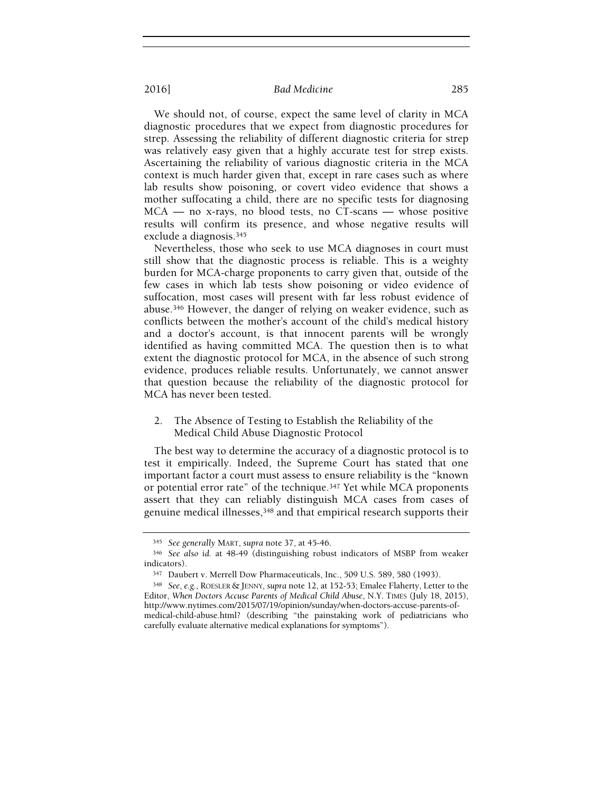We should not, of course, expect the same level of clarity in MCA diagnostic procedures that we expect from diagnostic procedures for strep. Assessing the reliability of different diagnostic criteria for strep was relatively easy given that a highly accurate test for strep exists. Ascertaining the reliability of various diagnostic criteria in the MCA context is much harder given that, except in rare cases such as where lab results show poisoning, or covert video evidence that shows a mother suffocating a child, there are no specific tests for diagnosing MCA — no x-rays, no blood tests, no CT-scans — whose positive results will confirm its presence, and whose negative results will exclude a diagnosis.<sup>345</sup>

Nevertheless, those who seek to use MCA diagnoses in court must still show that the diagnostic process is reliable. This is a weighty burden for MCA-charge proponents to carry given that, outside of the few cases in which lab tests show poisoning or video evidence of suffocation, most cases will present with far less robust evidence of abuse.346 However, the danger of relying on weaker evidence, such as conflicts between the mother's account of the child's medical history and a doctor's account, is that innocent parents will be wrongly identified as having committed MCA. The question then is to what extent the diagnostic protocol for MCA, in the absence of such strong evidence, produces reliable results. Unfortunately, we cannot answer that question because the reliability of the diagnostic protocol for MCA has never been tested.

2. The Absence of Testing to Establish the Reliability of the Medical Child Abuse Diagnostic Protocol

The best way to determine the accuracy of a diagnostic protocol is to test it empirically. Indeed, the Supreme Court has stated that one important factor a court must assess to ensure reliability is the "known or potential error rate" of the technique.347 Yet while MCA proponents assert that they can reliably distinguish MCA cases from cases of genuine medical illnesses,<sup>348</sup> and that empirical research supports their

<sup>345</sup> See generally MART, supra note 37, at 45-46.

<sup>346</sup> See also id. at 48-49 (distinguishing robust indicators of MSBP from weaker indicators).

<sup>347</sup> Daubert v. Merrell Dow Pharmaceuticals, Inc., 509 U.S. 589, 580 (1993).

<sup>348</sup> See, e.g., ROESLER & JENNY, supra note 12, at 152-53; Emalee Flaherty, Letter to the Editor, When Doctors Accuse Parents of Medical Child Abuse, N.Y. TIMES (July 18, 2015), http://www.nytimes.com/2015/07/19/opinion/sunday/when-doctors-accuse-parents-ofmedical-child-abuse.html? (describing "the painstaking work of pediatricians who carefully evaluate alternative medical explanations for symptoms").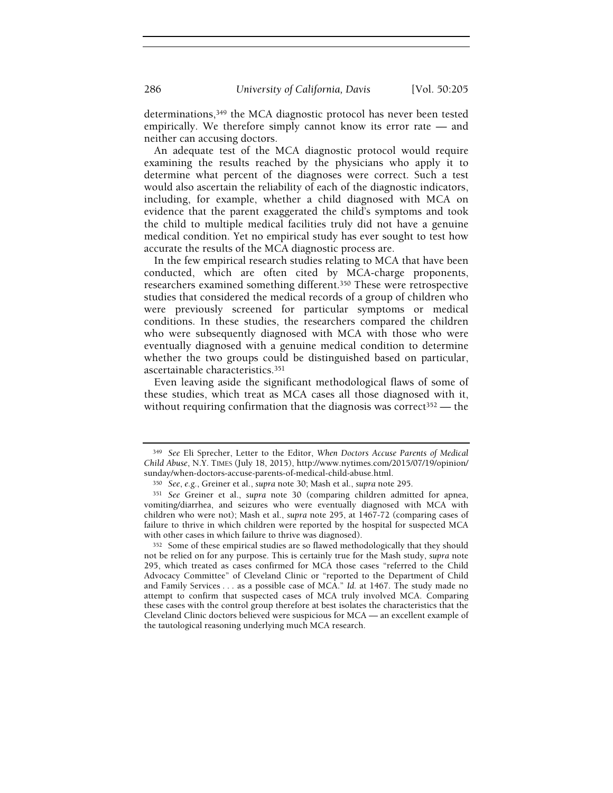determinations,349 the MCA diagnostic protocol has never been tested empirically. We therefore simply cannot know its error rate — and neither can accusing doctors.

An adequate test of the MCA diagnostic protocol would require examining the results reached by the physicians who apply it to determine what percent of the diagnoses were correct. Such a test would also ascertain the reliability of each of the diagnostic indicators, including, for example, whether a child diagnosed with MCA on evidence that the parent exaggerated the child's symptoms and took the child to multiple medical facilities truly did not have a genuine medical condition. Yet no empirical study has ever sought to test how accurate the results of the MCA diagnostic process are.

In the few empirical research studies relating to MCA that have been conducted, which are often cited by MCA-charge proponents, researchers examined something different.350 These were retrospective studies that considered the medical records of a group of children who were previously screened for particular symptoms or medical conditions. In these studies, the researchers compared the children who were subsequently diagnosed with MCA with those who were eventually diagnosed with a genuine medical condition to determine whether the two groups could be distinguished based on particular, ascertainable characteristics.<sup>351</sup>

Even leaving aside the significant methodological flaws of some of these studies, which treat as MCA cases all those diagnosed with it, without requiring confirmation that the diagnosis was correct<sup>352</sup> — the

<sup>349</sup> See Eli Sprecher, Letter to the Editor, When Doctors Accuse Parents of Medical Child Abuse, N.Y. TIMES (July 18, 2015), http://www.nytimes.com/2015/07/19/opinion/ sunday/when-doctors-accuse-parents-of-medical-child-abuse.html.

<sup>350</sup> See, e.g., Greiner et al., supra note 30; Mash et al., supra note 295.

<sup>351</sup> See Greiner et al., supra note 30 (comparing children admitted for apnea, vomiting/diarrhea, and seizures who were eventually diagnosed with MCA with children who were not); Mash et al., supra note 295, at 1467-72 (comparing cases of failure to thrive in which children were reported by the hospital for suspected MCA with other cases in which failure to thrive was diagnosed).

<sup>352</sup> Some of these empirical studies are so flawed methodologically that they should not be relied on for any purpose. This is certainly true for the Mash study, supra note 295, which treated as cases confirmed for MCA those cases "referred to the Child Advocacy Committee" of Cleveland Clinic or "reported to the Department of Child and Family Services . . . as a possible case of MCA." Id. at 1467. The study made no attempt to confirm that suspected cases of MCA truly involved MCA. Comparing these cases with the control group therefore at best isolates the characteristics that the Cleveland Clinic doctors believed were suspicious for MCA — an excellent example of the tautological reasoning underlying much MCA research.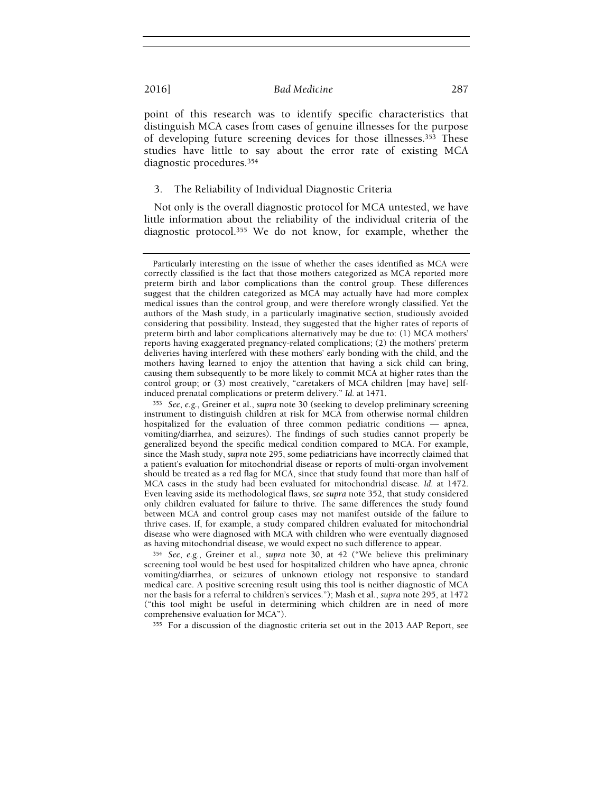point of this research was to identify specific characteristics that distinguish MCA cases from cases of genuine illnesses for the purpose of developing future screening devices for those illnesses.353 These studies have little to say about the error rate of existing MCA diagnostic procedures.<sup>354</sup>

#### 3. The Reliability of Individual Diagnostic Criteria

Not only is the overall diagnostic protocol for MCA untested, we have little information about the reliability of the individual criteria of the diagnostic protocol.355 We do not know, for example, whether the

355 For a discussion of the diagnostic criteria set out in the 2013 AAP Report, see

Particularly interesting on the issue of whether the cases identified as MCA were correctly classified is the fact that those mothers categorized as MCA reported more preterm birth and labor complications than the control group. These differences suggest that the children categorized as MCA may actually have had more complex medical issues than the control group, and were therefore wrongly classified. Yet the authors of the Mash study, in a particularly imaginative section, studiously avoided considering that possibility. Instead, they suggested that the higher rates of reports of preterm birth and labor complications alternatively may be due to: (1) MCA mothers' reports having exaggerated pregnancy-related complications; (2) the mothers' preterm deliveries having interfered with these mothers' early bonding with the child, and the mothers having learned to enjoy the attention that having a sick child can bring, causing them subsequently to be more likely to commit MCA at higher rates than the control group; or (3) most creatively, "caretakers of MCA children [may have] selfinduced prenatal complications or preterm delivery." Id. at 1471.

 $353$  See, e.g., Greiner et al., supra note 30 (seeking to develop preliminary screening instrument to distinguish children at risk for MCA from otherwise normal children hospitalized for the evaluation of three common pediatric conditions — apnea, vomiting/diarrhea, and seizures). The findings of such studies cannot properly be generalized beyond the specific medical condition compared to MCA. For example, since the Mash study, supra note 295, some pediatricians have incorrectly claimed that a patient's evaluation for mitochondrial disease or reports of multi-organ involvement should be treated as a red flag for MCA, since that study found that more than half of MCA cases in the study had been evaluated for mitochondrial disease. Id. at 1472. Even leaving aside its methodological flaws, see supra note 352, that study considered only children evaluated for failure to thrive. The same differences the study found between MCA and control group cases may not manifest outside of the failure to thrive cases. If, for example, a study compared children evaluated for mitochondrial disease who were diagnosed with MCA with children who were eventually diagnosed as having mitochondrial disease, we would expect no such difference to appear.

<sup>354</sup> See, e.g., Greiner et al., supra note 30, at 42 ("We believe this preliminary screening tool would be best used for hospitalized children who have apnea, chronic vomiting/diarrhea, or seizures of unknown etiology not responsive to standard medical care. A positive screening result using this tool is neither diagnostic of MCA nor the basis for a referral to children's services."); Mash et al., supra note 295, at 1472 ("this tool might be useful in determining which children are in need of more comprehensive evaluation for MCA").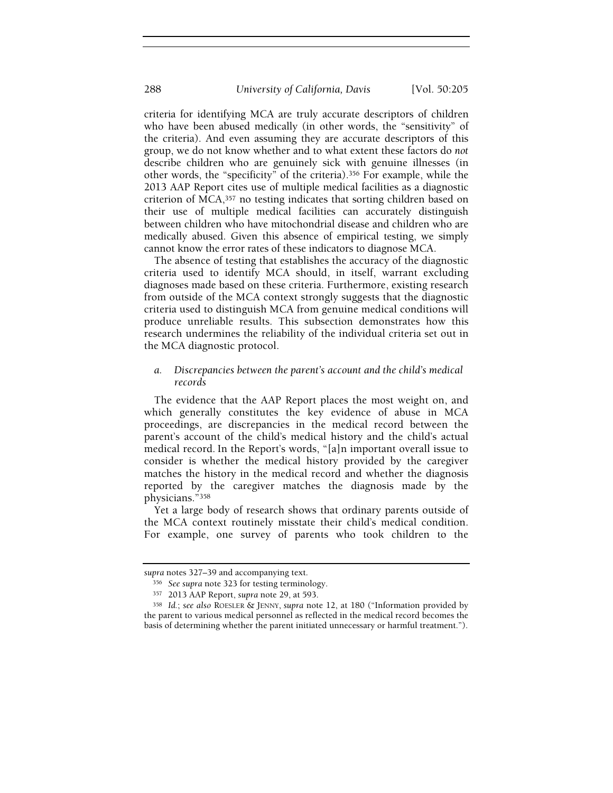criteria for identifying MCA are truly accurate descriptors of children who have been abused medically (in other words, the "sensitivity" of the criteria). And even assuming they are accurate descriptors of this group, we do not know whether and to what extent these factors do not describe children who are genuinely sick with genuine illnesses (in other words, the "specificity" of the criteria).356 For example, while the 2013 AAP Report cites use of multiple medical facilities as a diagnostic criterion of MCA,357 no testing indicates that sorting children based on their use of multiple medical facilities can accurately distinguish between children who have mitochondrial disease and children who are medically abused. Given this absence of empirical testing, we simply cannot know the error rates of these indicators to diagnose MCA.

The absence of testing that establishes the accuracy of the diagnostic criteria used to identify MCA should, in itself, warrant excluding diagnoses made based on these criteria. Furthermore, existing research from outside of the MCA context strongly suggests that the diagnostic criteria used to distinguish MCA from genuine medical conditions will produce unreliable results. This subsection demonstrates how this research undermines the reliability of the individual criteria set out in the MCA diagnostic protocol.

# a. Discrepancies between the parent's account and the child's medical records

The evidence that the AAP Report places the most weight on, and which generally constitutes the key evidence of abuse in MCA proceedings, are discrepancies in the medical record between the parent's account of the child's medical history and the child's actual medical record. In the Report's words, "[a]n important overall issue to consider is whether the medical history provided by the caregiver matches the history in the medical record and whether the diagnosis reported by the caregiver matches the diagnosis made by the physicians."<sup>358</sup>

Yet a large body of research shows that ordinary parents outside of the MCA context routinely misstate their child's medical condition. For example, one survey of parents who took children to the

supra notes 327–39 and accompanying text.

<sup>356</sup> See supra note 323 for testing terminology.

<sup>357</sup> 2013 AAP Report, supra note 29, at 593.

<sup>358</sup> Id.; see also ROESLER & JENNY, supra note 12, at 180 ("Information provided by the parent to various medical personnel as reflected in the medical record becomes the basis of determining whether the parent initiated unnecessary or harmful treatment.").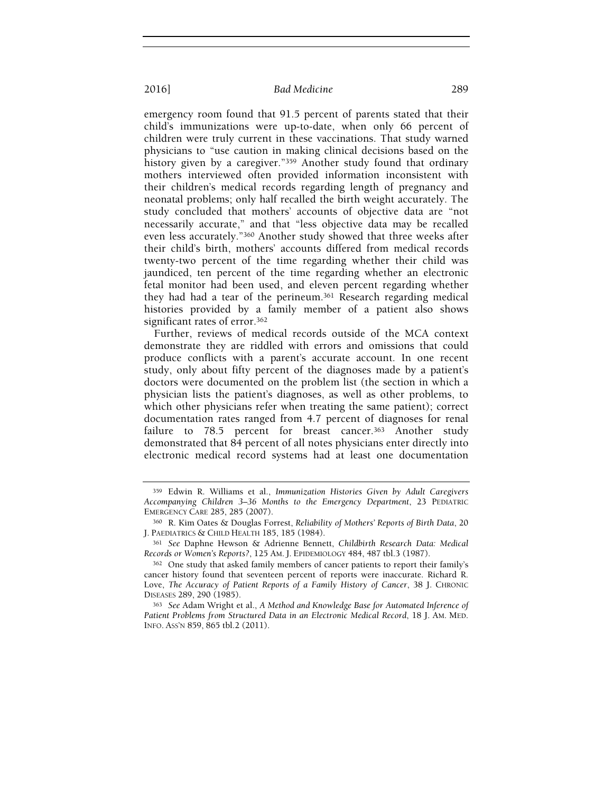emergency room found that 91.5 percent of parents stated that their child's immunizations were up-to-date, when only 66 percent of children were truly current in these vaccinations. That study warned physicians to "use caution in making clinical decisions based on the history given by a caregiver."<sup>359</sup> Another study found that ordinary mothers interviewed often provided information inconsistent with their children's medical records regarding length of pregnancy and neonatal problems; only half recalled the birth weight accurately. The study concluded that mothers' accounts of objective data are "not necessarily accurate," and that "less objective data may be recalled even less accurately."360 Another study showed that three weeks after their child's birth, mothers' accounts differed from medical records twenty-two percent of the time regarding whether their child was jaundiced, ten percent of the time regarding whether an electronic fetal monitor had been used, and eleven percent regarding whether they had had a tear of the perineum.361 Research regarding medical histories provided by a family member of a patient also shows significant rates of error.<sup>362</sup>

Further, reviews of medical records outside of the MCA context demonstrate they are riddled with errors and omissions that could produce conflicts with a parent's accurate account. In one recent study, only about fifty percent of the diagnoses made by a patient's doctors were documented on the problem list (the section in which a physician lists the patient's diagnoses, as well as other problems, to which other physicians refer when treating the same patient); correct documentation rates ranged from 4.7 percent of diagnoses for renal failure to 78.5 percent for breast cancer.<sup>363</sup> Another study demonstrated that 84 percent of all notes physicians enter directly into electronic medical record systems had at least one documentation

<sup>359</sup> Edwin R. Williams et al., Immunization Histories Given by Adult Caregivers Accompanying Children 3–36 Months to the Emergency Department, 23 PEDIATRIC EMERGENCY CARE 285, 285 (2007).

<sup>360</sup> R. Kim Oates & Douglas Forrest, Reliability of Mothers' Reports of Birth Data, 20 J. PAEDIATRICS & CHILD HEALTH 185, 185 (1984).

<sup>361</sup> See Daphne Hewson & Adrienne Bennett, Childbirth Research Data: Medical Records or Women's Reports?, 125 AM. J. EPIDEMIOLOGY 484, 487 tbl.3 (1987).

<sup>362</sup> One study that asked family members of cancer patients to report their family's cancer history found that seventeen percent of reports were inaccurate. Richard R. Love, The Accuracy of Patient Reports of a Family History of Cancer, 38 J. CHRONIC DISEASES 289, 290 (1985).

<sup>363</sup> See Adam Wright et al., A Method and Knowledge Base for Automated Inference of Patient Problems from Structured Data in an Electronic Medical Record, 18 J. AM. MED. INFO. ASS'N 859, 865 tbl.2 (2011).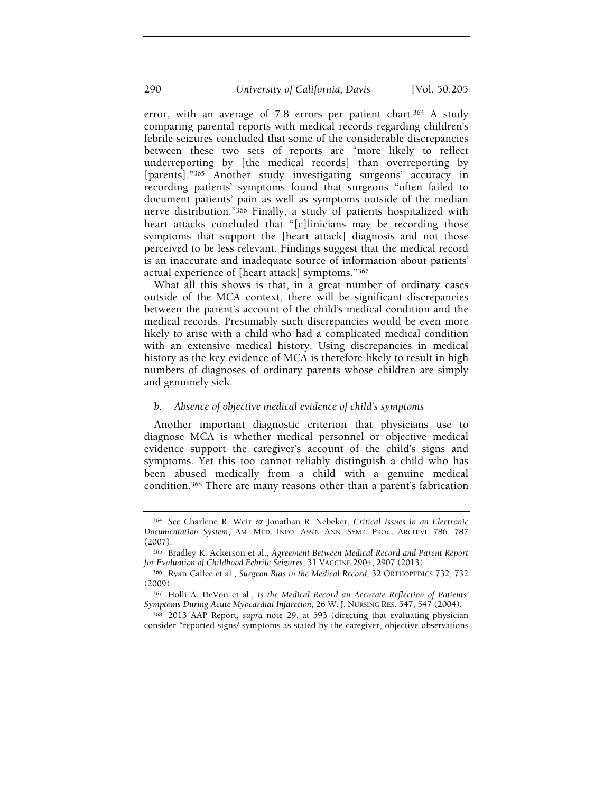error, with an average of 7.8 errors per patient chart.364 A study comparing parental reports with medical records regarding children's febrile seizures concluded that some of the considerable discrepancies between these two sets of reports are "more likely to reflect underreporting by [the medical records] than overreporting by [parents]."365 Another study investigating surgeons' accuracy in recording patients' symptoms found that surgeons "often failed to document patients' pain as well as symptoms outside of the median nerve distribution."366 Finally, a study of patients hospitalized with heart attacks concluded that "[c]linicians may be recording those symptoms that support the [heart attack] diagnosis and not those perceived to be less relevant. Findings suggest that the medical record is an inaccurate and inadequate source of information about patients' actual experience of [heart attack] symptoms."<sup>367</sup>

What all this shows is that, in a great number of ordinary cases outside of the MCA context, there will be significant discrepancies between the parent's account of the child's medical condition and the medical records. Presumably such discrepancies would be even more likely to arise with a child who had a complicated medical condition with an extensive medical history. Using discrepancies in medical history as the key evidence of MCA is therefore likely to result in high numbers of diagnoses of ordinary parents whose children are simply and genuinely sick.

#### b. Absence of objective medical evidence of child's symptoms

Another important diagnostic criterion that physicians use to diagnose MCA is whether medical personnel or objective medical evidence support the caregiver's account of the child's signs and symptoms. Yet this too cannot reliably distinguish a child who has been abused medically from a child with a genuine medical condition.368 There are many reasons other than a parent's fabrication

<sup>364</sup> See Charlene R. Weir & Jonathan R. Nebeker, Critical Issues in an Electronic Documentation System, AM. MED. INFO. ASS'N ANN. SYMP. PROC. ARCHIVE 786, 787 (2007).

<sup>365</sup> Bradley K. Ackerson et al., Agreement Between Medical Record and Parent Report for Evaluation of Childhood Febrile Seizures, 31 VACCINE 2904, 2907 (2013).

<sup>366</sup> Ryan Calfee et al., Surgeon Bias in the Medical Record, 32 ORTHOPEDICS 732, 732 (2009).

<sup>367</sup> Holli A. DeVon et al., Is the Medical Record an Accurate Reflection of Patients' Symptoms During Acute Myocardial Infarction, 26 W. J. NURSING RES. 547, 547 (2004).

<sup>368</sup> 2013 AAP Report, supra note 29, at 593 (directing that evaluating physician consider "reported signs/ symptoms as stated by the caregiver, objective observations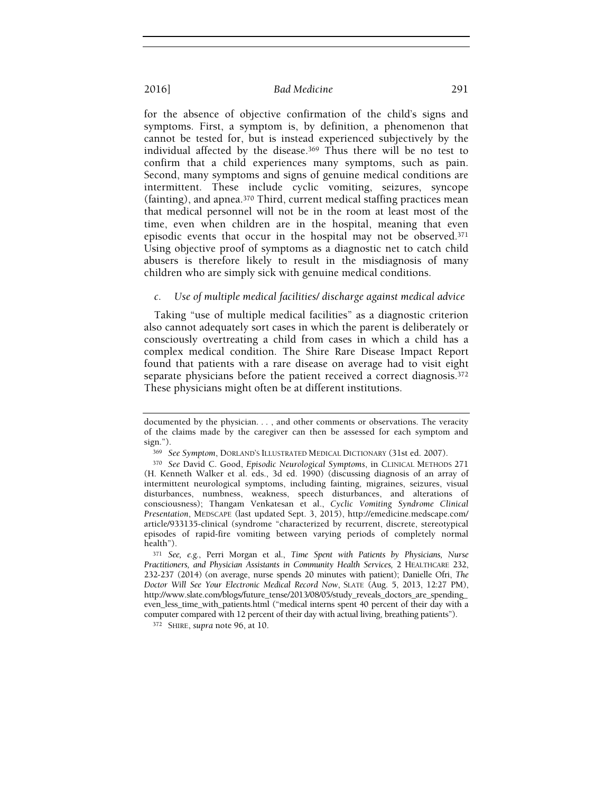for the absence of objective confirmation of the child's signs and symptoms. First, a symptom is, by definition, a phenomenon that cannot be tested for, but is instead experienced subjectively by the individual affected by the disease.369 Thus there will be no test to confirm that a child experiences many symptoms, such as pain. Second, many symptoms and signs of genuine medical conditions are intermittent. These include cyclic vomiting, seizures, syncope (fainting), and apnea.370 Third, current medical staffing practices mean that medical personnel will not be in the room at least most of the time, even when children are in the hospital, meaning that even episodic events that occur in the hospital may not be observed.<sup>371</sup> Using objective proof of symptoms as a diagnostic net to catch child abusers is therefore likely to result in the misdiagnosis of many children who are simply sick with genuine medical conditions.

# c. Use of multiple medical facilities/ discharge against medical advice

Taking "use of multiple medical facilities" as a diagnostic criterion also cannot adequately sort cases in which the parent is deliberately or consciously overtreating a child from cases in which a child has a complex medical condition. The Shire Rare Disease Impact Report found that patients with a rare disease on average had to visit eight separate physicians before the patient received a correct diagnosis.<sup>372</sup> These physicians might often be at different institutions.

documented by the physician. . . , and other comments or observations. The veracity of the claims made by the caregiver can then be assessed for each symptom and sign.").

<sup>369</sup> See Symptom, DORLAND'S ILLUSTRATED MEDICAL DICTIONARY (31st ed. 2007).

<sup>370</sup> See David C. Good, Episodic Neurological Symptoms, in CLINICAL METHODS 271 (H. Kenneth Walker et al. eds., 3d ed. 1990) (discussing diagnosis of an array of intermittent neurological symptoms, including fainting, migraines, seizures, visual disturbances, numbness, weakness, speech disturbances, and alterations of consciousness); Thangam Venkatesan et al., Cyclic Vomiting Syndrome Clinical Presentation, MEDSCAPE (last updated Sept. 3, 2015), http://emedicine.medscape.com/ article/933135-clinical (syndrome "characterized by recurrent, discrete, stereotypical episodes of rapid-fire vomiting between varying periods of completely normal health").

<sup>371</sup> See, e.g., Perri Morgan et al., Time Spent with Patients by Physicians, Nurse Practitioners, and Physician Assistants in Community Health Services, 2 HEALTHCARE 232, 232-237 (2014) (on average, nurse spends 20 minutes with patient); Danielle Ofri, The Doctor Will See Your Electronic Medical Record Now, SLATE (Aug. 5, 2013, 12:27 PM), http://www.slate.com/blogs/future\_tense/2013/08/05/study\_reveals\_doctors\_are\_spending\_ even\_less\_time\_with\_patients.html ("medical interns spent 40 percent of their day with a computer compared with 12 percent of their day with actual living, breathing patients").

<sup>372</sup> SHIRE, supra note 96, at 10.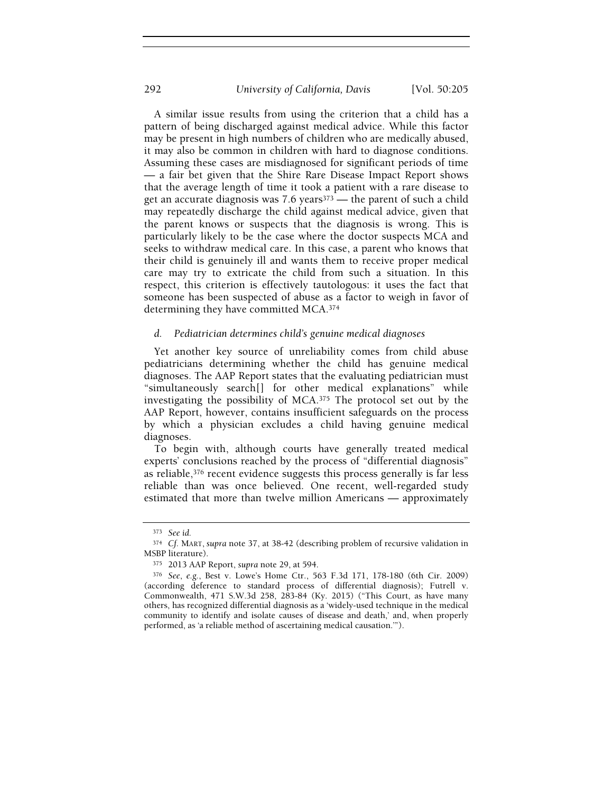A similar issue results from using the criterion that a child has a pattern of being discharged against medical advice. While this factor may be present in high numbers of children who are medically abused, it may also be common in children with hard to diagnose conditions. Assuming these cases are misdiagnosed for significant periods of time — a fair bet given that the Shire Rare Disease Impact Report shows that the average length of time it took a patient with a rare disease to get an accurate diagnosis was 7.6 years $373$  — the parent of such a child may repeatedly discharge the child against medical advice, given that the parent knows or suspects that the diagnosis is wrong. This is particularly likely to be the case where the doctor suspects MCA and seeks to withdraw medical care. In this case, a parent who knows that their child is genuinely ill and wants them to receive proper medical care may try to extricate the child from such a situation. In this respect, this criterion is effectively tautologous: it uses the fact that someone has been suspected of abuse as a factor to weigh in favor of determining they have committed MCA.<sup>374</sup>

### d. Pediatrician determines child's genuine medical diagnoses

Yet another key source of unreliability comes from child abuse pediatricians determining whether the child has genuine medical diagnoses. The AAP Report states that the evaluating pediatrician must "simultaneously search[] for other medical explanations" while investigating the possibility of MCA.375 The protocol set out by the AAP Report, however, contains insufficient safeguards on the process by which a physician excludes a child having genuine medical diagnoses.

To begin with, although courts have generally treated medical experts' conclusions reached by the process of "differential diagnosis" as reliable,376 recent evidence suggests this process generally is far less reliable than was once believed. One recent, well-regarded study estimated that more than twelve million Americans — approximately

<sup>373</sup> See id.

<sup>374</sup> Cf. MART, supra note 37, at 38-42 (describing problem of recursive validation in MSBP literature).

<sup>375 2013</sup> AAP Report, supra note 29, at 594.

<sup>376</sup> See, e.g., Best v. Lowe's Home Ctr., 563 F.3d 171, 178-180 (6th Cir. 2009) (according deference to standard process of differential diagnosis); Futrell v. Commonwealth, 471 S.W.3d 258, 283-84 (Ky. 2015) ("This Court, as have many others, has recognized differential diagnosis as a 'widely-used technique in the medical community to identify and isolate causes of disease and death,' and, when properly performed, as 'a reliable method of ascertaining medical causation.'").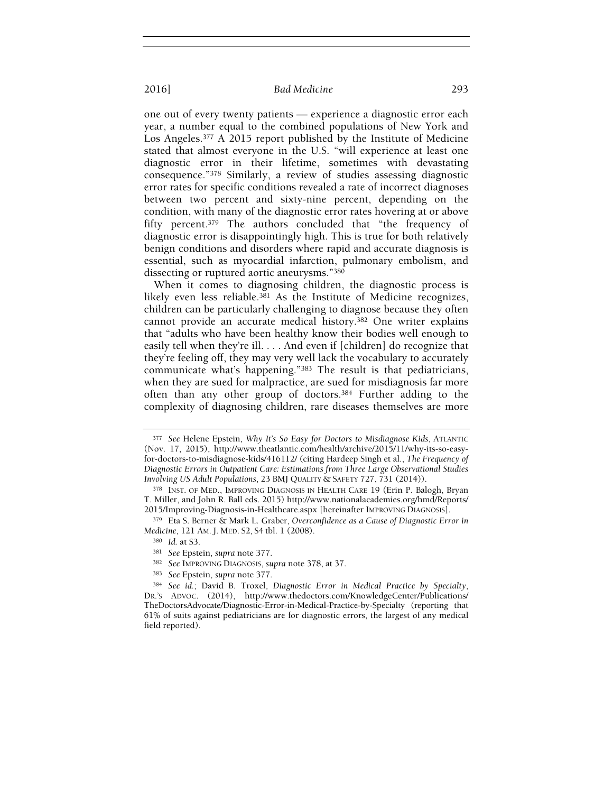one out of every twenty patients — experience a diagnostic error each year, a number equal to the combined populations of New York and Los Angeles.377 A 2015 report published by the Institute of Medicine stated that almost everyone in the U.S. "will experience at least one diagnostic error in their lifetime, sometimes with devastating consequence."378 Similarly, a review of studies assessing diagnostic error rates for specific conditions revealed a rate of incorrect diagnoses between two percent and sixty-nine percent, depending on the condition, with many of the diagnostic error rates hovering at or above fifty percent.379 The authors concluded that "the frequency of diagnostic error is disappointingly high. This is true for both relatively benign conditions and disorders where rapid and accurate diagnosis is essential, such as myocardial infarction, pulmonary embolism, and dissecting or ruptured aortic aneurysms."<sup>380</sup>

When it comes to diagnosing children, the diagnostic process is likely even less reliable.<sup>381</sup> As the Institute of Medicine recognizes, children can be particularly challenging to diagnose because they often cannot provide an accurate medical history.382 One writer explains that "adults who have been healthy know their bodies well enough to easily tell when they're ill. . . . And even if [children] do recognize that they're feeling off, they may very well lack the vocabulary to accurately communicate what's happening."383 The result is that pediatricians, when they are sued for malpractice, are sued for misdiagnosis far more often than any other group of doctors.384 Further adding to the complexity of diagnosing children, rare diseases themselves are more

- <sup>382</sup> See IMPROVING DIAGNOSIS, supra note 378, at 37.
- <sup>383</sup> See Epstein, supra note 377.

<sup>377</sup> See Helene Epstein, Why It's So Easy for Doctors to Misdiagnose Kids, ATLANTIC (Nov. 17, 2015), http://www.theatlantic.com/health/archive/2015/11/why-its-so-easyfor-doctors-to-misdiagnose-kids/416112/ (citing Hardeep Singh et al., The Frequency of Diagnostic Errors in Outpatient Care: Estimations from Three Large Observational Studies Involving US Adult Populations, 23 BMJ QUALITY & SAFETY 727, 731 (2014)).

<sup>378</sup> INST. OF MED., IMPROVING DIAGNOSIS IN HEALTH CARE 19 (Erin P. Balogh, Bryan T. Miller, and John R. Ball eds. 2015) http://www.nationalacademies.org/hmd/Reports/ 2015/Improving-Diagnosis-in-Healthcare.aspx [hereinafter IMPROVING DIAGNOSIS].

<sup>379</sup> Eta S. Berner & Mark L. Graber, Overconfidence as a Cause of Diagnostic Error in Medicine, 121 AM. J. MED. S2, S4 tbl. 1 (2008).

<sup>380</sup> Id. at S3.

<sup>381</sup> See Epstein, supra note 377.

<sup>384</sup> See id.; David B. Troxel, Diagnostic Error in Medical Practice by Specialty, DR.'S ADVOC. (2014), http://www.thedoctors.com/KnowledgeCenter/Publications/ TheDoctorsAdvocate/Diagnostic-Error-in-Medical-Practice-by-Specialty (reporting that 61% of suits against pediatricians are for diagnostic errors, the largest of any medical field reported).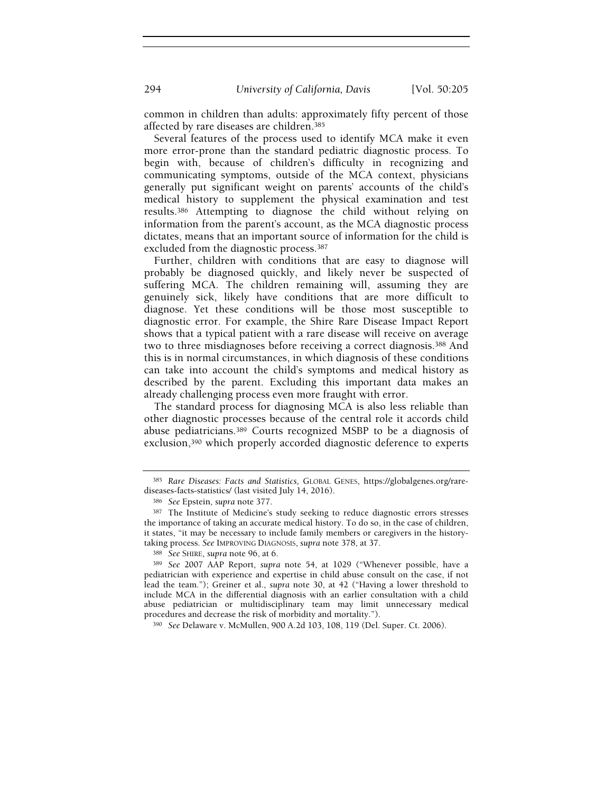common in children than adults: approximately fifty percent of those affected by rare diseases are children.<sup>385</sup>

Several features of the process used to identify MCA make it even more error-prone than the standard pediatric diagnostic process. To begin with, because of children's difficulty in recognizing and communicating symptoms, outside of the MCA context, physicians generally put significant weight on parents' accounts of the child's medical history to supplement the physical examination and test results.386 Attempting to diagnose the child without relying on information from the parent's account, as the MCA diagnostic process dictates, means that an important source of information for the child is excluded from the diagnostic process.<sup>387</sup>

Further, children with conditions that are easy to diagnose will probably be diagnosed quickly, and likely never be suspected of suffering MCA. The children remaining will, assuming they are genuinely sick, likely have conditions that are more difficult to diagnose. Yet these conditions will be those most susceptible to diagnostic error. For example, the Shire Rare Disease Impact Report shows that a typical patient with a rare disease will receive on average two to three misdiagnoses before receiving a correct diagnosis.388 And this is in normal circumstances, in which diagnosis of these conditions can take into account the child's symptoms and medical history as described by the parent. Excluding this important data makes an already challenging process even more fraught with error.

The standard process for diagnosing MCA is also less reliable than other diagnostic processes because of the central role it accords child abuse pediatricians.389 Courts recognized MSBP to be a diagnosis of exclusion,<sup>390</sup> which properly accorded diagnostic deference to experts

<sup>385</sup> Rare Diseases: Facts and Statistics, GLOBAL GENES, https://globalgenes.org/rarediseases-facts-statistics/ (last visited July 14, 2016).

<sup>386</sup> See Epstein, supra note 377.

<sup>387</sup> The Institute of Medicine's study seeking to reduce diagnostic errors stresses the importance of taking an accurate medical history. To do so, in the case of children, it states, "it may be necessary to include family members or caregivers in the historytaking process. See IMPROVING DIAGNOSIS, supra note 378, at 37.

<sup>388</sup> See SHIRE, supra note 96, at 6.

<sup>389</sup> See 2007 AAP Report, supra note 54, at 1029 ("Whenever possible, have a pediatrician with experience and expertise in child abuse consult on the case, if not lead the team."); Greiner et al., supra note 30, at 42 ("Having a lower threshold to include MCA in the differential diagnosis with an earlier consultation with a child abuse pediatrician or multidisciplinary team may limit unnecessary medical procedures and decrease the risk of morbidity and mortality.").

<sup>390</sup> See Delaware v. McMullen, 900 A.2d 103, 108, 119 (Del. Super. Ct. 2006).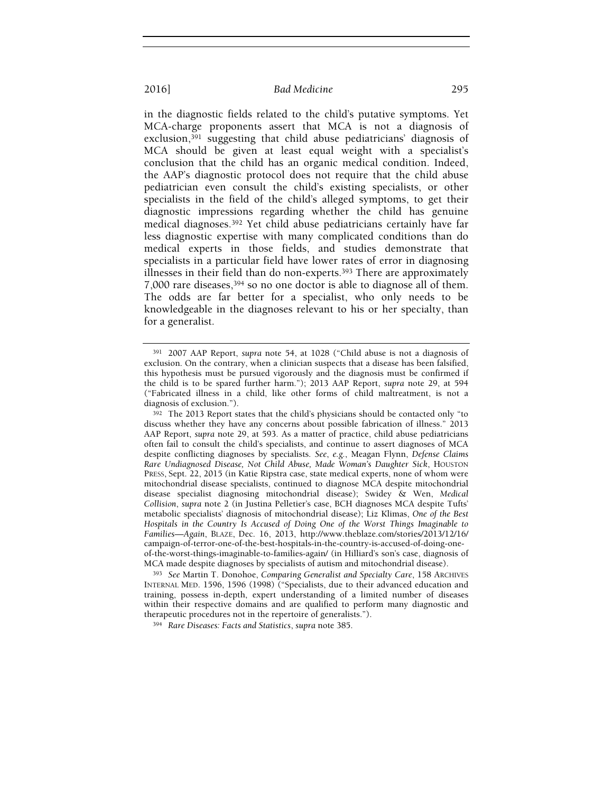in the diagnostic fields related to the child's putative symptoms. Yet MCA-charge proponents assert that MCA is not a diagnosis of exclusion,391 suggesting that child abuse pediatricians' diagnosis of MCA should be given at least equal weight with a specialist's conclusion that the child has an organic medical condition. Indeed, the AAP's diagnostic protocol does not require that the child abuse pediatrician even consult the child's existing specialists, or other specialists in the field of the child's alleged symptoms, to get their diagnostic impressions regarding whether the child has genuine medical diagnoses.392 Yet child abuse pediatricians certainly have far less diagnostic expertise with many complicated conditions than do medical experts in those fields, and studies demonstrate that specialists in a particular field have lower rates of error in diagnosing illnesses in their field than do non-experts.393 There are approximately 7,000 rare diseases,394 so no one doctor is able to diagnose all of them. The odds are far better for a specialist, who only needs to be knowledgeable in the diagnoses relevant to his or her specialty, than for a generalist.

<sup>391</sup> 2007 AAP Report, supra note 54, at 1028 ("Child abuse is not a diagnosis of exclusion. On the contrary, when a clinician suspects that a disease has been falsified, this hypothesis must be pursued vigorously and the diagnosis must be confirmed if the child is to be spared further harm."); 2013 AAP Report, supra note 29, at 594 ("Fabricated illness in a child, like other forms of child maltreatment, is not a diagnosis of exclusion.").

<sup>392</sup> The 2013 Report states that the child's physicians should be contacted only "to discuss whether they have any concerns about possible fabrication of illness." 2013 AAP Report, supra note 29, at 593. As a matter of practice, child abuse pediatricians often fail to consult the child's specialists, and continue to assert diagnoses of MCA despite conflicting diagnoses by specialists. See, e.g., Meagan Flynn, Defense Claims Rare Undiagnosed Disease, Not Child Abuse, Made Woman's Daughter Sick, HOUSTON PRESS, Sept. 22, 2015 (in Katie Ripstra case, state medical experts, none of whom were mitochondrial disease specialists, continued to diagnose MCA despite mitochondrial disease specialist diagnosing mitochondrial disease); Swidey & Wen, Medical Collision, supra note 2 (in Justina Pelletier's case, BCH diagnoses MCA despite Tufts' metabolic specialists' diagnosis of mitochondrial disease); Liz Klimas, One of the Best Hospitals in the Country Is Accused of Doing One of the Worst Things Imaginable to Families—Again, BLAZE, Dec. 16, 2013, http://www.theblaze.com/stories/2013/12/16/ campaign-of-terror-one-of-the-best-hospitals-in-the-country-is-accused-of-doing-oneof-the-worst-things-imaginable-to-families-again/ (in Hilliard's son's case, diagnosis of MCA made despite diagnoses by specialists of autism and mitochondrial disease).

<sup>393</sup> See Martin T. Donohoe, Comparing Generalist and Specialty Care, 158 ARCHIVES INTERNAL MED. 1596, 1596 (1998) ("Specialists, due to their advanced education and training, possess in-depth, expert understanding of a limited number of diseases within their respective domains and are qualified to perform many diagnostic and therapeutic procedures not in the repertoire of generalists.").

<sup>394</sup> Rare Diseases: Facts and Statistics, supra note 385.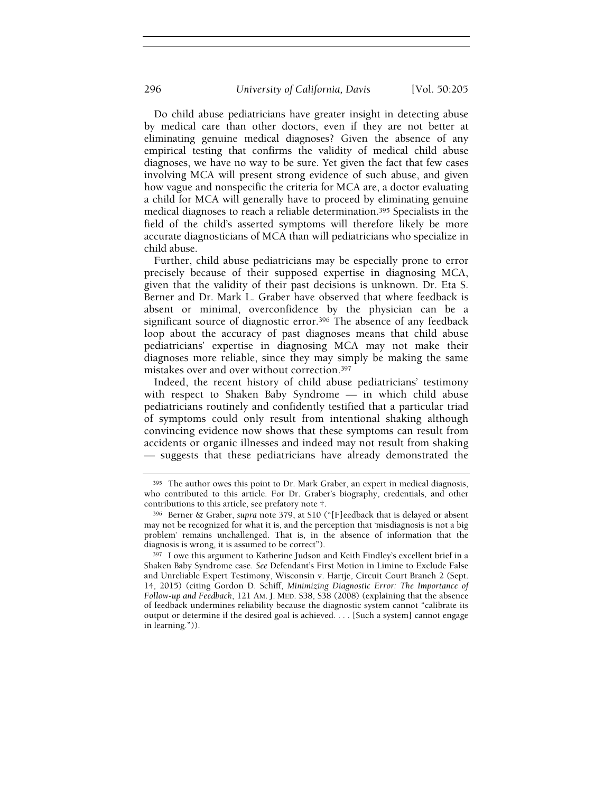Do child abuse pediatricians have greater insight in detecting abuse by medical care than other doctors, even if they are not better at eliminating genuine medical diagnoses? Given the absence of any empirical testing that confirms the validity of medical child abuse diagnoses, we have no way to be sure. Yet given the fact that few cases involving MCA will present strong evidence of such abuse, and given how vague and nonspecific the criteria for MCA are, a doctor evaluating a child for MCA will generally have to proceed by eliminating genuine medical diagnoses to reach a reliable determination.395 Specialists in the field of the child's asserted symptoms will therefore likely be more accurate diagnosticians of MCA than will pediatricians who specialize in child abuse.

Further, child abuse pediatricians may be especially prone to error precisely because of their supposed expertise in diagnosing MCA, given that the validity of their past decisions is unknown. Dr. Eta S. Berner and Dr. Mark L. Graber have observed that where feedback is absent or minimal, overconfidence by the physician can be a significant source of diagnostic error.<sup>396</sup> The absence of any feedback loop about the accuracy of past diagnoses means that child abuse pediatricians' expertise in diagnosing MCA may not make their diagnoses more reliable, since they may simply be making the same mistakes over and over without correction.<sup>397</sup>

Indeed, the recent history of child abuse pediatricians' testimony with respect to Shaken Baby Syndrome — in which child abuse pediatricians routinely and confidently testified that a particular triad of symptoms could only result from intentional shaking although convincing evidence now shows that these symptoms can result from accidents or organic illnesses and indeed may not result from shaking — suggests that these pediatricians have already demonstrated the

<sup>&</sup>lt;sup>395</sup> The author owes this point to Dr. Mark Graber, an expert in medical diagnosis, who contributed to this article. For Dr. Graber's biography, credentials, and other contributions to this article, see prefatory note †.

<sup>396</sup> Berner & Graber, supra note 379, at S10 ("[F]eedback that is delayed or absent may not be recognized for what it is, and the perception that 'misdiagnosis is not a big problem' remains unchallenged. That is, in the absence of information that the diagnosis is wrong, it is assumed to be correct").

<sup>&</sup>lt;sup>397</sup> I owe this argument to Katherine Judson and Keith Findley's excellent brief in a Shaken Baby Syndrome case. See Defendant's First Motion in Limine to Exclude False and Unreliable Expert Testimony, Wisconsin v. Hartje, Circuit Court Branch 2 (Sept. 14, 2015) (citing Gordon D. Schiff, Minimizing Diagnostic Error: The Importance of Follow-up and Feedback, 121 AM. J. MED. S38, S38 (2008) (explaining that the absence of feedback undermines reliability because the diagnostic system cannot "calibrate its output or determine if the desired goal is achieved. . . . [Such a system] cannot engage in learning.")).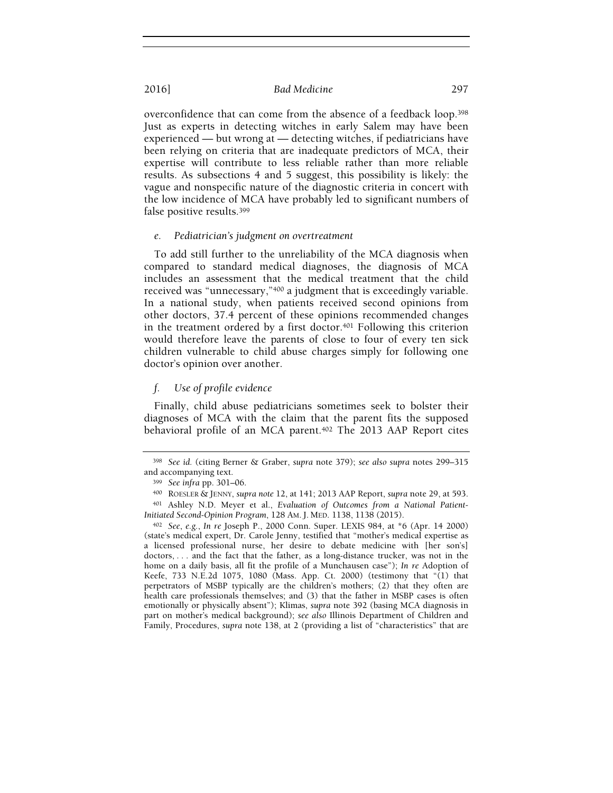overconfidence that can come from the absence of a feedback loop.<sup>398</sup> Just as experts in detecting witches in early Salem may have been experienced — but wrong at — detecting witches, if pediatricians have been relying on criteria that are inadequate predictors of MCA, their expertise will contribute to less reliable rather than more reliable results. As subsections 4 and 5 suggest, this possibility is likely: the vague and nonspecific nature of the diagnostic criteria in concert with the low incidence of MCA have probably led to significant numbers of false positive results.<sup>399</sup>

#### e. Pediatrician's judgment on overtreatment

To add still further to the unreliability of the MCA diagnosis when compared to standard medical diagnoses, the diagnosis of MCA includes an assessment that the medical treatment that the child received was "unnecessary,"400 a judgment that is exceedingly variable. In a national study, when patients received second opinions from other doctors, 37.4 percent of these opinions recommended changes in the treatment ordered by a first doctor.<sup>401</sup> Following this criterion would therefore leave the parents of close to four of every ten sick children vulnerable to child abuse charges simply for following one doctor's opinion over another.

# f. Use of profile evidence

Finally, child abuse pediatricians sometimes seek to bolster their diagnoses of MCA with the claim that the parent fits the supposed behavioral profile of an MCA parent.402 The 2013 AAP Report cites

<sup>398</sup> See id. (citing Berner & Graber, supra note 379); see also supra notes 299–315 and accompanying text.

<sup>399</sup> See infra pp. 301–06.

<sup>400</sup> ROESLER & JENNY, supra note 12, at 141; 2013 AAP Report, supra note 29, at 593. <sup>401</sup> Ashley N.D. Meyer et al., Evaluation of Outcomes from a National Patient-Initiated Second-Opinion Program, 128 AM. J. MED. 1138, 1138 (2015).

<sup>402</sup> See, e.g., In re Joseph P., 2000 Conn. Super. LEXIS 984, at \*6 (Apr. 14 2000) (state's medical expert, Dr. Carole Jenny, testified that "mother's medical expertise as a licensed professional nurse, her desire to debate medicine with [her son's] doctors, . . . and the fact that the father, as a long-distance trucker, was not in the home on a daily basis, all fit the profile of a Munchausen case"); In re Adoption of Keefe, 733 N.E.2d 1075, 1080 (Mass. App. Ct. 2000) (testimony that "(1) that perpetrators of MSBP typically are the children's mothers; (2) that they often are health care professionals themselves; and (3) that the father in MSBP cases is often emotionally or physically absent"); Klimas, supra note 392 (basing MCA diagnosis in part on mother's medical background); see also Illinois Department of Children and Family, Procedures, supra note 138, at 2 (providing a list of "characteristics" that are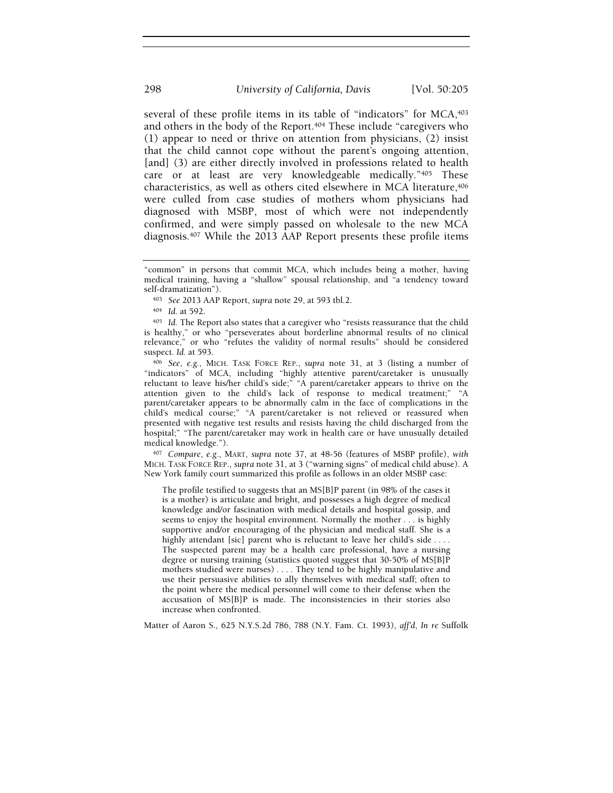several of these profile items in its table of "indicators" for MCA,<sup>403</sup> and others in the body of the Report.<sup>404</sup> These include "caregivers who (1) appear to need or thrive on attention from physicians, (2) insist that the child cannot cope without the parent's ongoing attention, [and] (3) are either directly involved in professions related to health care or at least are very knowledgeable medically."405 These characteristics, as well as others cited elsewhere in MCA literature,<sup>406</sup> were culled from case studies of mothers whom physicians had diagnosed with MSBP, most of which were not independently confirmed, and were simply passed on wholesale to the new MCA diagnosis.407 While the 2013 AAP Report presents these profile items

<sup>404</sup> Id. at 592.

<sup>405</sup> Id. The Report also states that a caregiver who "resists reassurance that the child is healthy," or who "perseverates about borderline abnormal results of no clinical relevance," or who "refutes the validity of normal results" should be considered suspect. Id. at 593.

<sup>406</sup> See, e.g., MICH. TASK FORCE REP., supra note 31, at 3 (listing a number of "indicators" of MCA, including "highly attentive parent/caretaker is unusually reluctant to leave his/her child's side;" "A parent/caretaker appears to thrive on the attention given to the child's lack of response to medical treatment;" "A parent/caretaker appears to be abnormally calm in the face of complications in the child's medical course;" "A parent/caretaker is not relieved or reassured when presented with negative test results and resists having the child discharged from the hospital;" "The parent/caretaker may work in health care or have unusually detailed medical knowledge.").

<sup>407</sup> Compare, e.g., MART, supra note 37, at 48-56 (features of MSBP profile), with MICH. TASK FORCE REP., supra note 31, at 3 ("warning signs" of medical child abuse). A New York family court summarized this profile as follows in an older MSBP case:

The profile testified to suggests that an MS[B]P parent (in 98% of the cases it is a mother) is articulate and bright, and possesses a high degree of medical knowledge and/or fascination with medical details and hospital gossip, and seems to enjoy the hospital environment. Normally the mother . . . is highly supportive and/or encouraging of the physician and medical staff. She is a highly attendant [sic] parent who is reluctant to leave her child's side .... The suspected parent may be a health care professional, have a nursing degree or nursing training (statistics quoted suggest that 30-50% of MS[B]P mothers studied were nurses) . . . . They tend to be highly manipulative and use their persuasive abilities to ally themselves with medical staff; often to the point where the medical personnel will come to their defense when the accusation of MS[B]P is made. The inconsistencies in their stories also increase when confronted.

Matter of Aaron S., 625 N.Y.S.2d 786, 788 (N.Y. Fam. Ct. 1993), aff'd, In re Suffolk

<sup>&</sup>quot;common" in persons that commit MCA, which includes being a mother, having medical training, having a "shallow" spousal relationship, and "a tendency toward self-dramatization").

<sup>403</sup> See 2013 AAP Report, supra note 29, at 593 tbl.2.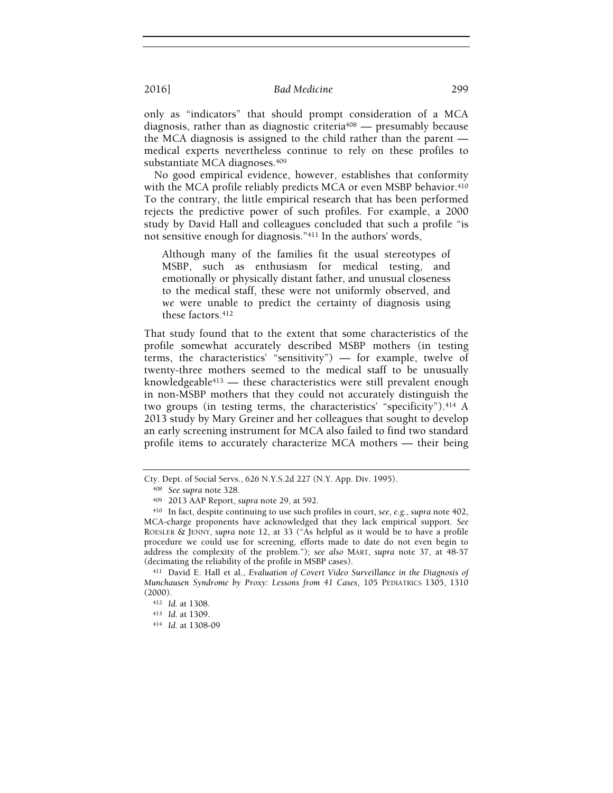only as "indicators" that should prompt consideration of a MCA diagnosis, rather than as diagnostic criteria<sup>408</sup> — presumably because the MCA diagnosis is assigned to the child rather than the parent medical experts nevertheless continue to rely on these profiles to substantiate MCA diagnoses.<sup>409</sup>

No good empirical evidence, however, establishes that conformity with the MCA profile reliably predicts MCA or even MSBP behavior.<sup>410</sup> To the contrary, the little empirical research that has been performed rejects the predictive power of such profiles. For example, a 2000 study by David Hall and colleagues concluded that such a profile "is not sensitive enough for diagnosis."411 In the authors' words,

Although many of the families fit the usual stereotypes of MSBP, such as enthusiasm for medical testing, and emotionally or physically distant father, and unusual closeness to the medical staff, these were not uniformly observed, and we were unable to predict the certainty of diagnosis using these factors.<sup>412</sup>

That study found that to the extent that some characteristics of the profile somewhat accurately described MSBP mothers (in testing terms, the characteristics' "sensitivity") — for example, twelve of twenty-three mothers seemed to the medical staff to be unusually knowledgeable<sup>413</sup> — these characteristics were still prevalent enough in non-MSBP mothers that they could not accurately distinguish the two groups (in testing terms, the characteristics' "specificity").<sup>414</sup> A 2013 study by Mary Greiner and her colleagues that sought to develop an early screening instrument for MCA also failed to find two standard profile items to accurately characterize MCA mothers — their being

Cty. Dept. of Social Servs., 626 N.Y.S.2d 227 (N.Y. App. Div. 1995).

<sup>408</sup> See supra note 328.

<sup>409</sup> 2013 AAP Report, supra note 29, at 592.

<sup>410</sup> In fact, despite continuing to use such profiles in court, see, e.g., supra note 402, MCA-charge proponents have acknowledged that they lack empirical support. See ROESLER & JENNY, supra note 12, at 33 ("As helpful as it would be to have a profile procedure we could use for screening, efforts made to date do not even begin to address the complexity of the problem."); see also MART, supra note 37, at 48-57 (decimating the reliability of the profile in MSBP cases).

<sup>411</sup> David E. Hall et al., Evaluation of Covert Video Surveillance in the Diagnosis of Munchausen Syndrome by Proxy: Lessons from 41 Cases, 105 PEDIATRICS 1305, 1310 (2000).

<sup>412</sup> Id. at 1308.

<sup>413</sup> Id. at 1309.

<sup>414</sup> Id. at 1308-09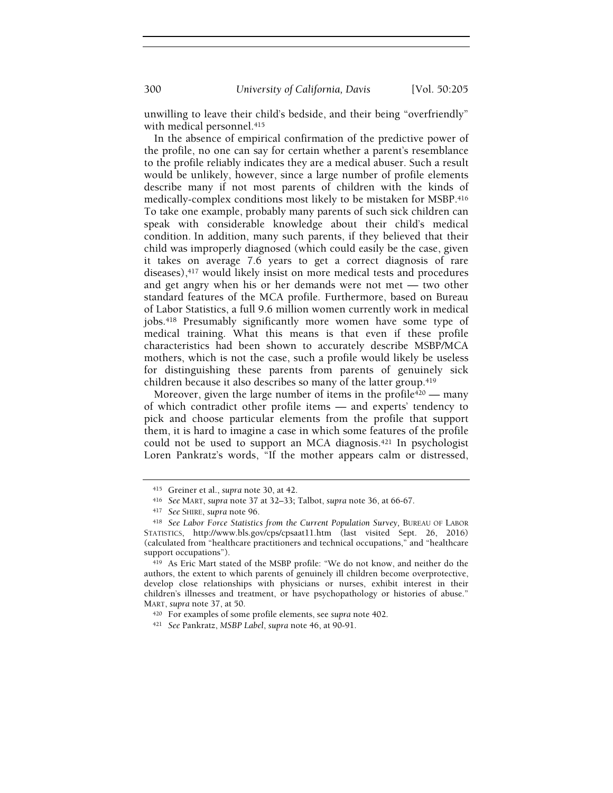unwilling to leave their child's bedside, and their being "overfriendly" with medical personnel.<sup>415</sup>

In the absence of empirical confirmation of the predictive power of the profile, no one can say for certain whether a parent's resemblance to the profile reliably indicates they are a medical abuser. Such a result would be unlikely, however, since a large number of profile elements describe many if not most parents of children with the kinds of medically-complex conditions most likely to be mistaken for MSBP.<sup>416</sup> To take one example, probably many parents of such sick children can speak with considerable knowledge about their child's medical condition. In addition, many such parents, if they believed that their child was improperly diagnosed (which could easily be the case, given it takes on average 7.6 years to get a correct diagnosis of rare diseases),417 would likely insist on more medical tests and procedures and get angry when his or her demands were not met — two other standard features of the MCA profile. Furthermore, based on Bureau of Labor Statistics, a full 9.6 million women currently work in medical jobs.418 Presumably significantly more women have some type of medical training. What this means is that even if these profile characteristics had been shown to accurately describe MSBP/MCA mothers, which is not the case, such a profile would likely be useless for distinguishing these parents from parents of genuinely sick children because it also describes so many of the latter group.<sup>419</sup>

Moreover, given the large number of items in the profile<sup>420</sup> — many of which contradict other profile items — and experts' tendency to pick and choose particular elements from the profile that support them, it is hard to imagine a case in which some features of the profile could not be used to support an MCA diagnosis.421 In psychologist Loren Pankratz's words, "If the mother appears calm or distressed,

<sup>415</sup> Greiner et al., supra note 30, at 42.

<sup>416</sup> See MART, supra note 37 at 32–33; Talbot, supra note 36, at 66-67.

<sup>417</sup> See SHIRE, supra note 96.

<sup>418</sup> See Labor Force Statistics from the Current Population Survey, BUREAU OF LABOR STATISTICS, http://www.bls.gov/cps/cpsaat11.htm (last visited Sept. 26, 2016) (calculated from "healthcare practitioners and technical occupations," and "healthcare support occupations").

<sup>419</sup> As Eric Mart stated of the MSBP profile: "We do not know, and neither do the authors, the extent to which parents of genuinely ill children become overprotective, develop close relationships with physicians or nurses, exhibit interest in their children's illnesses and treatment, or have psychopathology or histories of abuse." MART, supra note 37, at 50.

<sup>420</sup> For examples of some profile elements, see supra note 402.

<sup>421</sup> See Pankratz, MSBP Label, supra note 46, at 90-91.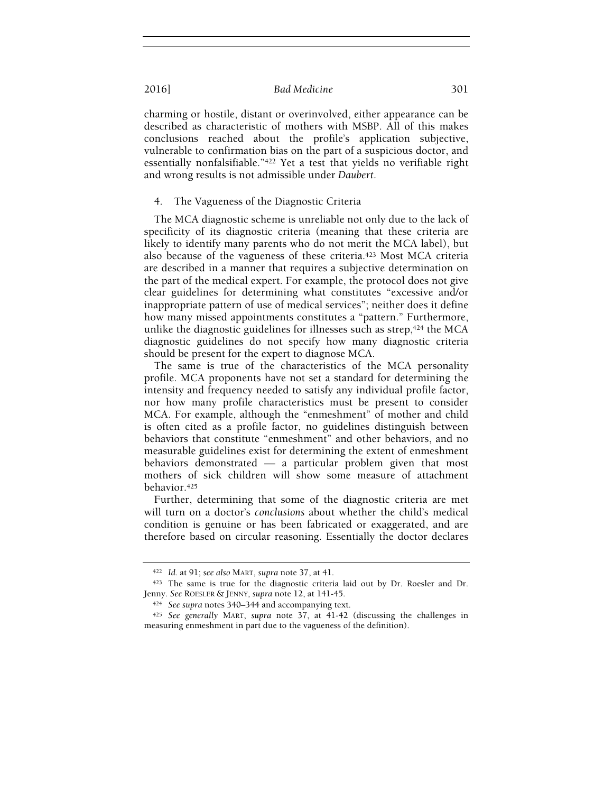charming or hostile, distant or overinvolved, either appearance can be described as characteristic of mothers with MSBP. All of this makes conclusions reached about the profile's application subjective, vulnerable to confirmation bias on the part of a suspicious doctor, and essentially nonfalsifiable."422 Yet a test that yields no verifiable right and wrong results is not admissible under Daubert.

### 4. The Vagueness of the Diagnostic Criteria

The MCA diagnostic scheme is unreliable not only due to the lack of specificity of its diagnostic criteria (meaning that these criteria are likely to identify many parents who do not merit the MCA label), but also because of the vagueness of these criteria.423 Most MCA criteria are described in a manner that requires a subjective determination on the part of the medical expert. For example, the protocol does not give clear guidelines for determining what constitutes "excessive and/or inappropriate pattern of use of medical services"; neither does it define how many missed appointments constitutes a "pattern." Furthermore, unlike the diagnostic guidelines for illnesses such as strep, $424$  the MCA diagnostic guidelines do not specify how many diagnostic criteria should be present for the expert to diagnose MCA.

The same is true of the characteristics of the MCA personality profile. MCA proponents have not set a standard for determining the intensity and frequency needed to satisfy any individual profile factor, nor how many profile characteristics must be present to consider MCA. For example, although the "enmeshment" of mother and child is often cited as a profile factor, no guidelines distinguish between behaviors that constitute "enmeshment" and other behaviors, and no measurable guidelines exist for determining the extent of enmeshment behaviors demonstrated — a particular problem given that most mothers of sick children will show some measure of attachment behavior.<sup>425</sup>

Further, determining that some of the diagnostic criteria are met will turn on a doctor's conclusions about whether the child's medical condition is genuine or has been fabricated or exaggerated, and are therefore based on circular reasoning. Essentially the doctor declares

<sup>422</sup> Id. at 91; see also MART, supra note 37, at 41.

<sup>423</sup> The same is true for the diagnostic criteria laid out by Dr. Roesler and Dr. Jenny. See ROESLER & JENNY, supra note 12, at 141-45.

<sup>424</sup> See supra notes 340–344 and accompanying text.

<sup>425</sup> See generally MART, supra note 37, at 41-42 (discussing the challenges in measuring enmeshment in part due to the vagueness of the definition).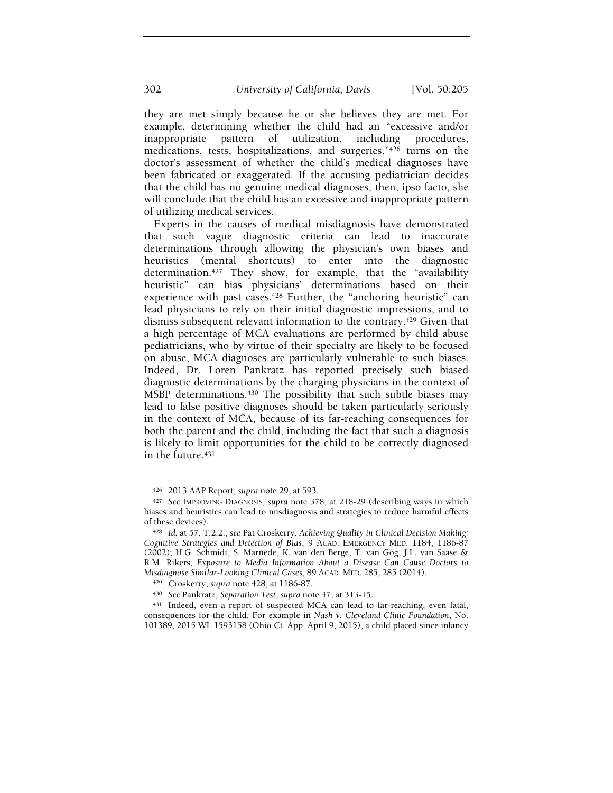they are met simply because he or she believes they are met. For example, determining whether the child had an "excessive and/or inappropriate pattern of utilization, including procedures, medications, tests, hospitalizations, and surgeries,"426 turns on the doctor's assessment of whether the child's medical diagnoses have been fabricated or exaggerated. If the accusing pediatrician decides that the child has no genuine medical diagnoses, then, ipso facto, she will conclude that the child has an excessive and inappropriate pattern of utilizing medical services.

Experts in the causes of medical misdiagnosis have demonstrated that such vague diagnostic criteria can lead to inaccurate determinations through allowing the physician's own biases and heuristics (mental shortcuts) to enter into the diagnostic determination.427 They show, for example, that the "availability heuristic" can bias physicians' determinations based on their experience with past cases.<sup>428</sup> Further, the "anchoring heuristic" can lead physicians to rely on their initial diagnostic impressions, and to dismiss subsequent relevant information to the contrary.429 Given that a high percentage of MCA evaluations are performed by child abuse pediatricians, who by virtue of their specialty are likely to be focused on abuse, MCA diagnoses are particularly vulnerable to such biases. Indeed, Dr. Loren Pankratz has reported precisely such biased diagnostic determinations by the charging physicians in the context of MSBP determinations.<sup>430</sup> The possibility that such subtle biases may lead to false positive diagnoses should be taken particularly seriously in the context of MCA, because of its far-reaching consequences for both the parent and the child, including the fact that such a diagnosis is likely to limit opportunities for the child to be correctly diagnosed in the future.<sup>431</sup>

<sup>426</sup> 2013 AAP Report, supra note 29, at 593.

<sup>427</sup> See IMPROVING DIAGNOSIS, supra note 378, at 218-29 (describing ways in which biases and heuristics can lead to misdiagnosis and strategies to reduce harmful effects of these devices).

<sup>428</sup> Id. at 57, T.2.2.; see Pat Croskerry, Achieving Quality in Clinical Decision Making: Cognitive Strategies and Detection of Bias, 9 ACAD. EMERGENCY MED. 1184, 1186-87 (2002); H.G. Schmidt, S. Marnede, K. van den Berge, T. van Gog, J.L. van Saase & R.M. Rikers, Exposure to Media Information About a Disease Can Cause Doctors to Misdiagnose Similar-Looking Clinical Cases, 89 ACAD. MED. 285, 285 (2014).

<sup>429</sup> Croskerry, supra note 428, at 1186-87.

<sup>430</sup> See Pankratz, Separation Test, supra note 47, at 313-15.

<sup>431</sup> Indeed, even a report of suspected MCA can lead to far-reaching, even fatal, consequences for the child. For example in Nash v. Cleveland Clinic Foundation, No. 101389, 2015 WL 1593158 (Ohio Ct. App. April 9, 2015), a child placed since infancy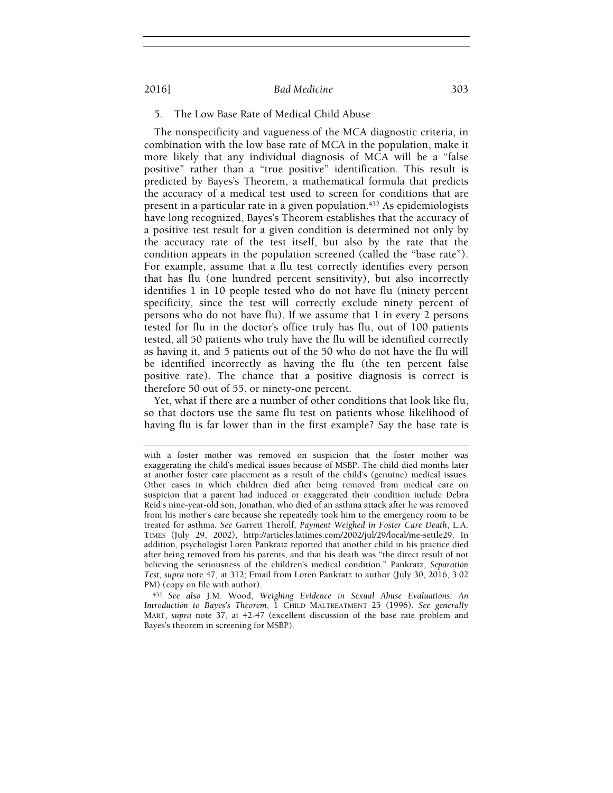# 5. The Low Base Rate of Medical Child Abuse

The nonspecificity and vagueness of the MCA diagnostic criteria, in combination with the low base rate of MCA in the population, make it more likely that any individual diagnosis of MCA will be a "false positive" rather than a "true positive" identification. This result is predicted by Bayes's Theorem, a mathematical formula that predicts the accuracy of a medical test used to screen for conditions that are present in a particular rate in a given population.432 As epidemiologists have long recognized, Bayes's Theorem establishes that the accuracy of a positive test result for a given condition is determined not only by the accuracy rate of the test itself, but also by the rate that the condition appears in the population screened (called the "base rate"). For example, assume that a flu test correctly identifies every person that has flu (one hundred percent sensitivity), but also incorrectly identifies 1 in 10 people tested who do not have flu (ninety percent specificity, since the test will correctly exclude ninety percent of persons who do not have flu). If we assume that 1 in every 2 persons tested for flu in the doctor's office truly has flu, out of 100 patients tested, all 50 patients who truly have the flu will be identified correctly as having it, and 5 patients out of the 50 who do not have the flu will be identified incorrectly as having the flu (the ten percent false positive rate). The chance that a positive diagnosis is correct is therefore 50 out of 55, or ninety-one percent.

Yet, what if there are a number of other conditions that look like flu, so that doctors use the same flu test on patients whose likelihood of having flu is far lower than in the first example? Say the base rate is

<sup>432</sup> See also J.M. Wood, Weighing Evidence in Sexual Abuse Evaluations: An Introduction to Bayes's Theorem, I CHILD MALTREATMENT 25 (1996). See generally MART, supra note 37, at 42-47 (excellent discussion of the base rate problem and Bayes's theorem in screening for MSBP).

with a foster mother was removed on suspicion that the foster mother was exaggerating the child's medical issues because of MSBP. The child died months later at another foster care placement as a result of the child's (genuine) medical issues. Other cases in which children died after being removed from medical care on suspicion that a parent had induced or exaggerated their condition include Debra Reid's nine-year-old son, Jonathan, who died of an asthma attack after he was removed from his mother's care because she repeatedly took him to the emergency room to be treated for asthma. See Garrett Therolf, Payment Weighed in Foster Care Death, L.A. TIMES (July 29, 2002), http://articles.latimes.com/2002/jul/29/local/me-settle29. In addition, psychologist Loren Pankratz reported that another child in his practice died after being removed from his parents, and that his death was "the direct result of not believing the seriousness of the children's medical condition." Pankratz, Separation Test, supra note 47, at 312; Email from Loren Pankratz to author (July 30, 2016, 3:02 PM) (copy on file with author).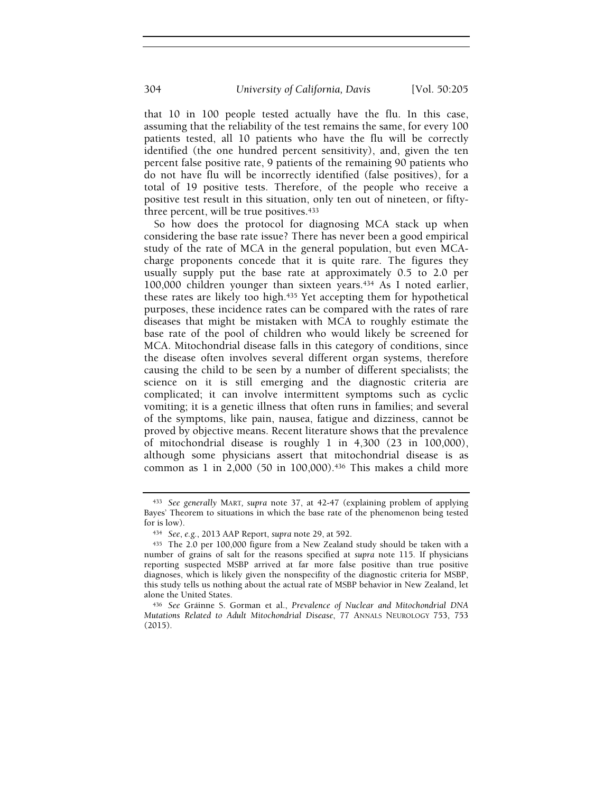that 10 in 100 people tested actually have the flu. In this case, assuming that the reliability of the test remains the same, for every 100 patients tested, all 10 patients who have the flu will be correctly identified (the one hundred percent sensitivity), and, given the ten percent false positive rate, 9 patients of the remaining 90 patients who do not have flu will be incorrectly identified (false positives), for a total of 19 positive tests. Therefore, of the people who receive a positive test result in this situation, only ten out of nineteen, or fiftythree percent, will be true positives.<sup>433</sup>

So how does the protocol for diagnosing MCA stack up when considering the base rate issue? There has never been a good empirical study of the rate of MCA in the general population, but even MCAcharge proponents concede that it is quite rare. The figures they usually supply put the base rate at approximately 0.5 to 2.0 per 100,000 children younger than sixteen years.434 As I noted earlier, these rates are likely too high.435 Yet accepting them for hypothetical purposes, these incidence rates can be compared with the rates of rare diseases that might be mistaken with MCA to roughly estimate the base rate of the pool of children who would likely be screened for MCA. Mitochondrial disease falls in this category of conditions, since the disease often involves several different organ systems, therefore causing the child to be seen by a number of different specialists; the science on it is still emerging and the diagnostic criteria are complicated; it can involve intermittent symptoms such as cyclic vomiting; it is a genetic illness that often runs in families; and several of the symptoms, like pain, nausea, fatigue and dizziness, cannot be proved by objective means. Recent literature shows that the prevalence of mitochondrial disease is roughly 1 in 4,300 (23 in 100,000), although some physicians assert that mitochondrial disease is as common as 1 in 2,000 (50 in 100,000).436 This makes a child more

<sup>433</sup> See generally MART, supra note 37, at 42-47 (explaining problem of applying Bayes' Theorem to situations in which the base rate of the phenomenon being tested for is low).

<sup>434</sup> See, e.g., 2013 AAP Report, supra note 29, at 592.

<sup>435</sup> The 2.0 per 100,000 figure from a New Zealand study should be taken with a number of grains of salt for the reasons specified at supra note 115. If physicians reporting suspected MSBP arrived at far more false positive than true positive diagnoses, which is likely given the nonspecifity of the diagnostic criteria for MSBP, this study tells us nothing about the actual rate of MSBP behavior in New Zealand, let alone the United States.

<sup>436</sup> See Gráinne S. Gorman et al., Prevalence of Nuclear and Mitochondrial DNA Mutations Related to Adult Mitochondrial Disease, 77 ANNALS NEUROLOGY 753, 753 (2015).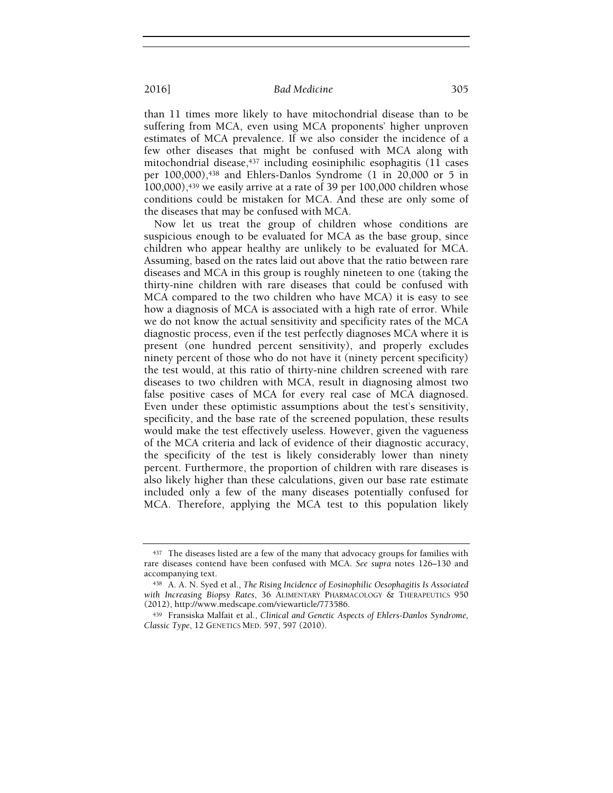than 11 times more likely to have mitochondrial disease than to be suffering from MCA, even using MCA proponents' higher unproven estimates of MCA prevalence. If we also consider the incidence of a few other diseases that might be confused with MCA along with mitochondrial disease,<sup>437</sup> including eosiniphilic esophagitis (11 cases per 100,000),438 and Ehlers-Danlos Syndrome (1 in 20,000 or 5 in 100,000),439 we easily arrive at a rate of 39 per 100,000 children whose conditions could be mistaken for MCA. And these are only some of the diseases that may be confused with MCA.

Now let us treat the group of children whose conditions are suspicious enough to be evaluated for MCA as the base group, since children who appear healthy are unlikely to be evaluated for MCA. Assuming, based on the rates laid out above that the ratio between rare diseases and MCA in this group is roughly nineteen to one (taking the thirty-nine children with rare diseases that could be confused with MCA compared to the two children who have MCA) it is easy to see how a diagnosis of MCA is associated with a high rate of error. While we do not know the actual sensitivity and specificity rates of the MCA diagnostic process, even if the test perfectly diagnoses MCA where it is present (one hundred percent sensitivity), and properly excludes ninety percent of those who do not have it (ninety percent specificity) the test would, at this ratio of thirty-nine children screened with rare diseases to two children with MCA, result in diagnosing almost two false positive cases of MCA for every real case of MCA diagnosed. Even under these optimistic assumptions about the test's sensitivity, specificity, and the base rate of the screened population, these results would make the test effectively useless. However, given the vagueness of the MCA criteria and lack of evidence of their diagnostic accuracy, the specificity of the test is likely considerably lower than ninety percent. Furthermore, the proportion of children with rare diseases is also likely higher than these calculations, given our base rate estimate included only a few of the many diseases potentially confused for MCA. Therefore, applying the MCA test to this population likely

<sup>437</sup> The diseases listed are a few of the many that advocacy groups for families with rare diseases contend have been confused with MCA. See supra notes 126–130 and accompanying text.

<sup>438</sup> A. A. N. Syed et al., The Rising Incidence of Eosinophilic Oesophagitis Is Associated with Increasing Biopsy Rates, 36 ALIMENTARY PHARMACOLOGY & THERAPEUTICS 950 (2012), http://www.medscape.com/viewarticle/773586.

<sup>439</sup> Fransiska Malfait et al., Clinical and Genetic Aspects of Ehlers-Danlos Syndrome, Classic Type, 12 GENETICS MED. 597, 597 (2010).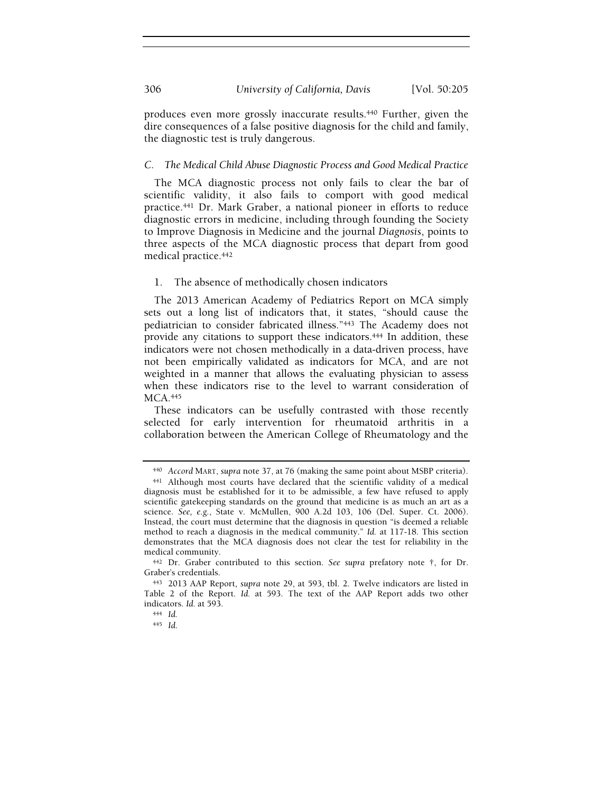produces even more grossly inaccurate results.440 Further, given the dire consequences of a false positive diagnosis for the child and family, the diagnostic test is truly dangerous.

# C. The Medical Child Abuse Diagnostic Process and Good Medical Practice

The MCA diagnostic process not only fails to clear the bar of scientific validity, it also fails to comport with good medical practice.441 Dr. Mark Graber, a national pioneer in efforts to reduce diagnostic errors in medicine, including through founding the Society to Improve Diagnosis in Medicine and the journal Diagnosis, points to three aspects of the MCA diagnostic process that depart from good medical practice.<sup>442</sup>

#### 1. The absence of methodically chosen indicators

The 2013 American Academy of Pediatrics Report on MCA simply sets out a long list of indicators that, it states, "should cause the pediatrician to consider fabricated illness."443 The Academy does not provide any citations to support these indicators.<sup>444</sup> In addition, these indicators were not chosen methodically in a data-driven process, have not been empirically validated as indicators for MCA, and are not weighted in a manner that allows the evaluating physician to assess when these indicators rise to the level to warrant consideration of MCA.<sup>445</sup>

These indicators can be usefully contrasted with those recently selected for early intervention for rheumatoid arthritis in a collaboration between the American College of Rheumatology and the

<sup>440</sup> Accord MART, supra note 37, at 76 (making the same point about MSBP criteria).

<sup>441</sup> Although most courts have declared that the scientific validity of a medical diagnosis must be established for it to be admissible, a few have refused to apply scientific gatekeeping standards on the ground that medicine is as much an art as a science. See, e.g., State v. McMullen, 900 A.2d 103, 106 (Del. Super. Ct. 2006). Instead, the court must determine that the diagnosis in question "is deemed a reliable method to reach a diagnosis in the medical community." Id. at 117-18. This section demonstrates that the MCA diagnosis does not clear the test for reliability in the medical community.

<sup>442</sup> Dr. Graber contributed to this section. See supra prefatory note †, for Dr. Graber's credentials.

<sup>443</sup> 2013 AAP Report, supra note 29, at 593, tbl. 2. Twelve indicators are listed in Table 2 of the Report. Id. at 593. The text of the AAP Report adds two other indicators. Id. at 593.

<sup>444</sup> Id.

<sup>445</sup> Id.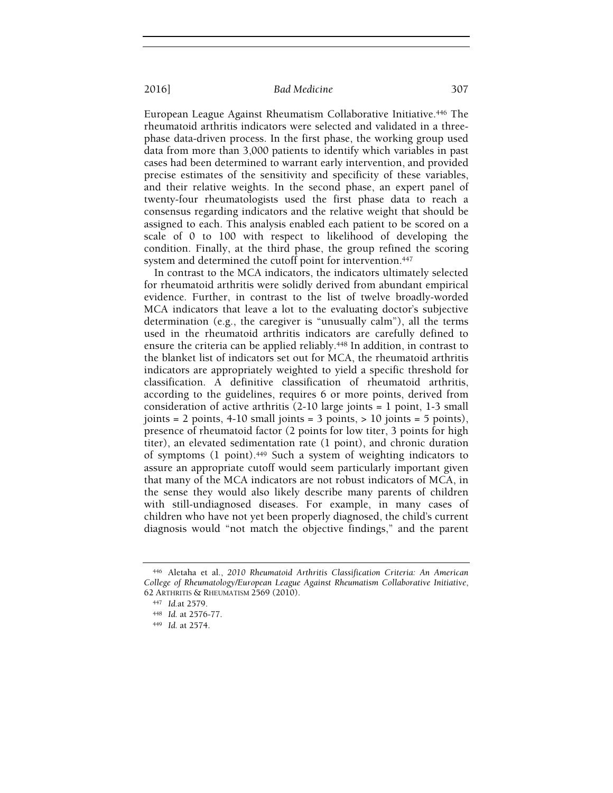European League Against Rheumatism Collaborative Initiative.446 The rheumatoid arthritis indicators were selected and validated in a threephase data-driven process. In the first phase, the working group used data from more than 3,000 patients to identify which variables in past cases had been determined to warrant early intervention, and provided precise estimates of the sensitivity and specificity of these variables, and their relative weights. In the second phase, an expert panel of twenty-four rheumatologists used the first phase data to reach a consensus regarding indicators and the relative weight that should be assigned to each. This analysis enabled each patient to be scored on a scale of 0 to 100 with respect to likelihood of developing the condition. Finally, at the third phase, the group refined the scoring system and determined the cutoff point for intervention.<sup>447</sup>

In contrast to the MCA indicators, the indicators ultimately selected for rheumatoid arthritis were solidly derived from abundant empirical evidence. Further, in contrast to the list of twelve broadly-worded MCA indicators that leave a lot to the evaluating doctor's subjective determination (e.g., the caregiver is "unusually calm"), all the terms used in the rheumatoid arthritis indicators are carefully defined to ensure the criteria can be applied reliably.<sup>448</sup> In addition, in contrast to the blanket list of indicators set out for MCA, the rheumatoid arthritis indicators are appropriately weighted to yield a specific threshold for classification. A definitive classification of rheumatoid arthritis, according to the guidelines, requires 6 or more points, derived from consideration of active arthritis (2-10 large joints = 1 point, 1-3 small joints = 2 points,  $4\n-10$  small joints = 3 points,  $> 10$  joints = 5 points), presence of rheumatoid factor (2 points for low titer, 3 points for high titer), an elevated sedimentation rate (1 point), and chronic duration of symptoms (1 point).449 Such a system of weighting indicators to assure an appropriate cutoff would seem particularly important given that many of the MCA indicators are not robust indicators of MCA, in the sense they would also likely describe many parents of children with still-undiagnosed diseases. For example, in many cases of children who have not yet been properly diagnosed, the child's current diagnosis would "not match the objective findings," and the parent

<sup>446</sup> Aletaha et al., 2010 Rheumatoid Arthritis Classification Criteria: An American College of Rheumatology/European League Against Rheumatism Collaborative Initiative, 62 ARTHRITIS & RHEUMATISM 2569 (2010).

<sup>447</sup> Id.at 2579.

<sup>448</sup> Id. at 2576-77.

<sup>449</sup> Id. at 2574.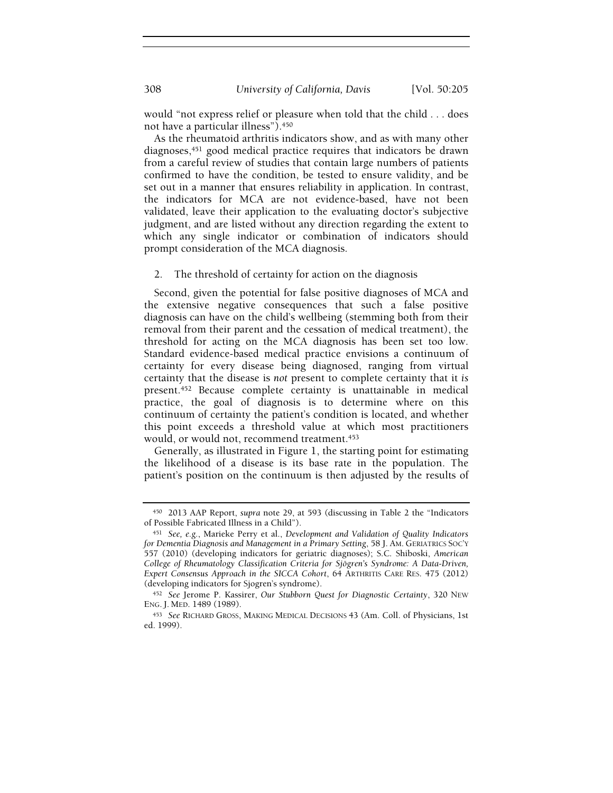would "not express relief or pleasure when told that the child . . . does not have a particular illness").<sup>450</sup>

As the rheumatoid arthritis indicators show, and as with many other diagnoses,<sup>451</sup> good medical practice requires that indicators be drawn from a careful review of studies that contain large numbers of patients confirmed to have the condition, be tested to ensure validity, and be set out in a manner that ensures reliability in application. In contrast, the indicators for MCA are not evidence-based, have not been validated, leave their application to the evaluating doctor's subjective judgment, and are listed without any direction regarding the extent to which any single indicator or combination of indicators should prompt consideration of the MCA diagnosis.

2. The threshold of certainty for action on the diagnosis

Second, given the potential for false positive diagnoses of MCA and the extensive negative consequences that such a false positive diagnosis can have on the child's wellbeing (stemming both from their removal from their parent and the cessation of medical treatment), the threshold for acting on the MCA diagnosis has been set too low. Standard evidence-based medical practice envisions a continuum of certainty for every disease being diagnosed, ranging from virtual certainty that the disease is not present to complete certainty that it is present.452 Because complete certainty is unattainable in medical practice, the goal of diagnosis is to determine where on this continuum of certainty the patient's condition is located, and whether this point exceeds a threshold value at which most practitioners would, or would not, recommend treatment.<sup>453</sup>

Generally, as illustrated in Figure 1, the starting point for estimating the likelihood of a disease is its base rate in the population. The patient's position on the continuum is then adjusted by the results of

<sup>450</sup> 2013 AAP Report, supra note 29, at 593 (discussing in Table 2 the "Indicators of Possible Fabricated Illness in a Child").

<sup>451</sup> See, e.g., Marieke Perry et al., Development and Validation of Quality Indicators for Dementia Diagnosis and Management in a Primary Setting, 58 J. AM. GERIATRICS SOC'Y 557 (2010) (developing indicators for geriatric diagnoses); S.C. Shiboski, American College of Rheumatology Classification Criteria for Sjögren's Syndrome: A Data-Driven, Expert Consensus Approach in the SICCA Cohort, 64 ARTHRITIS CARE RES. 475 (2012) (developing indicators for Sjogren's syndrome).

<sup>452</sup> See Jerome P. Kassirer, Our Stubborn Quest for Diagnostic Certainty, 320 NEW ENG. J. MED. 1489 (1989).

<sup>453</sup> See RICHARD GROSS, MAKING MEDICAL DECISIONS 43 (Am. Coll. of Physicians, 1st ed. 1999).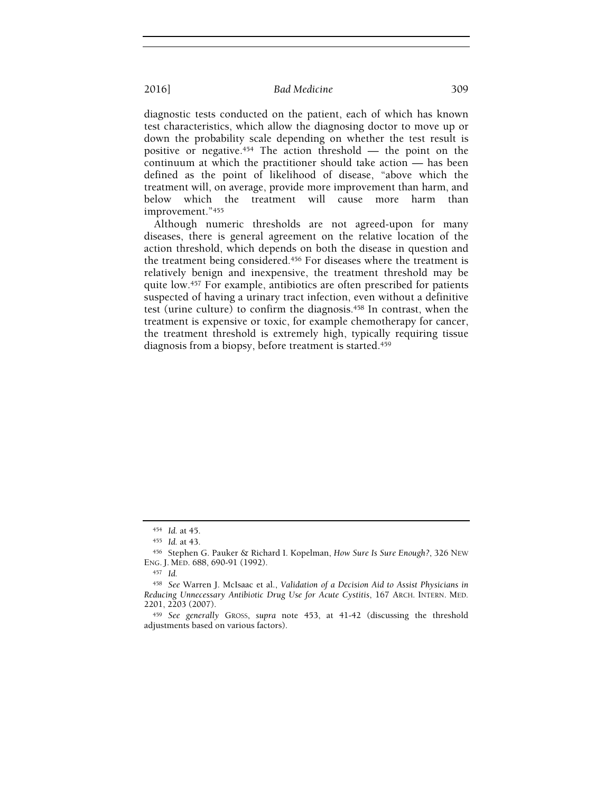diagnostic tests conducted on the patient, each of which has known test characteristics, which allow the diagnosing doctor to move up or down the probability scale depending on whether the test result is positive or negative.<sup>454</sup> The action threshold — the point on the continuum at which the practitioner should take action — has been defined as the point of likelihood of disease, "above which the treatment will, on average, provide more improvement than harm, and below which the treatment will cause more harm than improvement."<sup>455</sup>

Although numeric thresholds are not agreed-upon for many diseases, there is general agreement on the relative location of the action threshold, which depends on both the disease in question and the treatment being considered.456 For diseases where the treatment is relatively benign and inexpensive, the treatment threshold may be quite low.457 For example, antibiotics are often prescribed for patients suspected of having a urinary tract infection, even without a definitive test (urine culture) to confirm the diagnosis.458 In contrast, when the treatment is expensive or toxic, for example chemotherapy for cancer, the treatment threshold is extremely high, typically requiring tissue diagnosis from a biopsy, before treatment is started.<sup>459</sup>

<sup>454</sup> Id. at 45.

<sup>455</sup> Id. at 43.

<sup>456</sup> Stephen G. Pauker & Richard I. Kopelman, How Sure Is Sure Enough?, 326 NEW ENG. J. MED. 688, 690-91 (1992).

<sup>457</sup> Id.

<sup>458</sup> See Warren J. McIsaac et al., Validation of a Decision Aid to Assist Physicians in Reducing Unnecessary Antibiotic Drug Use for Acute Cystitis, 167 ARCH. INTERN. MED. 2201, 2203 (2007).

<sup>459</sup> See generally GROSS, supra note 453, at 41-42 (discussing the threshold adjustments based on various factors).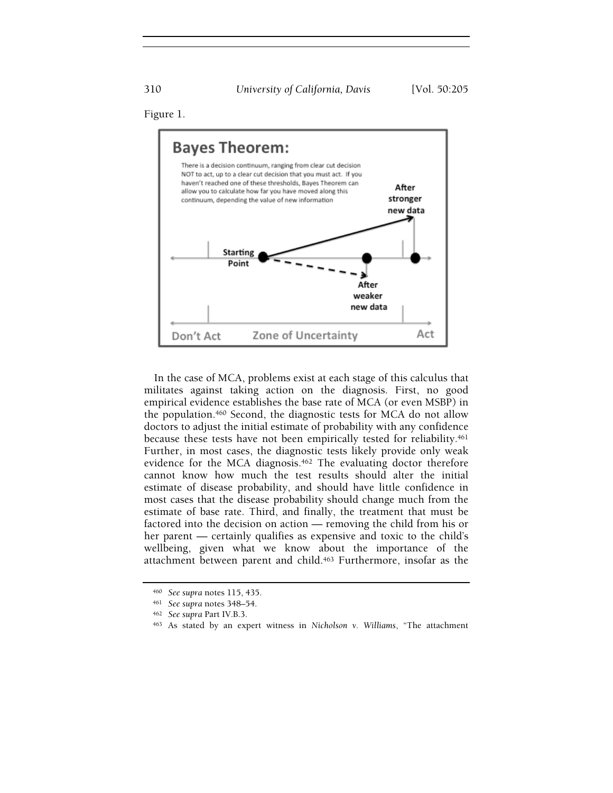310 *University of California, Davis* [Vol. 50:205]





In the case of MCA, problems exist at each stage of this calculus that militates against taking action on the diagnosis. First, no good empirical evidence establishes the base rate of MCA (or even MSBP) in the population.460 Second, the diagnostic tests for MCA do not allow doctors to adjust the initial estimate of probability with any confidence because these tests have not been empirically tested for reliability.<sup>461</sup> Further, in most cases, the diagnostic tests likely provide only weak evidence for the MCA diagnosis.<sup>462</sup> The evaluating doctor therefore cannot know how much the test results should alter the initial estimate of disease probability, and should have little confidence in most cases that the disease probability should change much from the estimate of base rate. Third, and finally, the treatment that must be factored into the decision on action — removing the child from his or her parent — certainly qualifies as expensive and toxic to the child's wellbeing, given what we know about the importance of the attachment between parent and child.463 Furthermore, insofar as the

<sup>460</sup> See supra notes 115, 435.

<sup>461</sup> See supra notes 348–54.

<sup>462</sup> See supra Part IV.B.3.

<sup>463</sup> As stated by an expert witness in Nicholson v. Williams, "The attachment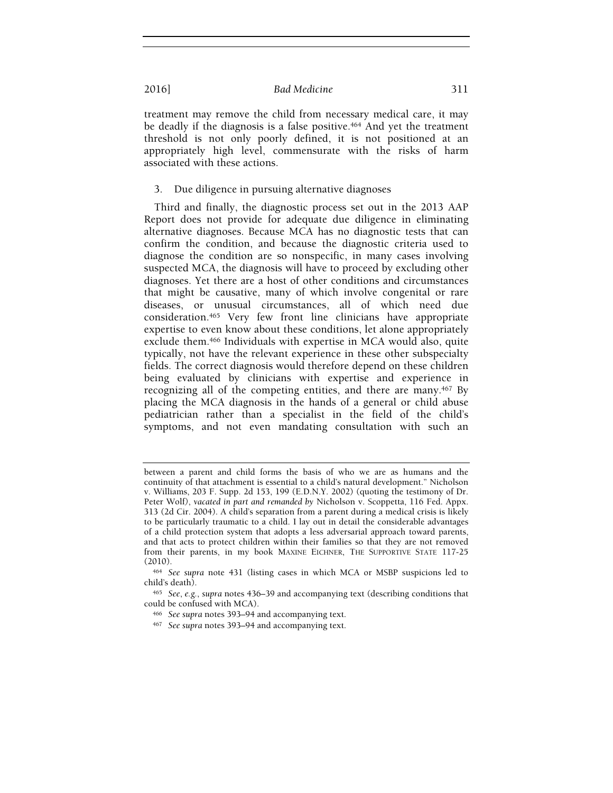treatment may remove the child from necessary medical care, it may be deadly if the diagnosis is a false positive.<sup>464</sup> And yet the treatment threshold is not only poorly defined, it is not positioned at an appropriately high level, commensurate with the risks of harm associated with these actions.

## 3. Due diligence in pursuing alternative diagnoses

Third and finally, the diagnostic process set out in the 2013 AAP Report does not provide for adequate due diligence in eliminating alternative diagnoses. Because MCA has no diagnostic tests that can confirm the condition, and because the diagnostic criteria used to diagnose the condition are so nonspecific, in many cases involving suspected MCA, the diagnosis will have to proceed by excluding other diagnoses. Yet there are a host of other conditions and circumstances that might be causative, many of which involve congenital or rare diseases, or unusual circumstances, all of which need due consideration.465 Very few front line clinicians have appropriate expertise to even know about these conditions, let alone appropriately exclude them.466 Individuals with expertise in MCA would also, quite typically, not have the relevant experience in these other subspecialty fields. The correct diagnosis would therefore depend on these children being evaluated by clinicians with expertise and experience in recognizing all of the competing entities, and there are many.467 By placing the MCA diagnosis in the hands of a general or child abuse pediatrician rather than a specialist in the field of the child's symptoms, and not even mandating consultation with such an

between a parent and child forms the basis of who we are as humans and the continuity of that attachment is essential to a child's natural development." Nicholson v. Williams, 203 F. Supp. 2d 153, 199 (E.D.N.Y. 2002) (quoting the testimony of Dr. Peter Wolf), vacated in part and remanded by Nicholson v. Scoppetta, 116 Fed. Appx. 313 (2d Cir. 2004). A child's separation from a parent during a medical crisis is likely to be particularly traumatic to a child. I lay out in detail the considerable advantages of a child protection system that adopts a less adversarial approach toward parents, and that acts to protect children within their families so that they are not removed from their parents, in my book MAXINE EICHNER, THE SUPPORTIVE STATE 117-25 (2010).

<sup>464</sup> See supra note 431 (listing cases in which MCA or MSBP suspicions led to child's death).

<sup>465</sup> See, e.g., supra notes 436–39 and accompanying text (describing conditions that could be confused with MCA).

<sup>466</sup> See supra notes 393–94 and accompanying text.

<sup>467</sup> See supra notes 393–94 and accompanying text.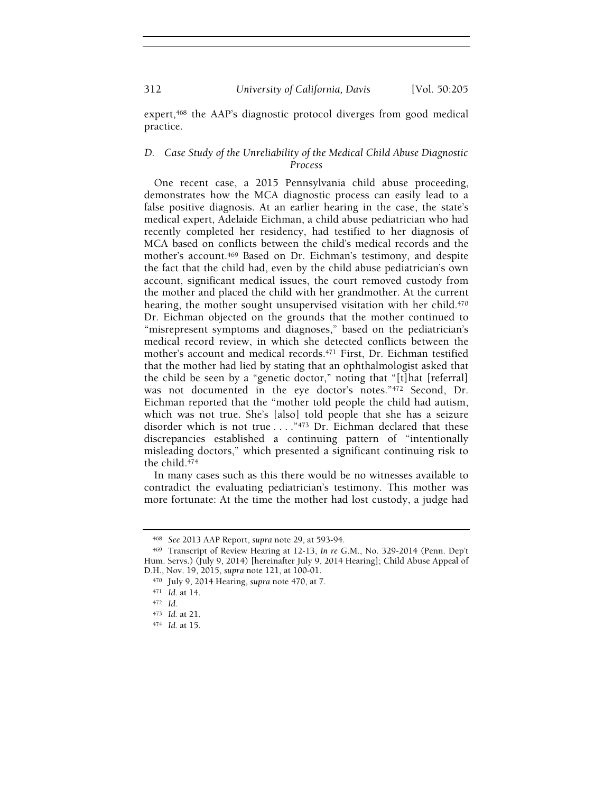expert,468 the AAP's diagnostic protocol diverges from good medical practice.

# D. Case Study of the Unreliability of the Medical Child Abuse Diagnostic Process

One recent case, a 2015 Pennsylvania child abuse proceeding, demonstrates how the MCA diagnostic process can easily lead to a false positive diagnosis. At an earlier hearing in the case, the state's medical expert, Adelaide Eichman, a child abuse pediatrician who had recently completed her residency, had testified to her diagnosis of MCA based on conflicts between the child's medical records and the mother's account.469 Based on Dr. Eichman's testimony, and despite the fact that the child had, even by the child abuse pediatrician's own account, significant medical issues, the court removed custody from the mother and placed the child with her grandmother. At the current hearing, the mother sought unsupervised visitation with her child.<sup>470</sup> Dr. Eichman objected on the grounds that the mother continued to "misrepresent symptoms and diagnoses," based on the pediatrician's medical record review, in which she detected conflicts between the mother's account and medical records.471 First, Dr. Eichman testified that the mother had lied by stating that an ophthalmologist asked that the child be seen by a "genetic doctor," noting that "[t]hat [referral] was not documented in the eye doctor's notes."472 Second, Dr. Eichman reported that the "mother told people the child had autism, which was not true. She's [also] told people that she has a seizure disorder which is not true . . . ."473 Dr. Eichman declared that these discrepancies established a continuing pattern of "intentionally misleading doctors," which presented a significant continuing risk to the child.<sup>474</sup>

In many cases such as this there would be no witnesses available to contradict the evaluating pediatrician's testimony. This mother was more fortunate: At the time the mother had lost custody, a judge had

<sup>468</sup> See 2013 AAP Report, supra note 29, at 593-94.

<sup>469</sup> Transcript of Review Hearing at 12-13, In re G.M., No. 329-2014 (Penn. Dep't Hum. Servs.) (July 9, 2014) [hereinafter July 9, 2014 Hearing]; Child Abuse Appeal of D.H., Nov. 19, 2015, supra note 121, at 100-01.

<sup>470</sup> July 9, 2014 Hearing, supra note 470, at 7.

<sup>471</sup> Id. at 14.

<sup>472</sup> Id.

<sup>473</sup> Id. at 21.

<sup>474</sup> Id. at 15.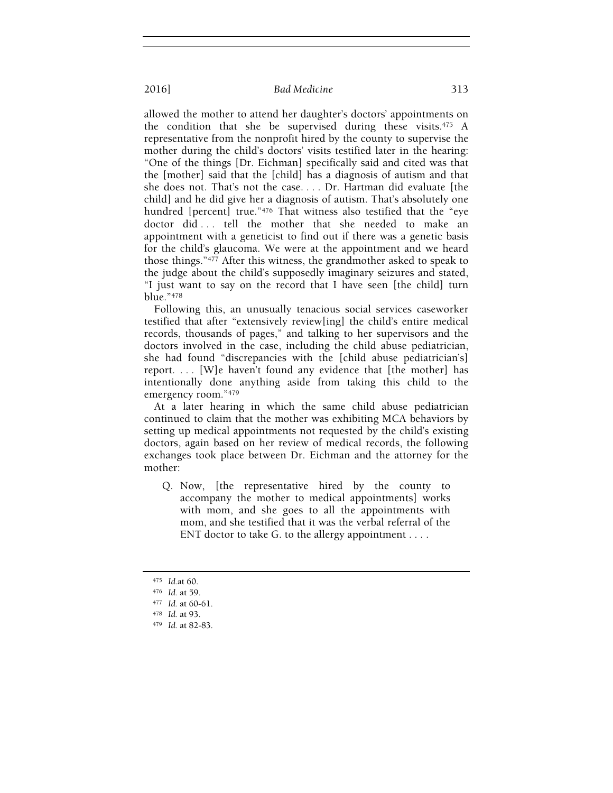allowed the mother to attend her daughter's doctors' appointments on the condition that she be supervised during these visits.475 A representative from the nonprofit hired by the county to supervise the mother during the child's doctors' visits testified later in the hearing: "One of the things [Dr. Eichman] specifically said and cited was that the [mother] said that the [child] has a diagnosis of autism and that she does not. That's not the case. . . . Dr. Hartman did evaluate [the child] and he did give her a diagnosis of autism. That's absolutely one hundred [percent] true."476 That witness also testified that the "eye doctor did . . . tell the mother that she needed to make an appointment with a geneticist to find out if there was a genetic basis for the child's glaucoma. We were at the appointment and we heard those things."477 After this witness, the grandmother asked to speak to the judge about the child's supposedly imaginary seizures and stated, "I just want to say on the record that I have seen [the child] turn blue."<sup>478</sup>

Following this, an unusually tenacious social services caseworker testified that after "extensively review[ing] the child's entire medical records, thousands of pages," and talking to her supervisors and the doctors involved in the case, including the child abuse pediatrician, she had found "discrepancies with the [child abuse pediatrician's] report. . . . [W]e haven't found any evidence that [the mother] has intentionally done anything aside from taking this child to the emergency room."<sup>479</sup>

At a later hearing in which the same child abuse pediatrician continued to claim that the mother was exhibiting MCA behaviors by setting up medical appointments not requested by the child's existing doctors, again based on her review of medical records, the following exchanges took place between Dr. Eichman and the attorney for the mother:

Q. Now, [the representative hired by the county to accompany the mother to medical appointments] works with mom, and she goes to all the appointments with mom, and she testified that it was the verbal referral of the ENT doctor to take G. to the allergy appointment . . . .

<sup>475</sup> Id.at 60.

<sup>476</sup> Id. at 59.

<sup>477</sup> Id. at 60-61.

<sup>478</sup> Id. at 93.

<sup>479</sup> Id. at 82-83.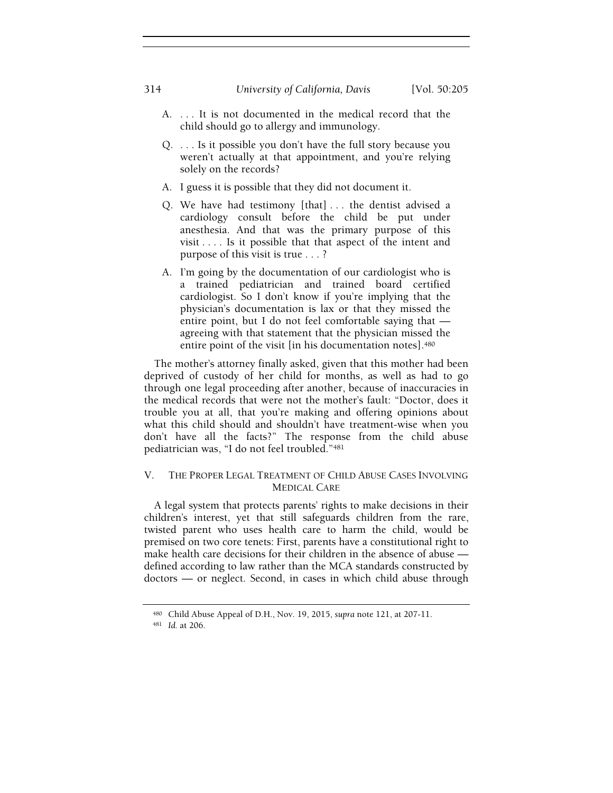- A. . . . It is not documented in the medical record that the child should go to allergy and immunology.
- Q. . . . Is it possible you don't have the full story because you weren't actually at that appointment, and you're relying solely on the records?
- A. I guess it is possible that they did not document it.
- Q. We have had testimony [that] . . . the dentist advised a cardiology consult before the child be put under anesthesia. And that was the primary purpose of this visit . . . . Is it possible that that aspect of the intent and purpose of this visit is true . . . ?
- A. I'm going by the documentation of our cardiologist who is a trained pediatrician and trained board certified cardiologist. So I don't know if you're implying that the physician's documentation is lax or that they missed the entire point, but I do not feel comfortable saying that agreeing with that statement that the physician missed the entire point of the visit [in his documentation notes].<sup>480</sup>

The mother's attorney finally asked, given that this mother had been deprived of custody of her child for months, as well as had to go through one legal proceeding after another, because of inaccuracies in the medical records that were not the mother's fault: "Doctor, does it trouble you at all, that you're making and offering opinions about what this child should and shouldn't have treatment-wise when you don't have all the facts?" The response from the child abuse pediatrician was, "I do not feel troubled."<sup>481</sup>

# V. THE PROPER LEGAL TREATMENT OF CHILD ABUSE CASES INVOLVING MEDICAL CARE

A legal system that protects parents' rights to make decisions in their children's interest, yet that still safeguards children from the rare, twisted parent who uses health care to harm the child, would be premised on two core tenets: First, parents have a constitutional right to make health care decisions for their children in the absence of abuse defined according to law rather than the MCA standards constructed by doctors — or neglect. Second, in cases in which child abuse through

<sup>480</sup> Child Abuse Appeal of D.H., Nov. 19, 2015, supra note 121, at 207-11.

<sup>481</sup> Id. at 206.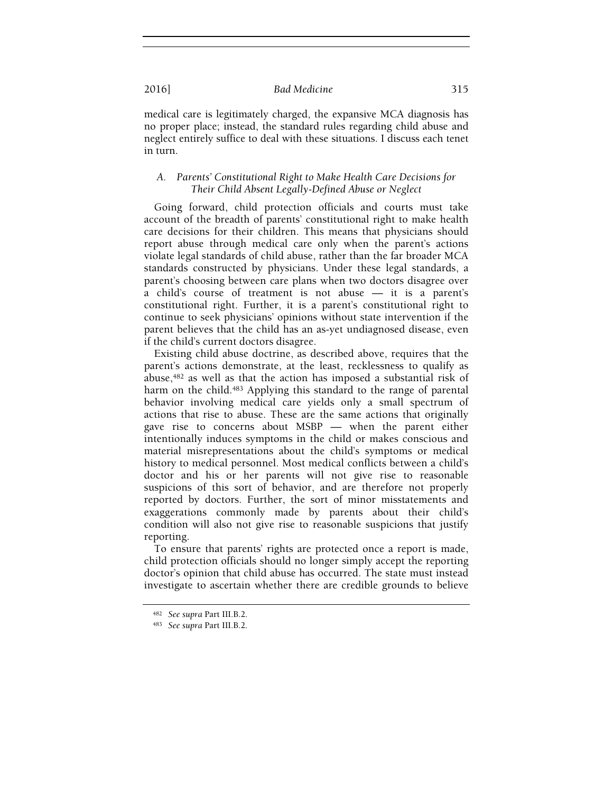medical care is legitimately charged, the expansive MCA diagnosis has no proper place; instead, the standard rules regarding child abuse and neglect entirely suffice to deal with these situations. I discuss each tenet in turn.

# A. Parents' Constitutional Right to Make Health Care Decisions for Their Child Absent Legally-Defined Abuse or Neglect

Going forward, child protection officials and courts must take account of the breadth of parents' constitutional right to make health care decisions for their children. This means that physicians should report abuse through medical care only when the parent's actions violate legal standards of child abuse, rather than the far broader MCA standards constructed by physicians. Under these legal standards, a parent's choosing between care plans when two doctors disagree over a child's course of treatment is not abuse — it is a parent's constitutional right. Further, it is a parent's constitutional right to continue to seek physicians' opinions without state intervention if the parent believes that the child has an as-yet undiagnosed disease, even if the child's current doctors disagree.

Existing child abuse doctrine, as described above, requires that the parent's actions demonstrate, at the least, recklessness to qualify as abuse,482 as well as that the action has imposed a substantial risk of harm on the child.<sup>483</sup> Applying this standard to the range of parental behavior involving medical care yields only a small spectrum of actions that rise to abuse. These are the same actions that originally gave rise to concerns about MSBP — when the parent either intentionally induces symptoms in the child or makes conscious and material misrepresentations about the child's symptoms or medical history to medical personnel. Most medical conflicts between a child's doctor and his or her parents will not give rise to reasonable suspicions of this sort of behavior, and are therefore not properly reported by doctors. Further, the sort of minor misstatements and exaggerations commonly made by parents about their child's condition will also not give rise to reasonable suspicions that justify reporting.

To ensure that parents' rights are protected once a report is made, child protection officials should no longer simply accept the reporting doctor's opinion that child abuse has occurred. The state must instead investigate to ascertain whether there are credible grounds to believe

<sup>482</sup> See supra Part III.B.2.

<sup>483</sup> See supra Part III.B.2.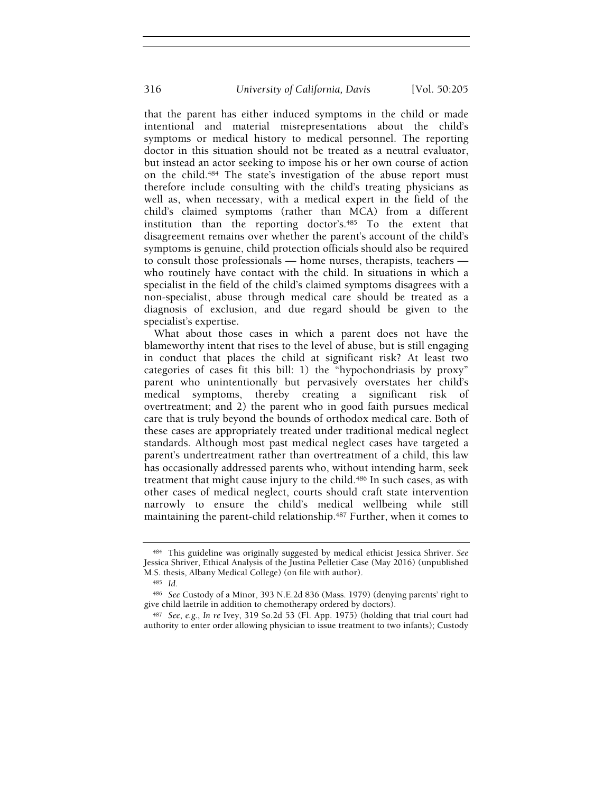that the parent has either induced symptoms in the child or made intentional and material misrepresentations about the child's symptoms or medical history to medical personnel. The reporting doctor in this situation should not be treated as a neutral evaluator, but instead an actor seeking to impose his or her own course of action on the child.<sup>484</sup> The state's investigation of the abuse report must therefore include consulting with the child's treating physicians as well as, when necessary, with a medical expert in the field of the child's claimed symptoms (rather than MCA) from a different institution than the reporting doctor's.485 To the extent that disagreement remains over whether the parent's account of the child's symptoms is genuine, child protection officials should also be required to consult those professionals — home nurses, therapists, teachers who routinely have contact with the child. In situations in which a specialist in the field of the child's claimed symptoms disagrees with a non-specialist, abuse through medical care should be treated as a diagnosis of exclusion, and due regard should be given to the specialist's expertise.

What about those cases in which a parent does not have the blameworthy intent that rises to the level of abuse, but is still engaging in conduct that places the child at significant risk? At least two categories of cases fit this bill: 1) the "hypochondriasis by proxy" parent who unintentionally but pervasively overstates her child's medical symptoms, thereby creating a significant risk of overtreatment; and 2) the parent who in good faith pursues medical care that is truly beyond the bounds of orthodox medical care. Both of these cases are appropriately treated under traditional medical neglect standards. Although most past medical neglect cases have targeted a parent's undertreatment rather than overtreatment of a child, this law has occasionally addressed parents who, without intending harm, seek treatment that might cause injury to the child.<sup>486</sup> In such cases, as with other cases of medical neglect, courts should craft state intervention narrowly to ensure the child's medical wellbeing while still maintaining the parent-child relationship.487 Further, when it comes to

<sup>484</sup> This guideline was originally suggested by medical ethicist Jessica Shriver. See Jessica Shriver, Ethical Analysis of the Justina Pelletier Case (May 2016) (unpublished M.S. thesis, Albany Medical College) (on file with author).

<sup>485</sup> Id.

<sup>486</sup> See Custody of a Minor, 393 N.E.2d 836 (Mass. 1979) (denying parents' right to give child laetrile in addition to chemotherapy ordered by doctors).

<sup>487</sup> See, e.g., In re Ivey, 319 So.2d 53 (Fl. App. 1975) (holding that trial court had authority to enter order allowing physician to issue treatment to two infants); Custody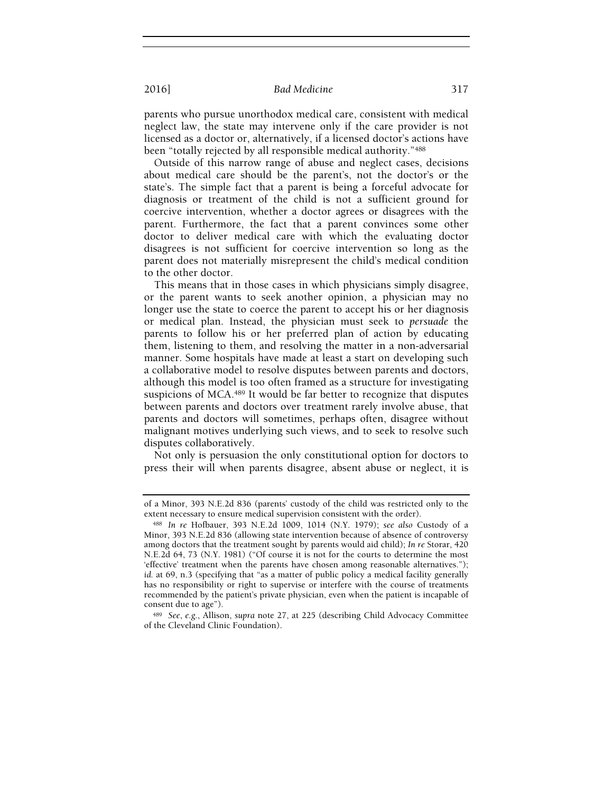parents who pursue unorthodox medical care, consistent with medical neglect law, the state may intervene only if the care provider is not licensed as a doctor or, alternatively, if a licensed doctor's actions have been "totally rejected by all responsible medical authority."<sup>488</sup>

Outside of this narrow range of abuse and neglect cases, decisions about medical care should be the parent's, not the doctor's or the state's. The simple fact that a parent is being a forceful advocate for diagnosis or treatment of the child is not a sufficient ground for coercive intervention, whether a doctor agrees or disagrees with the parent. Furthermore, the fact that a parent convinces some other doctor to deliver medical care with which the evaluating doctor disagrees is not sufficient for coercive intervention so long as the parent does not materially misrepresent the child's medical condition to the other doctor.

This means that in those cases in which physicians simply disagree, or the parent wants to seek another opinion, a physician may no longer use the state to coerce the parent to accept his or her diagnosis or medical plan. Instead, the physician must seek to persuade the parents to follow his or her preferred plan of action by educating them, listening to them, and resolving the matter in a non-adversarial manner. Some hospitals have made at least a start on developing such a collaborative model to resolve disputes between parents and doctors, although this model is too often framed as a structure for investigating suspicions of MCA.489 It would be far better to recognize that disputes between parents and doctors over treatment rarely involve abuse, that parents and doctors will sometimes, perhaps often, disagree without malignant motives underlying such views, and to seek to resolve such disputes collaboratively.

Not only is persuasion the only constitutional option for doctors to press their will when parents disagree, absent abuse or neglect, it is

of a Minor, 393 N.E.2d 836 (parents' custody of the child was restricted only to the extent necessary to ensure medical supervision consistent with the order).

<sup>488</sup> In re Hofbauer, 393 N.E.2d 1009, 1014 (N.Y. 1979); see also Custody of a Minor, 393 N.E.2d 836 (allowing state intervention because of absence of controversy among doctors that the treatment sought by parents would aid child); In re Storar, 420 N.E.2d 64, 73 (N.Y. 1981) ("Of course it is not for the courts to determine the most 'effective' treatment when the parents have chosen among reasonable alternatives."); id. at 69, n.3 (specifying that "as a matter of public policy a medical facility generally has no responsibility or right to supervise or interfere with the course of treatments recommended by the patient's private physician, even when the patient is incapable of consent due to age").

<sup>489</sup> See, e.g., Allison, supra note 27, at 225 (describing Child Advocacy Committee of the Cleveland Clinic Foundation).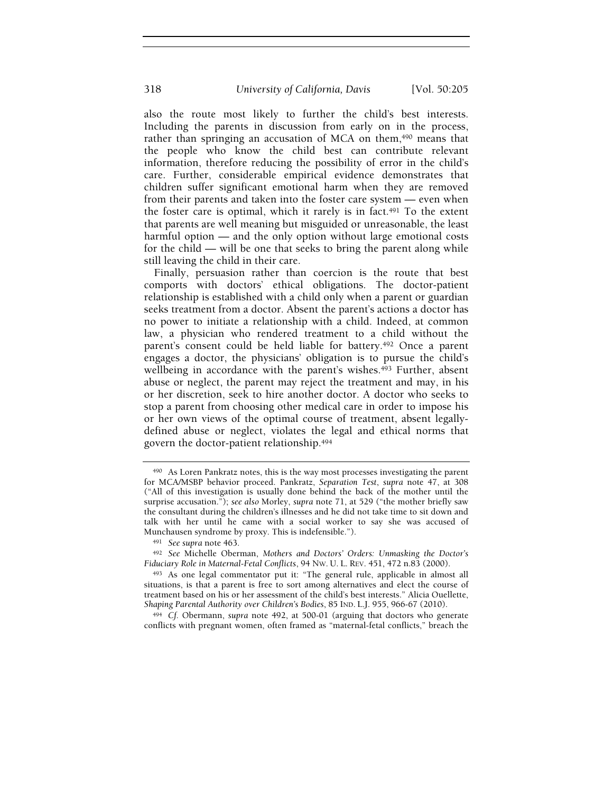also the route most likely to further the child's best interests. Including the parents in discussion from early on in the process, rather than springing an accusation of MCA on them,<sup>490</sup> means that the people who know the child best can contribute relevant information, therefore reducing the possibility of error in the child's care. Further, considerable empirical evidence demonstrates that children suffer significant emotional harm when they are removed from their parents and taken into the foster care system — even when the foster care is optimal, which it rarely is in fact.<sup>491</sup> To the extent that parents are well meaning but misguided or unreasonable, the least harmful option — and the only option without large emotional costs for the child — will be one that seeks to bring the parent along while still leaving the child in their care.

Finally, persuasion rather than coercion is the route that best comports with doctors' ethical obligations. The doctor-patient relationship is established with a child only when a parent or guardian seeks treatment from a doctor. Absent the parent's actions a doctor has no power to initiate a relationship with a child. Indeed, at common law, a physician who rendered treatment to a child without the parent's consent could be held liable for battery.<sup>492</sup> Once a parent engages a doctor, the physicians' obligation is to pursue the child's wellbeing in accordance with the parent's wishes.<sup>493</sup> Further, absent abuse or neglect, the parent may reject the treatment and may, in his or her discretion, seek to hire another doctor. A doctor who seeks to stop a parent from choosing other medical care in order to impose his or her own views of the optimal course of treatment, absent legallydefined abuse or neglect, violates the legal and ethical norms that govern the doctor-patient relationship.<sup>494</sup>

<sup>490</sup> As Loren Pankratz notes, this is the way most processes investigating the parent for MCA/MSBP behavior proceed. Pankratz, Separation Test, supra note 47, at 308 ("All of this investigation is usually done behind the back of the mother until the surprise accusation."); see also Morley, supra note 71, at 529 ("the mother briefly saw the consultant during the children's illnesses and he did not take time to sit down and talk with her until he came with a social worker to say she was accused of Munchausen syndrome by proxy. This is indefensible.").

<sup>491</sup> See supra note 463.

<sup>492</sup> See Michelle Oberman, Mothers and Doctors' Orders: Unmasking the Doctor's Fiduciary Role in Maternal-Fetal Conflicts, 94 NW. U. L. REV. 451, 472 n.83 (2000).

<sup>493</sup> As one legal commentator put it: "The general rule, applicable in almost all situations, is that a parent is free to sort among alternatives and elect the course of treatment based on his or her assessment of the child's best interests." Alicia Ouellette, Shaping Parental Authority over Children's Bodies, 85 IND. L.J. 955, 966-67 (2010).

<sup>494</sup> Cf. Obermann, supra note 492, at 500-01 (arguing that doctors who generate conflicts with pregnant women, often framed as "maternal-fetal conflicts," breach the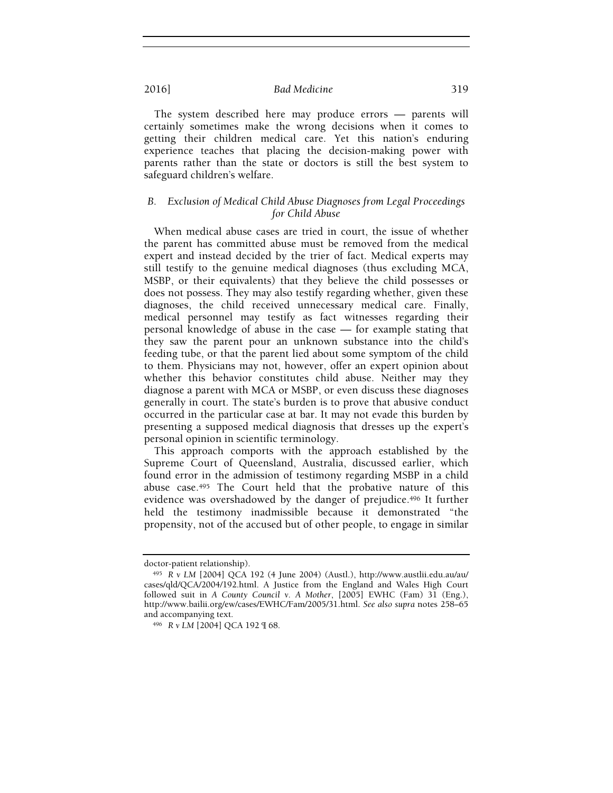The system described here may produce errors — parents will certainly sometimes make the wrong decisions when it comes to getting their children medical care. Yet this nation's enduring experience teaches that placing the decision-making power with parents rather than the state or doctors is still the best system to safeguard children's welfare.

# B. Exclusion of Medical Child Abuse Diagnoses from Legal Proceedings for Child Abuse

When medical abuse cases are tried in court, the issue of whether the parent has committed abuse must be removed from the medical expert and instead decided by the trier of fact. Medical experts may still testify to the genuine medical diagnoses (thus excluding MCA, MSBP, or their equivalents) that they believe the child possesses or does not possess. They may also testify regarding whether, given these diagnoses, the child received unnecessary medical care. Finally, medical personnel may testify as fact witnesses regarding their personal knowledge of abuse in the case — for example stating that they saw the parent pour an unknown substance into the child's feeding tube, or that the parent lied about some symptom of the child to them. Physicians may not, however, offer an expert opinion about whether this behavior constitutes child abuse. Neither may they diagnose a parent with MCA or MSBP, or even discuss these diagnoses generally in court. The state's burden is to prove that abusive conduct occurred in the particular case at bar. It may not evade this burden by presenting a supposed medical diagnosis that dresses up the expert's personal opinion in scientific terminology.

This approach comports with the approach established by the Supreme Court of Queensland, Australia, discussed earlier, which found error in the admission of testimony regarding MSBP in a child abuse case.495 The Court held that the probative nature of this evidence was overshadowed by the danger of prejudice.496 It further held the testimony inadmissible because it demonstrated "the propensity, not of the accused but of other people, to engage in similar

doctor-patient relationship).

<sup>495</sup> R v LM [2004] QCA 192 (4 June 2004) (Austl.), http://www.austlii.edu.au/au/ cases/qld/QCA/2004/192.html. A Justice from the England and Wales High Court followed suit in A County Council v. A Mother,  $[2005]$  EWHC (Fam) 31 (Eng.), http://www.bailii.org/ew/cases/EWHC/Fam/2005/31.html. See also supra notes 258–65 and accompanying text.

<sup>496</sup> R v LM [2004] QCA 192 ¶ 68.